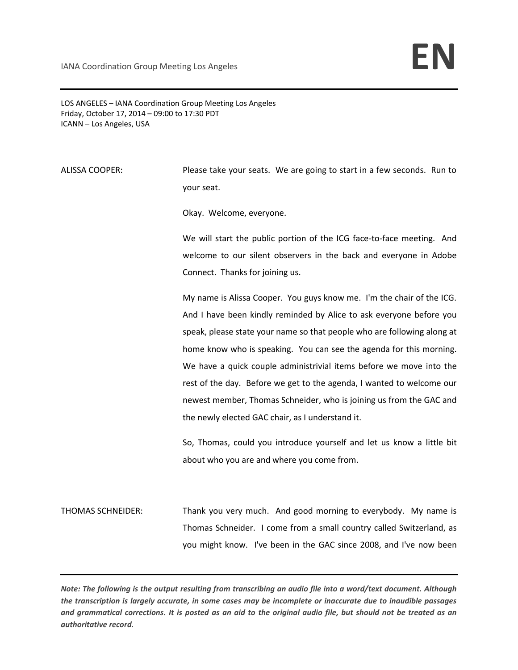IANA Coordination Group Meeting Los Angeles **EN** 

LOS ANGELES – IANA Coordination Group Meeting Los Angeles Friday, October 17, 2014 – 09:00 to 17:30 PDT ICANN – Los Angeles, USA

ALISSA COOPER: Please take your seats. We are going to start in a few seconds. Run to your seat.

Okay. Welcome, everyone.

We will start the public portion of the ICG face-to-face meeting. And welcome to our silent observers in the back and everyone in Adobe Connect. Thanks for joining us.

My name is Alissa Cooper. You guys know me. I'm the chair of the ICG. And I have been kindly reminded by Alice to ask everyone before you speak, please state your name so that people who are following along at home know who is speaking. You can see the agenda for this morning. We have a quick couple administrivial items before we move into the rest of the day. Before we get to the agenda, I wanted to welcome our newest member, Thomas Schneider, who is joining us from the GAC and the newly elected GAC chair, as I understand it.

So, Thomas, could you introduce yourself and let us know a little bit about who you are and where you come from.

THOMAS SCHNEIDER: Thank you very much. And good morning to everybody. My name is Thomas Schneider. I come from a small country called Switzerland, as you might know. I've been in the GAC since 2008, and I've now been

*Note: The following is the output resulting from transcribing an audio file into a word/text document. Although the transcription is largely accurate, in some cases may be incomplete or inaccurate due to inaudible passages and grammatical corrections. It is posted as an aid to the original audio file, but should not be treated as an authoritative record.*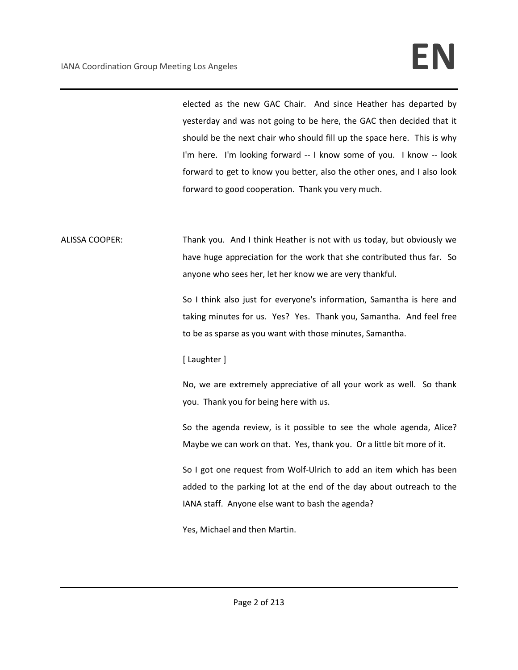elected as the new GAC Chair. And since Heather has departed by yesterday and was not going to be here, the GAC then decided that it should be the next chair who should fill up the space here. This is why I'm here. I'm looking forward -- I know some of you. I know -- look forward to get to know you better, also the other ones, and I also look forward to good cooperation. Thank you very much.

ALISSA COOPER: Thank you. And I think Heather is not with us today, but obviously we have huge appreciation for the work that she contributed thus far. So anyone who sees her, let her know we are very thankful.

> So I think also just for everyone's information, Samantha is here and taking minutes for us. Yes? Yes. Thank you, Samantha. And feel free to be as sparse as you want with those minutes, Samantha.

### [ Laughter ]

No, we are extremely appreciative of all your work as well. So thank you. Thank you for being here with us.

So the agenda review, is it possible to see the whole agenda, Alice? Maybe we can work on that. Yes, thank you. Or a little bit more of it.

So I got one request from Wolf-Ulrich to add an item which has been added to the parking lot at the end of the day about outreach to the IANA staff. Anyone else want to bash the agenda?

Yes, Michael and then Martin.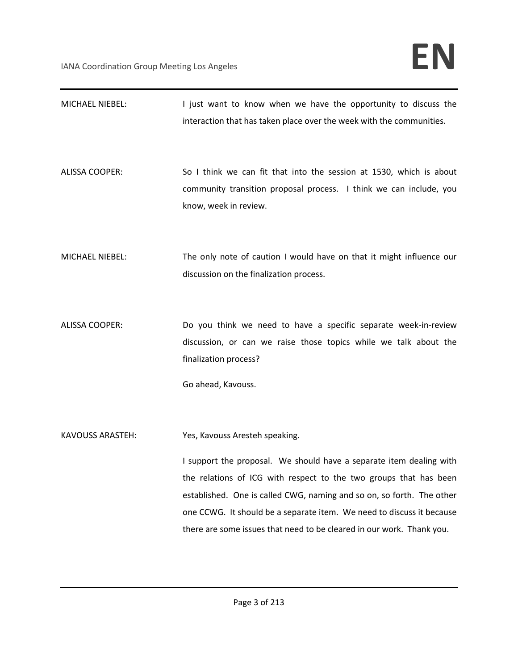| MICHAEL NIEBEL:         | I just want to know when we have the opportunity to discuss the<br>interaction that has taken place over the week with the communities.                                                                                                                                                                                                                                                               |
|-------------------------|-------------------------------------------------------------------------------------------------------------------------------------------------------------------------------------------------------------------------------------------------------------------------------------------------------------------------------------------------------------------------------------------------------|
| <b>ALISSA COOPER:</b>   | So I think we can fit that into the session at 1530, which is about<br>community transition proposal process. I think we can include, you<br>know, week in review.                                                                                                                                                                                                                                    |
| MICHAEL NIEBEL:         | The only note of caution I would have on that it might influence our<br>discussion on the finalization process.                                                                                                                                                                                                                                                                                       |
| <b>ALISSA COOPER:</b>   | Do you think we need to have a specific separate week-in-review<br>discussion, or can we raise those topics while we talk about the<br>finalization process?<br>Go ahead, Kavouss.                                                                                                                                                                                                                    |
| <b>KAVOUSS ARASTEH:</b> | Yes, Kavouss Aresteh speaking.<br>I support the proposal. We should have a separate item dealing with<br>the relations of ICG with respect to the two groups that has been<br>established. One is called CWG, naming and so on, so forth. The other<br>one CCWG. It should be a separate item. We need to discuss it because<br>there are some issues that need to be cleared in our work. Thank you. |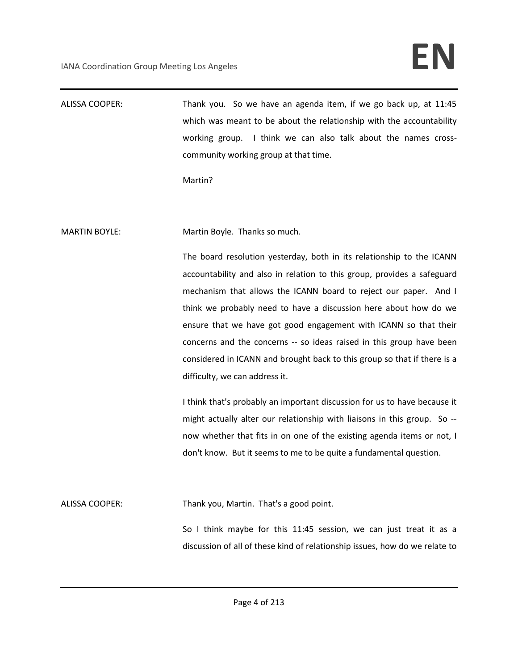# IANA Coordination Group Meeting Los Angeles **EN**

ALISSA COOPER: Thank you. So we have an agenda item, if we go back up, at 11:45 which was meant to be about the relationship with the accountability working group. I think we can also talk about the names crosscommunity working group at that time.

Martin?

MARTIN BOYLE: Martin Boyle. Thanks so much.

The board resolution yesterday, both in its relationship to the ICANN accountability and also in relation to this group, provides a safeguard mechanism that allows the ICANN board to reject our paper. And I think we probably need to have a discussion here about how do we ensure that we have got good engagement with ICANN so that their concerns and the concerns -- so ideas raised in this group have been considered in ICANN and brought back to this group so that if there is a difficulty, we can address it.

I think that's probably an important discussion for us to have because it might actually alter our relationship with liaisons in this group. So - now whether that fits in on one of the existing agenda items or not, I don't know. But it seems to me to be quite a fundamental question.

ALISSA COOPER: Thank you, Martin. That's a good point.

So I think maybe for this 11:45 session, we can just treat it as a discussion of all of these kind of relationship issues, how do we relate to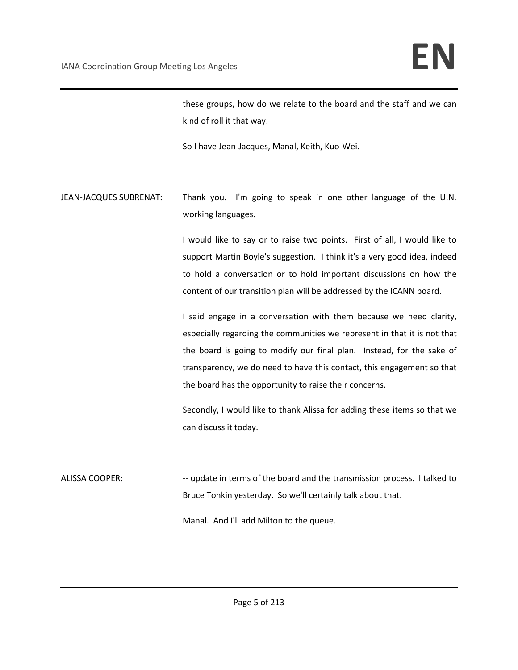these groups, how do we relate to the board and the staff and we can kind of roll it that way.

So I have Jean-Jacques, Manal, Keith, Kuo-Wei.

JEAN-JACQUES SUBRENAT: Thank you. I'm going to speak in one other language of the U.N. working languages.

> I would like to say or to raise two points. First of all, I would like to support Martin Boyle's suggestion. I think it's a very good idea, indeed to hold a conversation or to hold important discussions on how the content of our transition plan will be addressed by the ICANN board.

> I said engage in a conversation with them because we need clarity, especially regarding the communities we represent in that it is not that the board is going to modify our final plan. Instead, for the sake of transparency, we do need to have this contact, this engagement so that the board has the opportunity to raise their concerns.

> Secondly, I would like to thank Alissa for adding these items so that we can discuss it today.

ALISSA COOPER: --- update in terms of the board and the transmission process. I talked to Bruce Tonkin yesterday. So we'll certainly talk about that.

Manal. And I'll add Milton to the queue.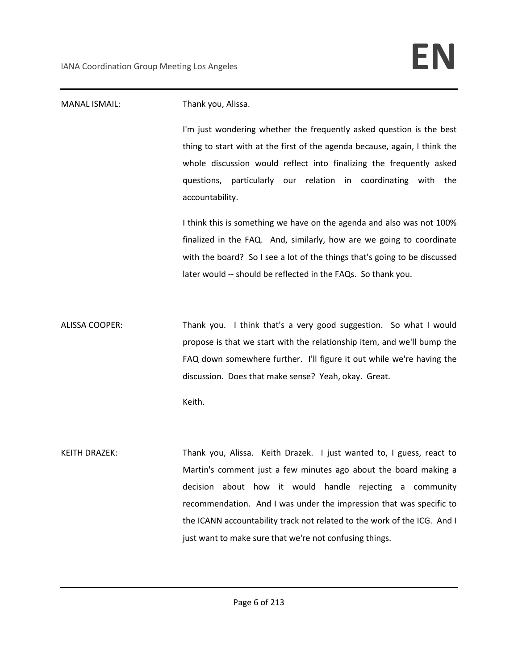## MANAL ISMAIL: Thank you, Alissa. I'm just wondering whether the frequently asked question is the best thing to start with at the first of the agenda because, again, I think the whole discussion would reflect into finalizing the frequently asked questions, particularly our relation in coordinating with the accountability. I think this is something we have on the agenda and also was not 100% finalized in the FAQ. And, similarly, how are we going to coordinate with the board? So I see a lot of the things that's going to be discussed later would -- should be reflected in the FAQs. So thank you. ALISSA COOPER: Thank you. I think that's a very good suggestion. So what I would propose is that we start with the relationship item, and we'll bump the FAQ down somewhere further. I'll figure it out while we're having the discussion. Does that make sense? Yeah, okay. Great. Keith. KEITH DRAZEK: Thank you, Alissa. Keith Drazek. I just wanted to, I guess, react to Martin's comment just a few minutes ago about the board making a decision about how it would handle rejecting a community recommendation. And I was under the impression that was specific to the ICANN accountability track not related to the work of the ICG. And I

just want to make sure that we're not confusing things.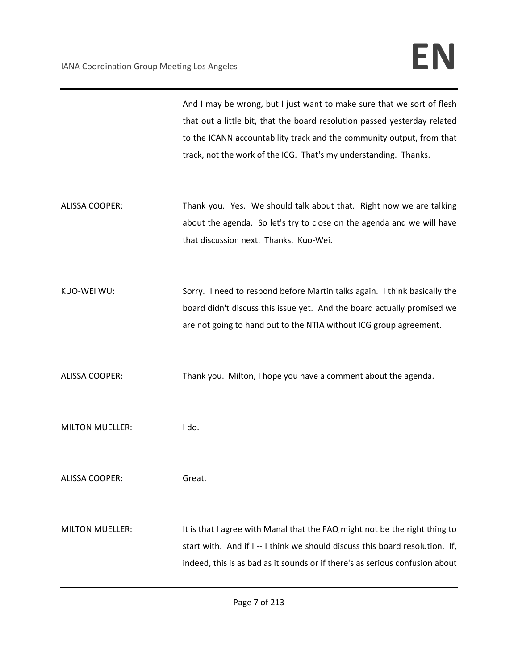And I may be wrong, but I just want to make sure that we sort of flesh that out a little bit, that the board resolution passed yesterday related to the ICANN accountability track and the community output, from that track, not the work of the ICG. That's my understanding. Thanks.

- ALISSA COOPER: Thank you. Yes. We should talk about that. Right now we are talking about the agenda. So let's try to close on the agenda and we will have that discussion next. Thanks. Kuo-Wei.
- KUO-WEI WU: Sorry. I need to respond before Martin talks again. I think basically the board didn't discuss this issue yet. And the board actually promised we are not going to hand out to the NTIA without ICG group agreement.
- ALISSA COOPER: Thank you. Milton, I hope you have a comment about the agenda.
- MILTON MUELLER: I do.

ALISSA COOPER: Great.

MILTON MUELLER: It is that I agree with Manal that the FAQ might not be the right thing to start with. And if I -- I think we should discuss this board resolution. If, indeed, this is as bad as it sounds or if there's as serious confusion about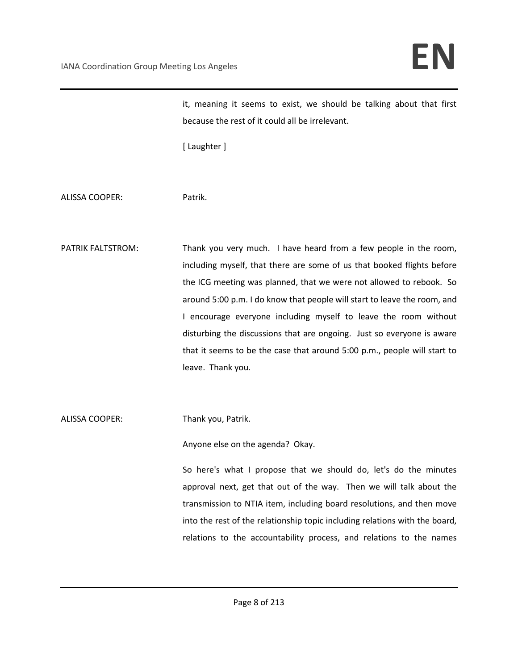it, meaning it seems to exist, we should be talking about that first because the rest of it could all be irrelevant.

[ Laughter ]

ALISSA COOPER: Patrik.

PATRIK FALTSTROM: Thank you very much. I have heard from a few people in the room, including myself, that there are some of us that booked flights before the ICG meeting was planned, that we were not allowed to rebook. So around 5:00 p.m. I do know that people will start to leave the room, and I encourage everyone including myself to leave the room without disturbing the discussions that are ongoing. Just so everyone is aware that it seems to be the case that around 5:00 p.m., people will start to leave. Thank you.

ALISSA COOPER: Thank you, Patrik.

Anyone else on the agenda? Okay.

So here's what I propose that we should do, let's do the minutes approval next, get that out of the way. Then we will talk about the transmission to NTIA item, including board resolutions, and then move into the rest of the relationship topic including relations with the board, relations to the accountability process, and relations to the names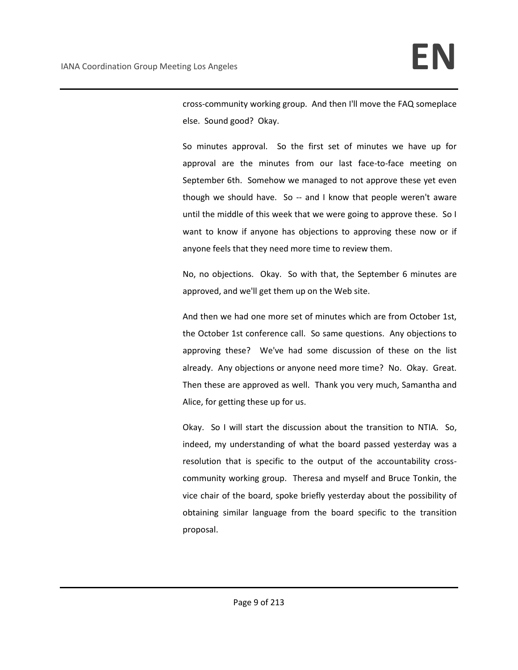cross-community working group. And then I'll move the FAQ someplace else. Sound good? Okay.

So minutes approval. So the first set of minutes we have up for approval are the minutes from our last face-to-face meeting on September 6th. Somehow we managed to not approve these yet even though we should have. So -- and I know that people weren't aware until the middle of this week that we were going to approve these. So I want to know if anyone has objections to approving these now or if anyone feels that they need more time to review them.

No, no objections. Okay. So with that, the September 6 minutes are approved, and we'll get them up on the Web site.

And then we had one more set of minutes which are from October 1st, the October 1st conference call. So same questions. Any objections to approving these? We've had some discussion of these on the list already. Any objections or anyone need more time? No. Okay. Great. Then these are approved as well. Thank you very much, Samantha and Alice, for getting these up for us.

Okay. So I will start the discussion about the transition to NTIA. So, indeed, my understanding of what the board passed yesterday was a resolution that is specific to the output of the accountability crosscommunity working group. Theresa and myself and Bruce Tonkin, the vice chair of the board, spoke briefly yesterday about the possibility of obtaining similar language from the board specific to the transition proposal.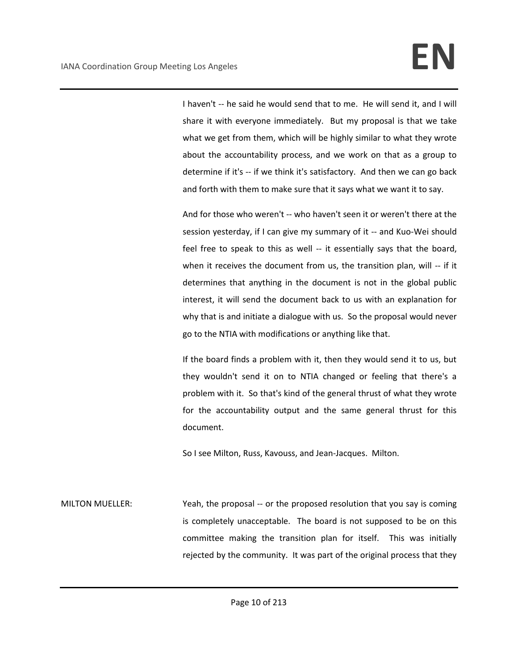I haven't -- he said he would send that to me. He will send it, and I will share it with everyone immediately. But my proposal is that we take what we get from them, which will be highly similar to what they wrote about the accountability process, and we work on that as a group to determine if it's -- if we think it's satisfactory. And then we can go back and forth with them to make sure that it says what we want it to say.

And for those who weren't -- who haven't seen it or weren't there at the session yesterday, if I can give my summary of it -- and Kuo-Wei should feel free to speak to this as well -- it essentially says that the board, when it receives the document from us, the transition plan, will -- if it determines that anything in the document is not in the global public interest, it will send the document back to us with an explanation for why that is and initiate a dialogue with us. So the proposal would never go to the NTIA with modifications or anything like that.

If the board finds a problem with it, then they would send it to us, but they wouldn't send it on to NTIA changed or feeling that there's a problem with it. So that's kind of the general thrust of what they wrote for the accountability output and the same general thrust for this document.

So I see Milton, Russ, Kavouss, and Jean-Jacques. Milton.

MILTON MUELLER: Yeah, the proposal -- or the proposed resolution that you say is coming is completely unacceptable. The board is not supposed to be on this committee making the transition plan for itself. This was initially rejected by the community. It was part of the original process that they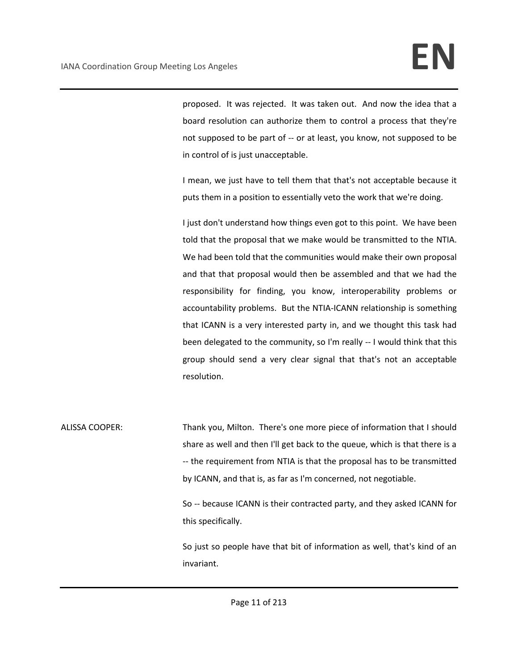proposed. It was rejected. It was taken out. And now the idea that a board resolution can authorize them to control a process that they're not supposed to be part of -- or at least, you know, not supposed to be in control of is just unacceptable.

I mean, we just have to tell them that that's not acceptable because it puts them in a position to essentially veto the work that we're doing.

I just don't understand how things even got to this point. We have been told that the proposal that we make would be transmitted to the NTIA. We had been told that the communities would make their own proposal and that that proposal would then be assembled and that we had the responsibility for finding, you know, interoperability problems or accountability problems. But the NTIA-ICANN relationship is something that ICANN is a very interested party in, and we thought this task had been delegated to the community, so I'm really -- I would think that this group should send a very clear signal that that's not an acceptable resolution.

ALISSA COOPER: Thank you, Milton. There's one more piece of information that I should share as well and then I'll get back to the queue, which is that there is a -- the requirement from NTIA is that the proposal has to be transmitted by ICANN, and that is, as far as I'm concerned, not negotiable.

> So -- because ICANN is their contracted party, and they asked ICANN for this specifically.

> So just so people have that bit of information as well, that's kind of an invariant.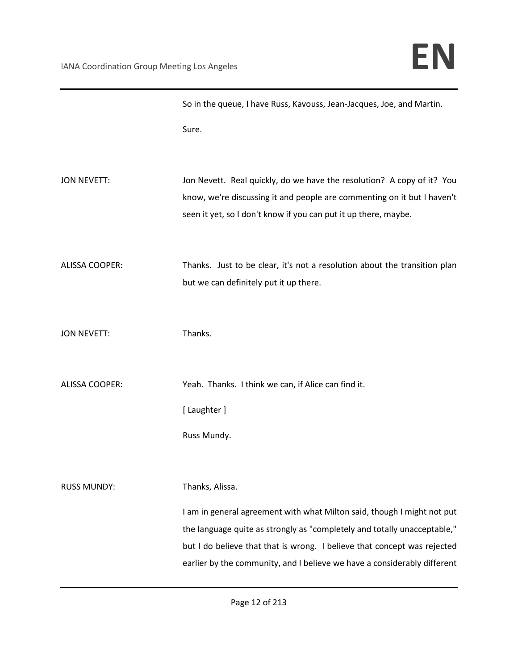|                       | So in the queue, I have Russ, Kavouss, Jean-Jacques, Joe, and Martin.                                                                                |
|-----------------------|------------------------------------------------------------------------------------------------------------------------------------------------------|
|                       | Sure.                                                                                                                                                |
|                       |                                                                                                                                                      |
| <b>JON NEVETT:</b>    | Jon Nevett. Real quickly, do we have the resolution? A copy of it? You                                                                               |
|                       | know, we're discussing it and people are commenting on it but I haven't<br>seen it yet, so I don't know if you can put it up there, maybe.           |
|                       |                                                                                                                                                      |
| <b>ALISSA COOPER:</b> | Thanks. Just to be clear, it's not a resolution about the transition plan                                                                            |
|                       | but we can definitely put it up there.                                                                                                               |
|                       |                                                                                                                                                      |
| <b>JON NEVETT:</b>    | Thanks.                                                                                                                                              |
|                       |                                                                                                                                                      |
| <b>ALISSA COOPER:</b> | Yeah. Thanks. I think we can, if Alice can find it.                                                                                                  |
|                       | [Laughter]                                                                                                                                           |
|                       | Russ Mundy.                                                                                                                                          |
|                       |                                                                                                                                                      |
| <b>RUSS MUNDY:</b>    | Thanks, Alissa.                                                                                                                                      |
|                       | I am in general agreement with what Milton said, though I might not put                                                                              |
|                       | the language quite as strongly as "completely and totally unacceptable,"                                                                             |
|                       | but I do believe that that is wrong. I believe that concept was rejected<br>earlier by the community, and I believe we have a considerably different |
|                       |                                                                                                                                                      |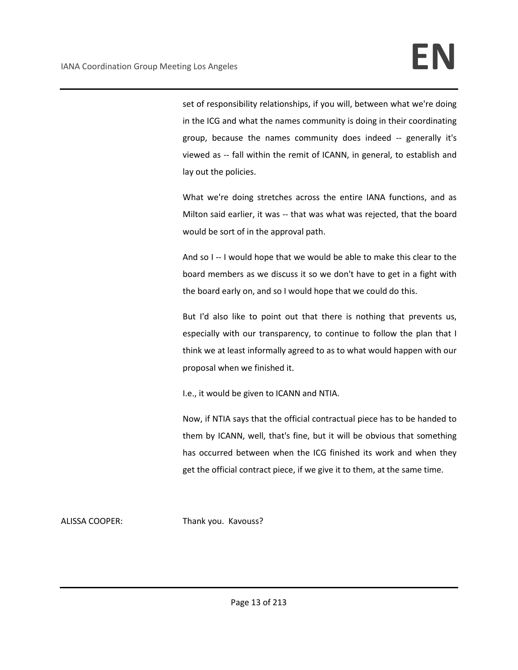set of responsibility relationships, if you will, between what we're doing in the ICG and what the names community is doing in their coordinating group, because the names community does indeed -- generally it's viewed as -- fall within the remit of ICANN, in general, to establish and lay out the policies.

What we're doing stretches across the entire IANA functions, and as Milton said earlier, it was -- that was what was rejected, that the board would be sort of in the approval path.

And so I -- I would hope that we would be able to make this clear to the board members as we discuss it so we don't have to get in a fight with the board early on, and so I would hope that we could do this.

But I'd also like to point out that there is nothing that prevents us, especially with our transparency, to continue to follow the plan that I think we at least informally agreed to as to what would happen with our proposal when we finished it.

I.e., it would be given to ICANN and NTIA.

Now, if NTIA says that the official contractual piece has to be handed to them by ICANN, well, that's fine, but it will be obvious that something has occurred between when the ICG finished its work and when they get the official contract piece, if we give it to them, at the same time.

ALISSA COOPER: Thank you. Kavouss?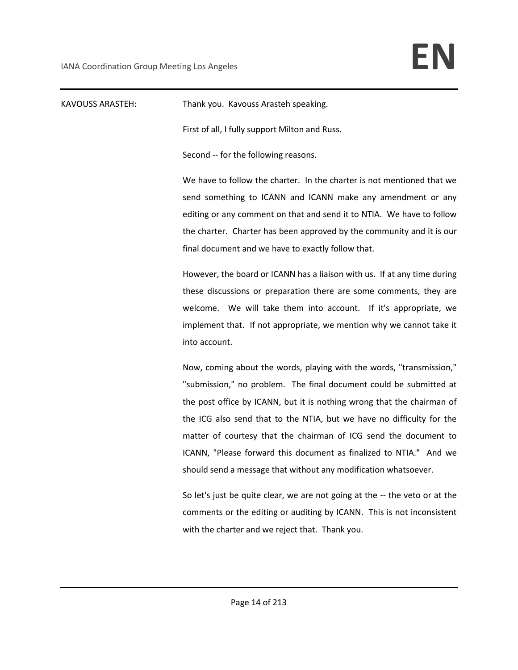| <b>KAVOUSS ARASTEH:</b> | Thank you. Kavouss Arasteh speaking.                                        |
|-------------------------|-----------------------------------------------------------------------------|
|                         | First of all, I fully support Milton and Russ.                              |
|                         | Second -- for the following reasons.                                        |
|                         | We have to follow the charter. In the charter is not mentioned that we      |
|                         | send something to ICANN and ICANN make any amendment or any                 |
|                         | editing or any comment on that and send it to NTIA. We have to follow       |
|                         | the charter. Charter has been approved by the community and it is our       |
|                         | final document and we have to exactly follow that.                          |
|                         | However, the board or ICANN has a liaison with us. If at any time during    |
|                         | these discussions or preparation there are some comments, they are          |
|                         | welcome. We will take them into account. If it's appropriate, we            |
|                         | implement that. If not appropriate, we mention why we cannot take it        |
|                         | into account.                                                               |
|                         | Now, coming about the words, playing with the words, "transmission,"        |
|                         | "submission," no problem. The final document could be submitted at          |
|                         | the post office by ICANN, but it is nothing wrong that the chairman of      |
|                         | the ICG also send that to the NTIA, but we have no difficulty for the       |
|                         | matter of courtesy that the chairman of ICG send the document to            |
|                         | ICANN, "Please forward this document as finalized to NTIA." And we          |
|                         | should send a message that without any modification whatsoever.             |
|                         | So let's just be quite clear, we are not going at the -- the veto or at the |
|                         | comments or the editing or auditing by ICANN. This is not inconsistent      |
|                         | with the charter and we reject that. Thank you.                             |
|                         |                                                                             |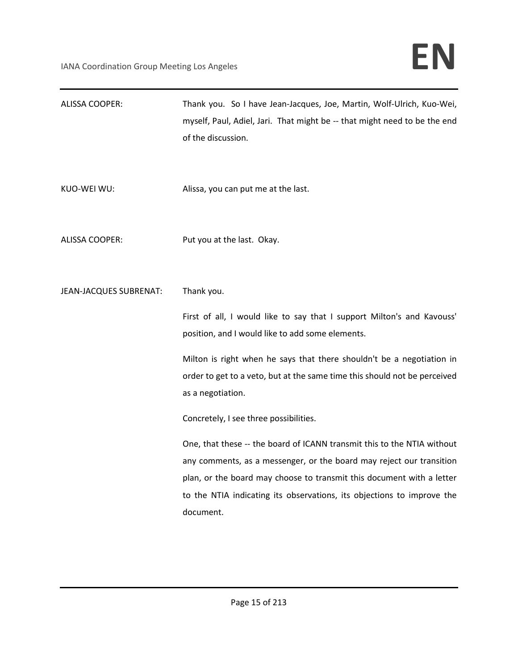| <b>ALISSA COOPER:</b>  | Thank you. So I have Jean-Jacques, Joe, Martin, Wolf-Ulrich, Kuo-Wei,<br>myself, Paul, Adiel, Jari. That might be -- that might need to be the end<br>of the discussion.                                                                                                                                                                                                                                                                                                                                                                                                                                                                                            |
|------------------------|---------------------------------------------------------------------------------------------------------------------------------------------------------------------------------------------------------------------------------------------------------------------------------------------------------------------------------------------------------------------------------------------------------------------------------------------------------------------------------------------------------------------------------------------------------------------------------------------------------------------------------------------------------------------|
| KUO-WEI WU:            | Alissa, you can put me at the last.                                                                                                                                                                                                                                                                                                                                                                                                                                                                                                                                                                                                                                 |
| <b>ALISSA COOPER:</b>  | Put you at the last. Okay.                                                                                                                                                                                                                                                                                                                                                                                                                                                                                                                                                                                                                                          |
| JEAN-JACQUES SUBRENAT: | Thank you.<br>First of all, I would like to say that I support Milton's and Kavouss'<br>position, and I would like to add some elements.<br>Milton is right when he says that there shouldn't be a negotiation in<br>order to get to a veto, but at the same time this should not be perceived<br>as a negotiation.<br>Concretely, I see three possibilities.<br>One, that these -- the board of ICANN transmit this to the NTIA without<br>any comments, as a messenger, or the board may reject our transition<br>plan, or the board may choose to transmit this document with a letter<br>to the NTIA indicating its observations, its objections to improve the |
|                        | document.                                                                                                                                                                                                                                                                                                                                                                                                                                                                                                                                                                                                                                                           |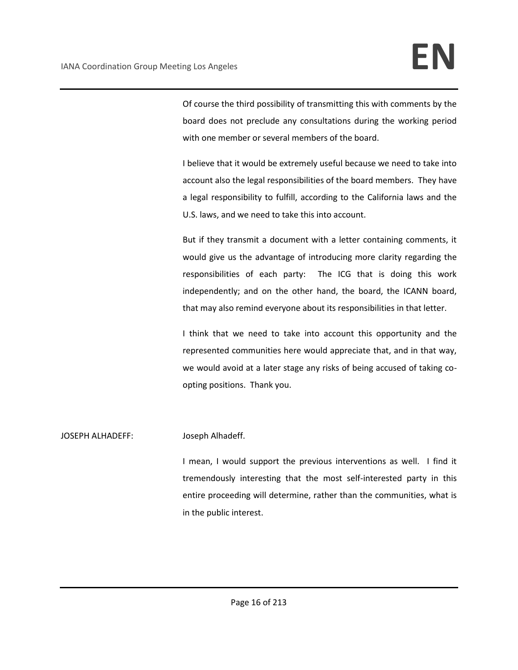Of course the third possibility of transmitting this with comments by the board does not preclude any consultations during the working period with one member or several members of the board.

I believe that it would be extremely useful because we need to take into account also the legal responsibilities of the board members. They have a legal responsibility to fulfill, according to the California laws and the U.S. laws, and we need to take this into account.

But if they transmit a document with a letter containing comments, it would give us the advantage of introducing more clarity regarding the responsibilities of each party: The ICG that is doing this work independently; and on the other hand, the board, the ICANN board, that may also remind everyone about its responsibilities in that letter.

I think that we need to take into account this opportunity and the represented communities here would appreciate that, and in that way, we would avoid at a later stage any risks of being accused of taking coopting positions. Thank you.

### JOSEPH ALHADEFF: Joseph Alhadeff.

I mean, I would support the previous interventions as well. I find it tremendously interesting that the most self-interested party in this entire proceeding will determine, rather than the communities, what is in the public interest.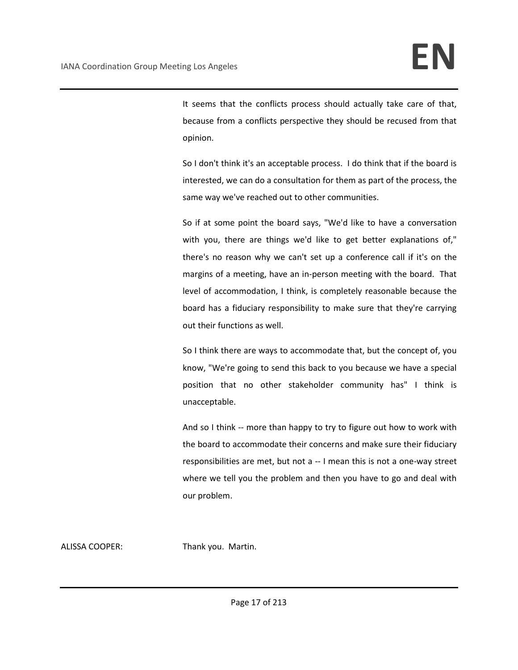It seems that the conflicts process should actually take care of that, because from a conflicts perspective they should be recused from that opinion.

So I don't think it's an acceptable process. I do think that if the board is interested, we can do a consultation for them as part of the process, the same way we've reached out to other communities.

So if at some point the board says, "We'd like to have a conversation with you, there are things we'd like to get better explanations of," there's no reason why we can't set up a conference call if it's on the margins of a meeting, have an in-person meeting with the board. That level of accommodation, I think, is completely reasonable because the board has a fiduciary responsibility to make sure that they're carrying out their functions as well.

So I think there are ways to accommodate that, but the concept of, you know, "We're going to send this back to you because we have a special position that no other stakeholder community has" I think is unacceptable.

And so I think -- more than happy to try to figure out how to work with the board to accommodate their concerns and make sure their fiduciary responsibilities are met, but not a -- I mean this is not a one-way street where we tell you the problem and then you have to go and deal with our problem.

ALISSA COOPER: Thank you. Martin.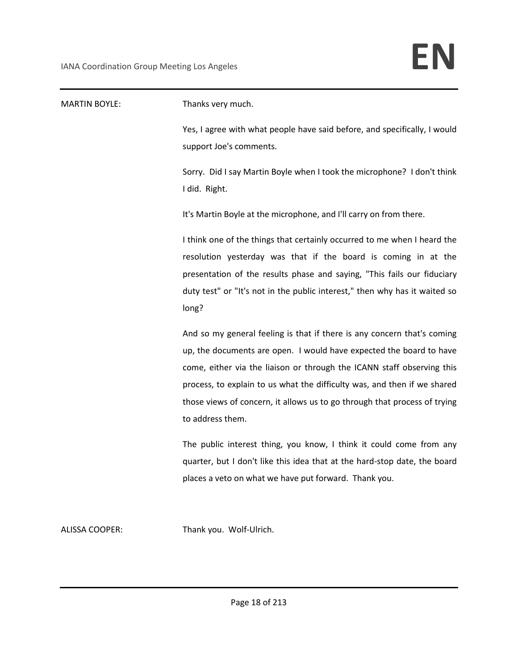| <b>MARTIN BOYLE:</b> | Thanks very much.                                                                                                                                                                                                                                                                                                                                                                                     |
|----------------------|-------------------------------------------------------------------------------------------------------------------------------------------------------------------------------------------------------------------------------------------------------------------------------------------------------------------------------------------------------------------------------------------------------|
|                      | Yes, I agree with what people have said before, and specifically, I would<br>support Joe's comments.                                                                                                                                                                                                                                                                                                  |
|                      | Sorry. Did I say Martin Boyle when I took the microphone? I don't think<br>I did. Right.                                                                                                                                                                                                                                                                                                              |
|                      | It's Martin Boyle at the microphone, and I'll carry on from there.                                                                                                                                                                                                                                                                                                                                    |
|                      | I think one of the things that certainly occurred to me when I heard the<br>resolution yesterday was that if the board is coming in at the<br>presentation of the results phase and saying, "This fails our fiduciary<br>duty test" or "It's not in the public interest," then why has it waited so<br>long?                                                                                          |
|                      | And so my general feeling is that if there is any concern that's coming<br>up, the documents are open. I would have expected the board to have<br>come, either via the liaison or through the ICANN staff observing this<br>process, to explain to us what the difficulty was, and then if we shared<br>those views of concern, it allows us to go through that process of trying<br>to address them. |
|                      | The public interest thing, you know, I think it could come from any<br>quarter, but I don't like this idea that at the hard-stop date, the board<br>places a veto on what we have put forward. Thank you.                                                                                                                                                                                             |

ALISSA COOPER: Thank you. Wolf-Ulrich.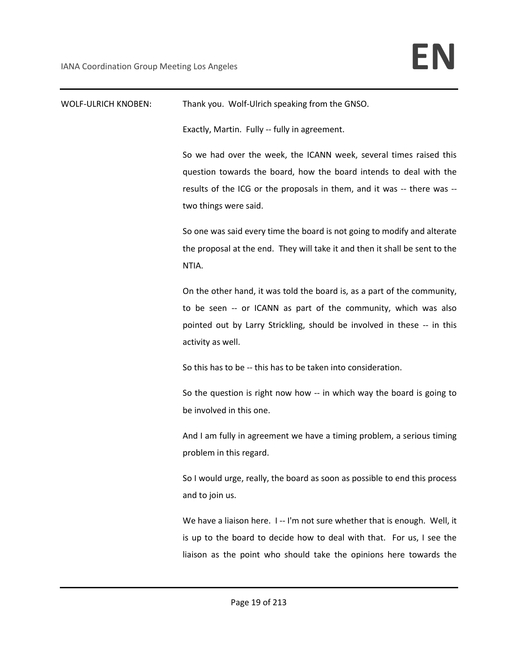WOLF-ULRICH KNOBEN: Thank you. Wolf-Ulrich speaking from the GNSO. Exactly, Martin. Fully -- fully in agreement. So we had over the week, the ICANN week, several times raised this question towards the board, how the board intends to deal with the results of the ICG or the proposals in them, and it was -- there was - two things were said. So one was said every time the board is not going to modify and alterate the proposal at the end. They will take it and then it shall be sent to the NTIA. On the other hand, it was told the board is, as a part of the community, to be seen -- or ICANN as part of the community, which was also pointed out by Larry Strickling, should be involved in these -- in this activity as well. So this has to be -- this has to be taken into consideration. So the question is right now how -- in which way the board is going to be involved in this one. And I am fully in agreement we have a timing problem, a serious timing problem in this regard. So I would urge, really, the board as soon as possible to end this process and to join us. We have a liaison here. I -- I'm not sure whether that is enough. Well, it is up to the board to decide how to deal with that. For us, I see the liaison as the point who should take the opinions here towards the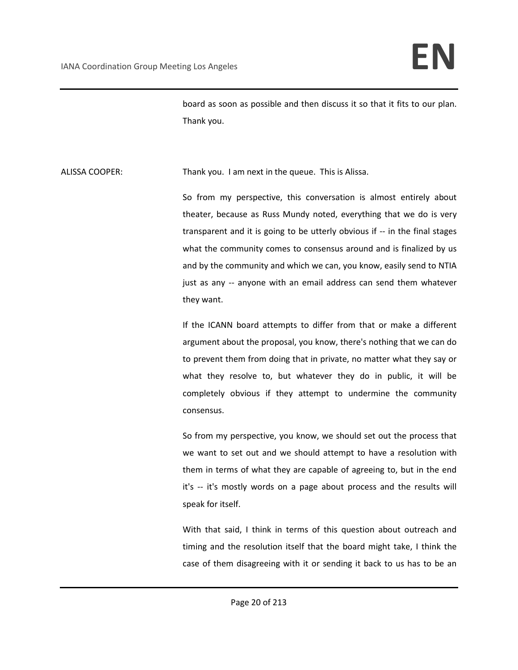board as soon as possible and then discuss it so that it fits to our plan. Thank you.

ALISSA COOPER: Thank you. I am next in the queue. This is Alissa.

So from my perspective, this conversation is almost entirely about theater, because as Russ Mundy noted, everything that we do is very transparent and it is going to be utterly obvious if -- in the final stages what the community comes to consensus around and is finalized by us and by the community and which we can, you know, easily send to NTIA just as any -- anyone with an email address can send them whatever they want.

If the ICANN board attempts to differ from that or make a different argument about the proposal, you know, there's nothing that we can do to prevent them from doing that in private, no matter what they say or what they resolve to, but whatever they do in public, it will be completely obvious if they attempt to undermine the community consensus.

So from my perspective, you know, we should set out the process that we want to set out and we should attempt to have a resolution with them in terms of what they are capable of agreeing to, but in the end it's -- it's mostly words on a page about process and the results will speak for itself.

With that said, I think in terms of this question about outreach and timing and the resolution itself that the board might take, I think the case of them disagreeing with it or sending it back to us has to be an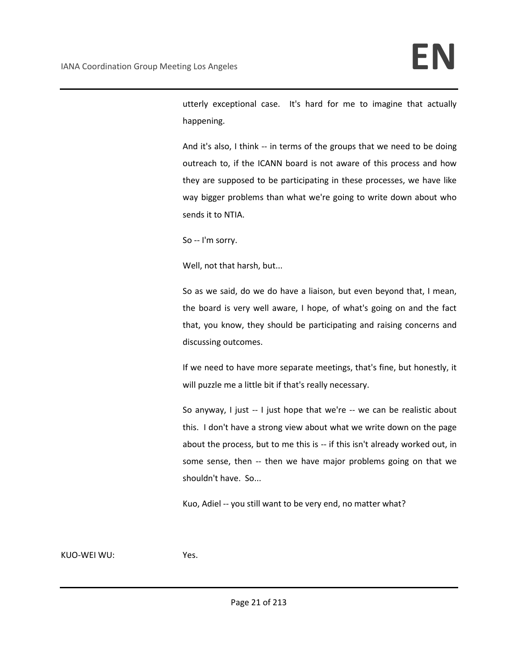utterly exceptional case. It's hard for me to imagine that actually happening.

And it's also, I think -- in terms of the groups that we need to be doing outreach to, if the ICANN board is not aware of this process and how they are supposed to be participating in these processes, we have like way bigger problems than what we're going to write down about who sends it to NTIA.

So -- I'm sorry.

Well, not that harsh, but...

So as we said, do we do have a liaison, but even beyond that, I mean, the board is very well aware, I hope, of what's going on and the fact that, you know, they should be participating and raising concerns and discussing outcomes.

If we need to have more separate meetings, that's fine, but honestly, it will puzzle me a little bit if that's really necessary.

So anyway, I just -- I just hope that we're -- we can be realistic about this. I don't have a strong view about what we write down on the page about the process, but to me this is -- if this isn't already worked out, in some sense, then -- then we have major problems going on that we shouldn't have. So...

Kuo, Adiel -- you still want to be very end, no matter what?

KUO-WEI WU: Yes.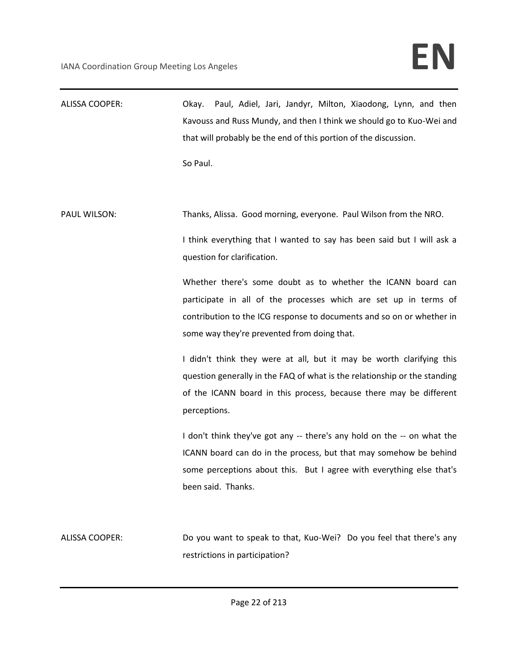| ALISSA COOPER:        | Paul, Adiel, Jari, Jandyr, Milton, Xiaodong, Lynn, and then<br>Okay.<br>Kavouss and Russ Mundy, and then I think we should go to Kuo-Wei and<br>that will probably be the end of this portion of the discussion.<br>So Paul.                                                                                                                                                                                                                                                          |
|-----------------------|---------------------------------------------------------------------------------------------------------------------------------------------------------------------------------------------------------------------------------------------------------------------------------------------------------------------------------------------------------------------------------------------------------------------------------------------------------------------------------------|
| PAUL WILSON:          | Thanks, Alissa. Good morning, everyone. Paul Wilson from the NRO.<br>I think everything that I wanted to say has been said but I will ask a<br>question for clarification.<br>Whether there's some doubt as to whether the ICANN board can<br>participate in all of the processes which are set up in terms of<br>contribution to the ICG response to documents and so on or whether in<br>some way they're prevented from doing that.                                                |
|                       | I didn't think they were at all, but it may be worth clarifying this<br>question generally in the FAQ of what is the relationship or the standing<br>of the ICANN board in this process, because there may be different<br>perceptions.<br>I don't think they've got any -- there's any hold on the -- on what the<br>ICANN board can do in the process, but that may somehow be behind<br>some perceptions about this. But I agree with everything else that's<br>been said. Thanks. |
| <b>ALISSA COOPER:</b> | Do you want to speak to that, Kuo-Wei? Do you feel that there's any<br>restrictions in participation?                                                                                                                                                                                                                                                                                                                                                                                 |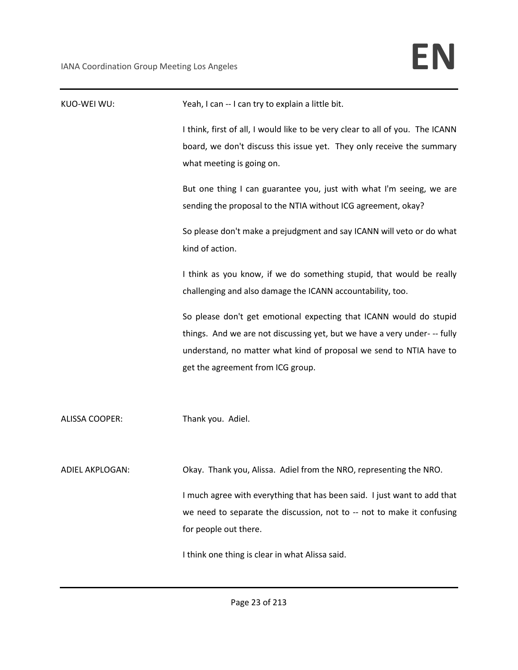| KUO-WEI WU:     | Yeah, I can -- I can try to explain a little bit.                                                                                                                                                                                                                                                    |
|-----------------|------------------------------------------------------------------------------------------------------------------------------------------------------------------------------------------------------------------------------------------------------------------------------------------------------|
|                 | I think, first of all, I would like to be very clear to all of you. The ICANN<br>board, we don't discuss this issue yet. They only receive the summary<br>what meeting is going on.                                                                                                                  |
|                 | But one thing I can guarantee you, just with what I'm seeing, we are<br>sending the proposal to the NTIA without ICG agreement, okay?                                                                                                                                                                |
|                 | So please don't make a prejudgment and say ICANN will veto or do what<br>kind of action.                                                                                                                                                                                                             |
|                 | I think as you know, if we do something stupid, that would be really<br>challenging and also damage the ICANN accountability, too.                                                                                                                                                                   |
|                 | So please don't get emotional expecting that ICANN would do stupid<br>things. And we are not discussing yet, but we have a very under- -- fully<br>understand, no matter what kind of proposal we send to NTIA have to<br>get the agreement from ICG group.                                          |
| ALISSA COOPER:  | Thank you. Adiel.                                                                                                                                                                                                                                                                                    |
| ADIEL AKPLOGAN: | Okay. Thank you, Alissa. Adiel from the NRO, representing the NRO.<br>I much agree with everything that has been said. I just want to add that<br>we need to separate the discussion, not to -- not to make it confusing<br>for people out there.<br>I think one thing is clear in what Alissa said. |
|                 |                                                                                                                                                                                                                                                                                                      |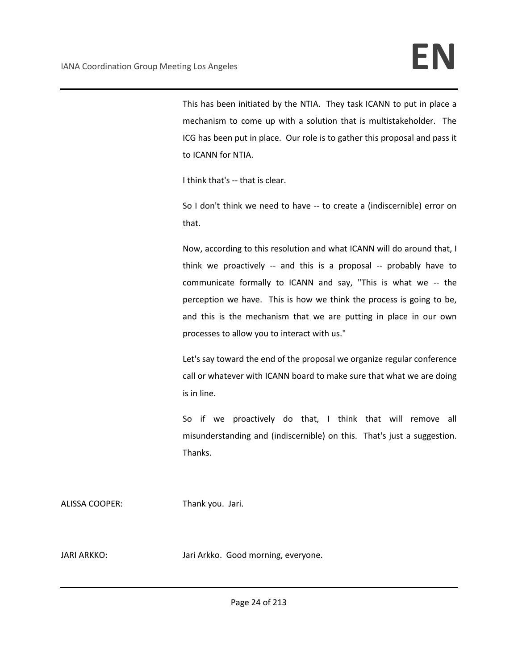This has been initiated by the NTIA. They task ICANN to put in place a mechanism to come up with a solution that is multistakeholder. The ICG has been put in place. Our role is to gather this proposal and pass it to ICANN for NTIA.

I think that's -- that is clear.

So I don't think we need to have -- to create a (indiscernible) error on that.

Now, according to this resolution and what ICANN will do around that, I think we proactively -- and this is a proposal -- probably have to communicate formally to ICANN and say, "This is what we -- the perception we have. This is how we think the process is going to be, and this is the mechanism that we are putting in place in our own processes to allow you to interact with us."

Let's say toward the end of the proposal we organize regular conference call or whatever with ICANN board to make sure that what we are doing is in line.

So if we proactively do that, I think that will remove all misunderstanding and (indiscernible) on this. That's just a suggestion. Thanks.

ALISSA COOPER: Thank you. Jari.

JARI ARKKO: Jari Arkko. Good morning, everyone.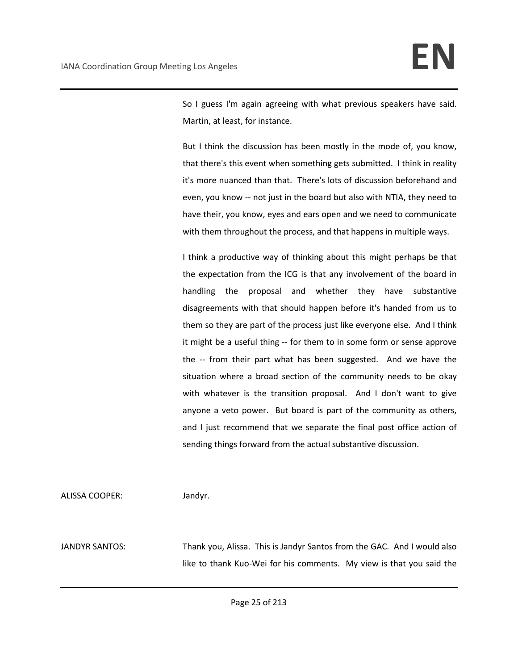So I guess I'm again agreeing with what previous speakers have said. Martin, at least, for instance.

But I think the discussion has been mostly in the mode of, you know, that there's this event when something gets submitted. I think in reality it's more nuanced than that. There's lots of discussion beforehand and even, you know -- not just in the board but also with NTIA, they need to have their, you know, eyes and ears open and we need to communicate with them throughout the process, and that happens in multiple ways.

I think a productive way of thinking about this might perhaps be that the expectation from the ICG is that any involvement of the board in handling the proposal and whether they have substantive disagreements with that should happen before it's handed from us to them so they are part of the process just like everyone else. And I think it might be a useful thing -- for them to in some form or sense approve the -- from their part what has been suggested. And we have the situation where a broad section of the community needs to be okay with whatever is the transition proposal. And I don't want to give anyone a veto power. But board is part of the community as others, and I just recommend that we separate the final post office action of sending things forward from the actual substantive discussion.

ALISSA COOPER: Jandyr.

JANDYR SANTOS: Thank you, Alissa. This is Jandyr Santos from the GAC. And I would also like to thank Kuo-Wei for his comments. My view is that you said the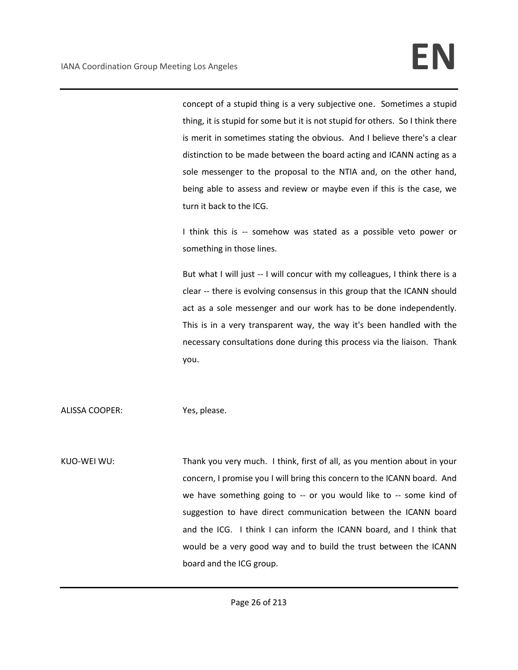concept of a stupid thing is a very subjective one. Sometimes a stupid thing, it is stupid for some but it is not stupid for others. So I think there is merit in sometimes stating the obvious. And I believe there's a clear distinction to be made between the board acting and ICANN acting as a sole messenger to the proposal to the NTIA and, on the other hand, being able to assess and review or maybe even if this is the case, we turn it back to the ICG.

I think this is -- somehow was stated as a possible veto power or something in those lines.

But what I will just -- I will concur with my colleagues, I think there is a clear -- there is evolving consensus in this group that the ICANN should act as a sole messenger and our work has to be done independently. This is in a very transparent way, the way it's been handled with the necessary consultations done during this process via the liaison. Thank you.

ALISSA COOPER: Yes, please.

KUO-WEI WU: Thank you very much. I think, first of all, as you mention about in your concern, I promise you I will bring this concern to the ICANN board. And we have something going to -- or you would like to -- some kind of suggestion to have direct communication between the ICANN board and the ICG. I think I can inform the ICANN board, and I think that would be a very good way and to build the trust between the ICANN board and the ICG group.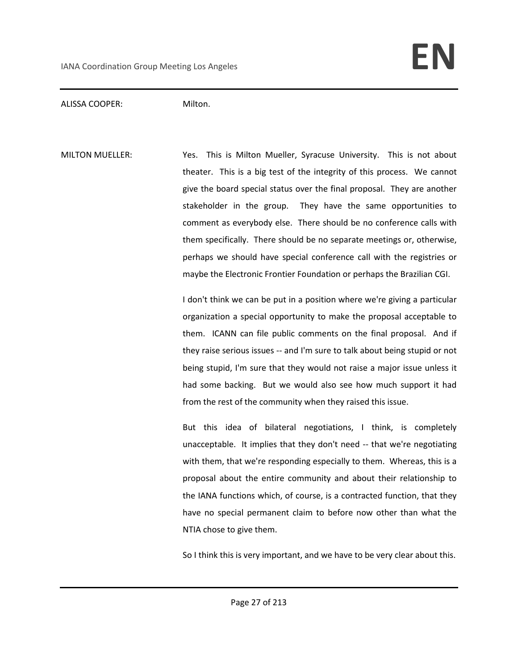#### ALISSA COOPER: Milton.

MILTON MUELLER: Yes. This is Milton Mueller, Syracuse University. This is not about theater. This is a big test of the integrity of this process. We cannot give the board special status over the final proposal. They are another stakeholder in the group. They have the same opportunities to comment as everybody else. There should be no conference calls with them specifically. There should be no separate meetings or, otherwise, perhaps we should have special conference call with the registries or maybe the Electronic Frontier Foundation or perhaps the Brazilian CGI.

> I don't think we can be put in a position where we're giving a particular organization a special opportunity to make the proposal acceptable to them. ICANN can file public comments on the final proposal. And if they raise serious issues -- and I'm sure to talk about being stupid or not being stupid, I'm sure that they would not raise a major issue unless it had some backing. But we would also see how much support it had from the rest of the community when they raised this issue.

> But this idea of bilateral negotiations, I think, is completely unacceptable. It implies that they don't need -- that we're negotiating with them, that we're responding especially to them. Whereas, this is a proposal about the entire community and about their relationship to the IANA functions which, of course, is a contracted function, that they have no special permanent claim to before now other than what the NTIA chose to give them.

> So I think this is very important, and we have to be very clear about this.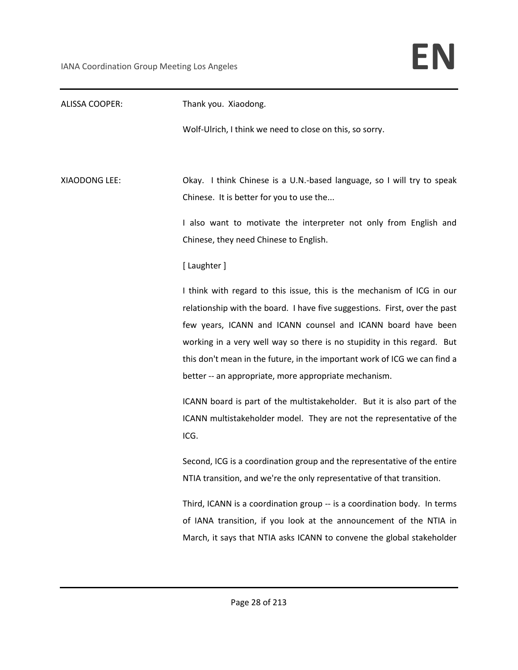| <b>ALISSA COOPER:</b> | Thank you. Xiaodong.                                                       |
|-----------------------|----------------------------------------------------------------------------|
|                       | Wolf-Ulrich, I think we need to close on this, so sorry.                   |
|                       |                                                                            |
| XIAODONG LEE:         | Okay. I think Chinese is a U.N.-based language, so I will try to speak     |
|                       | Chinese. It is better for you to use the                                   |
|                       | I also want to motivate the interpreter not only from English and          |
|                       | Chinese, they need Chinese to English.                                     |
|                       | [Laughter]                                                                 |
|                       | I think with regard to this issue, this is the mechanism of ICG in our     |
|                       | relationship with the board. I have five suggestions. First, over the past |
|                       | few years, ICANN and ICANN counsel and ICANN board have been               |
|                       | working in a very well way so there is no stupidity in this regard. But    |
|                       | this don't mean in the future, in the important work of ICG we can find a  |
|                       | better -- an appropriate, more appropriate mechanism.                      |
|                       | ICANN board is part of the multistakeholder. But it is also part of the    |
|                       | ICANN multistakeholder model. They are not the representative of the       |
|                       | ICG.                                                                       |
|                       | Second, ICG is a coordination group and the representative of the entire   |
|                       | NTIA transition, and we're the only representative of that transition.     |
|                       | Third, ICANN is a coordination group -- is a coordination body. In terms   |
|                       | of IANA transition, if you look at the announcement of the NTIA in         |
|                       | March, it says that NTIA asks ICANN to convene the global stakeholder      |
|                       |                                                                            |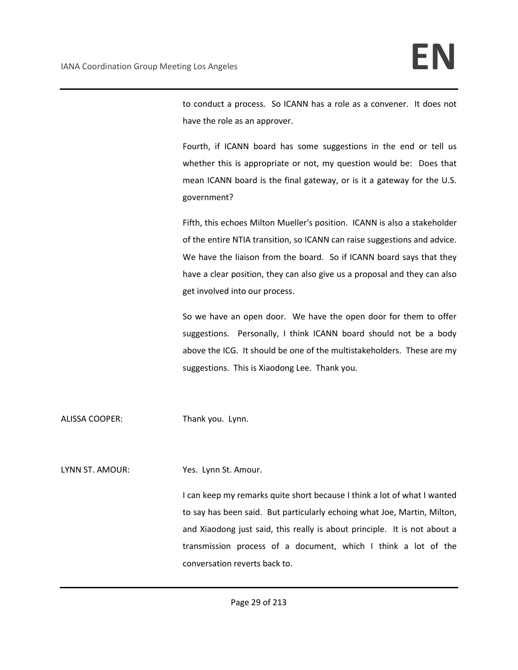to conduct a process. So ICANN has a role as a convener. It does not have the role as an approver.

Fourth, if ICANN board has some suggestions in the end or tell us whether this is appropriate or not, my question would be: Does that mean ICANN board is the final gateway, or is it a gateway for the U.S. government?

Fifth, this echoes Milton Mueller's position. ICANN is also a stakeholder of the entire NTIA transition, so ICANN can raise suggestions and advice. We have the liaison from the board. So if ICANN board says that they have a clear position, they can also give us a proposal and they can also get involved into our process.

So we have an open door. We have the open door for them to offer suggestions. Personally, I think ICANN board should not be a body above the ICG. It should be one of the multistakeholders. These are my suggestions. This is Xiaodong Lee. Thank you.

ALISSA COOPER: Thank you. Lynn.

LYNN ST. AMOUR: Yes. Lynn St. Amour.

I can keep my remarks quite short because I think a lot of what I wanted to say has been said. But particularly echoing what Joe, Martin, Milton, and Xiaodong just said, this really is about principle. It is not about a transmission process of a document, which I think a lot of the conversation reverts back to.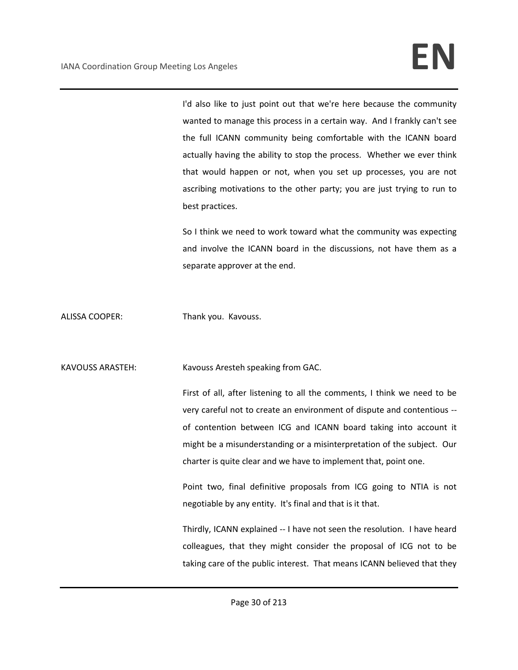I'd also like to just point out that we're here because the community wanted to manage this process in a certain way. And I frankly can't see the full ICANN community being comfortable with the ICANN board actually having the ability to stop the process. Whether we ever think that would happen or not, when you set up processes, you are not ascribing motivations to the other party; you are just trying to run to best practices.

So I think we need to work toward what the community was expecting and involve the ICANN board in the discussions, not have them as a separate approver at the end.

ALISSA COOPER: Thank you. Kavouss.

KAVOUSS ARASTEH: Kavouss Aresteh speaking from GAC.

First of all, after listening to all the comments, I think we need to be very careful not to create an environment of dispute and contentious - of contention between ICG and ICANN board taking into account it might be a misunderstanding or a misinterpretation of the subject. Our charter is quite clear and we have to implement that, point one.

Point two, final definitive proposals from ICG going to NTIA is not negotiable by any entity. It's final and that is it that.

Thirdly, ICANN explained -- I have not seen the resolution. I have heard colleagues, that they might consider the proposal of ICG not to be taking care of the public interest. That means ICANN believed that they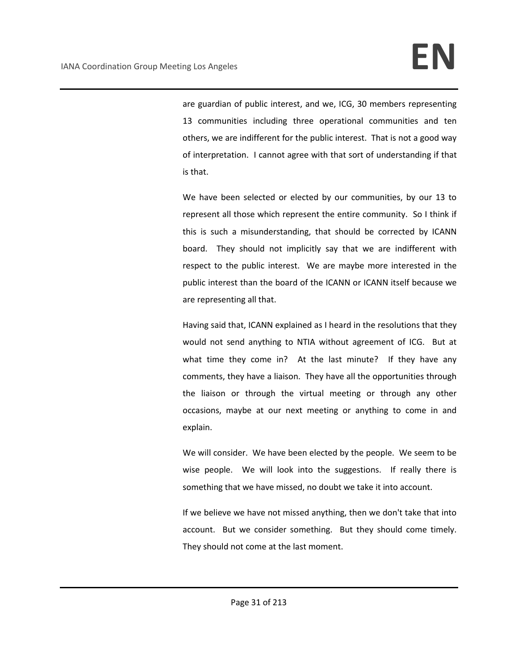are guardian of public interest, and we, ICG, 30 members representing 13 communities including three operational communities and ten others, we are indifferent for the public interest. That is not a good way of interpretation. I cannot agree with that sort of understanding if that is that.

We have been selected or elected by our communities, by our 13 to represent all those which represent the entire community. So I think if this is such a misunderstanding, that should be corrected by ICANN board. They should not implicitly say that we are indifferent with respect to the public interest. We are maybe more interested in the public interest than the board of the ICANN or ICANN itself because we are representing all that.

Having said that, ICANN explained as I heard in the resolutions that they would not send anything to NTIA without agreement of ICG. But at what time they come in? At the last minute? If they have any comments, they have a liaison. They have all the opportunities through the liaison or through the virtual meeting or through any other occasions, maybe at our next meeting or anything to come in and explain.

We will consider. We have been elected by the people. We seem to be wise people. We will look into the suggestions. If really there is something that we have missed, no doubt we take it into account.

If we believe we have not missed anything, then we don't take that into account. But we consider something. But they should come timely. They should not come at the last moment.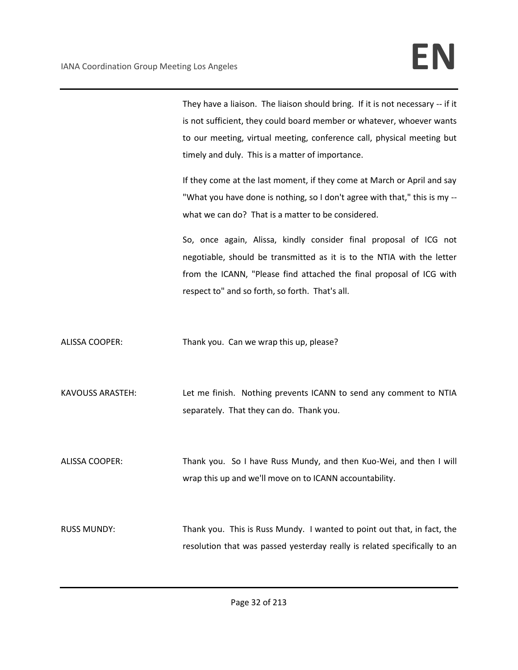They have a liaison. The liaison should bring. If it is not necessary -- if it is not sufficient, they could board member or whatever, whoever wants to our meeting, virtual meeting, conference call, physical meeting but timely and duly. This is a matter of importance.

If they come at the last moment, if they come at March or April and say "What you have done is nothing, so I don't agree with that," this is my - what we can do? That is a matter to be considered.

So, once again, Alissa, kindly consider final proposal of ICG not negotiable, should be transmitted as it is to the NTIA with the letter from the ICANN, "Please find attached the final proposal of ICG with respect to" and so forth, so forth. That's all.

ALISSA COOPER: Thank you. Can we wrap this up, please?

KAVOUSS ARASTEH: Let me finish. Nothing prevents ICANN to send any comment to NTIA separately. That they can do. Thank you.

ALISSA COOPER: Thank you. So I have Russ Mundy, and then Kuo-Wei, and then I will wrap this up and we'll move on to ICANN accountability.

RUSS MUNDY: Thank you. This is Russ Mundy. I wanted to point out that, in fact, the resolution that was passed yesterday really is related specifically to an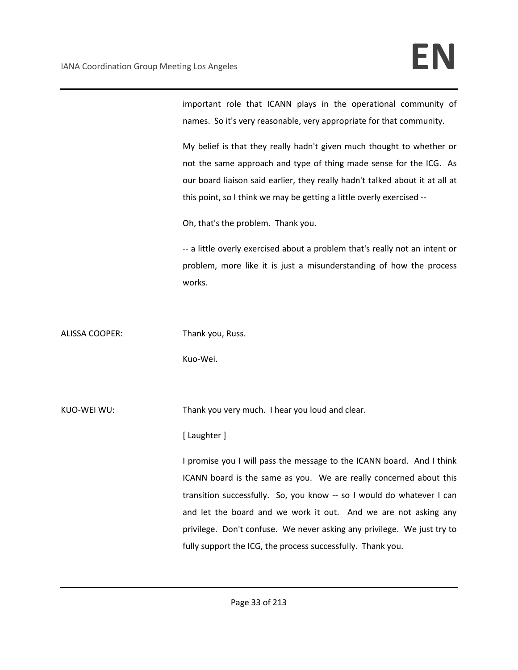important role that ICANN plays in the operational community of names. So it's very reasonable, very appropriate for that community.

My belief is that they really hadn't given much thought to whether or not the same approach and type of thing made sense for the ICG. As our board liaison said earlier, they really hadn't talked about it at all at this point, so I think we may be getting a little overly exercised --

Oh, that's the problem. Thank you.

-- a little overly exercised about a problem that's really not an intent or problem, more like it is just a misunderstanding of how the process works.

ALISSA COOPER: Thank you, Russ.

Kuo-Wei.

KUO-WEI WU: Thank you very much. I hear you loud and clear.

### [ Laughter ]

I promise you I will pass the message to the ICANN board. And I think ICANN board is the same as you. We are really concerned about this transition successfully. So, you know -- so I would do whatever I can and let the board and we work it out. And we are not asking any privilege. Don't confuse. We never asking any privilege. We just try to fully support the ICG, the process successfully. Thank you.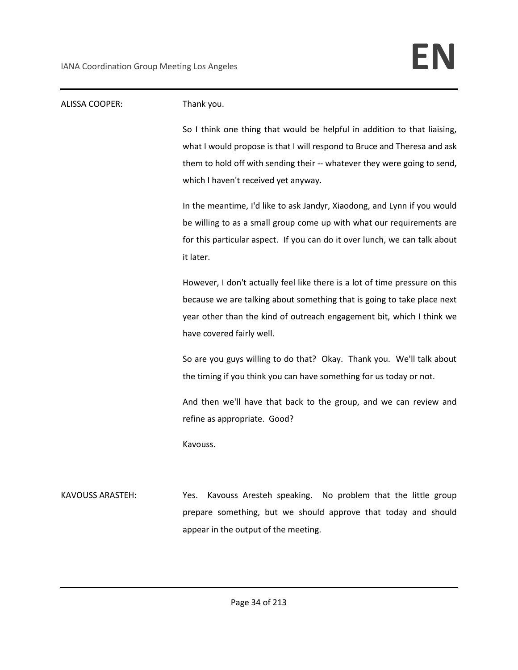| ALISSA COOPER:          | Thank you.                                                                  |
|-------------------------|-----------------------------------------------------------------------------|
|                         | So I think one thing that would be helpful in addition to that liaising,    |
|                         | what I would propose is that I will respond to Bruce and Theresa and ask    |
|                         | them to hold off with sending their -- whatever they were going to send,    |
|                         | which I haven't received yet anyway.                                        |
|                         | In the meantime, I'd like to ask Jandyr, Xiaodong, and Lynn if you would    |
|                         | be willing to as a small group come up with what our requirements are       |
|                         | for this particular aspect. If you can do it over lunch, we can talk about  |
|                         | it later.                                                                   |
|                         | However, I don't actually feel like there is a lot of time pressure on this |
|                         | because we are talking about something that is going to take place next     |
|                         | year other than the kind of outreach engagement bit, which I think we       |
|                         | have covered fairly well.                                                   |
|                         | So are you guys willing to do that? Okay. Thank you. We'll talk about       |
|                         | the timing if you think you can have something for us today or not.         |
|                         | And then we'll have that back to the group, and we can review and           |
|                         | refine as appropriate. Good?                                                |
|                         | Kavouss.                                                                    |
|                         |                                                                             |
| <b>KAVOUSS ARASTEH:</b> | Kavouss Aresteh speaking. No problem that the little group<br>Yes.          |
|                         | prepare something, but we should approve that today and should              |
|                         | appear in the output of the meeting.                                        |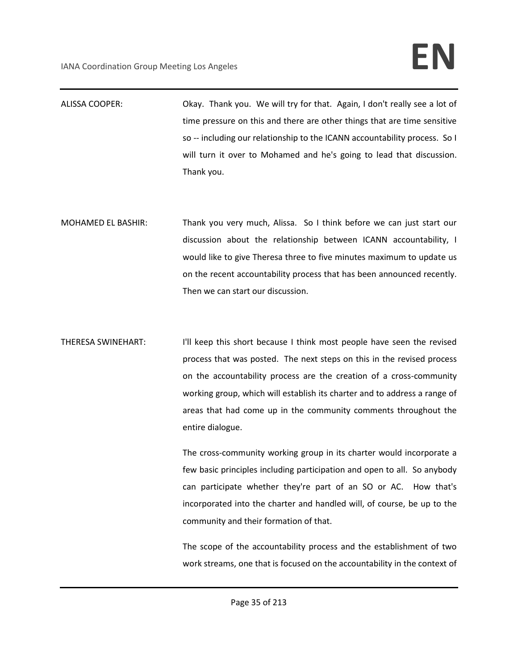- ALISSA COOPER: Okay. Thank you. We will try for that. Again, I don't really see a lot of time pressure on this and there are other things that are time sensitive so -- including our relationship to the ICANN accountability process. So I will turn it over to Mohamed and he's going to lead that discussion. Thank you.
- MOHAMED EL BASHIR: Thank you very much, Alissa. So I think before we can just start our discussion about the relationship between ICANN accountability, I would like to give Theresa three to five minutes maximum to update us on the recent accountability process that has been announced recently. Then we can start our discussion.
- THERESA SWINEHART: I'll keep this short because I think most people have seen the revised process that was posted. The next steps on this in the revised process on the accountability process are the creation of a cross-community working group, which will establish its charter and to address a range of areas that had come up in the community comments throughout the entire dialogue.

The cross-community working group in its charter would incorporate a few basic principles including participation and open to all. So anybody can participate whether they're part of an SO or AC. How that's incorporated into the charter and handled will, of course, be up to the community and their formation of that.

The scope of the accountability process and the establishment of two work streams, one that is focused on the accountability in the context of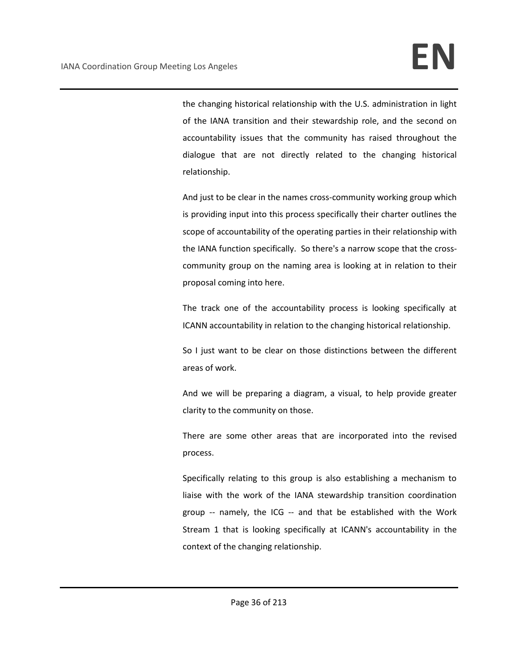the changing historical relationship with the U.S. administration in light of the IANA transition and their stewardship role, and the second on accountability issues that the community has raised throughout the dialogue that are not directly related to the changing historical relationship.

And just to be clear in the names cross-community working group which is providing input into this process specifically their charter outlines the scope of accountability of the operating parties in their relationship with the IANA function specifically. So there's a narrow scope that the crosscommunity group on the naming area is looking at in relation to their proposal coming into here.

The track one of the accountability process is looking specifically at ICANN accountability in relation to the changing historical relationship.

So I just want to be clear on those distinctions between the different areas of work.

And we will be preparing a diagram, a visual, to help provide greater clarity to the community on those.

There are some other areas that are incorporated into the revised process.

Specifically relating to this group is also establishing a mechanism to liaise with the work of the IANA stewardship transition coordination group -- namely, the ICG -- and that be established with the Work Stream 1 that is looking specifically at ICANN's accountability in the context of the changing relationship.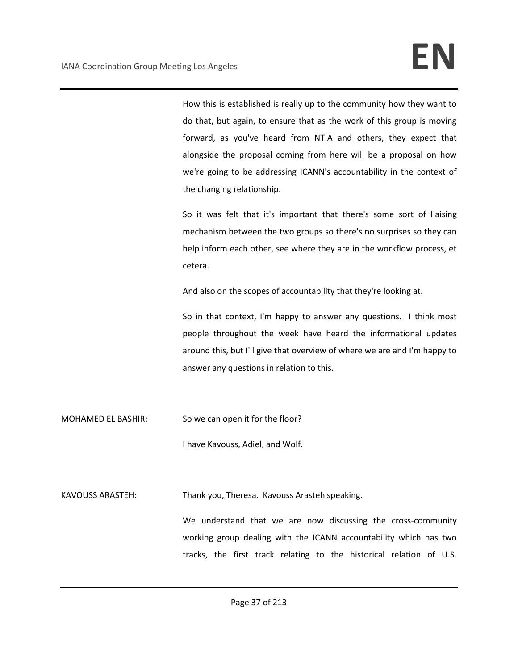How this is established is really up to the community how they want to do that, but again, to ensure that as the work of this group is moving forward, as you've heard from NTIA and others, they expect that alongside the proposal coming from here will be a proposal on how we're going to be addressing ICANN's accountability in the context of the changing relationship.

So it was felt that it's important that there's some sort of liaising mechanism between the two groups so there's no surprises so they can help inform each other, see where they are in the workflow process, et cetera.

And also on the scopes of accountability that they're looking at.

So in that context, I'm happy to answer any questions. I think most people throughout the week have heard the informational updates around this, but I'll give that overview of where we are and I'm happy to answer any questions in relation to this.

MOHAMED EL BASHIR: So we can open it for the floor?

I have Kavouss, Adiel, and Wolf.

KAVOUSS ARASTEH: Thank you, Theresa. Kavouss Arasteh speaking.

We understand that we are now discussing the cross-community working group dealing with the ICANN accountability which has two tracks, the first track relating to the historical relation of U.S.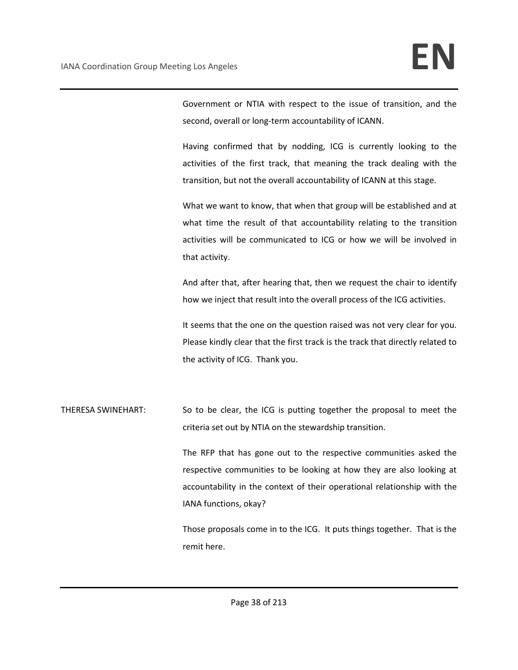Government or NTIA with respect to the issue of transition, and the second, overall or long-term accountability of ICANN.

Having confirmed that by nodding, ICG is currently looking to the activities of the first track, that meaning the track dealing with the transition, but not the overall accountability of ICANN at this stage.

What we want to know, that when that group will be established and at what time the result of that accountability relating to the transition activities will be communicated to ICG or how we will be involved in that activity.

And after that, after hearing that, then we request the chair to identify how we inject that result into the overall process of the ICG activities.

It seems that the one on the question raised was not very clear for you. Please kindly clear that the first track is the track that directly related to the activity of ICG. Thank you.

THERESA SWINEHART: So to be clear, the ICG is putting together the proposal to meet the criteria set out by NTIA on the stewardship transition.

> The RFP that has gone out to the respective communities asked the respective communities to be looking at how they are also looking at accountability in the context of their operational relationship with the IANA functions, okay?

> Those proposals come in to the ICG. It puts things together. That is the remit here.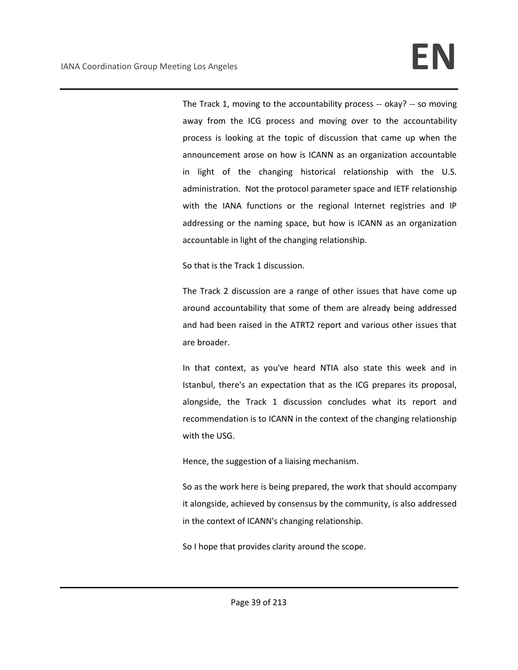The Track 1, moving to the accountability process -- okay? -- so moving away from the ICG process and moving over to the accountability process is looking at the topic of discussion that came up when the announcement arose on how is ICANN as an organization accountable in light of the changing historical relationship with the U.S. administration. Not the protocol parameter space and IETF relationship with the IANA functions or the regional Internet registries and IP addressing or the naming space, but how is ICANN as an organization accountable in light of the changing relationship.

So that is the Track 1 discussion.

The Track 2 discussion are a range of other issues that have come up around accountability that some of them are already being addressed and had been raised in the ATRT2 report and various other issues that are broader.

In that context, as you've heard NTIA also state this week and in Istanbul, there's an expectation that as the ICG prepares its proposal, alongside, the Track 1 discussion concludes what its report and recommendation is to ICANN in the context of the changing relationship with the USG.

Hence, the suggestion of a liaising mechanism.

So as the work here is being prepared, the work that should accompany it alongside, achieved by consensus by the community, is also addressed in the context of ICANN's changing relationship.

So I hope that provides clarity around the scope.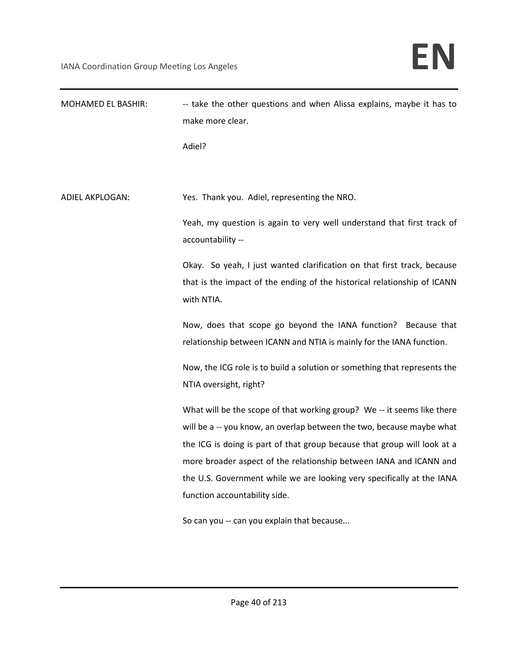| MOHAMED EL BASHIR:     | -- take the other questions and when Alissa explains, maybe it has to<br>make more clear.                                              |
|------------------------|----------------------------------------------------------------------------------------------------------------------------------------|
|                        | Adiel?                                                                                                                                 |
|                        |                                                                                                                                        |
| <b>ADIEL AKPLOGAN:</b> | Yes. Thank you. Adiel, representing the NRO.                                                                                           |
|                        | Yeah, my question is again to very well understand that first track of<br>accountability --                                            |
|                        | Okay. So yeah, I just wanted clarification on that first track, because                                                                |
|                        | that is the impact of the ending of the historical relationship of ICANN<br>with NTIA.                                                 |
|                        | Now, does that scope go beyond the IANA function? Because that<br>relationship between ICANN and NTIA is mainly for the IANA function. |
|                        | Now, the ICG role is to build a solution or something that represents the<br>NTIA oversight, right?                                    |
|                        | What will be the scope of that working group? We -- it seems like there                                                                |
|                        | will be a -- you know, an overlap between the two, because maybe what                                                                  |
|                        | the ICG is doing is part of that group because that group will look at a                                                               |
|                        | more broader aspect of the relationship between IANA and ICANN and                                                                     |
|                        | the U.S. Government while we are looking very specifically at the IANA                                                                 |
|                        | function accountability side.                                                                                                          |
|                        | So can you -- can you explain that because                                                                                             |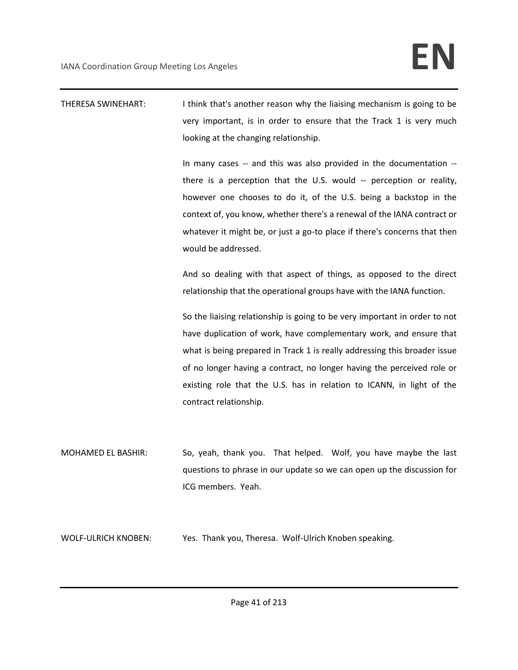THERESA SWINEHART: I think that's another reason why the liaising mechanism is going to be very important, is in order to ensure that the Track 1 is very much looking at the changing relationship.

> In many cases -- and this was also provided in the documentation - there is a perception that the U.S. would -- perception or reality, however one chooses to do it, of the U.S. being a backstop in the context of, you know, whether there's a renewal of the IANA contract or whatever it might be, or just a go-to place if there's concerns that then would be addressed.

> And so dealing with that aspect of things, as opposed to the direct relationship that the operational groups have with the IANA function.

> So the liaising relationship is going to be very important in order to not have duplication of work, have complementary work, and ensure that what is being prepared in Track 1 is really addressing this broader issue of no longer having a contract, no longer having the perceived role or existing role that the U.S. has in relation to ICANN, in light of the contract relationship.

MOHAMED EL BASHIR: So, yeah, thank you. That helped. Wolf, you have maybe the last questions to phrase in our update so we can open up the discussion for ICG members. Yeah.

WOLF-ULRICH KNOBEN: Yes. Thank you, Theresa. Wolf-Ulrich Knoben speaking.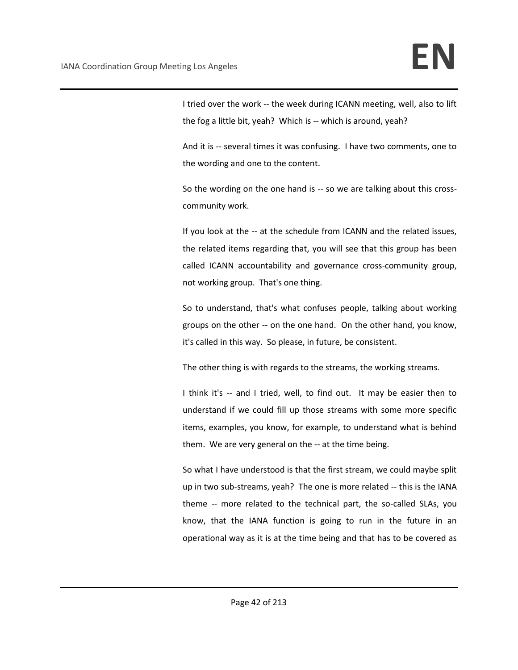I tried over the work -- the week during ICANN meeting, well, also to lift the fog a little bit, yeah? Which is -- which is around, yeah?

And it is -- several times it was confusing. I have two comments, one to the wording and one to the content.

So the wording on the one hand is -- so we are talking about this crosscommunity work.

If you look at the -- at the schedule from ICANN and the related issues, the related items regarding that, you will see that this group has been called ICANN accountability and governance cross-community group, not working group. That's one thing.

So to understand, that's what confuses people, talking about working groups on the other -- on the one hand. On the other hand, you know, it's called in this way. So please, in future, be consistent.

The other thing is with regards to the streams, the working streams.

I think it's -- and I tried, well, to find out. It may be easier then to understand if we could fill up those streams with some more specific items, examples, you know, for example, to understand what is behind them. We are very general on the -- at the time being.

So what I have understood is that the first stream, we could maybe split up in two sub-streams, yeah? The one is more related -- this is the IANA theme -- more related to the technical part, the so-called SLAs, you know, that the IANA function is going to run in the future in an operational way as it is at the time being and that has to be covered as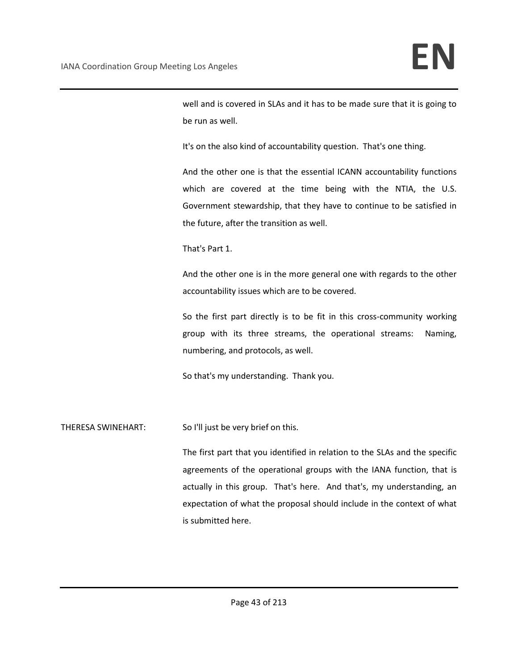well and is covered in SLAs and it has to be made sure that it is going to be run as well.

It's on the also kind of accountability question. That's one thing.

And the other one is that the essential ICANN accountability functions which are covered at the time being with the NTIA, the U.S. Government stewardship, that they have to continue to be satisfied in the future, after the transition as well.

That's Part 1.

And the other one is in the more general one with regards to the other accountability issues which are to be covered.

So the first part directly is to be fit in this cross-community working group with its three streams, the operational streams: Naming, numbering, and protocols, as well.

So that's my understanding. Thank you.

THERESA SWINEHART: So I'll just be very brief on this.

The first part that you identified in relation to the SLAs and the specific agreements of the operational groups with the IANA function, that is actually in this group. That's here. And that's, my understanding, an expectation of what the proposal should include in the context of what is submitted here.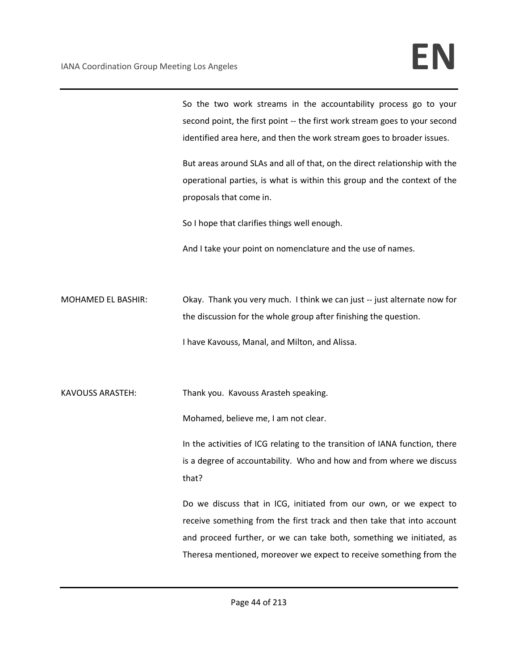So the two work streams in the accountability process go to your second point, the first point -- the first work stream goes to your second identified area here, and then the work stream goes to broader issues.

But areas around SLAs and all of that, on the direct relationship with the operational parties, is what is within this group and the context of the proposals that come in.

So I hope that clarifies things well enough.

And I take your point on nomenclature and the use of names.

MOHAMED EL BASHIR: Okay. Thank you very much. I think we can just -- just alternate now for the discussion for the whole group after finishing the question. I have Kavouss, Manal, and Milton, and Alissa.

KAVOUSS ARASTEH: Thank you. Kavouss Arasteh speaking.

Mohamed, believe me, I am not clear.

In the activities of ICG relating to the transition of IANA function, there is a degree of accountability. Who and how and from where we discuss that?

Do we discuss that in ICG, initiated from our own, or we expect to receive something from the first track and then take that into account and proceed further, or we can take both, something we initiated, as Theresa mentioned, moreover we expect to receive something from the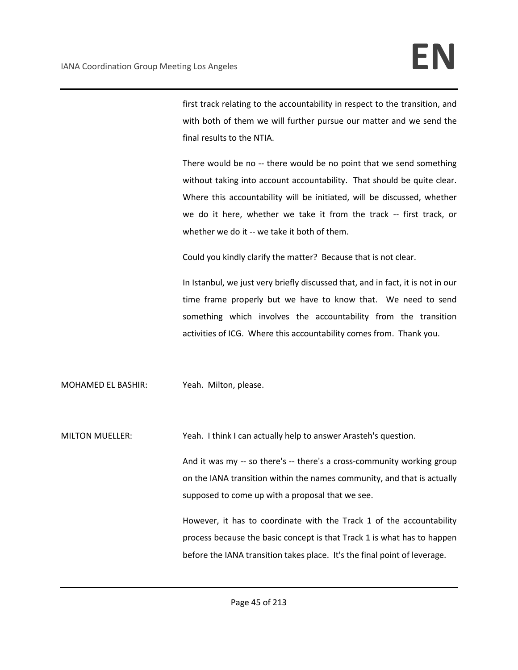first track relating to the accountability in respect to the transition, and with both of them we will further pursue our matter and we send the final results to the NTIA.

There would be no -- there would be no point that we send something without taking into account accountability. That should be quite clear. Where this accountability will be initiated, will be discussed, whether we do it here, whether we take it from the track -- first track, or whether we do it -- we take it both of them.

Could you kindly clarify the matter? Because that is not clear.

In Istanbul, we just very briefly discussed that, and in fact, it is not in our time frame properly but we have to know that. We need to send something which involves the accountability from the transition activities of ICG. Where this accountability comes from. Thank you.

MOHAMED EL BASHIR: Yeah. Milton, please.

MILTON MUELLER: Yeah. I think I can actually help to answer Arasteh's question.

And it was my -- so there's -- there's a cross-community working group on the IANA transition within the names community, and that is actually supposed to come up with a proposal that we see.

However, it has to coordinate with the Track 1 of the accountability process because the basic concept is that Track 1 is what has to happen before the IANA transition takes place. It's the final point of leverage.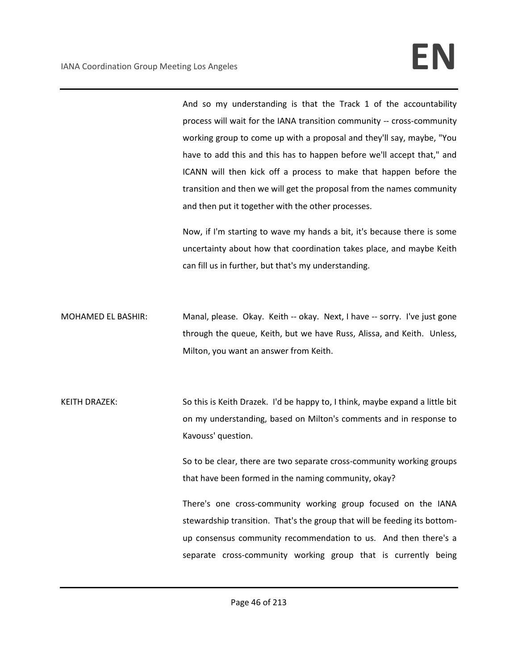And so my understanding is that the Track 1 of the accountability process will wait for the IANA transition community -- cross-community working group to come up with a proposal and they'll say, maybe, "You have to add this and this has to happen before we'll accept that," and ICANN will then kick off a process to make that happen before the transition and then we will get the proposal from the names community and then put it together with the other processes.

Now, if I'm starting to wave my hands a bit, it's because there is some uncertainty about how that coordination takes place, and maybe Keith can fill us in further, but that's my understanding.

- MOHAMED EL BASHIR: Manal, please. Okay. Keith -- okay. Next, I have -- sorry. I've just gone through the queue, Keith, but we have Russ, Alissa, and Keith. Unless, Milton, you want an answer from Keith.
- KEITH DRAZEK: So this is Keith Drazek. I'd be happy to, I think, maybe expand a little bit on my understanding, based on Milton's comments and in response to Kavouss' question.

So to be clear, there are two separate cross-community working groups that have been formed in the naming community, okay?

There's one cross-community working group focused on the IANA stewardship transition. That's the group that will be feeding its bottomup consensus community recommendation to us. And then there's a separate cross-community working group that is currently being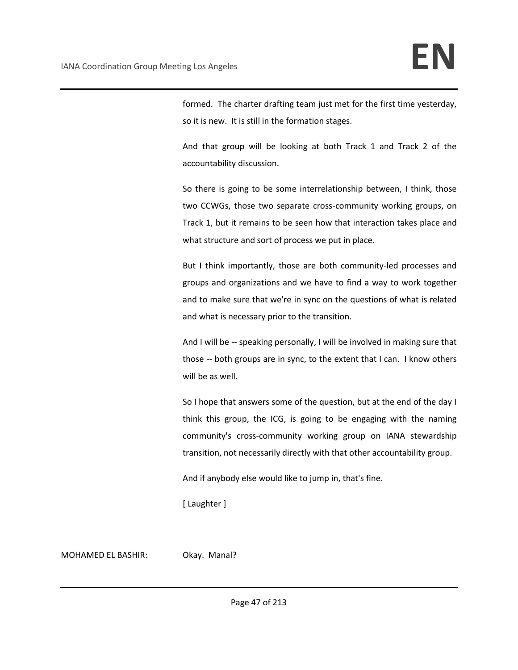formed. The charter drafting team just met for the first time yesterday, so it is new. It is still in the formation stages.

And that group will be looking at both Track 1 and Track 2 of the accountability discussion.

So there is going to be some interrelationship between, I think, those two CCWGs, those two separate cross-community working groups, on Track 1, but it remains to be seen how that interaction takes place and what structure and sort of process we put in place.

But I think importantly, those are both community-led processes and groups and organizations and we have to find a way to work together and to make sure that we're in sync on the questions of what is related and what is necessary prior to the transition.

And I will be -- speaking personally, I will be involved in making sure that those -- both groups are in sync, to the extent that I can. I know others will be as well.

So I hope that answers some of the question, but at the end of the day I think this group, the ICG, is going to be engaging with the naming community's cross-community working group on IANA stewardship transition, not necessarily directly with that other accountability group.

And if anybody else would like to jump in, that's fine.

[ Laughter ]

MOHAMED EL BASHIR: Okay. Manal?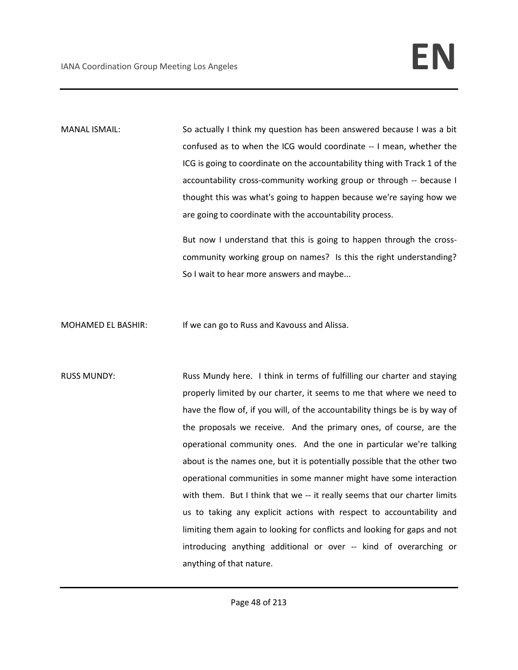MANAL ISMAIL: So actually I think my question has been answered because I was a bit confused as to when the ICG would coordinate -- I mean, whether the ICG is going to coordinate on the accountability thing with Track 1 of the accountability cross-community working group or through -- because I thought this was what's going to happen because we're saying how we are going to coordinate with the accountability process.

> But now I understand that this is going to happen through the crosscommunity working group on names? Is this the right understanding? So I wait to hear more answers and maybe...

MOHAMED EL BASHIR: If we can go to Russ and Kavouss and Alissa.

RUSS MUNDY: Russ Mundy here. I think in terms of fulfilling our charter and staying properly limited by our charter, it seems to me that where we need to have the flow of, if you will, of the accountability things be is by way of the proposals we receive. And the primary ones, of course, are the operational community ones. And the one in particular we're talking about is the names one, but it is potentially possible that the other two operational communities in some manner might have some interaction with them. But I think that we -- it really seems that our charter limits us to taking any explicit actions with respect to accountability and limiting them again to looking for conflicts and looking for gaps and not introducing anything additional or over -- kind of overarching or anything of that nature.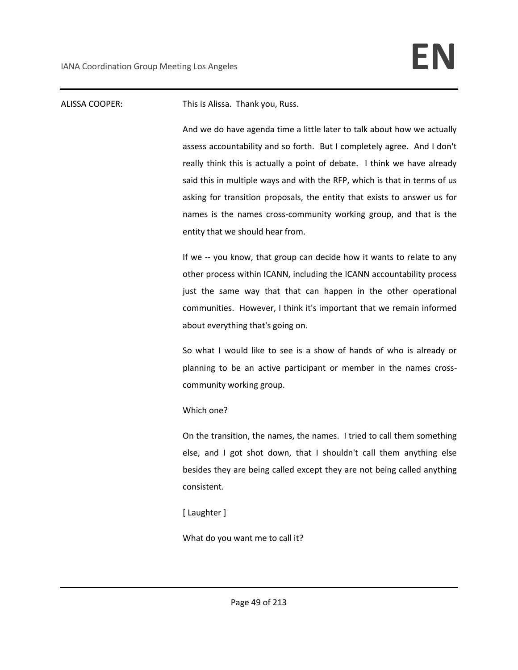# ALISSA COOPER: This is Alissa. Thank you, Russ.

And we do have agenda time a little later to talk about how we actually assess accountability and so forth. But I completely agree. And I don't really think this is actually a point of debate. I think we have already said this in multiple ways and with the RFP, which is that in terms of us asking for transition proposals, the entity that exists to answer us for names is the names cross-community working group, and that is the entity that we should hear from.

If we -- you know, that group can decide how it wants to relate to any other process within ICANN, including the ICANN accountability process just the same way that that can happen in the other operational communities. However, I think it's important that we remain informed about everything that's going on.

So what I would like to see is a show of hands of who is already or planning to be an active participant or member in the names crosscommunity working group.

## Which one?

On the transition, the names, the names. I tried to call them something else, and I got shot down, that I shouldn't call them anything else besides they are being called except they are not being called anything consistent.

[ Laughter ]

What do you want me to call it?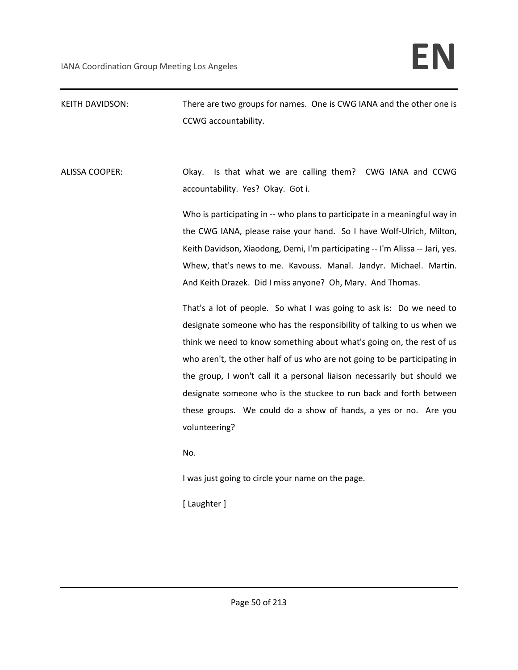# KEITH DAVIDSON: There are two groups for names. One is CWG IANA and the other one is CCWG accountability.

ALISSA COOPER: Okay. Is that what we are calling them? CWG IANA and CCWG accountability. Yes? Okay. Got i.

> Who is participating in -- who plans to participate in a meaningful way in the CWG IANA, please raise your hand. So I have Wolf-Ulrich, Milton, Keith Davidson, Xiaodong, Demi, I'm participating -- I'm Alissa -- Jari, yes. Whew, that's news to me. Kavouss. Manal. Jandyr. Michael. Martin. And Keith Drazek. Did I miss anyone? Oh, Mary. And Thomas.

> That's a lot of people. So what I was going to ask is: Do we need to designate someone who has the responsibility of talking to us when we think we need to know something about what's going on, the rest of us who aren't, the other half of us who are not going to be participating in the group, I won't call it a personal liaison necessarily but should we designate someone who is the stuckee to run back and forth between these groups. We could do a show of hands, a yes or no. Are you volunteering?

No.

I was just going to circle your name on the page.

[ Laughter ]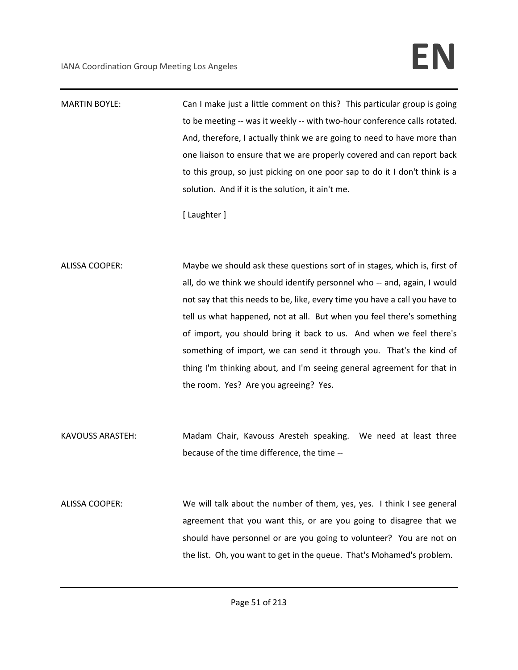MARTIN BOYLE: Can I make just a little comment on this? This particular group is going to be meeting -- was it weekly -- with two-hour conference calls rotated. And, therefore, I actually think we are going to need to have more than one liaison to ensure that we are properly covered and can report back to this group, so just picking on one poor sap to do it I don't think is a solution. And if it is the solution, it ain't me.

[ Laughter ]

ALISSA COOPER: Maybe we should ask these questions sort of in stages, which is, first of all, do we think we should identify personnel who -- and, again, I would not say that this needs to be, like, every time you have a call you have to tell us what happened, not at all. But when you feel there's something of import, you should bring it back to us. And when we feel there's something of import, we can send it through you. That's the kind of thing I'm thinking about, and I'm seeing general agreement for that in the room. Yes? Are you agreeing? Yes.

KAVOUSS ARASTEH: Madam Chair, Kavouss Aresteh speaking. We need at least three because of the time difference, the time --

ALISSA COOPER: We will talk about the number of them, yes, yes. I think I see general agreement that you want this, or are you going to disagree that we should have personnel or are you going to volunteer? You are not on the list. Oh, you want to get in the queue. That's Mohamed's problem.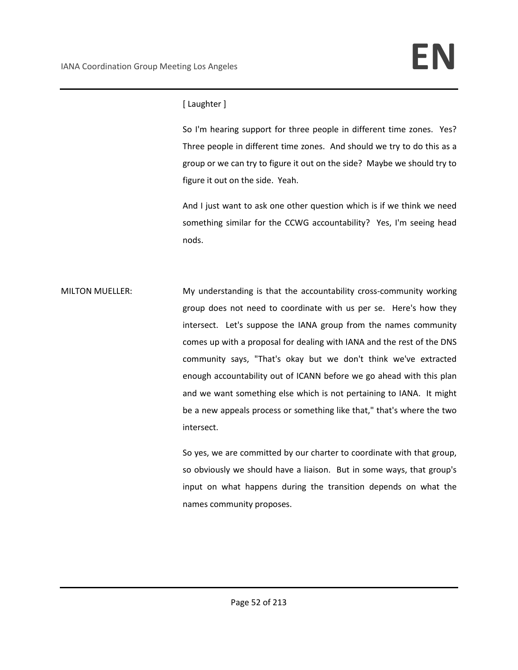# [ Laughter ]

So I'm hearing support for three people in different time zones. Yes? Three people in different time zones. And should we try to do this as a group or we can try to figure it out on the side? Maybe we should try to figure it out on the side. Yeah.

And I just want to ask one other question which is if we think we need something similar for the CCWG accountability? Yes, I'm seeing head nods.

MILTON MUELLER: My understanding is that the accountability cross-community working group does not need to coordinate with us per se. Here's how they intersect. Let's suppose the IANA group from the names community comes up with a proposal for dealing with IANA and the rest of the DNS community says, "That's okay but we don't think we've extracted enough accountability out of ICANN before we go ahead with this plan and we want something else which is not pertaining to IANA. It might be a new appeals process or something like that," that's where the two intersect.

> So yes, we are committed by our charter to coordinate with that group, so obviously we should have a liaison. But in some ways, that group's input on what happens during the transition depends on what the names community proposes.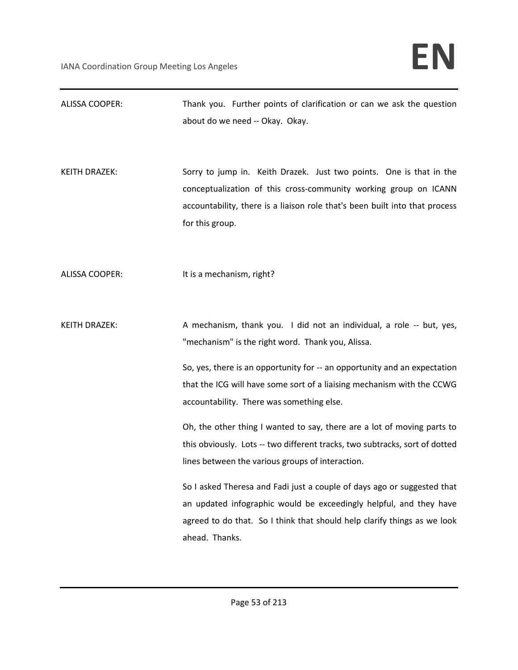| <b>ALISSA COOPER:</b> | Thank you. Further points of clarification or can we ask the question<br>about do we need -- Okay. Okay.                                                                                                                                                                         |
|-----------------------|----------------------------------------------------------------------------------------------------------------------------------------------------------------------------------------------------------------------------------------------------------------------------------|
| <b>KEITH DRAZEK:</b>  | Sorry to jump in. Keith Drazek. Just two points. One is that in the<br>conceptualization of this cross-community working group on ICANN<br>accountability, there is a liaison role that's been built into that process<br>for this group.                                        |
| <b>ALISSA COOPER:</b> | It is a mechanism, right?                                                                                                                                                                                                                                                        |
| <b>KEITH DRAZEK:</b>  | A mechanism, thank you. I did not an individual, a role -- but, yes,<br>"mechanism" is the right word. Thank you, Alissa.<br>So, yes, there is an opportunity for -- an opportunity and an expectation<br>that the ICG will have some sort of a liaising mechanism with the CCWG |
|                       | accountability. There was something else.                                                                                                                                                                                                                                        |
|                       | Oh, the other thing I wanted to say, there are a lot of moving parts to<br>this obviously. Lots -- two different tracks, two subtracks, sort of dotted<br>lines between the various groups of interaction.                                                                       |
|                       | So I asked Theresa and Fadi just a couple of days ago or suggested that<br>an updated infographic would be exceedingly helpful, and they have<br>agreed to do that. So I think that should help clarify things as we look<br>ahead. Thanks.                                      |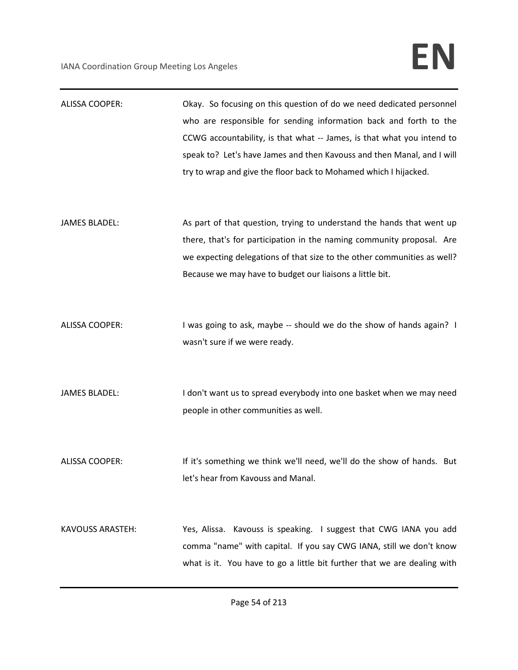| <b>ALISSA COOPER:</b>   | Okay. So focusing on this question of do we need dedicated personnel<br>who are responsible for sending information back and forth to the<br>CCWG accountability, is that what -- James, is that what you intend to<br>speak to? Let's have James and then Kavouss and then Manal, and I will<br>try to wrap and give the floor back to Mohamed which I hijacked. |
|-------------------------|-------------------------------------------------------------------------------------------------------------------------------------------------------------------------------------------------------------------------------------------------------------------------------------------------------------------------------------------------------------------|
| <b>JAMES BLADEL:</b>    | As part of that question, trying to understand the hands that went up<br>there, that's for participation in the naming community proposal. Are<br>we expecting delegations of that size to the other communities as well?<br>Because we may have to budget our liaisons a little bit.                                                                             |
| <b>ALISSA COOPER:</b>   | I was going to ask, maybe -- should we do the show of hands again? I<br>wasn't sure if we were ready.                                                                                                                                                                                                                                                             |
| <b>JAMES BLADEL:</b>    | I don't want us to spread everybody into one basket when we may need<br>people in other communities as well.                                                                                                                                                                                                                                                      |
| <b>ALISSA COOPER:</b>   | If it's something we think we'll need, we'll do the show of hands. But<br>let's hear from Kavouss and Manal.                                                                                                                                                                                                                                                      |
| <b>KAVOUSS ARASTEH:</b> | Yes, Alissa. Kavouss is speaking. I suggest that CWG IANA you add<br>comma "name" with capital. If you say CWG IANA, still we don't know<br>what is it. You have to go a little bit further that we are dealing with                                                                                                                                              |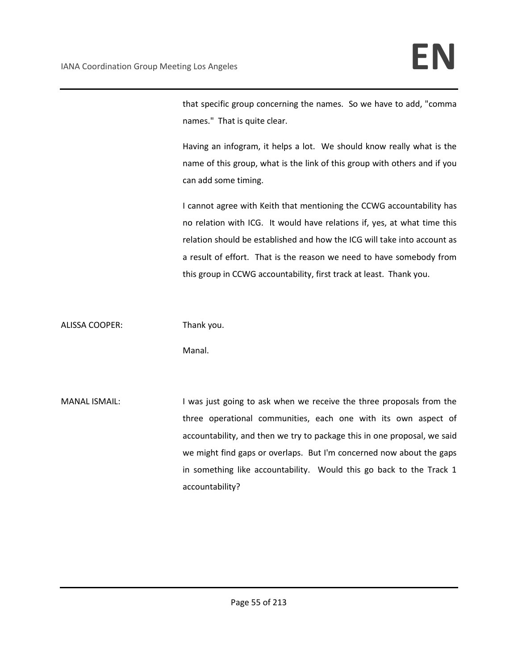that specific group concerning the names. So we have to add, "comma names." That is quite clear.

Having an infogram, it helps a lot. We should know really what is the name of this group, what is the link of this group with others and if you can add some timing.

I cannot agree with Keith that mentioning the CCWG accountability has no relation with ICG. It would have relations if, yes, at what time this relation should be established and how the ICG will take into account as a result of effort. That is the reason we need to have somebody from this group in CCWG accountability, first track at least. Thank you.

ALISSA COOPER: Thank you.

Manal.

MANAL ISMAIL: I was just going to ask when we receive the three proposals from the three operational communities, each one with its own aspect of accountability, and then we try to package this in one proposal, we said we might find gaps or overlaps. But I'm concerned now about the gaps in something like accountability. Would this go back to the Track 1 accountability?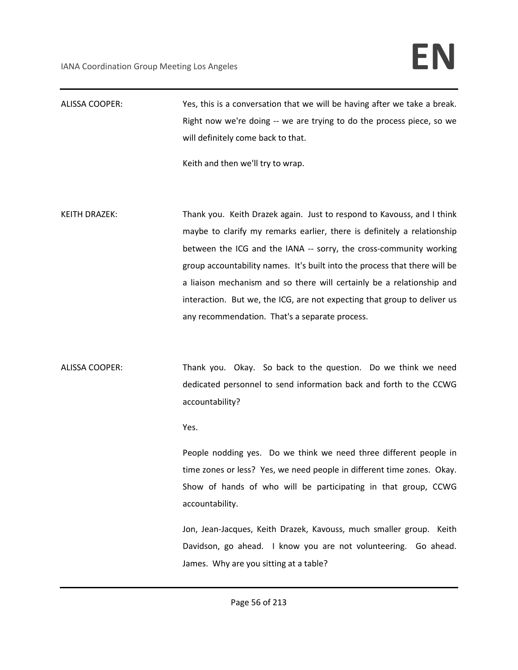ALISSA COOPER: Yes, this is a conversation that we will be having after we take a break. Right now we're doing -- we are trying to do the process piece, so we will definitely come back to that.

Keith and then we'll try to wrap.

- KEITH DRAZEK: Thank you. Keith Drazek again. Just to respond to Kavouss, and I think maybe to clarify my remarks earlier, there is definitely a relationship between the ICG and the IANA -- sorry, the cross-community working group accountability names. It's built into the process that there will be a liaison mechanism and so there will certainly be a relationship and interaction. But we, the ICG, are not expecting that group to deliver us any recommendation. That's a separate process.
- ALISSA COOPER: Thank you. Okay. So back to the question. Do we think we need dedicated personnel to send information back and forth to the CCWG accountability?

Yes.

People nodding yes. Do we think we need three different people in time zones or less? Yes, we need people in different time zones. Okay. Show of hands of who will be participating in that group, CCWG accountability.

Jon, Jean-Jacques, Keith Drazek, Kavouss, much smaller group. Keith Davidson, go ahead. I know you are not volunteering. Go ahead. James. Why are you sitting at a table?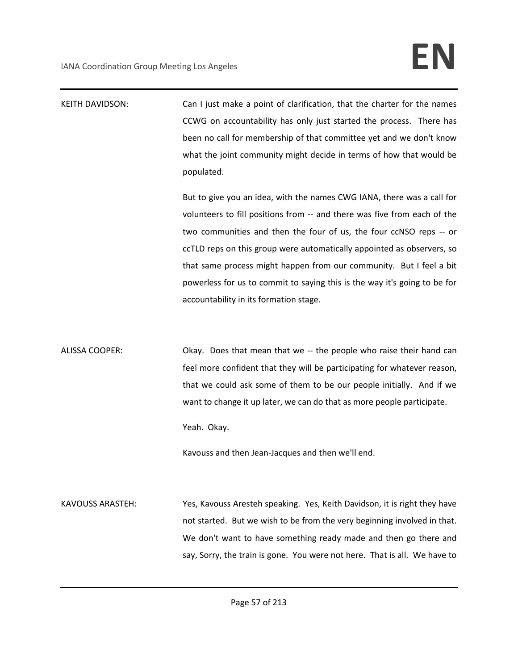| <b>KEITH DAVIDSON:</b> | Can I just make a point of clarification, that the charter for the names<br>CCWG on accountability has only just started the process. There has<br>been no call for membership of that committee yet and we don't know<br>what the joint community might decide in terms of how that would be<br>populated.<br>But to give you an idea, with the names CWG IANA, there was a call for<br>volunteers to fill positions from -- and there was five from each of the |
|------------------------|-------------------------------------------------------------------------------------------------------------------------------------------------------------------------------------------------------------------------------------------------------------------------------------------------------------------------------------------------------------------------------------------------------------------------------------------------------------------|
|                        | two communities and then the four of us, the four ccNSO reps -- or<br>ccTLD reps on this group were automatically appointed as observers, so<br>that same process might happen from our community. But I feel a bit<br>powerless for us to commit to saying this is the way it's going to be for<br>accountability in its formation stage.                                                                                                                        |
| <b>ALISSA COOPER:</b>  | Okay. Does that mean that we -- the people who raise their hand can<br>feel more confident that they will be participating for whatever reason,<br>that we could ask some of them to be our people initially. And if we<br>want to change it up later, we can do that as more people participate.<br>Yeah. Okay.<br>Kavouss and then Jean-Jacques and then we'll end.                                                                                             |
| KAVOUSS ARASTEH.       | Ves Kavouss Aresteh sneaking Ves Keith Davidson it is right they have                                                                                                                                                                                                                                                                                                                                                                                             |

KAVOUSS ARASTEH: Yes, Kavouss Aresteh speaking. Yes, Keith Davidson, it is right they have not started. But we wish to be from the very beginning involved in that. We don't want to have something ready made and then go there and say, Sorry, the train is gone. You were not here. That is all. We have to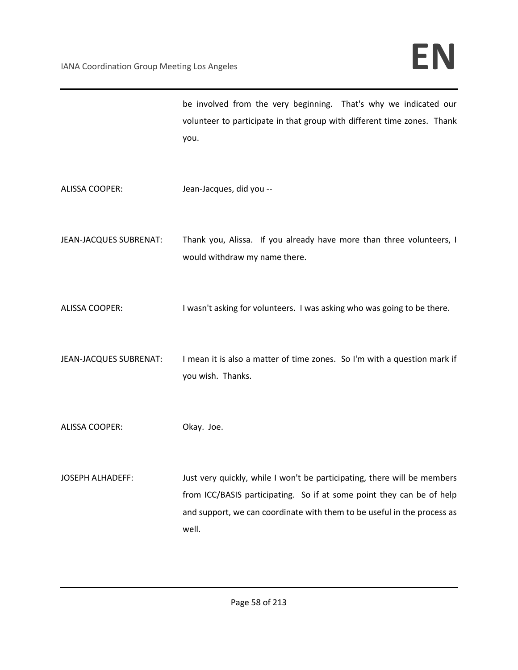be involved from the very beginning. That's why we indicated our volunteer to participate in that group with different time zones. Thank you.

- ALISSA COOPER: Jean-Jacques, did you --
- JEAN-JACQUES SUBRENAT: Thank you, Alissa. If you already have more than three volunteers, I would withdraw my name there.
- ALISSA COOPER: I wasn't asking for volunteers. I was asking who was going to be there.
- JEAN-JACQUES SUBRENAT: I mean it is also a matter of time zones. So I'm with a question mark if you wish. Thanks.
- ALISSA COOPER: Okay. Joe.
- JOSEPH ALHADEFF: Just very quickly, while I won't be participating, there will be members from ICC/BASIS participating. So if at some point they can be of help and support, we can coordinate with them to be useful in the process as well.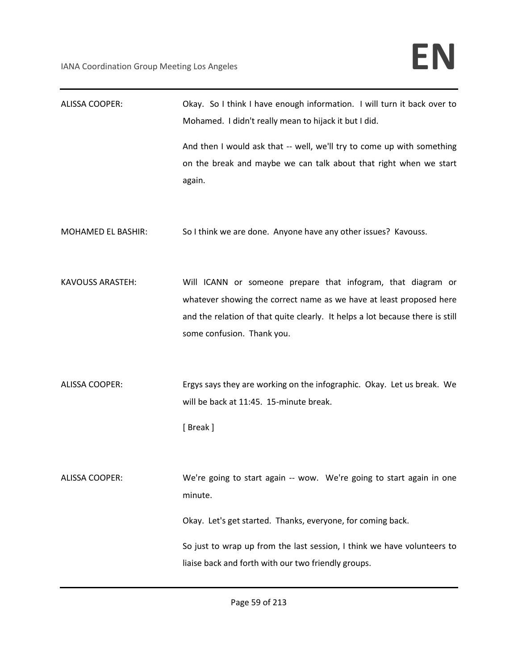| <b>ALISSA COOPER:</b>     | Okay. So I think I have enough information. I will turn it back over to<br>Mohamed. I didn't really mean to hijack it but I did.                                                                                                                                                 |
|---------------------------|----------------------------------------------------------------------------------------------------------------------------------------------------------------------------------------------------------------------------------------------------------------------------------|
|                           | And then I would ask that -- well, we'll try to come up with something<br>on the break and maybe we can talk about that right when we start<br>again.                                                                                                                            |
| <b>MOHAMED EL BASHIR:</b> | So I think we are done. Anyone have any other issues? Kavouss.                                                                                                                                                                                                                   |
| <b>KAVOUSS ARASTEH:</b>   | Will ICANN or someone prepare that infogram, that diagram or<br>whatever showing the correct name as we have at least proposed here<br>and the relation of that quite clearly. It helps a lot because there is still<br>some confusion. Thank you.                               |
| <b>ALISSA COOPER:</b>     | Ergys says they are working on the infographic. Okay. Let us break. We<br>will be back at 11:45. 15-minute break.<br>[Break]                                                                                                                                                     |
| ALISSA COOPER:            | We're going to start again -- wow. We're going to start again in one<br>minute.<br>Okay. Let's get started. Thanks, everyone, for coming back.<br>So just to wrap up from the last session, I think we have volunteers to<br>liaise back and forth with our two friendly groups. |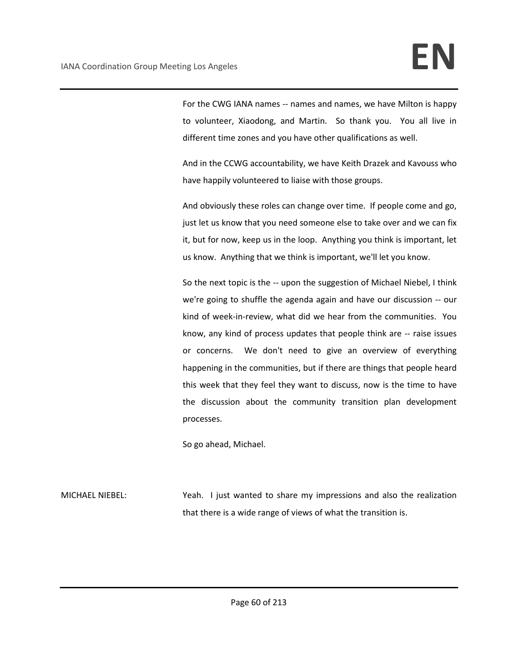For the CWG IANA names -- names and names, we have Milton is happy to volunteer, Xiaodong, and Martin. So thank you. You all live in different time zones and you have other qualifications as well.

And in the CCWG accountability, we have Keith Drazek and Kavouss who have happily volunteered to liaise with those groups.

And obviously these roles can change over time. If people come and go, just let us know that you need someone else to take over and we can fix it, but for now, keep us in the loop. Anything you think is important, let us know. Anything that we think is important, we'll let you know.

So the next topic is the -- upon the suggestion of Michael Niebel, I think we're going to shuffle the agenda again and have our discussion -- our kind of week-in-review, what did we hear from the communities. You know, any kind of process updates that people think are -- raise issues or concerns. We don't need to give an overview of everything happening in the communities, but if there are things that people heard this week that they feel they want to discuss, now is the time to have the discussion about the community transition plan development processes.

So go ahead, Michael.

MICHAEL NIEBEL: Yeah. I just wanted to share my impressions and also the realization that there is a wide range of views of what the transition is.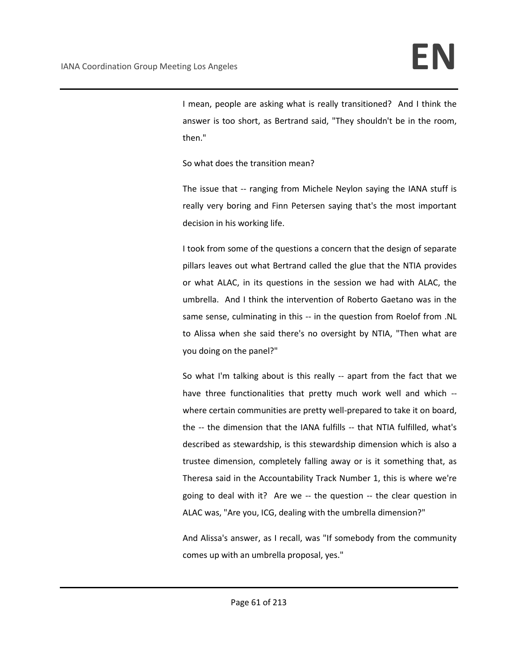I mean, people are asking what is really transitioned? And I think the answer is too short, as Bertrand said, "They shouldn't be in the room, then."

So what does the transition mean?

The issue that -- ranging from Michele Neylon saying the IANA stuff is really very boring and Finn Petersen saying that's the most important decision in his working life.

I took from some of the questions a concern that the design of separate pillars leaves out what Bertrand called the glue that the NTIA provides or what ALAC, in its questions in the session we had with ALAC, the umbrella. And I think the intervention of Roberto Gaetano was in the same sense, culminating in this -- in the question from Roelof from .NL to Alissa when she said there's no oversight by NTIA, "Then what are you doing on the panel?"

So what I'm talking about is this really -- apart from the fact that we have three functionalities that pretty much work well and which - where certain communities are pretty well-prepared to take it on board, the -- the dimension that the IANA fulfills -- that NTIA fulfilled, what's described as stewardship, is this stewardship dimension which is also a trustee dimension, completely falling away or is it something that, as Theresa said in the Accountability Track Number 1, this is where we're going to deal with it? Are we -- the question -- the clear question in ALAC was, "Are you, ICG, dealing with the umbrella dimension?"

And Alissa's answer, as I recall, was "If somebody from the community comes up with an umbrella proposal, yes."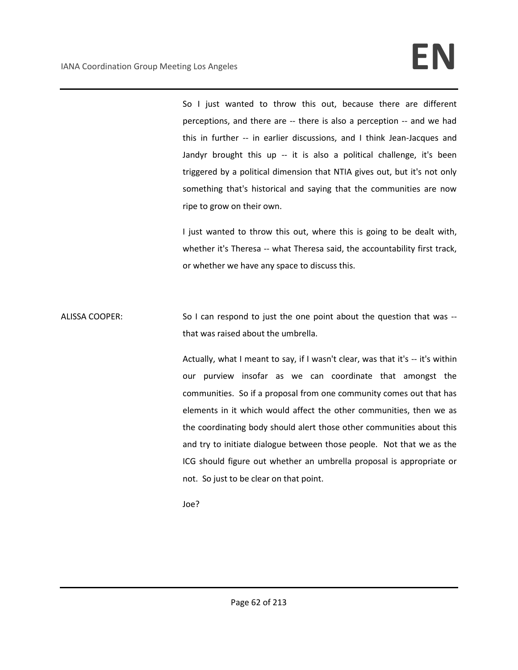So I just wanted to throw this out, because there are different perceptions, and there are -- there is also a perception -- and we had this in further -- in earlier discussions, and I think Jean-Jacques and Jandyr brought this up -- it is also a political challenge, it's been triggered by a political dimension that NTIA gives out, but it's not only something that's historical and saying that the communities are now ripe to grow on their own.

I just wanted to throw this out, where this is going to be dealt with, whether it's Theresa -- what Theresa said, the accountability first track, or whether we have any space to discuss this.

ALISSA COOPER: So I can respond to just the one point about the question that was -that was raised about the umbrella.

> Actually, what I meant to say, if I wasn't clear, was that it's -- it's within our purview insofar as we can coordinate that amongst the communities. So if a proposal from one community comes out that has elements in it which would affect the other communities, then we as the coordinating body should alert those other communities about this and try to initiate dialogue between those people. Not that we as the ICG should figure out whether an umbrella proposal is appropriate or not. So just to be clear on that point.

Joe?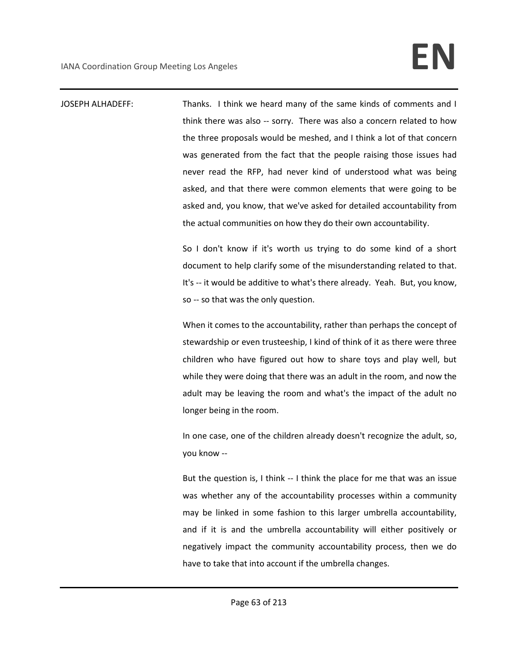JOSEPH ALHADEFF: Thanks. I think we heard many of the same kinds of comments and I think there was also -- sorry. There was also a concern related to how the three proposals would be meshed, and I think a lot of that concern was generated from the fact that the people raising those issues had never read the RFP, had never kind of understood what was being asked, and that there were common elements that were going to be asked and, you know, that we've asked for detailed accountability from the actual communities on how they do their own accountability. So I don't know if it's worth us trying to do some kind of a short

document to help clarify some of the misunderstanding related to that. It's -- it would be additive to what's there already. Yeah. But, you know, so -- so that was the only question.

When it comes to the accountability, rather than perhaps the concept of stewardship or even trusteeship, I kind of think of it as there were three children who have figured out how to share toys and play well, but while they were doing that there was an adult in the room, and now the adult may be leaving the room and what's the impact of the adult no longer being in the room.

In one case, one of the children already doesn't recognize the adult, so, you know --

But the question is, I think -- I think the place for me that was an issue was whether any of the accountability processes within a community may be linked in some fashion to this larger umbrella accountability, and if it is and the umbrella accountability will either positively or negatively impact the community accountability process, then we do have to take that into account if the umbrella changes.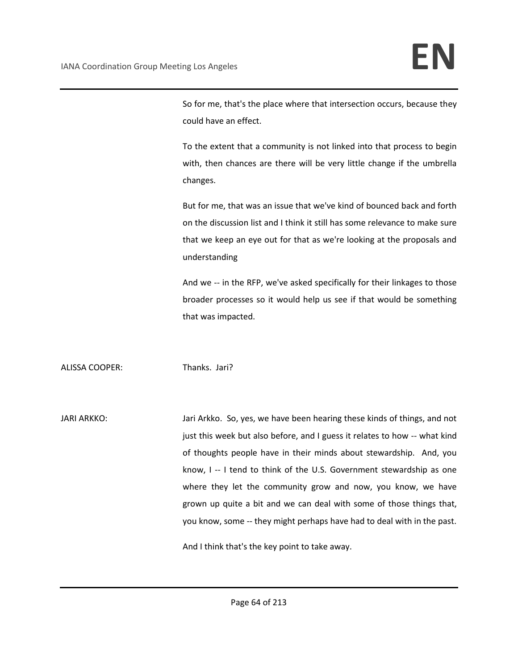So for me, that's the place where that intersection occurs, because they could have an effect.

To the extent that a community is not linked into that process to begin with, then chances are there will be very little change if the umbrella changes.

But for me, that was an issue that we've kind of bounced back and forth on the discussion list and I think it still has some relevance to make sure that we keep an eye out for that as we're looking at the proposals and understanding

And we -- in the RFP, we've asked specifically for their linkages to those broader processes so it would help us see if that would be something that was impacted.

ALISSA COOPER: Thanks. Jari?

JARI ARKKO: Jari Arkko. So, yes, we have been hearing these kinds of things, and not just this week but also before, and I guess it relates to how -- what kind of thoughts people have in their minds about stewardship. And, you know, I -- I tend to think of the U.S. Government stewardship as one where they let the community grow and now, you know, we have grown up quite a bit and we can deal with some of those things that, you know, some -- they might perhaps have had to deal with in the past.

And I think that's the key point to take away.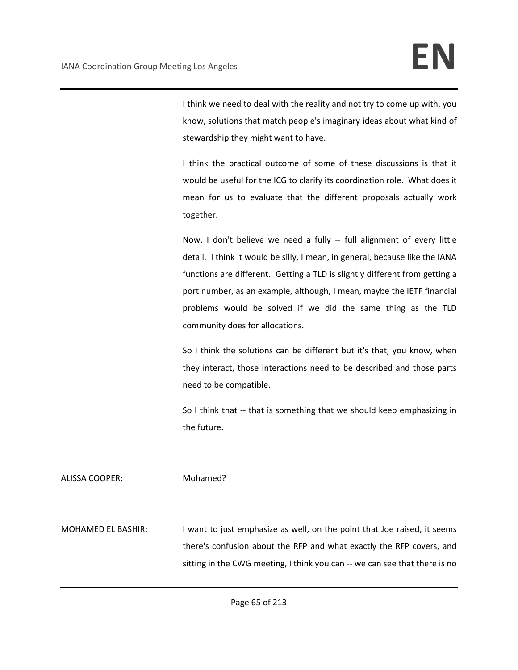I think we need to deal with the reality and not try to come up with, you know, solutions that match people's imaginary ideas about what kind of stewardship they might want to have.

I think the practical outcome of some of these discussions is that it would be useful for the ICG to clarify its coordination role. What does it mean for us to evaluate that the different proposals actually work together.

Now, I don't believe we need a fully -- full alignment of every little detail. I think it would be silly, I mean, in general, because like the IANA functions are different. Getting a TLD is slightly different from getting a port number, as an example, although, I mean, maybe the IETF financial problems would be solved if we did the same thing as the TLD community does for allocations.

So I think the solutions can be different but it's that, you know, when they interact, those interactions need to be described and those parts need to be compatible.

So I think that -- that is something that we should keep emphasizing in the future.

ALISSA COOPER: Mohamed?

MOHAMED EL BASHIR: I want to just emphasize as well, on the point that Joe raised, it seems there's confusion about the RFP and what exactly the RFP covers, and sitting in the CWG meeting, I think you can -- we can see that there is no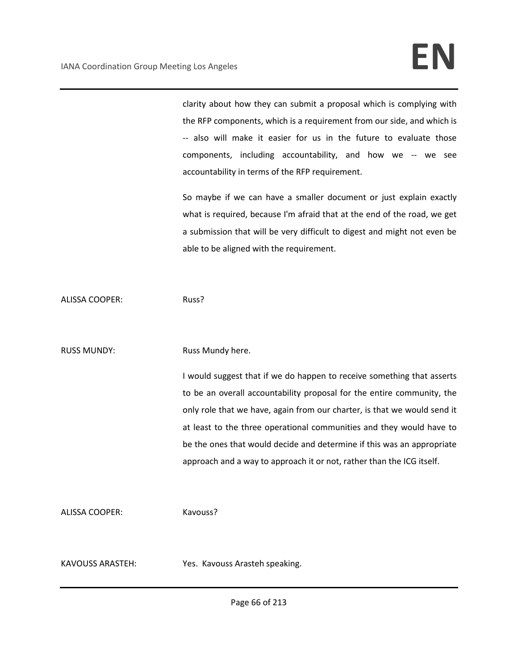clarity about how they can submit a proposal which is complying with the RFP components, which is a requirement from our side, and which is -- also will make it easier for us in the future to evaluate those components, including accountability, and how we -- we see accountability in terms of the RFP requirement.

So maybe if we can have a smaller document or just explain exactly what is required, because I'm afraid that at the end of the road, we get a submission that will be very difficult to digest and might not even be able to be aligned with the requirement.

ALISSA COOPER: Russ?

## RUSS MUNDY: Russ Mundy here.

I would suggest that if we do happen to receive something that asserts to be an overall accountability proposal for the entire community, the only role that we have, again from our charter, is that we would send it at least to the three operational communities and they would have to be the ones that would decide and determine if this was an appropriate approach and a way to approach it or not, rather than the ICG itself.

ALISSA COOPER: Kavouss?

KAVOUSS ARASTEH: Yes. Kavouss Arasteh speaking.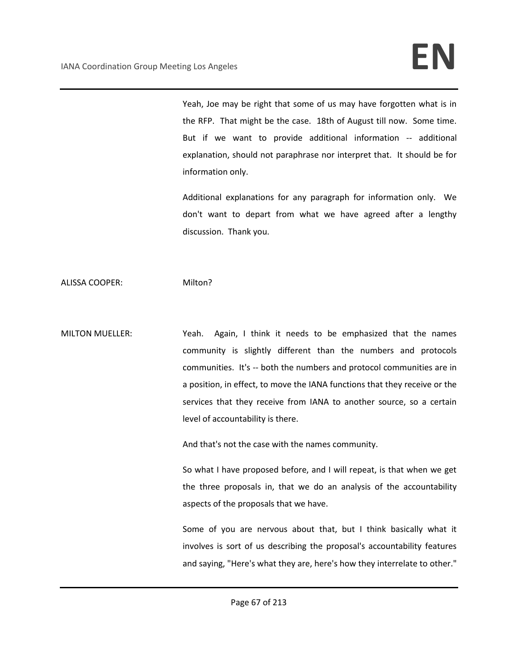Yeah, Joe may be right that some of us may have forgotten what is in the RFP. That might be the case. 18th of August till now. Some time. But if we want to provide additional information -- additional explanation, should not paraphrase nor interpret that. It should be for information only.

Additional explanations for any paragraph for information only. We don't want to depart from what we have agreed after a lengthy discussion. Thank you.

ALISSA COOPER: Milton?

MILTON MUELLER: Yeah. Again, I think it needs to be emphasized that the names community is slightly different than the numbers and protocols communities. It's -- both the numbers and protocol communities are in a position, in effect, to move the IANA functions that they receive or the services that they receive from IANA to another source, so a certain level of accountability is there.

And that's not the case with the names community.

So what I have proposed before, and I will repeat, is that when we get the three proposals in, that we do an analysis of the accountability aspects of the proposals that we have.

Some of you are nervous about that, but I think basically what it involves is sort of us describing the proposal's accountability features and saying, "Here's what they are, here's how they interrelate to other."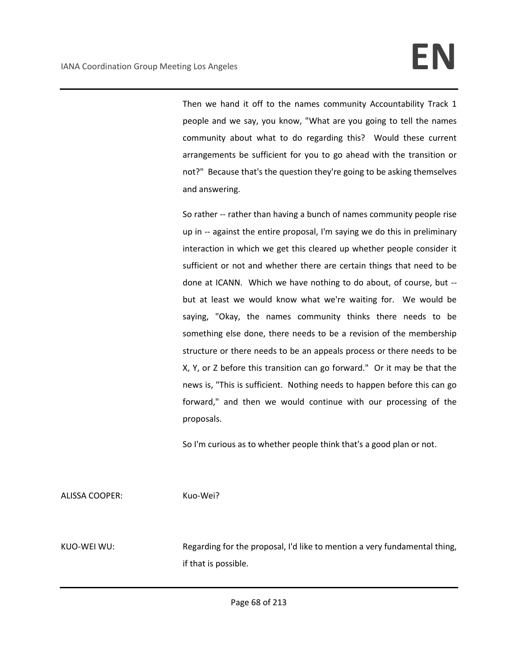Then we hand it off to the names community Accountability Track 1 people and we say, you know, "What are you going to tell the names community about what to do regarding this? Would these current arrangements be sufficient for you to go ahead with the transition or not?" Because that's the question they're going to be asking themselves and answering.

So rather -- rather than having a bunch of names community people rise up in -- against the entire proposal, I'm saying we do this in preliminary interaction in which we get this cleared up whether people consider it sufficient or not and whether there are certain things that need to be done at ICANN. Which we have nothing to do about, of course, but - but at least we would know what we're waiting for. We would be saying, "Okay, the names community thinks there needs to be something else done, there needs to be a revision of the membership structure or there needs to be an appeals process or there needs to be X, Y, or Z before this transition can go forward." Or it may be that the news is, "This is sufficient. Nothing needs to happen before this can go forward," and then we would continue with our processing of the proposals.

So I'm curious as to whether people think that's a good plan or not.

ALISSA COOPER: Kuo-Wei?

KUO-WEI WU: Regarding for the proposal, I'd like to mention a very fundamental thing, if that is possible.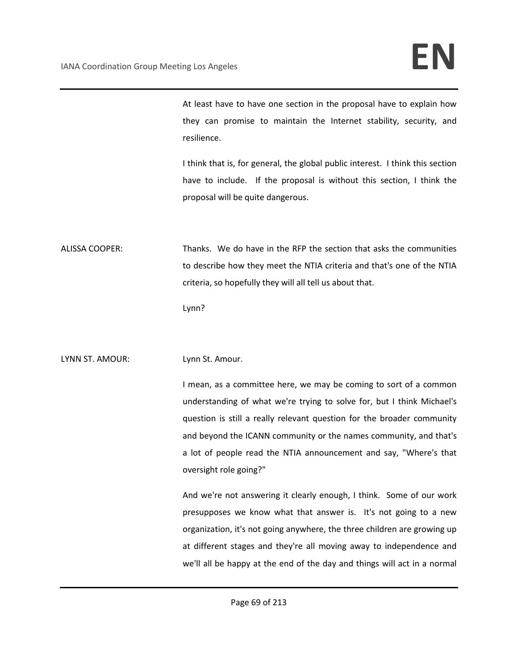At least have to have one section in the proposal have to explain how they can promise to maintain the Internet stability, security, and resilience.

I think that is, for general, the global public interest. I think this section have to include. If the proposal is without this section, I think the proposal will be quite dangerous.

ALISSA COOPER: Thanks. We do have in the RFP the section that asks the communities to describe how they meet the NTIA criteria and that's one of the NTIA criteria, so hopefully they will all tell us about that.

Lynn?

LYNN ST. AMOUR: Lynn St. Amour.

I mean, as a committee here, we may be coming to sort of a common understanding of what we're trying to solve for, but I think Michael's question is still a really relevant question for the broader community and beyond the ICANN community or the names community, and that's a lot of people read the NTIA announcement and say, "Where's that oversight role going?"

And we're not answering it clearly enough, I think. Some of our work presupposes we know what that answer is. It's not going to a new organization, it's not going anywhere, the three children are growing up at different stages and they're all moving away to independence and we'll all be happy at the end of the day and things will act in a normal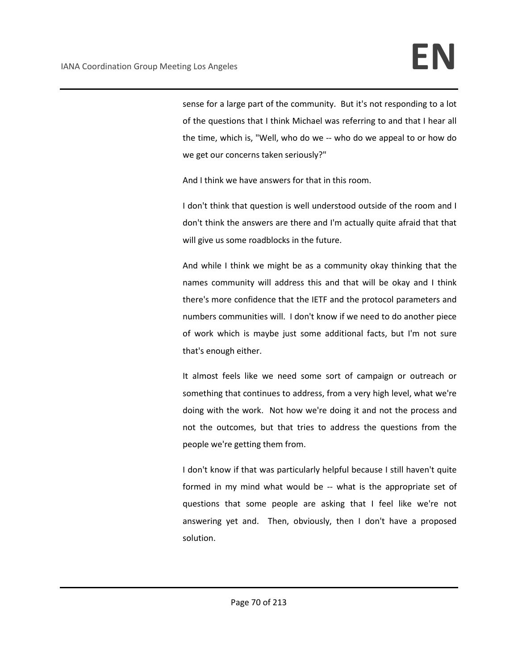sense for a large part of the community. But it's not responding to a lot of the questions that I think Michael was referring to and that I hear all the time, which is, "Well, who do we -- who do we appeal to or how do we get our concerns taken seriously?"

And I think we have answers for that in this room.

I don't think that question is well understood outside of the room and I don't think the answers are there and I'm actually quite afraid that that will give us some roadblocks in the future.

And while I think we might be as a community okay thinking that the names community will address this and that will be okay and I think there's more confidence that the IETF and the protocol parameters and numbers communities will. I don't know if we need to do another piece of work which is maybe just some additional facts, but I'm not sure that's enough either.

It almost feels like we need some sort of campaign or outreach or something that continues to address, from a very high level, what we're doing with the work. Not how we're doing it and not the process and not the outcomes, but that tries to address the questions from the people we're getting them from.

I don't know if that was particularly helpful because I still haven't quite formed in my mind what would be -- what is the appropriate set of questions that some people are asking that I feel like we're not answering yet and. Then, obviously, then I don't have a proposed solution.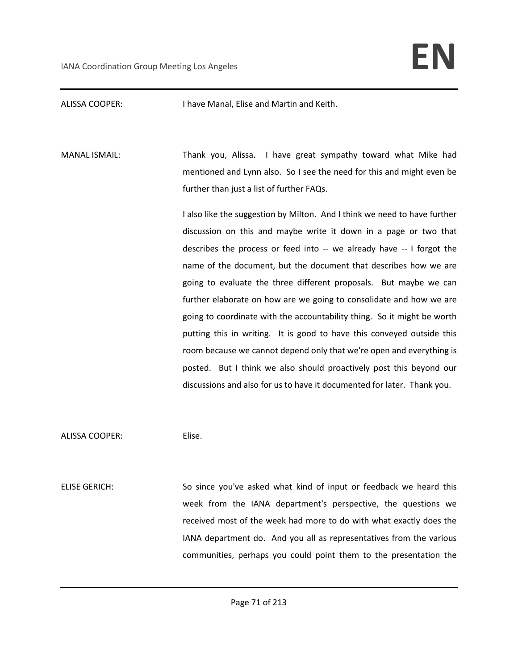ALISSA COOPER: I have Manal, Elise and Martin and Keith.

MANAL ISMAIL: Thank you, Alissa. I have great sympathy toward what Mike had mentioned and Lynn also. So I see the need for this and might even be further than just a list of further FAQs.

> I also like the suggestion by Milton. And I think we need to have further discussion on this and maybe write it down in a page or two that describes the process or feed into -- we already have -- I forgot the name of the document, but the document that describes how we are going to evaluate the three different proposals. But maybe we can further elaborate on how are we going to consolidate and how we are going to coordinate with the accountability thing. So it might be worth putting this in writing. It is good to have this conveyed outside this room because we cannot depend only that we're open and everything is posted. But I think we also should proactively post this beyond our discussions and also for us to have it documented for later. Thank you.

ALISSA COOPER: Elise.

ELISE GERICH: So since you've asked what kind of input or feedback we heard this week from the IANA department's perspective, the questions we received most of the week had more to do with what exactly does the IANA department do. And you all as representatives from the various communities, perhaps you could point them to the presentation the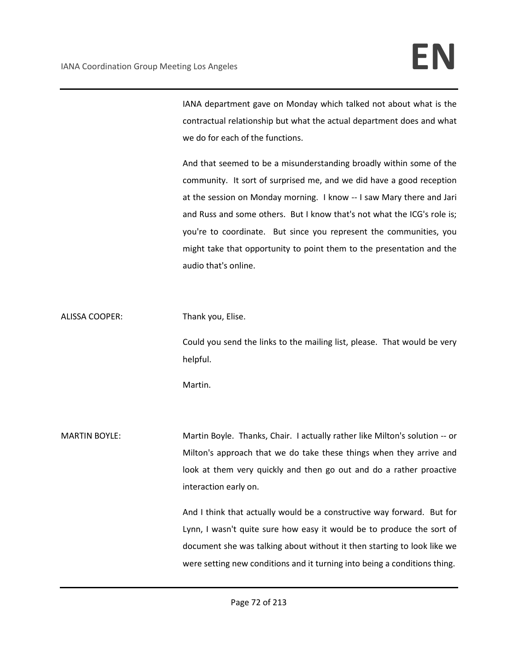IANA department gave on Monday which talked not about what is the contractual relationship but what the actual department does and what we do for each of the functions.

And that seemed to be a misunderstanding broadly within some of the community. It sort of surprised me, and we did have a good reception at the session on Monday morning. I know -- I saw Mary there and Jari and Russ and some others. But I know that's not what the ICG's role is; you're to coordinate. But since you represent the communities, you might take that opportunity to point them to the presentation and the audio that's online.

ALISSA COOPER: Thank you, Elise.

Could you send the links to the mailing list, please. That would be very helpful.

Martin.

MARTIN BOYLE: Martin Boyle. Thanks, Chair. I actually rather like Milton's solution -- or Milton's approach that we do take these things when they arrive and look at them very quickly and then go out and do a rather proactive interaction early on.

> And I think that actually would be a constructive way forward. But for Lynn, I wasn't quite sure how easy it would be to produce the sort of document she was talking about without it then starting to look like we were setting new conditions and it turning into being a conditions thing.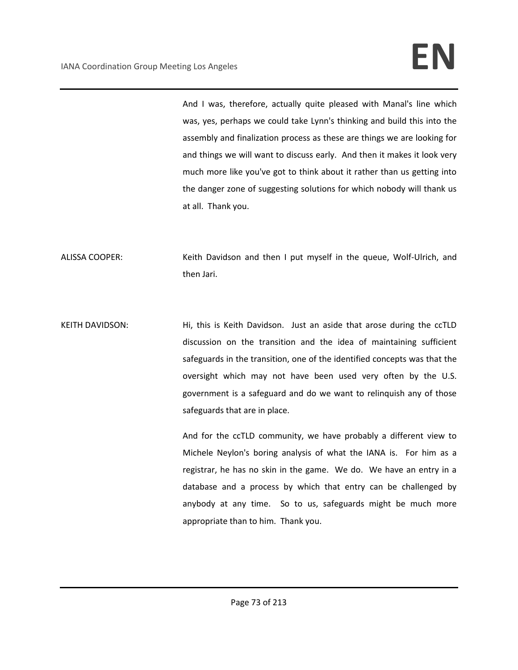And I was, therefore, actually quite pleased with Manal's line which was, yes, perhaps we could take Lynn's thinking and build this into the assembly and finalization process as these are things we are looking for and things we will want to discuss early. And then it makes it look very much more like you've got to think about it rather than us getting into the danger zone of suggesting solutions for which nobody will thank us at all. Thank you.

ALISSA COOPER: Keith Davidson and then I put myself in the queue, Wolf-Ulrich, and then Jari.

KEITH DAVIDSON: Hi, this is Keith Davidson. Just an aside that arose during the ccTLD discussion on the transition and the idea of maintaining sufficient safeguards in the transition, one of the identified concepts was that the oversight which may not have been used very often by the U.S. government is a safeguard and do we want to relinquish any of those safeguards that are in place.

> And for the ccTLD community, we have probably a different view to Michele Neylon's boring analysis of what the IANA is. For him as a registrar, he has no skin in the game. We do. We have an entry in a database and a process by which that entry can be challenged by anybody at any time. So to us, safeguards might be much more appropriate than to him. Thank you.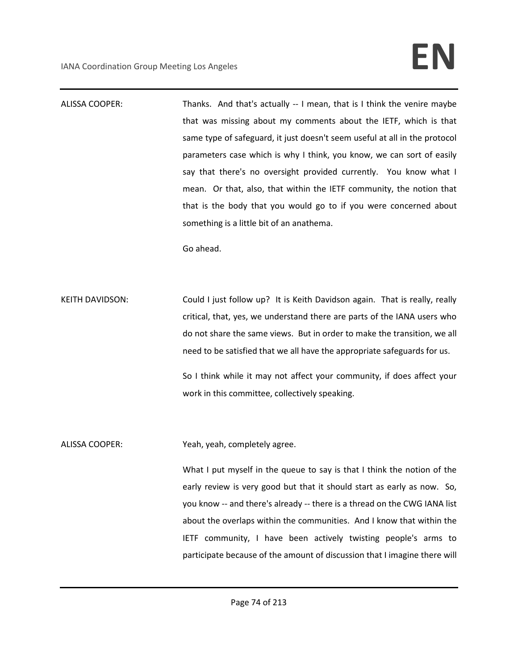ALISSA COOPER: Thanks. And that's actually -- I mean, that is I think the venire maybe that was missing about my comments about the IETF, which is that same type of safeguard, it just doesn't seem useful at all in the protocol parameters case which is why I think, you know, we can sort of easily say that there's no oversight provided currently. You know what I mean. Or that, also, that within the IETF community, the notion that that is the body that you would go to if you were concerned about something is a little bit of an anathema.

Go ahead.

KEITH DAVIDSON: Could I just follow up? It is Keith Davidson again. That is really, really critical, that, yes, we understand there are parts of the IANA users who do not share the same views. But in order to make the transition, we all need to be satisfied that we all have the appropriate safeguards for us.

> So I think while it may not affect your community, if does affect your work in this committee, collectively speaking.

ALISSA COOPER: Yeah, yeah, completely agree.

What I put myself in the queue to say is that I think the notion of the early review is very good but that it should start as early as now. So, you know -- and there's already -- there is a thread on the CWG IANA list about the overlaps within the communities. And I know that within the IETF community, I have been actively twisting people's arms to participate because of the amount of discussion that I imagine there will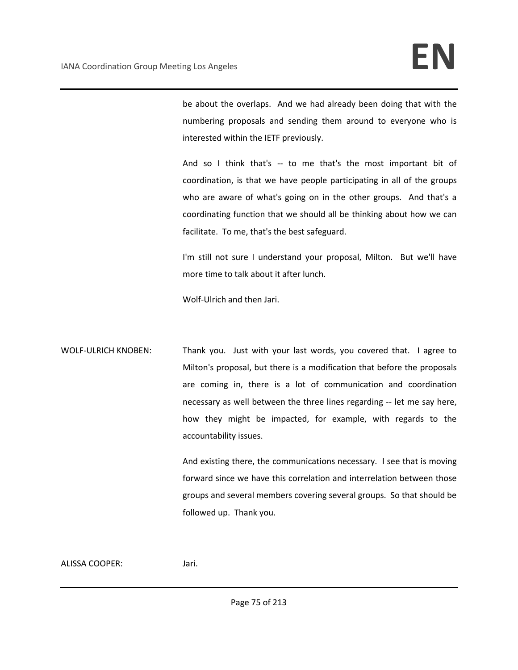be about the overlaps. And we had already been doing that with the numbering proposals and sending them around to everyone who is interested within the IETF previously.

And so I think that's -- to me that's the most important bit of coordination, is that we have people participating in all of the groups who are aware of what's going on in the other groups. And that's a coordinating function that we should all be thinking about how we can facilitate. To me, that's the best safeguard.

I'm still not sure I understand your proposal, Milton. But we'll have more time to talk about it after lunch.

Wolf-Ulrich and then Jari.

WOLF-ULRICH KNOBEN: Thank you. Just with your last words, you covered that. I agree to Milton's proposal, but there is a modification that before the proposals are coming in, there is a lot of communication and coordination necessary as well between the three lines regarding -- let me say here, how they might be impacted, for example, with regards to the accountability issues.

> And existing there, the communications necessary. I see that is moving forward since we have this correlation and interrelation between those groups and several members covering several groups. So that should be followed up. Thank you.

#### ALISSA COOPER: Jari.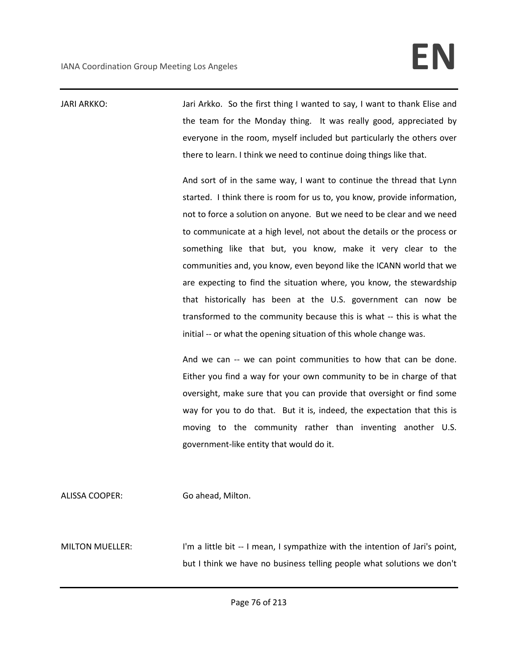JARI ARKKO: Jari Arkko. So the first thing I wanted to say, I want to thank Elise and the team for the Monday thing. It was really good, appreciated by everyone in the room, myself included but particularly the others over there to learn. I think we need to continue doing things like that.

> And sort of in the same way, I want to continue the thread that Lynn started. I think there is room for us to, you know, provide information, not to force a solution on anyone. But we need to be clear and we need to communicate at a high level, not about the details or the process or something like that but, you know, make it very clear to the communities and, you know, even beyond like the ICANN world that we are expecting to find the situation where, you know, the stewardship that historically has been at the U.S. government can now be transformed to the community because this is what -- this is what the initial -- or what the opening situation of this whole change was.

> And we can -- we can point communities to how that can be done. Either you find a way for your own community to be in charge of that oversight, make sure that you can provide that oversight or find some way for you to do that. But it is, indeed, the expectation that this is moving to the community rather than inventing another U.S. government-like entity that would do it.

ALISSA COOPER: Go ahead, Milton.

MILTON MUELLER: I'm a little bit -- I mean, I sympathize with the intention of Jari's point, but I think we have no business telling people what solutions we don't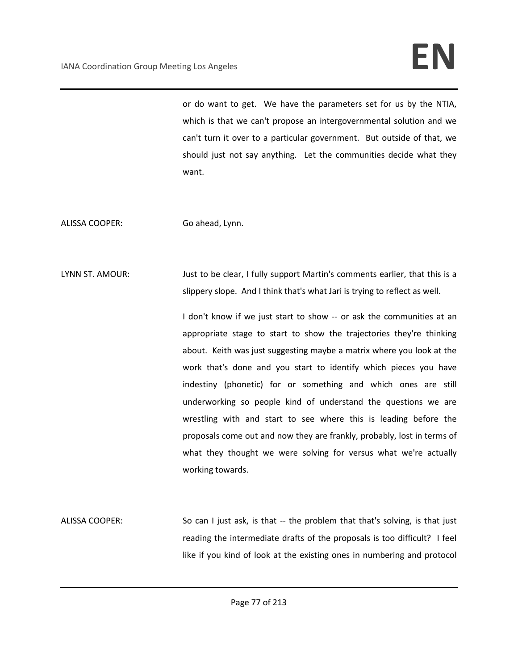# IANA Coordination Group Meeting Los Angeles **EN**

or do want to get. We have the parameters set for us by the NTIA, which is that we can't propose an intergovernmental solution and we can't turn it over to a particular government. But outside of that, we should just not say anything. Let the communities decide what they want.

ALISSA COOPER: Go ahead, Lynn.

LYNN ST. AMOUR: Just to be clear, I fully support Martin's comments earlier, that this is a slippery slope. And I think that's what Jari is trying to reflect as well.

> I don't know if we just start to show -- or ask the communities at an appropriate stage to start to show the trajectories they're thinking about. Keith was just suggesting maybe a matrix where you look at the work that's done and you start to identify which pieces you have indestiny (phonetic) for or something and which ones are still underworking so people kind of understand the questions we are wrestling with and start to see where this is leading before the proposals come out and now they are frankly, probably, lost in terms of what they thought we were solving for versus what we're actually working towards.

ALISSA COOPER: So can I just ask, is that -- the problem that that's solving, is that just reading the intermediate drafts of the proposals is too difficult? I feel like if you kind of look at the existing ones in numbering and protocol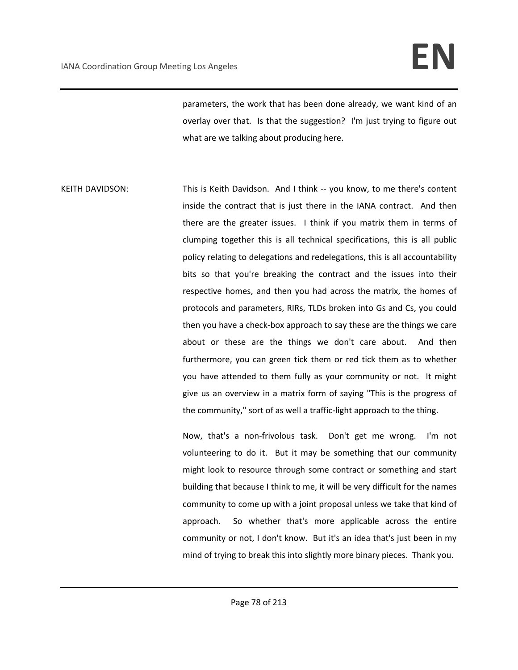# IANA Coordination Group Meeting Los Angeles **EN**

parameters, the work that has been done already, we want kind of an overlay over that. Is that the suggestion? I'm just trying to figure out what are we talking about producing here.

KEITH DAVIDSON: This is Keith Davidson. And I think -- you know, to me there's content inside the contract that is just there in the IANA contract. And then there are the greater issues. I think if you matrix them in terms of clumping together this is all technical specifications, this is all public policy relating to delegations and redelegations, this is all accountability bits so that you're breaking the contract and the issues into their respective homes, and then you had across the matrix, the homes of protocols and parameters, RIRs, TLDs broken into Gs and Cs, you could then you have a check-box approach to say these are the things we care about or these are the things we don't care about. And then furthermore, you can green tick them or red tick them as to whether you have attended to them fully as your community or not. It might give us an overview in a matrix form of saying "This is the progress of the community," sort of as well a traffic-light approach to the thing.

> Now, that's a non-frivolous task. Don't get me wrong. I'm not volunteering to do it. But it may be something that our community might look to resource through some contract or something and start building that because I think to me, it will be very difficult for the names community to come up with a joint proposal unless we take that kind of approach. So whether that's more applicable across the entire community or not, I don't know. But it's an idea that's just been in my mind of trying to break this into slightly more binary pieces. Thank you.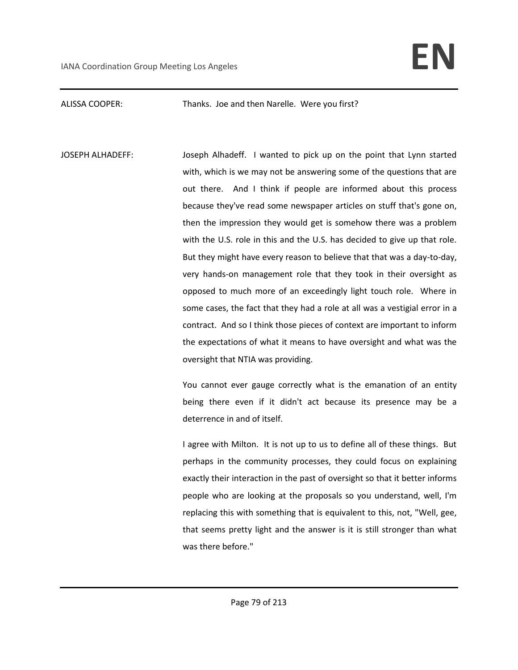### ALISSA COOPER: Thanks. Joe and then Narelle. Were you first?

JOSEPH ALHADEFF: Joseph Alhadeff. I wanted to pick up on the point that Lynn started with, which is we may not be answering some of the questions that are out there. And I think if people are informed about this process because they've read some newspaper articles on stuff that's gone on, then the impression they would get is somehow there was a problem with the U.S. role in this and the U.S. has decided to give up that role. But they might have every reason to believe that that was a day-to-day, very hands-on management role that they took in their oversight as opposed to much more of an exceedingly light touch role. Where in some cases, the fact that they had a role at all was a vestigial error in a contract. And so I think those pieces of context are important to inform the expectations of what it means to have oversight and what was the oversight that NTIA was providing.

> You cannot ever gauge correctly what is the emanation of an entity being there even if it didn't act because its presence may be a deterrence in and of itself.

> I agree with Milton. It is not up to us to define all of these things. But perhaps in the community processes, they could focus on explaining exactly their interaction in the past of oversight so that it better informs people who are looking at the proposals so you understand, well, I'm replacing this with something that is equivalent to this, not, "Well, gee, that seems pretty light and the answer is it is still stronger than what was there before."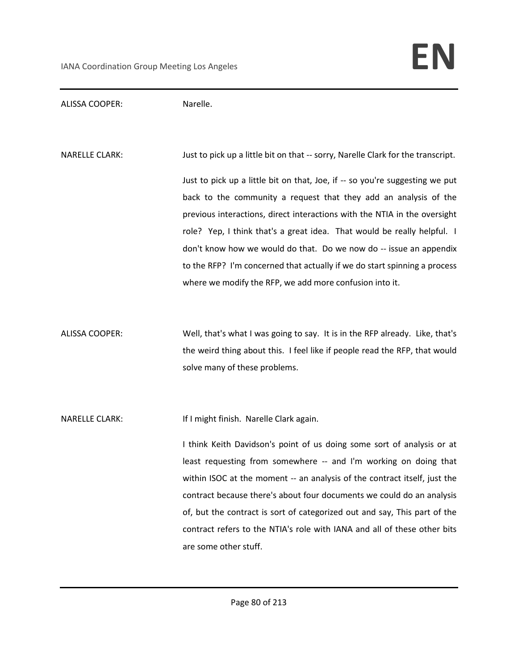ALISSA COOPER: Narelle.

NARELLE CLARK: Just to pick up a little bit on that -- sorry, Narelle Clark for the transcript. Just to pick up a little bit on that, Joe, if -- so you're suggesting we put back to the community a request that they add an analysis of the previous interactions, direct interactions with the NTIA in the oversight role? Yep, I think that's a great idea. That would be really helpful. I don't know how we would do that. Do we now do -- issue an appendix to the RFP? I'm concerned that actually if we do start spinning a process where we modify the RFP, we add more confusion into it.

ALISSA COOPER: Well, that's what I was going to say. It is in the RFP already. Like, that's the weird thing about this. I feel like if people read the RFP, that would solve many of these problems.

NARELLE CLARK: If I might finish. Narelle Clark again.

I think Keith Davidson's point of us doing some sort of analysis or at least requesting from somewhere -- and I'm working on doing that within ISOC at the moment -- an analysis of the contract itself, just the contract because there's about four documents we could do an analysis of, but the contract is sort of categorized out and say, This part of the contract refers to the NTIA's role with IANA and all of these other bits are some other stuff.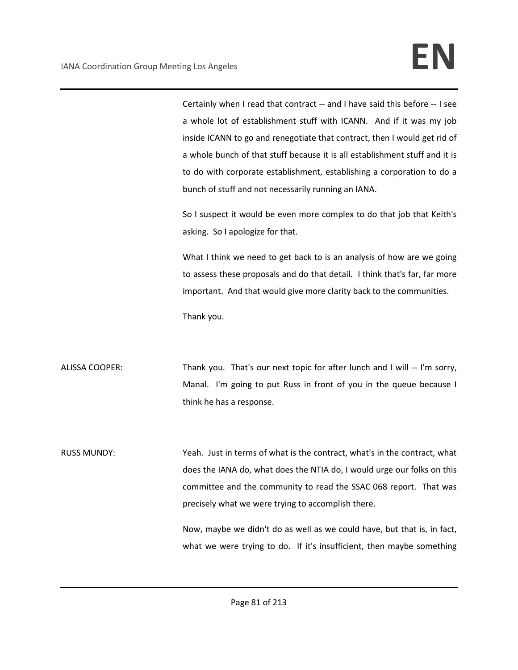Certainly when I read that contract -- and I have said this before -- I see a whole lot of establishment stuff with ICANN. And if it was my job inside ICANN to go and renegotiate that contract, then I would get rid of a whole bunch of that stuff because it is all establishment stuff and it is to do with corporate establishment, establishing a corporation to do a bunch of stuff and not necessarily running an IANA.

So I suspect it would be even more complex to do that job that Keith's asking. So I apologize for that.

What I think we need to get back to is an analysis of how are we going to assess these proposals and do that detail. I think that's far, far more important. And that would give more clarity back to the communities.

Thank you.

ALISSA COOPER: Thank you. That's our next topic for after lunch and I will -- I'm sorry, Manal. I'm going to put Russ in front of you in the queue because I think he has a response.

RUSS MUNDY: Yeah. Just in terms of what is the contract, what's in the contract, what does the IANA do, what does the NTIA do, I would urge our folks on this committee and the community to read the SSAC 068 report. That was precisely what we were trying to accomplish there.

> Now, maybe we didn't do as well as we could have, but that is, in fact, what we were trying to do. If it's insufficient, then maybe something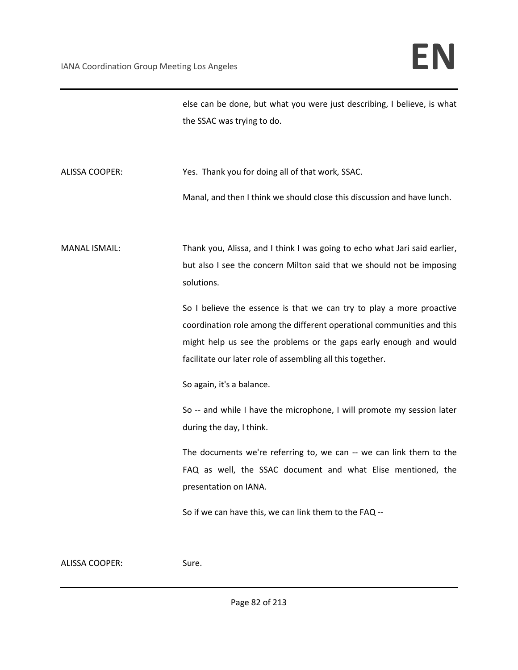else can be done, but what you were just describing, I believe, is what the SSAC was trying to do.

ALISSA COOPER: Yes. Thank you for doing all of that work, SSAC. Manal, and then I think we should close this discussion and have lunch.

MANAL ISMAIL: Thank you, Alissa, and I think I was going to echo what Jari said earlier, but also I see the concern Milton said that we should not be imposing solutions.

> So I believe the essence is that we can try to play a more proactive coordination role among the different operational communities and this might help us see the problems or the gaps early enough and would facilitate our later role of assembling all this together.

So again, it's a balance.

So -- and while I have the microphone, I will promote my session later during the day, I think.

The documents we're referring to, we can -- we can link them to the FAQ as well, the SSAC document and what Elise mentioned, the presentation on IANA.

So if we can have this, we can link them to the FAQ --

ALISSA COOPER: Sure.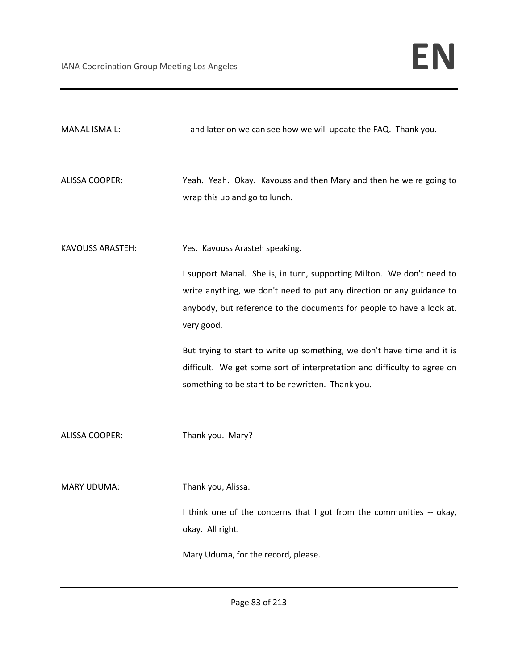| <b>MANAL ISMAIL:</b>    | -- and later on we can see how we will update the FAQ. Thank you.                                                                                                                                                                     |
|-------------------------|---------------------------------------------------------------------------------------------------------------------------------------------------------------------------------------------------------------------------------------|
| <b>ALISSA COOPER:</b>   | Yeah. Yeah. Okay. Kavouss and then Mary and then he we're going to<br>wrap this up and go to lunch.                                                                                                                                   |
| <b>KAVOUSS ARASTEH:</b> | Yes. Kavouss Arasteh speaking.                                                                                                                                                                                                        |
|                         | I support Manal. She is, in turn, supporting Milton. We don't need to<br>write anything, we don't need to put any direction or any guidance to<br>anybody, but reference to the documents for people to have a look at,<br>very good. |
|                         | But trying to start to write up something, we don't have time and it is<br>difficult. We get some sort of interpretation and difficulty to agree on<br>something to be start to be rewritten. Thank you.                              |
| <b>ALISSA COOPER:</b>   | Thank you. Mary?                                                                                                                                                                                                                      |
| <b>MARY UDUMA:</b>      | Thank you, Alissa.                                                                                                                                                                                                                    |
|                         | I think one of the concerns that I got from the communities -- okay,<br>okay. All right.                                                                                                                                              |
|                         | Mary Uduma, for the record, please.                                                                                                                                                                                                   |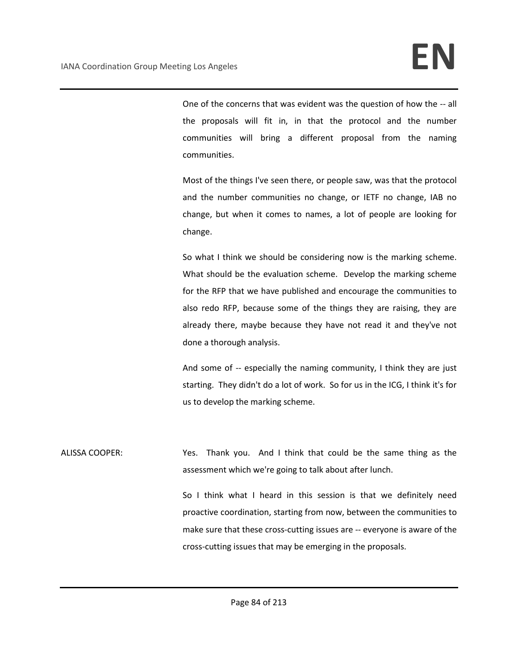One of the concerns that was evident was the question of how the -- all the proposals will fit in, in that the protocol and the number communities will bring a different proposal from the naming communities.

Most of the things I've seen there, or people saw, was that the protocol and the number communities no change, or IETF no change, IAB no change, but when it comes to names, a lot of people are looking for change.

So what I think we should be considering now is the marking scheme. What should be the evaluation scheme. Develop the marking scheme for the RFP that we have published and encourage the communities to also redo RFP, because some of the things they are raising, they are already there, maybe because they have not read it and they've not done a thorough analysis.

And some of -- especially the naming community, I think they are just starting. They didn't do a lot of work. So for us in the ICG, I think it's for us to develop the marking scheme.

ALISSA COOPER: Yes. Thank you. And I think that could be the same thing as the assessment which we're going to talk about after lunch.

> So I think what I heard in this session is that we definitely need proactive coordination, starting from now, between the communities to make sure that these cross-cutting issues are -- everyone is aware of the cross-cutting issues that may be emerging in the proposals.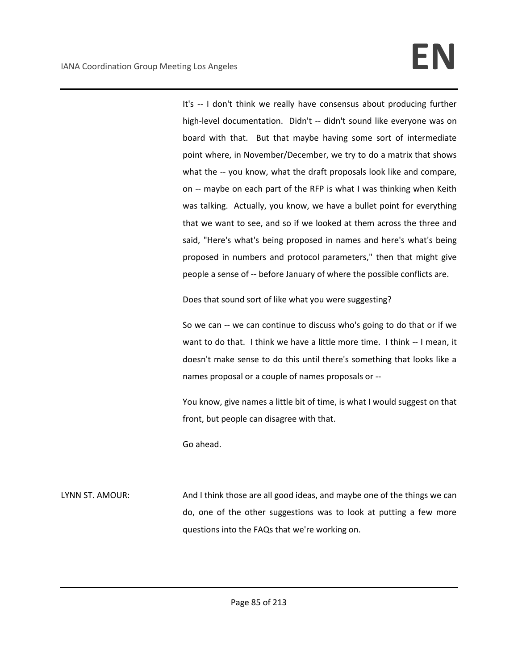It's -- I don't think we really have consensus about producing further high-level documentation. Didn't -- didn't sound like everyone was on board with that. But that maybe having some sort of intermediate point where, in November/December, we try to do a matrix that shows what the -- you know, what the draft proposals look like and compare, on -- maybe on each part of the RFP is what I was thinking when Keith was talking. Actually, you know, we have a bullet point for everything that we want to see, and so if we looked at them across the three and said, "Here's what's being proposed in names and here's what's being proposed in numbers and protocol parameters," then that might give people a sense of -- before January of where the possible conflicts are.

Does that sound sort of like what you were suggesting?

So we can -- we can continue to discuss who's going to do that or if we want to do that. I think we have a little more time. I think -- I mean, it doesn't make sense to do this until there's something that looks like a names proposal or a couple of names proposals or --

You know, give names a little bit of time, is what I would suggest on that front, but people can disagree with that.

Go ahead.

LYNN ST. AMOUR: And I think those are all good ideas, and maybe one of the things we can do, one of the other suggestions was to look at putting a few more questions into the FAQs that we're working on.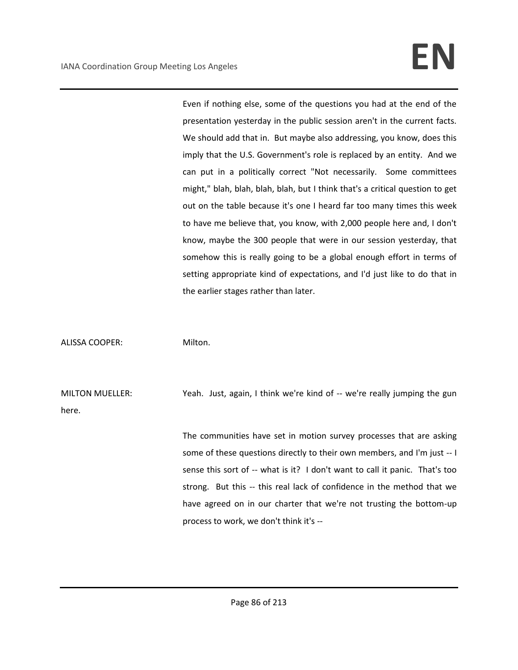Even if nothing else, some of the questions you had at the end of the presentation yesterday in the public session aren't in the current facts. We should add that in. But maybe also addressing, you know, does this imply that the U.S. Government's role is replaced by an entity. And we can put in a politically correct "Not necessarily. Some committees might," blah, blah, blah, blah, but I think that's a critical question to get out on the table because it's one I heard far too many times this week to have me believe that, you know, with 2,000 people here and, I don't know, maybe the 300 people that were in our session yesterday, that somehow this is really going to be a global enough effort in terms of setting appropriate kind of expectations, and I'd just like to do that in the earlier stages rather than later.

ALISSA COOPER: Milton.

MILTON MUELLER: Yeah. Just, again, I think we're kind of -- we're really jumping the gun here.

> The communities have set in motion survey processes that are asking some of these questions directly to their own members, and I'm just -- I sense this sort of -- what is it? I don't want to call it panic. That's too strong. But this -- this real lack of confidence in the method that we have agreed on in our charter that we're not trusting the bottom-up process to work, we don't think it's --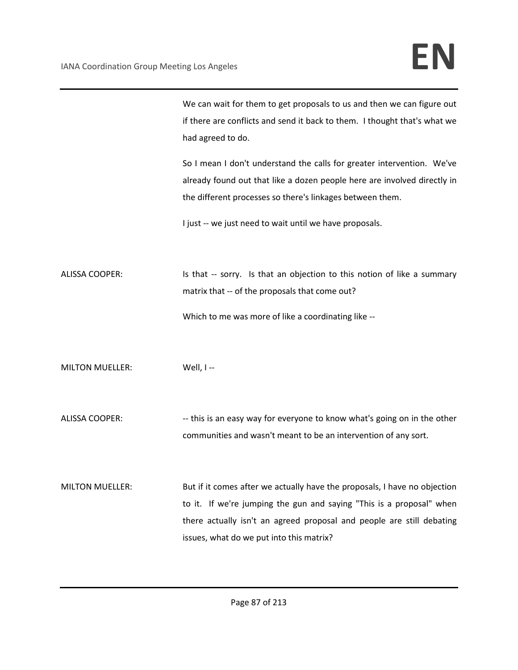We can wait for them to get proposals to us and then we can figure out if there are conflicts and send it back to them. I thought that's what we had agreed to do.

So I mean I don't understand the calls for greater intervention. We've already found out that like a dozen people here are involved directly in the different processes so there's linkages between them.

I just -- we just need to wait until we have proposals.

ALISSA COOPER: Is that -- sorry. Is that an objection to this notion of like a summary matrix that -- of the proposals that come out? Which to me was more of like a coordinating like --

MILTON MUELLER: Well, I--

ALISSA COOPER: --- this is an easy way for everyone to know what's going on in the other communities and wasn't meant to be an intervention of any sort.

MILTON MUELLER: But if it comes after we actually have the proposals, I have no objection to it. If we're jumping the gun and saying "This is a proposal" when there actually isn't an agreed proposal and people are still debating issues, what do we put into this matrix?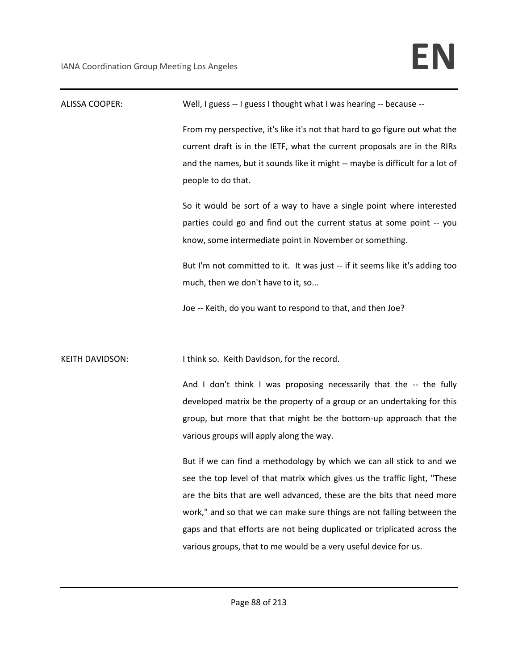| <b>ALISSA COOPER:</b>  | Well, I guess -- I guess I thought what I was hearing -- because --                                                                                                                                                                                                                                                                                                                                                                                   |
|------------------------|-------------------------------------------------------------------------------------------------------------------------------------------------------------------------------------------------------------------------------------------------------------------------------------------------------------------------------------------------------------------------------------------------------------------------------------------------------|
|                        | From my perspective, it's like it's not that hard to go figure out what the<br>current draft is in the IETF, what the current proposals are in the RIRs<br>and the names, but it sounds like it might -- maybe is difficult for a lot of<br>people to do that.                                                                                                                                                                                        |
|                        | So it would be sort of a way to have a single point where interested<br>parties could go and find out the current status at some point -- you<br>know, some intermediate point in November or something.                                                                                                                                                                                                                                              |
|                        | But I'm not committed to it. It was just -- if it seems like it's adding too<br>much, then we don't have to it, so                                                                                                                                                                                                                                                                                                                                    |
|                        | Joe -- Keith, do you want to respond to that, and then Joe?                                                                                                                                                                                                                                                                                                                                                                                           |
| <b>KEITH DAVIDSON:</b> | I think so. Keith Davidson, for the record.                                                                                                                                                                                                                                                                                                                                                                                                           |
|                        | And I don't think I was proposing necessarily that the -- the fully<br>developed matrix be the property of a group or an undertaking for this<br>group, but more that that might be the bottom-up approach that the<br>various groups will apply along the way.                                                                                                                                                                                       |
|                        | But if we can find a methodology by which we can all stick to and we<br>see the top level of that matrix which gives us the traffic light, "These<br>are the bits that are well advanced, these are the bits that need more<br>work," and so that we can make sure things are not falling between the<br>gaps and that efforts are not being duplicated or triplicated across the<br>various groups, that to me would be a very useful device for us. |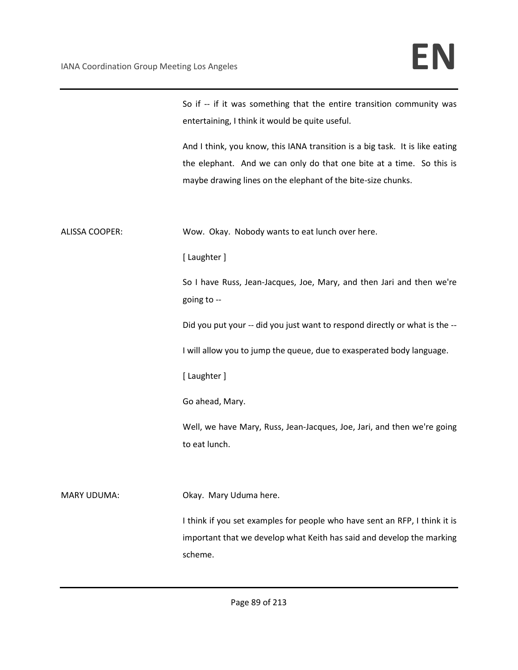|                    | So if -- if it was something that the entire transition community was<br>entertaining, I think it would be quite useful.                                                                                             |
|--------------------|----------------------------------------------------------------------------------------------------------------------------------------------------------------------------------------------------------------------|
|                    | And I think, you know, this IANA transition is a big task. It is like eating<br>the elephant. And we can only do that one bite at a time. So this is<br>maybe drawing lines on the elephant of the bite-size chunks. |
| ALISSA COOPER:     | Wow. Okay. Nobody wants to eat lunch over here.                                                                                                                                                                      |
|                    | [Laughter]                                                                                                                                                                                                           |
|                    | So I have Russ, Jean-Jacques, Joe, Mary, and then Jari and then we're<br>going to --                                                                                                                                 |
|                    | Did you put your -- did you just want to respond directly or what is the --                                                                                                                                          |
|                    | I will allow you to jump the queue, due to exasperated body language.                                                                                                                                                |
|                    | [ Laughter ]                                                                                                                                                                                                         |
|                    | Go ahead, Mary.                                                                                                                                                                                                      |
|                    | Well, we have Mary, Russ, Jean-Jacques, Joe, Jari, and then we're going<br>to eat lunch.                                                                                                                             |
| <b>MARY UDUMA:</b> | Okay. Mary Uduma here.                                                                                                                                                                                               |
|                    | I think if you set examples for people who have sent an RFP, I think it is                                                                                                                                           |
|                    | important that we develop what Keith has said and develop the marking<br>scheme.                                                                                                                                     |
|                    |                                                                                                                                                                                                                      |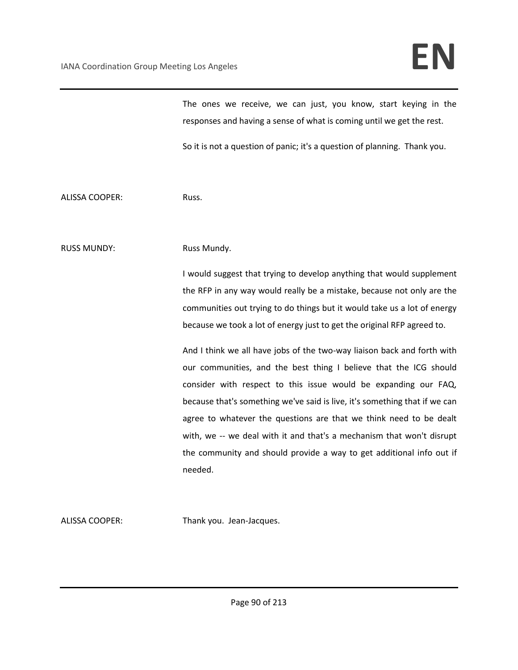The ones we receive, we can just, you know, start keying in the responses and having a sense of what is coming until we get the rest.

So it is not a question of panic; it's a question of planning. Thank you.

ALISSA COOPER: Russ.

RUSS MUNDY: Russ Mundy.

I would suggest that trying to develop anything that would supplement the RFP in any way would really be a mistake, because not only are the communities out trying to do things but it would take us a lot of energy because we took a lot of energy just to get the original RFP agreed to.

And I think we all have jobs of the two-way liaison back and forth with our communities, and the best thing I believe that the ICG should consider with respect to this issue would be expanding our FAQ, because that's something we've said is live, it's something that if we can agree to whatever the questions are that we think need to be dealt with, we -- we deal with it and that's a mechanism that won't disrupt the community and should provide a way to get additional info out if needed.

ALISSA COOPER: Thank you. Jean-Jacques.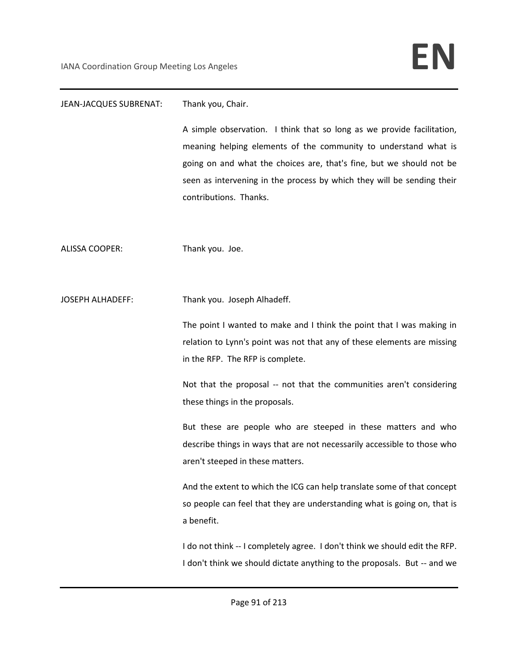### JEAN-JACQUES SUBRENAT: Thank you, Chair.

A simple observation. I think that so long as we provide facilitation, meaning helping elements of the community to understand what is going on and what the choices are, that's fine, but we should not be seen as intervening in the process by which they will be sending their contributions. Thanks.

ALISSA COOPER: Thank you. Joe.

JOSEPH ALHADEFF: Thank you. Joseph Alhadeff.

The point I wanted to make and I think the point that I was making in relation to Lynn's point was not that any of these elements are missing in the RFP. The RFP is complete.

Not that the proposal -- not that the communities aren't considering these things in the proposals.

But these are people who are steeped in these matters and who describe things in ways that are not necessarily accessible to those who aren't steeped in these matters.

And the extent to which the ICG can help translate some of that concept so people can feel that they are understanding what is going on, that is a benefit.

I do not think -- I completely agree. I don't think we should edit the RFP. I don't think we should dictate anything to the proposals. But -- and we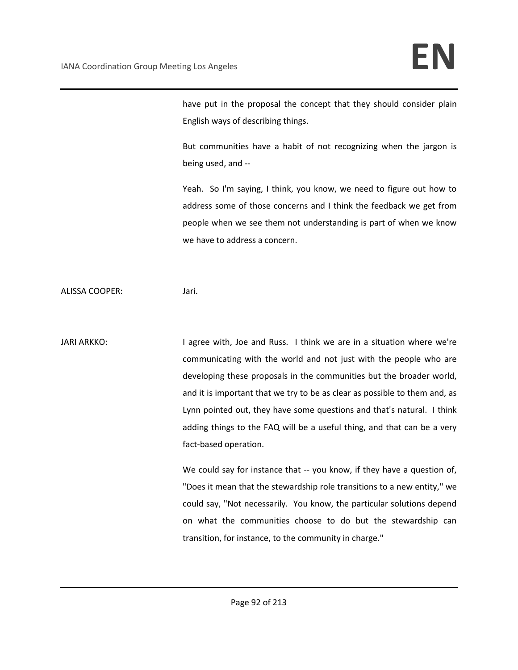have put in the proposal the concept that they should consider plain English ways of describing things.

But communities have a habit of not recognizing when the jargon is being used, and --

Yeah. So I'm saying, I think, you know, we need to figure out how to address some of those concerns and I think the feedback we get from people when we see them not understanding is part of when we know we have to address a concern.

ALISSA COOPER: Jari.

JARI ARKKO: I agree with, Joe and Russ. I think we are in a situation where we're communicating with the world and not just with the people who are developing these proposals in the communities but the broader world, and it is important that we try to be as clear as possible to them and, as Lynn pointed out, they have some questions and that's natural. I think adding things to the FAQ will be a useful thing, and that can be a very fact-based operation.

> We could say for instance that -- you know, if they have a question of, "Does it mean that the stewardship role transitions to a new entity," we could say, "Not necessarily. You know, the particular solutions depend on what the communities choose to do but the stewardship can transition, for instance, to the community in charge."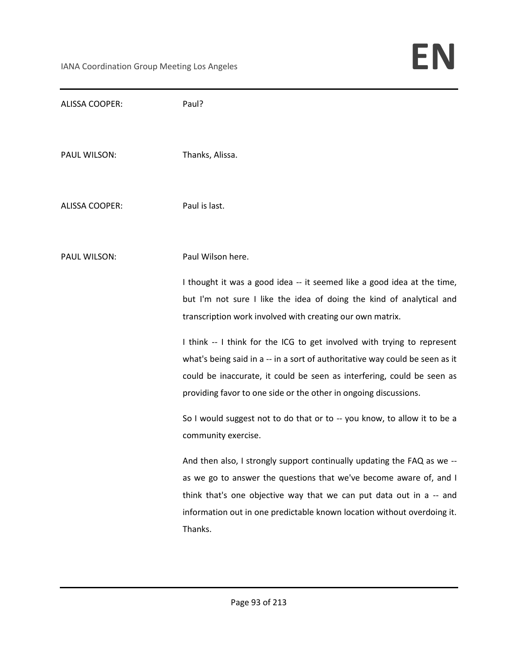| Thanks, Alissa.                                                                                                                                                                                                                                                                                            |
|------------------------------------------------------------------------------------------------------------------------------------------------------------------------------------------------------------------------------------------------------------------------------------------------------------|
| Paul is last.                                                                                                                                                                                                                                                                                              |
| Paul Wilson here.                                                                                                                                                                                                                                                                                          |
| I thought it was a good idea -- it seemed like a good idea at the time,<br>but I'm not sure I like the idea of doing the kind of analytical and<br>transcription work involved with creating our own matrix.                                                                                               |
| I think -- I think for the ICG to get involved with trying to represent<br>what's being said in a -- in a sort of authoritative way could be seen as it<br>could be inaccurate, it could be seen as interfering, could be seen as<br>providing favor to one side or the other in ongoing discussions.      |
| So I would suggest not to do that or to -- you know, to allow it to be a<br>community exercise.                                                                                                                                                                                                            |
| And then also, I strongly support continually updating the FAQ as we --<br>as we go to answer the questions that we've become aware of, and I<br>think that's one objective way that we can put data out in a -- and<br>information out in one predictable known location without overdoing it.<br>Thanks. |
|                                                                                                                                                                                                                                                                                                            |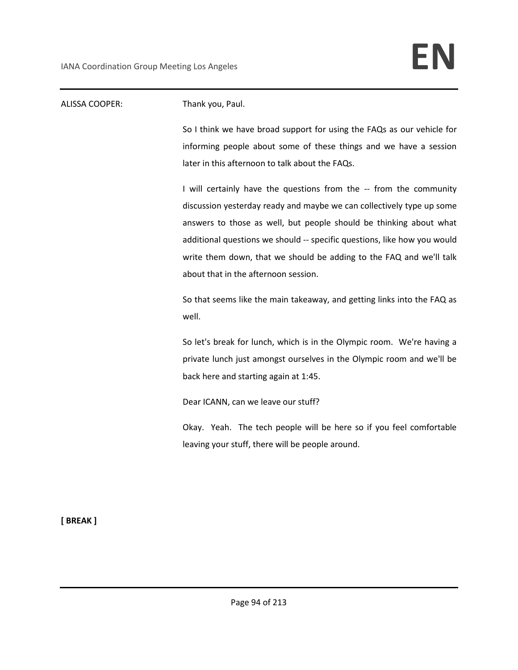| <b>ALISSA COOPER:</b> | Thank you, Paul.                                                                 |
|-----------------------|----------------------------------------------------------------------------------|
|                       | So I think we have broad support for using the FAQs as our vehicle for           |
|                       | informing people about some of these things and we have a session                |
|                       | later in this afternoon to talk about the FAQs.                                  |
|                       | I will certainly have the questions from the -- from the community               |
|                       | discussion yesterday ready and maybe we can collectively type up some            |
|                       | answers to those as well, but people should be thinking about what               |
|                       | additional questions we should -- specific questions, like how you would         |
|                       | write them down, that we should be adding to the FAQ and we'll talk              |
|                       | about that in the afternoon session.                                             |
|                       | So that seems like the main takeaway, and getting links into the FAQ as<br>well. |
|                       | So let's break for lunch, which is in the Olympic room. We're having a           |
|                       | private lunch just amongst ourselves in the Olympic room and we'll be            |
|                       | back here and starting again at 1:45.                                            |
|                       | Dear ICANN, can we leave our stuff?                                              |
|                       | Okay. Yeah. The tech people will be here so if you feel comfortable              |
|                       | leaving your stuff, there will be people around.                                 |
|                       |                                                                                  |

**[ BREAK ]**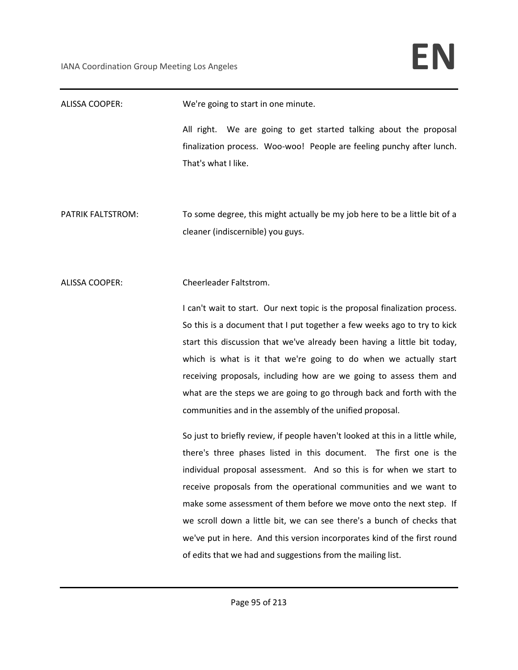ALISSA COOPER: We're going to start in one minute. All right. We are going to get started talking about the proposal finalization process. Woo-woo! People are feeling punchy after lunch. That's what I like. PATRIK FALTSTROM: To some degree, this might actually be my job here to be a little bit of a cleaner (indiscernible) you guys. ALISSA COOPER: Cheerleader Faltstrom. I can't wait to start. Our next topic is the proposal finalization process. So this is a document that I put together a few weeks ago to try to kick start this discussion that we've already been having a little bit today, which is what is it that we're going to do when we actually start receiving proposals, including how are we going to assess them and what are the steps we are going to go through back and forth with the communities and in the assembly of the unified proposal. So just to briefly review, if people haven't looked at this in a little while, there's three phases listed in this document. The first one is the individual proposal assessment. And so this is for when we start to receive proposals from the operational communities and we want to make some assessment of them before we move onto the next step. If we scroll down a little bit, we can see there's a bunch of checks that we've put in here. And this version incorporates kind of the first round of edits that we had and suggestions from the mailing list.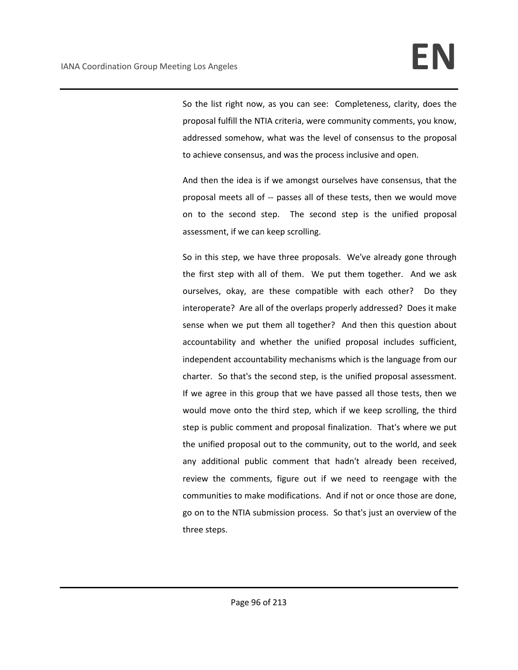So the list right now, as you can see: Completeness, clarity, does the proposal fulfill the NTIA criteria, were community comments, you know, addressed somehow, what was the level of consensus to the proposal to achieve consensus, and was the process inclusive and open.

And then the idea is if we amongst ourselves have consensus, that the proposal meets all of -- passes all of these tests, then we would move on to the second step. The second step is the unified proposal assessment, if we can keep scrolling.

So in this step, we have three proposals. We've already gone through the first step with all of them. We put them together. And we ask ourselves, okay, are these compatible with each other? Do they interoperate? Are all of the overlaps properly addressed? Does it make sense when we put them all together? And then this question about accountability and whether the unified proposal includes sufficient, independent accountability mechanisms which is the language from our charter. So that's the second step, is the unified proposal assessment. If we agree in this group that we have passed all those tests, then we would move onto the third step, which if we keep scrolling, the third step is public comment and proposal finalization. That's where we put the unified proposal out to the community, out to the world, and seek any additional public comment that hadn't already been received, review the comments, figure out if we need to reengage with the communities to make modifications. And if not or once those are done, go on to the NTIA submission process. So that's just an overview of the three steps.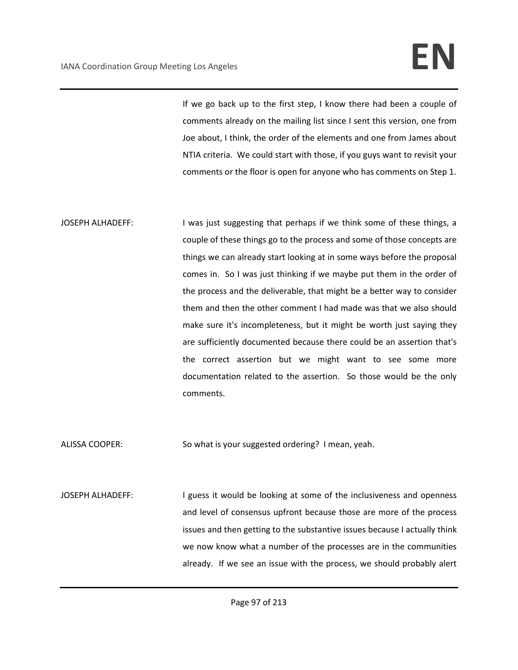# IANA Coordination Group Meeting Los Angeles **EN**

If we go back up to the first step, I know there had been a couple of comments already on the mailing list since I sent this version, one from Joe about, I think, the order of the elements and one from James about NTIA criteria. We could start with those, if you guys want to revisit your comments or the floor is open for anyone who has comments on Step 1.

JOSEPH ALHADEFF: I was just suggesting that perhaps if we think some of these things, a couple of these things go to the process and some of those concepts are things we can already start looking at in some ways before the proposal comes in. So I was just thinking if we maybe put them in the order of the process and the deliverable, that might be a better way to consider them and then the other comment I had made was that we also should make sure it's incompleteness, but it might be worth just saying they are sufficiently documented because there could be an assertion that's the correct assertion but we might want to see some more documentation related to the assertion. So those would be the only comments.

ALISSA COOPER: So what is your suggested ordering? I mean, yeah.

JOSEPH ALHADEFF: I guess it would be looking at some of the inclusiveness and openness and level of consensus upfront because those are more of the process issues and then getting to the substantive issues because I actually think we now know what a number of the processes are in the communities already. If we see an issue with the process, we should probably alert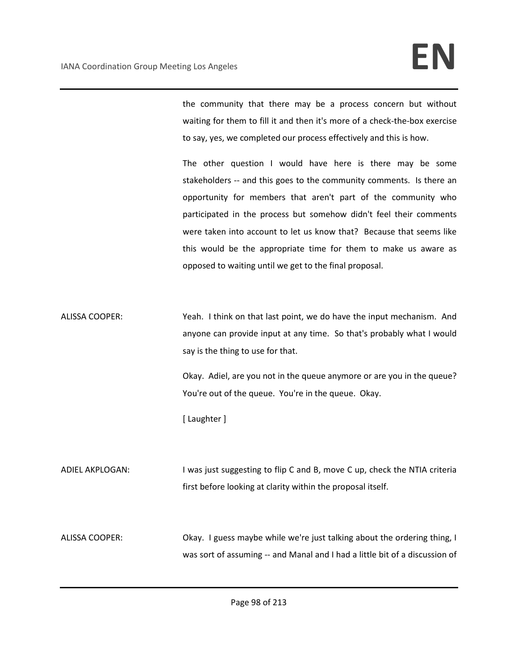the community that there may be a process concern but without waiting for them to fill it and then it's more of a check-the-box exercise to say, yes, we completed our process effectively and this is how.

The other question I would have here is there may be some stakeholders -- and this goes to the community comments. Is there an opportunity for members that aren't part of the community who participated in the process but somehow didn't feel their comments were taken into account to let us know that? Because that seems like this would be the appropriate time for them to make us aware as opposed to waiting until we get to the final proposal.

ALISSA COOPER: Yeah. I think on that last point, we do have the input mechanism. And anyone can provide input at any time. So that's probably what I would say is the thing to use for that.

> Okay. Adiel, are you not in the queue anymore or are you in the queue? You're out of the queue. You're in the queue. Okay.

[ Laughter ]

ADIEL AKPLOGAN: I was just suggesting to flip C and B, move C up, check the NTIA criteria first before looking at clarity within the proposal itself.

ALISSA COOPER: Okay. I guess maybe while we're just talking about the ordering thing, I was sort of assuming -- and Manal and I had a little bit of a discussion of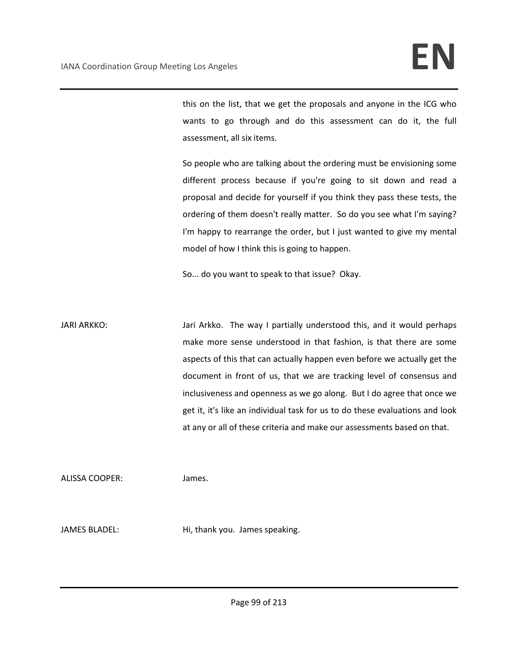this on the list, that we get the proposals and anyone in the ICG who wants to go through and do this assessment can do it, the full assessment, all six items.

So people who are talking about the ordering must be envisioning some different process because if you're going to sit down and read a proposal and decide for yourself if you think they pass these tests, the ordering of them doesn't really matter. So do you see what I'm saying? I'm happy to rearrange the order, but I just wanted to give my mental model of how I think this is going to happen.

So... do you want to speak to that issue? Okay.

JARI ARKKO: Jari Arkko. The way I partially understood this, and it would perhaps make more sense understood in that fashion, is that there are some aspects of this that can actually happen even before we actually get the document in front of us, that we are tracking level of consensus and inclusiveness and openness as we go along. But I do agree that once we get it, it's like an individual task for us to do these evaluations and look at any or all of these criteria and make our assessments based on that.

ALISSA COOPER: James.

JAMES BLADEL: Hi, thank you. James speaking.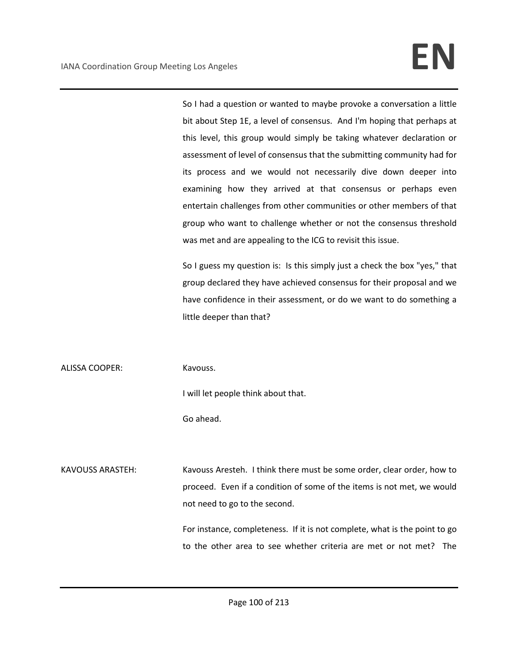So I had a question or wanted to maybe provoke a conversation a little bit about Step 1E, a level of consensus. And I'm hoping that perhaps at this level, this group would simply be taking whatever declaration or assessment of level of consensus that the submitting community had for its process and we would not necessarily dive down deeper into examining how they arrived at that consensus or perhaps even entertain challenges from other communities or other members of that group who want to challenge whether or not the consensus threshold was met and are appealing to the ICG to revisit this issue.

So I guess my question is: Is this simply just a check the box "yes," that group declared they have achieved consensus for their proposal and we have confidence in their assessment, or do we want to do something a little deeper than that?

ALISSA COOPER: Kavouss.

I will let people think about that.

Go ahead.

KAVOUSS ARASTEH: Kavouss Aresteh. I think there must be some order, clear order, how to proceed. Even if a condition of some of the items is not met, we would not need to go to the second.

> For instance, completeness. If it is not complete, what is the point to go to the other area to see whether criteria are met or not met? The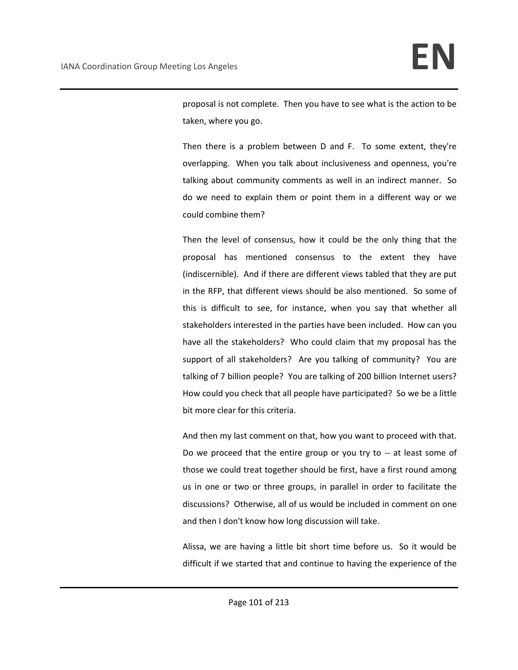proposal is not complete. Then you have to see what is the action to be taken, where you go.

Then there is a problem between D and F. To some extent, they're overlapping. When you talk about inclusiveness and openness, you're talking about community comments as well in an indirect manner. So do we need to explain them or point them in a different way or we could combine them?

Then the level of consensus, how it could be the only thing that the proposal has mentioned consensus to the extent they have (indiscernible). And if there are different views tabled that they are put in the RFP, that different views should be also mentioned. So some of this is difficult to see, for instance, when you say that whether all stakeholders interested in the parties have been included. How can you have all the stakeholders? Who could claim that my proposal has the support of all stakeholders? Are you talking of community? You are talking of 7 billion people? You are talking of 200 billion Internet users? How could you check that all people have participated? So we be a little bit more clear for this criteria.

And then my last comment on that, how you want to proceed with that. Do we proceed that the entire group or you try to -- at least some of those we could treat together should be first, have a first round among us in one or two or three groups, in parallel in order to facilitate the discussions? Otherwise, all of us would be included in comment on one and then I don't know how long discussion will take.

Alissa, we are having a little bit short time before us. So it would be difficult if we started that and continue to having the experience of the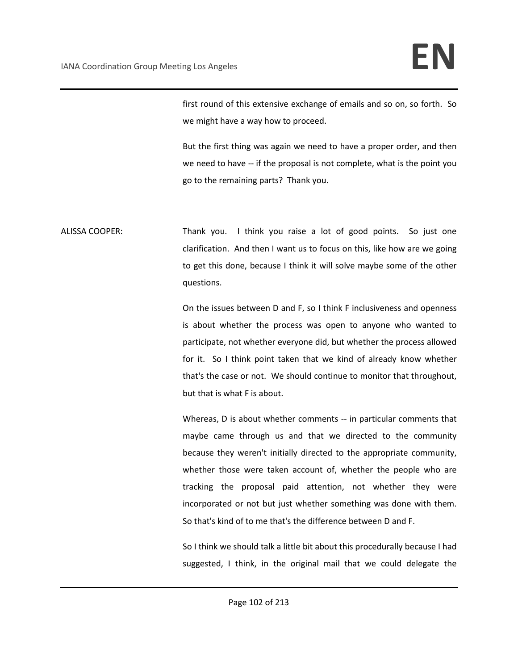first round of this extensive exchange of emails and so on, so forth. So we might have a way how to proceed.

But the first thing was again we need to have a proper order, and then we need to have -- if the proposal is not complete, what is the point you go to the remaining parts? Thank you.

ALISSA COOPER: Thank you. I think you raise a lot of good points. So just one clarification. And then I want us to focus on this, like how are we going to get this done, because I think it will solve maybe some of the other questions.

> On the issues between D and F, so I think F inclusiveness and openness is about whether the process was open to anyone who wanted to participate, not whether everyone did, but whether the process allowed for it. So I think point taken that we kind of already know whether that's the case or not. We should continue to monitor that throughout, but that is what F is about.

> Whereas, D is about whether comments -- in particular comments that maybe came through us and that we directed to the community because they weren't initially directed to the appropriate community, whether those were taken account of, whether the people who are tracking the proposal paid attention, not whether they were incorporated or not but just whether something was done with them. So that's kind of to me that's the difference between D and F.

> So I think we should talk a little bit about this procedurally because I had suggested, I think, in the original mail that we could delegate the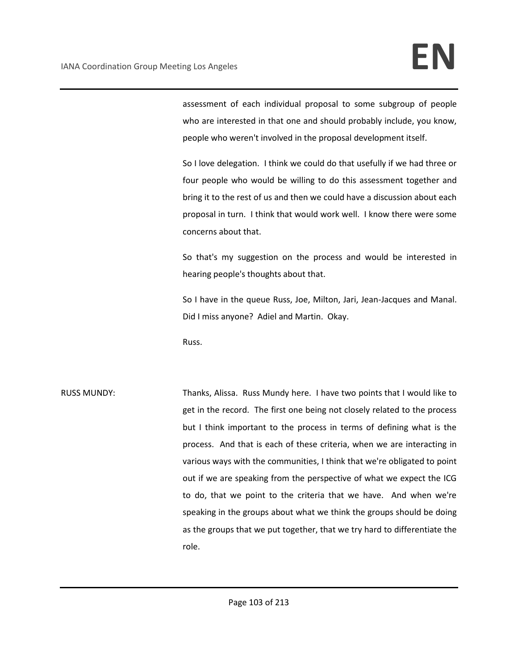assessment of each individual proposal to some subgroup of people who are interested in that one and should probably include, you know, people who weren't involved in the proposal development itself.

So I love delegation. I think we could do that usefully if we had three or four people who would be willing to do this assessment together and bring it to the rest of us and then we could have a discussion about each proposal in turn. I think that would work well. I know there were some concerns about that.

So that's my suggestion on the process and would be interested in hearing people's thoughts about that.

So I have in the queue Russ, Joe, Milton, Jari, Jean-Jacques and Manal. Did I miss anyone? Adiel and Martin. Okay.

Russ.

RUSS MUNDY: Thanks, Alissa. Russ Mundy here. I have two points that I would like to get in the record. The first one being not closely related to the process but I think important to the process in terms of defining what is the process. And that is each of these criteria, when we are interacting in various ways with the communities, I think that we're obligated to point out if we are speaking from the perspective of what we expect the ICG to do, that we point to the criteria that we have. And when we're speaking in the groups about what we think the groups should be doing as the groups that we put together, that we try hard to differentiate the role.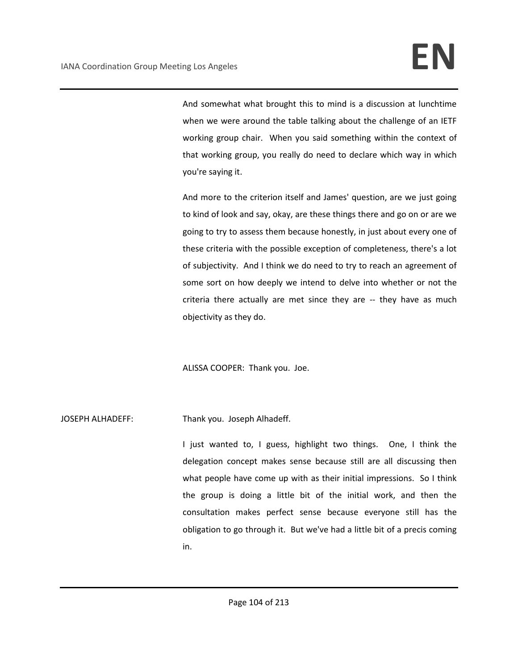And somewhat what brought this to mind is a discussion at lunchtime when we were around the table talking about the challenge of an IETF working group chair. When you said something within the context of that working group, you really do need to declare which way in which you're saying it.

And more to the criterion itself and James' question, are we just going to kind of look and say, okay, are these things there and go on or are we going to try to assess them because honestly, in just about every one of these criteria with the possible exception of completeness, there's a lot of subjectivity. And I think we do need to try to reach an agreement of some sort on how deeply we intend to delve into whether or not the criteria there actually are met since they are -- they have as much objectivity as they do.

ALISSA COOPER: Thank you. Joe.

JOSEPH ALHADEFF: Thank you. Joseph Alhadeff.

I just wanted to, I guess, highlight two things. One, I think the delegation concept makes sense because still are all discussing then what people have come up with as their initial impressions. So I think the group is doing a little bit of the initial work, and then the consultation makes perfect sense because everyone still has the obligation to go through it. But we've had a little bit of a precis coming in.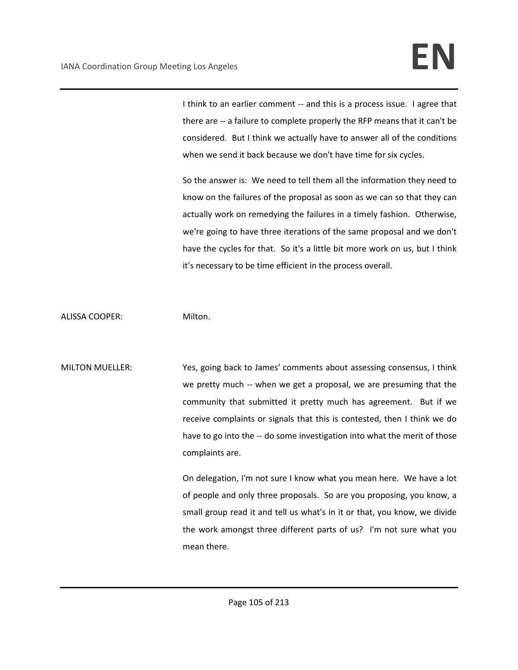I think to an earlier comment -- and this is a process issue. I agree that there are -- a failure to complete properly the RFP means that it can't be considered. But I think we actually have to answer all of the conditions when we send it back because we don't have time for six cycles.

So the answer is: We need to tell them all the information they need to know on the failures of the proposal as soon as we can so that they can actually work on remedying the failures in a timely fashion. Otherwise, we're going to have three iterations of the same proposal and we don't have the cycles for that. So it's a little bit more work on us, but I think it's necessary to be time efficient in the process overall.

ALISSA COOPER: Milton.

MILTON MUELLER: Yes, going back to James' comments about assessing consensus, I think we pretty much -- when we get a proposal, we are presuming that the community that submitted it pretty much has agreement. But if we receive complaints or signals that this is contested, then I think we do have to go into the -- do some investigation into what the merit of those complaints are.

> On delegation, I'm not sure I know what you mean here. We have a lot of people and only three proposals. So are you proposing, you know, a small group read it and tell us what's in it or that, you know, we divide the work amongst three different parts of us? I'm not sure what you mean there.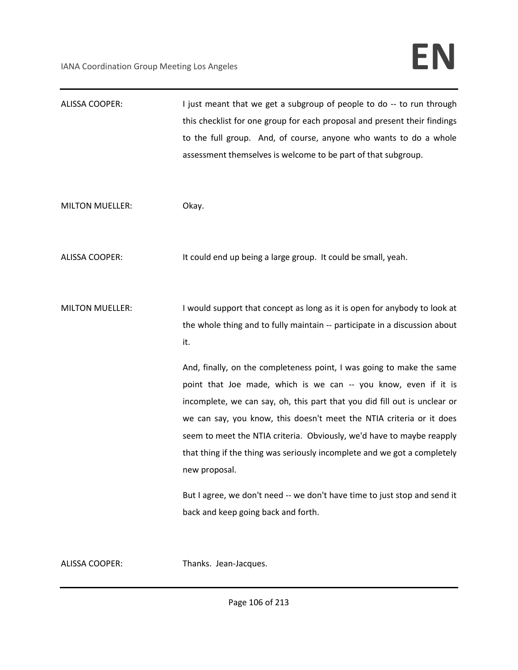| ALISSA COOPER:         | I just meant that we get a subgroup of people to do -- to run through<br>this checklist for one group for each proposal and present their findings |
|------------------------|----------------------------------------------------------------------------------------------------------------------------------------------------|
|                        | to the full group. And, of course, anyone who wants to do a whole                                                                                  |
|                        | assessment themselves is welcome to be part of that subgroup.                                                                                      |
|                        |                                                                                                                                                    |
| <b>MILTON MUELLER:</b> | Okay.                                                                                                                                              |
|                        |                                                                                                                                                    |
| <b>ALISSA COOPER:</b>  | It could end up being a large group. It could be small, yeah.                                                                                      |
| <b>MILTON MUELLER:</b> | I would support that concept as long as it is open for anybody to look at                                                                          |
|                        | the whole thing and to fully maintain -- participate in a discussion about                                                                         |
|                        | it.                                                                                                                                                |
|                        | And, finally, on the completeness point, I was going to make the same<br>point that Joe made, which is we can -- you know, even if it is           |
|                        | incomplete, we can say, oh, this part that you did fill out is unclear or                                                                          |
|                        | we can say, you know, this doesn't meet the NTIA criteria or it does<br>seem to meet the NTIA criteria. Obviously, we'd have to maybe reapply      |
|                        | that thing if the thing was seriously incomplete and we got a completely                                                                           |
|                        | new proposal.                                                                                                                                      |
|                        | But I agree, we don't need -- we don't have time to just stop and send it<br>back and keep going back and forth.                                   |
|                        |                                                                                                                                                    |

ALISSA COOPER: Thanks. Jean-Jacques.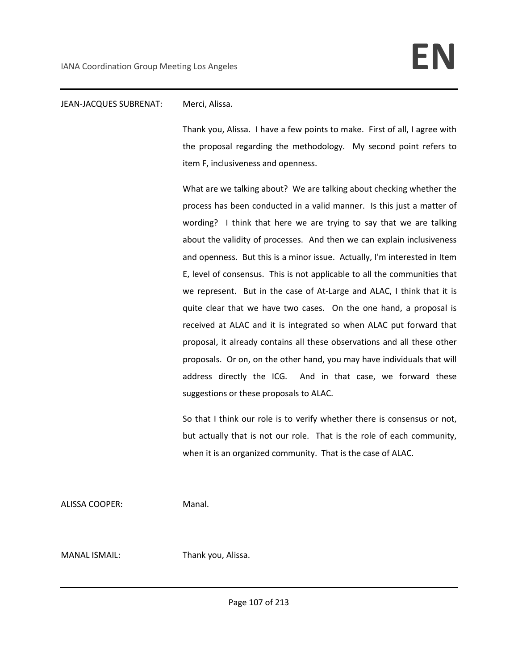### JEAN-JACQUES SUBRENAT: Merci, Alissa.

Thank you, Alissa. I have a few points to make. First of all, I agree with the proposal regarding the methodology. My second point refers to item F, inclusiveness and openness.

What are we talking about? We are talking about checking whether the process has been conducted in a valid manner. Is this just a matter of wording? I think that here we are trying to say that we are talking about the validity of processes. And then we can explain inclusiveness and openness. But this is a minor issue. Actually, I'm interested in Item E, level of consensus. This is not applicable to all the communities that we represent. But in the case of At-Large and ALAC, I think that it is quite clear that we have two cases. On the one hand, a proposal is received at ALAC and it is integrated so when ALAC put forward that proposal, it already contains all these observations and all these other proposals. Or on, on the other hand, you may have individuals that will address directly the ICG. And in that case, we forward these suggestions or these proposals to ALAC.

So that I think our role is to verify whether there is consensus or not, but actually that is not our role. That is the role of each community, when it is an organized community. That is the case of ALAC.

ALISSA COOPER: Manal.

MANAL ISMAIL: Thank you, Alissa.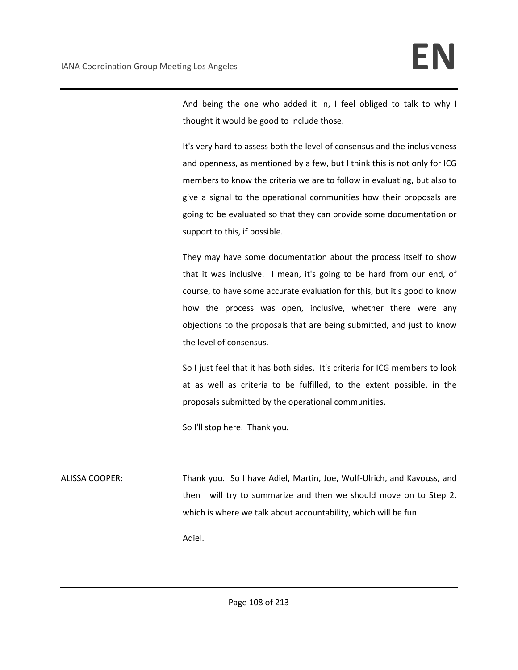And being the one who added it in, I feel obliged to talk to why I thought it would be good to include those.

It's very hard to assess both the level of consensus and the inclusiveness and openness, as mentioned by a few, but I think this is not only for ICG members to know the criteria we are to follow in evaluating, but also to give a signal to the operational communities how their proposals are going to be evaluated so that they can provide some documentation or support to this, if possible.

They may have some documentation about the process itself to show that it was inclusive. I mean, it's going to be hard from our end, of course, to have some accurate evaluation for this, but it's good to know how the process was open, inclusive, whether there were any objections to the proposals that are being submitted, and just to know the level of consensus.

So I just feel that it has both sides. It's criteria for ICG members to look at as well as criteria to be fulfilled, to the extent possible, in the proposals submitted by the operational communities.

So I'll stop here. Thank you.

ALISSA COOPER: Thank you. So I have Adiel, Martin, Joe, Wolf-Ulrich, and Kavouss, and then I will try to summarize and then we should move on to Step 2, which is where we talk about accountability, which will be fun.

Adiel.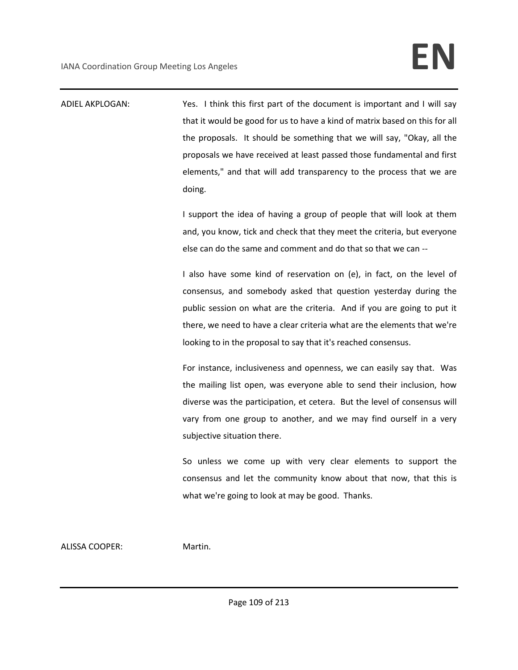| ADIEL AKPLOGAN: | Yes. I think this first part of the document is important and I will say    |
|-----------------|-----------------------------------------------------------------------------|
|                 | that it would be good for us to have a kind of matrix based on this for all |
|                 | the proposals. It should be something that we will say, "Okay, all the      |
|                 | proposals we have received at least passed those fundamental and first      |
|                 | elements," and that will add transparency to the process that we are        |
|                 | doing.                                                                      |
|                 | I support the idea of having a group of people that will look at them       |
|                 | and, you know, tick and check that they meet the criteria, but everyone     |
|                 | else can do the same and comment and do that so that we can --              |
|                 | I also have some kind of reservation on (e), in fact, on the level of       |
|                 | consensus, and somebody asked that question yesterday during the            |
|                 | public session on what are the criteria. And if you are going to put it     |
|                 | there, we need to have a clear criteria what are the elements that we're    |
|                 | looking to in the proposal to say that it's reached consensus.              |
|                 | For instance, inclusiveness and openness, we can easily say that. Was       |
|                 | the mailing list open, was everyone able to send their inclusion, how       |
|                 | diverse was the participation, et cetera. But the level of consensus will   |
|                 | vary from one group to another, and we may find ourself in a very           |
|                 | subjective situation there.                                                 |
|                 | So unless we come up with very clear elements to support the                |
|                 | consensus and let the community know about that now, that this is           |
|                 | what we're going to look at may be good. Thanks.                            |
|                 |                                                                             |
|                 |                                                                             |

ALISSA COOPER: Martin.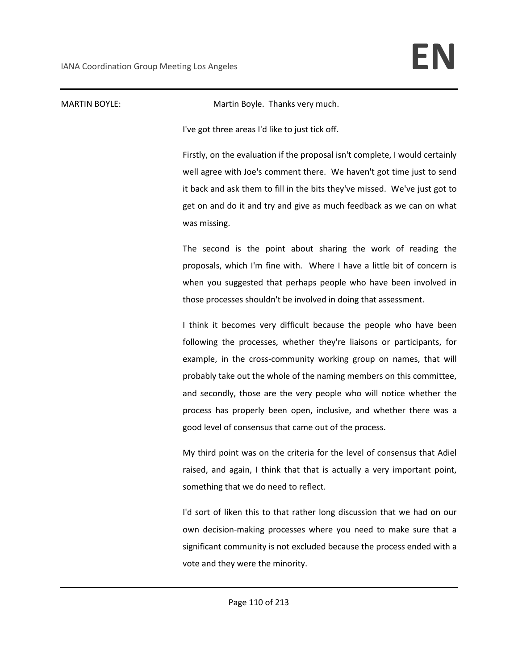MARTIN BOYLE: Martin Boyle. Thanks very much.

I've got three areas I'd like to just tick off.

Firstly, on the evaluation if the proposal isn't complete, I would certainly well agree with Joe's comment there. We haven't got time just to send it back and ask them to fill in the bits they've missed. We've just got to get on and do it and try and give as much feedback as we can on what was missing.

The second is the point about sharing the work of reading the proposals, which I'm fine with. Where I have a little bit of concern is when you suggested that perhaps people who have been involved in those processes shouldn't be involved in doing that assessment.

I think it becomes very difficult because the people who have been following the processes, whether they're liaisons or participants, for example, in the cross-community working group on names, that will probably take out the whole of the naming members on this committee, and secondly, those are the very people who will notice whether the process has properly been open, inclusive, and whether there was a good level of consensus that came out of the process.

My third point was on the criteria for the level of consensus that Adiel raised, and again, I think that that is actually a very important point, something that we do need to reflect.

I'd sort of liken this to that rather long discussion that we had on our own decision-making processes where you need to make sure that a significant community is not excluded because the process ended with a vote and they were the minority.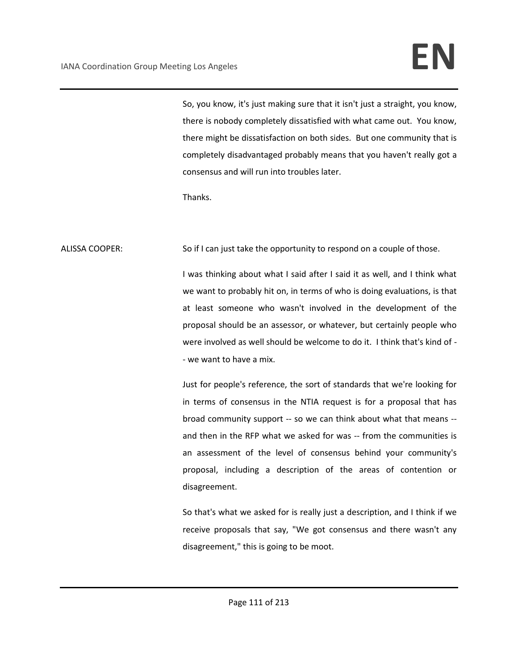So, you know, it's just making sure that it isn't just a straight, you know, there is nobody completely dissatisfied with what came out. You know, there might be dissatisfaction on both sides. But one community that is completely disadvantaged probably means that you haven't really got a consensus and will run into troubles later.

Thanks.

ALISSA COOPER: So if I can just take the opportunity to respond on a couple of those.

I was thinking about what I said after I said it as well, and I think what we want to probably hit on, in terms of who is doing evaluations, is that at least someone who wasn't involved in the development of the proposal should be an assessor, or whatever, but certainly people who were involved as well should be welcome to do it. I think that's kind of - - we want to have a mix.

Just for people's reference, the sort of standards that we're looking for in terms of consensus in the NTIA request is for a proposal that has broad community support -- so we can think about what that means - and then in the RFP what we asked for was -- from the communities is an assessment of the level of consensus behind your community's proposal, including a description of the areas of contention or disagreement.

So that's what we asked for is really just a description, and I think if we receive proposals that say, "We got consensus and there wasn't any disagreement," this is going to be moot.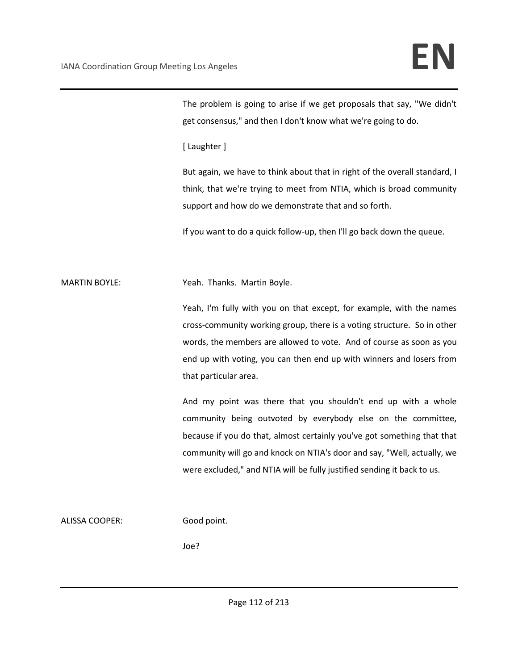The problem is going to arise if we get proposals that say, "We didn't get consensus," and then I don't know what we're going to do.

[ Laughter ]

But again, we have to think about that in right of the overall standard, I think, that we're trying to meet from NTIA, which is broad community support and how do we demonstrate that and so forth.

If you want to do a quick follow-up, then I'll go back down the queue.

MARTIN BOYLE: Yeah. Thanks. Martin Boyle.

Yeah, I'm fully with you on that except, for example, with the names cross-community working group, there is a voting structure. So in other words, the members are allowed to vote. And of course as soon as you end up with voting, you can then end up with winners and losers from that particular area.

And my point was there that you shouldn't end up with a whole community being outvoted by everybody else on the committee, because if you do that, almost certainly you've got something that that community will go and knock on NTIA's door and say, "Well, actually, we were excluded," and NTIA will be fully justified sending it back to us.

ALISSA COOPER: Good point.

Joe?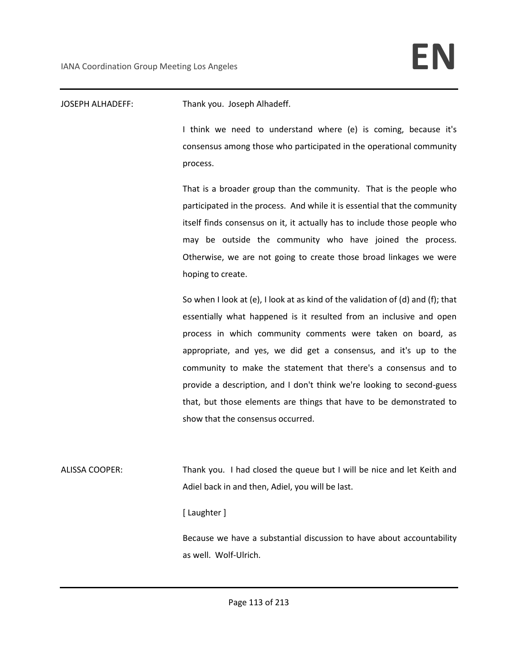JOSEPH ALHADEFF: Thank you. Joseph Alhadeff.

I think we need to understand where (e) is coming, because it's consensus among those who participated in the operational community process.

That is a broader group than the community. That is the people who participated in the process. And while it is essential that the community itself finds consensus on it, it actually has to include those people who may be outside the community who have joined the process. Otherwise, we are not going to create those broad linkages we were hoping to create.

So when I look at (e), I look at as kind of the validation of (d) and (f); that essentially what happened is it resulted from an inclusive and open process in which community comments were taken on board, as appropriate, and yes, we did get a consensus, and it's up to the community to make the statement that there's a consensus and to provide a description, and I don't think we're looking to second-guess that, but those elements are things that have to be demonstrated to show that the consensus occurred.

ALISSA COOPER: Thank you. I had closed the queue but I will be nice and let Keith and Adiel back in and then, Adiel, you will be last.

[ Laughter ]

Because we have a substantial discussion to have about accountability as well. Wolf-Ulrich.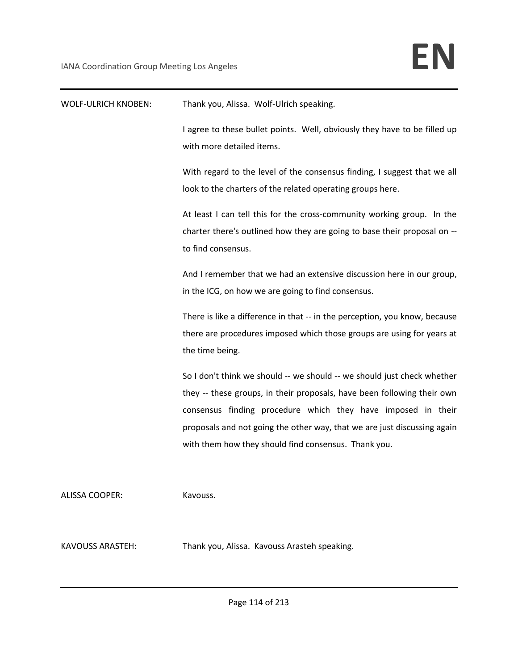| <b>WOLF-ULRICH KNOBEN:</b> | Thank you, Alissa. Wolf-Ulrich speaking.                                                                                                                                                                                                                                                                                                               |
|----------------------------|--------------------------------------------------------------------------------------------------------------------------------------------------------------------------------------------------------------------------------------------------------------------------------------------------------------------------------------------------------|
|                            | I agree to these bullet points. Well, obviously they have to be filled up<br>with more detailed items.                                                                                                                                                                                                                                                 |
|                            | With regard to the level of the consensus finding, I suggest that we all<br>look to the charters of the related operating groups here.                                                                                                                                                                                                                 |
|                            | At least I can tell this for the cross-community working group. In the<br>charter there's outlined how they are going to base their proposal on --<br>to find consensus.                                                                                                                                                                               |
|                            | And I remember that we had an extensive discussion here in our group,<br>in the ICG, on how we are going to find consensus.                                                                                                                                                                                                                            |
|                            | There is like a difference in that -- in the perception, you know, because<br>there are procedures imposed which those groups are using for years at<br>the time being.                                                                                                                                                                                |
|                            | So I don't think we should -- we should -- we should just check whether<br>they -- these groups, in their proposals, have been following their own<br>consensus finding procedure which they have imposed in their<br>proposals and not going the other way, that we are just discussing again<br>with them how they should find consensus. Thank you. |
| <b>ALISSA COOPER:</b>      | Kavouss.                                                                                                                                                                                                                                                                                                                                               |
| KAVOUSS ARASTEH:           | Thank you, Alissa. Kavouss Arasteh speaking.                                                                                                                                                                                                                                                                                                           |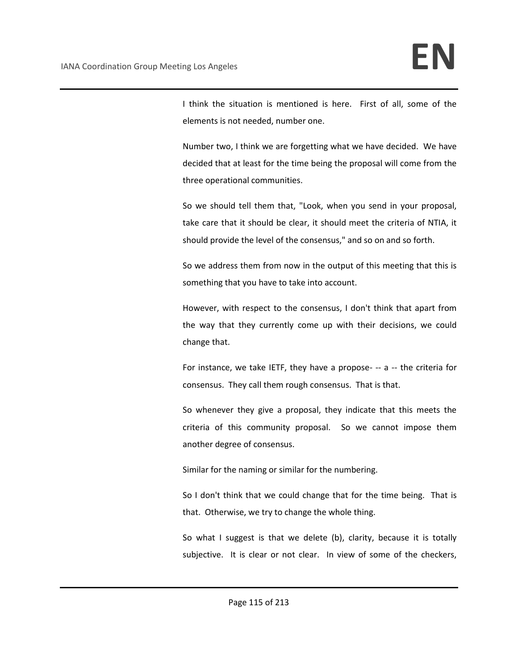I think the situation is mentioned is here. First of all, some of the elements is not needed, number one.

Number two, I think we are forgetting what we have decided. We have decided that at least for the time being the proposal will come from the three operational communities.

So we should tell them that, "Look, when you send in your proposal, take care that it should be clear, it should meet the criteria of NTIA, it should provide the level of the consensus," and so on and so forth.

So we address them from now in the output of this meeting that this is something that you have to take into account.

However, with respect to the consensus, I don't think that apart from the way that they currently come up with their decisions, we could change that.

For instance, we take IETF, they have a propose- -- a -- the criteria for consensus. They call them rough consensus. That is that.

So whenever they give a proposal, they indicate that this meets the criteria of this community proposal. So we cannot impose them another degree of consensus.

Similar for the naming or similar for the numbering.

So I don't think that we could change that for the time being. That is that. Otherwise, we try to change the whole thing.

So what I suggest is that we delete (b), clarity, because it is totally subjective. It is clear or not clear. In view of some of the checkers,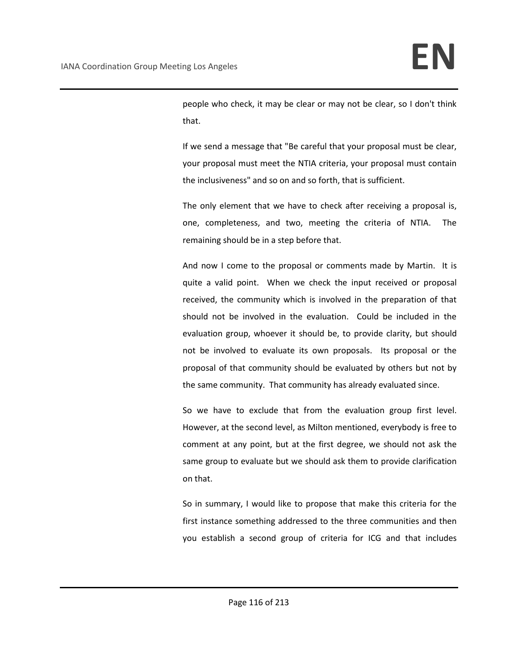people who check, it may be clear or may not be clear, so I don't think that.

If we send a message that "Be careful that your proposal must be clear, your proposal must meet the NTIA criteria, your proposal must contain the inclusiveness" and so on and so forth, that is sufficient.

The only element that we have to check after receiving a proposal is, one, completeness, and two, meeting the criteria of NTIA. The remaining should be in a step before that.

And now I come to the proposal or comments made by Martin. It is quite a valid point. When we check the input received or proposal received, the community which is involved in the preparation of that should not be involved in the evaluation. Could be included in the evaluation group, whoever it should be, to provide clarity, but should not be involved to evaluate its own proposals. Its proposal or the proposal of that community should be evaluated by others but not by the same community. That community has already evaluated since.

So we have to exclude that from the evaluation group first level. However, at the second level, as Milton mentioned, everybody is free to comment at any point, but at the first degree, we should not ask the same group to evaluate but we should ask them to provide clarification on that.

So in summary, I would like to propose that make this criteria for the first instance something addressed to the three communities and then you establish a second group of criteria for ICG and that includes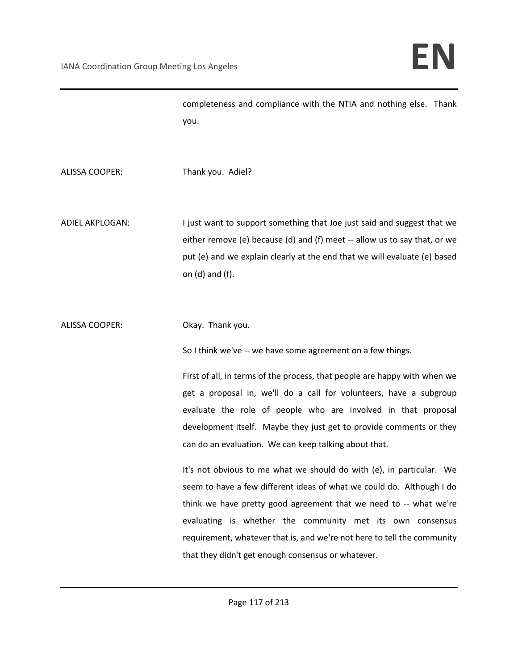completeness and compliance with the NTIA and nothing else. Thank you.

ALISSA COOPER: Thank you. Adiel?

ADIEL AKPLOGAN: I just want to support something that Joe just said and suggest that we either remove (e) because (d) and (f) meet -- allow us to say that, or we put (e) and we explain clearly at the end that we will evaluate (e) based on (d) and (f).

ALISSA COOPER: Okay. Thank you.

So I think we've -- we have some agreement on a few things.

First of all, in terms of the process, that people are happy with when we get a proposal in, we'll do a call for volunteers, have a subgroup evaluate the role of people who are involved in that proposal development itself. Maybe they just get to provide comments or they can do an evaluation. We can keep talking about that.

It's not obvious to me what we should do with (e), in particular. We seem to have a few different ideas of what we could do. Although I do think we have pretty good agreement that we need to -- what we're evaluating is whether the community met its own consensus requirement, whatever that is, and we're not here to tell the community that they didn't get enough consensus or whatever.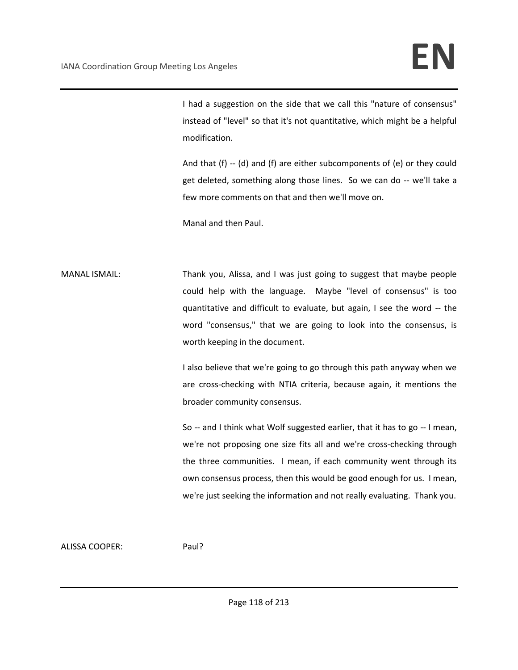I had a suggestion on the side that we call this "nature of consensus" instead of "level" so that it's not quantitative, which might be a helpful modification.

And that (f) -- (d) and (f) are either subcomponents of (e) or they could get deleted, something along those lines. So we can do -- we'll take a few more comments on that and then we'll move on.

Manal and then Paul.

MANAL ISMAIL: Thank you, Alissa, and I was just going to suggest that maybe people could help with the language. Maybe "level of consensus" is too quantitative and difficult to evaluate, but again, I see the word -- the word "consensus," that we are going to look into the consensus, is worth keeping in the document.

> I also believe that we're going to go through this path anyway when we are cross-checking with NTIA criteria, because again, it mentions the broader community consensus.

> So -- and I think what Wolf suggested earlier, that it has to go -- I mean, we're not proposing one size fits all and we're cross-checking through the three communities. I mean, if each community went through its own consensus process, then this would be good enough for us. I mean, we're just seeking the information and not really evaluating. Thank you.

ALISSA COOPER: Paul?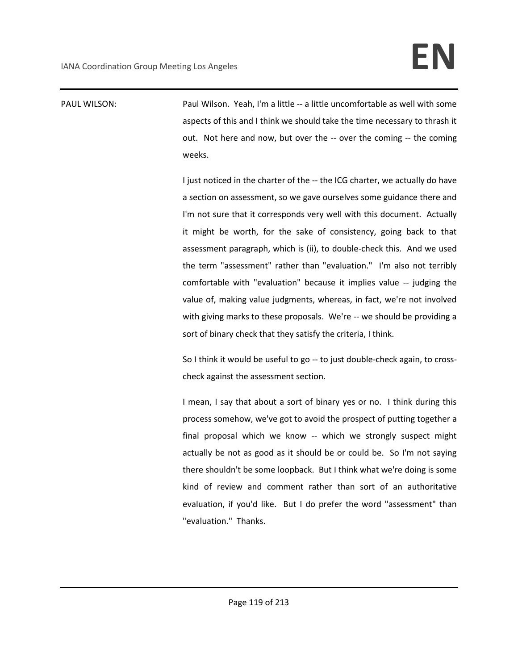PAUL WILSON: Paul Wilson. Yeah, I'm a little -- a little uncomfortable as well with some aspects of this and I think we should take the time necessary to thrash it out. Not here and now, but over the -- over the coming -- the coming weeks.

> I just noticed in the charter of the -- the ICG charter, we actually do have a section on assessment, so we gave ourselves some guidance there and I'm not sure that it corresponds very well with this document. Actually it might be worth, for the sake of consistency, going back to that assessment paragraph, which is (ii), to double-check this. And we used the term "assessment" rather than "evaluation." I'm also not terribly comfortable with "evaluation" because it implies value -- judging the value of, making value judgments, whereas, in fact, we're not involved with giving marks to these proposals. We're -- we should be providing a sort of binary check that they satisfy the criteria, I think.

> So I think it would be useful to go -- to just double-check again, to crosscheck against the assessment section.

> I mean, I say that about a sort of binary yes or no. I think during this process somehow, we've got to avoid the prospect of putting together a final proposal which we know -- which we strongly suspect might actually be not as good as it should be or could be. So I'm not saying there shouldn't be some loopback. But I think what we're doing is some kind of review and comment rather than sort of an authoritative evaluation, if you'd like. But I do prefer the word "assessment" than "evaluation." Thanks.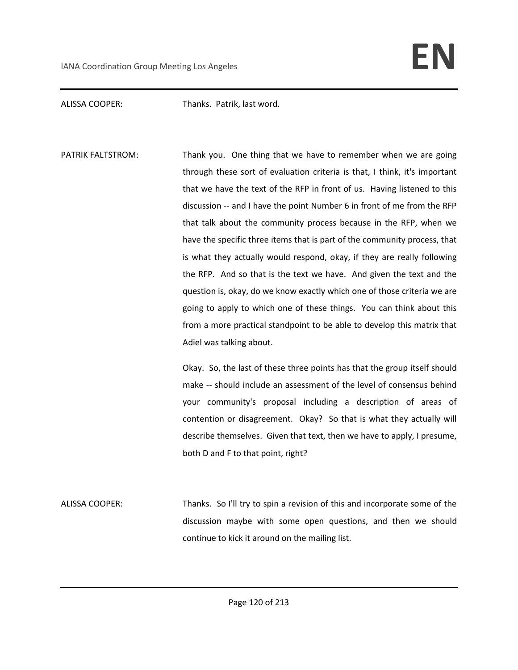ALISSA COOPER: Thanks. Patrik, last word.

PATRIK FALTSTROM: Thank you. One thing that we have to remember when we are going through these sort of evaluation criteria is that, I think, it's important that we have the text of the RFP in front of us. Having listened to this discussion -- and I have the point Number 6 in front of me from the RFP that talk about the community process because in the RFP, when we have the specific three items that is part of the community process, that is what they actually would respond, okay, if they are really following the RFP. And so that is the text we have. And given the text and the question is, okay, do we know exactly which one of those criteria we are going to apply to which one of these things. You can think about this from a more practical standpoint to be able to develop this matrix that Adiel was talking about.

> Okay. So, the last of these three points has that the group itself should make -- should include an assessment of the level of consensus behind your community's proposal including a description of areas of contention or disagreement. Okay? So that is what they actually will describe themselves. Given that text, then we have to apply, I presume, both D and F to that point, right?

ALISSA COOPER: Thanks. So I'll try to spin a revision of this and incorporate some of the discussion maybe with some open questions, and then we should continue to kick it around on the mailing list.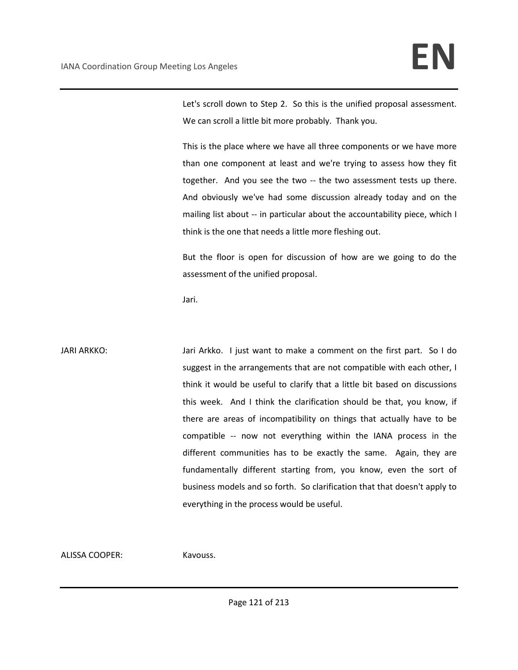Let's scroll down to Step 2. So this is the unified proposal assessment. We can scroll a little bit more probably. Thank you.

This is the place where we have all three components or we have more than one component at least and we're trying to assess how they fit together. And you see the two -- the two assessment tests up there. And obviously we've had some discussion already today and on the mailing list about -- in particular about the accountability piece, which I think is the one that needs a little more fleshing out.

But the floor is open for discussion of how are we going to do the assessment of the unified proposal.

Jari.

JARI ARKKO: Jari Arkko. I just want to make a comment on the first part. So I do suggest in the arrangements that are not compatible with each other, I think it would be useful to clarify that a little bit based on discussions this week. And I think the clarification should be that, you know, if there are areas of incompatibility on things that actually have to be compatible -- now not everything within the IANA process in the different communities has to be exactly the same. Again, they are fundamentally different starting from, you know, even the sort of business models and so forth. So clarification that that doesn't apply to everything in the process would be useful.

ALISSA COOPER: Kavouss.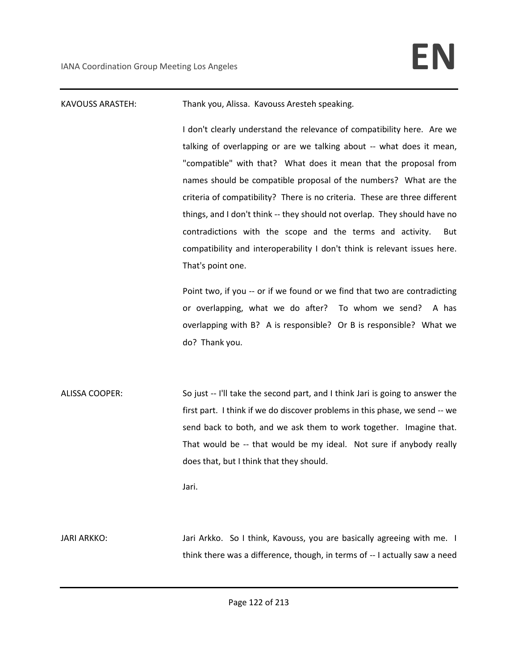## KAVOUSS ARASTEH: Thank you, Alissa. Kavouss Aresteh speaking.

I don't clearly understand the relevance of compatibility here. Are we talking of overlapping or are we talking about -- what does it mean, "compatible" with that? What does it mean that the proposal from names should be compatible proposal of the numbers? What are the criteria of compatibility? There is no criteria. These are three different things, and I don't think -- they should not overlap. They should have no contradictions with the scope and the terms and activity. But compatibility and interoperability I don't think is relevant issues here. That's point one.

Point two, if you -- or if we found or we find that two are contradicting or overlapping, what we do after? To whom we send? A has overlapping with B? A is responsible? Or B is responsible? What we do? Thank you.

ALISSA COOPER: So just -- I'll take the second part, and I think Jari is going to answer the first part. I think if we do discover problems in this phase, we send -- we send back to both, and we ask them to work together. Imagine that. That would be -- that would be my ideal. Not sure if anybody really does that, but I think that they should.

Jari.

JARI ARKKO: Jari Arkko. So I think, Kavouss, you are basically agreeing with me. I think there was a difference, though, in terms of -- I actually saw a need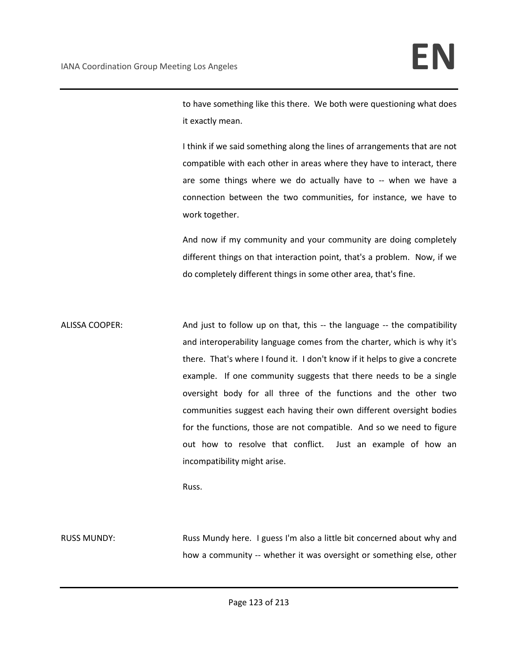to have something like this there. We both were questioning what does it exactly mean.

I think if we said something along the lines of arrangements that are not compatible with each other in areas where they have to interact, there are some things where we do actually have to -- when we have a connection between the two communities, for instance, we have to work together.

And now if my community and your community are doing completely different things on that interaction point, that's a problem. Now, if we do completely different things in some other area, that's fine.

ALISSA COOPER: And just to follow up on that, this -- the language -- the compatibility and interoperability language comes from the charter, which is why it's there. That's where I found it. I don't know if it helps to give a concrete example. If one community suggests that there needs to be a single oversight body for all three of the functions and the other two communities suggest each having their own different oversight bodies for the functions, those are not compatible. And so we need to figure out how to resolve that conflict. Just an example of how an incompatibility might arise.

Russ.

RUSS MUNDY: Russ Mundy here. I guess I'm also a little bit concerned about why and how a community -- whether it was oversight or something else, other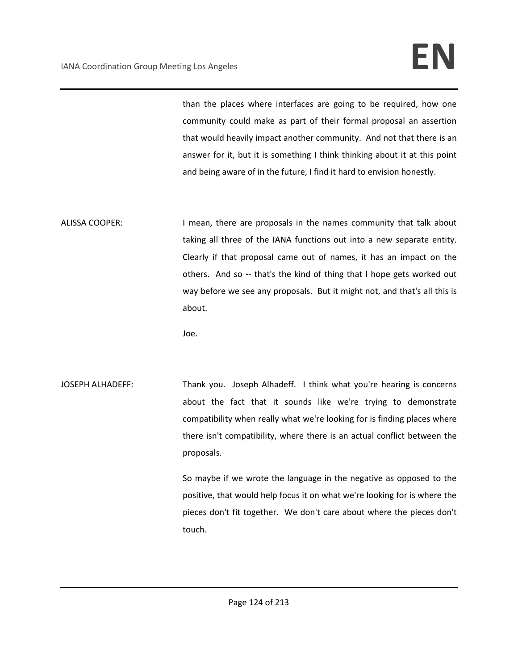## IANA Coordination Group Meeting Los Angeles **EN**

than the places where interfaces are going to be required, how one community could make as part of their formal proposal an assertion that would heavily impact another community. And not that there is an answer for it, but it is something I think thinking about it at this point and being aware of in the future, I find it hard to envision honestly.

ALISSA COOPER: I mean, there are proposals in the names community that talk about taking all three of the IANA functions out into a new separate entity. Clearly if that proposal came out of names, it has an impact on the others. And so -- that's the kind of thing that I hope gets worked out way before we see any proposals. But it might not, and that's all this is about.

Joe.

JOSEPH ALHADEFF: Thank you. Joseph Alhadeff. I think what you're hearing is concerns about the fact that it sounds like we're trying to demonstrate compatibility when really what we're looking for is finding places where there isn't compatibility, where there is an actual conflict between the proposals.

> So maybe if we wrote the language in the negative as opposed to the positive, that would help focus it on what we're looking for is where the pieces don't fit together. We don't care about where the pieces don't touch.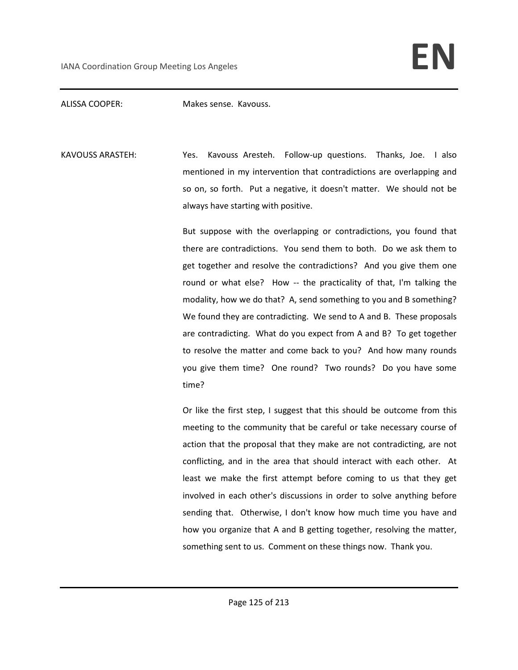ALISSA COOPER: Makes sense. Kavouss.

KAVOUSS ARASTEH: Yes. Kavouss Aresteh. Follow-up questions. Thanks, Joe. I also mentioned in my intervention that contradictions are overlapping and so on, so forth. Put a negative, it doesn't matter. We should not be always have starting with positive.

> But suppose with the overlapping or contradictions, you found that there are contradictions. You send them to both. Do we ask them to get together and resolve the contradictions? And you give them one round or what else? How -- the practicality of that, I'm talking the modality, how we do that? A, send something to you and B something? We found they are contradicting. We send to A and B. These proposals are contradicting. What do you expect from A and B? To get together to resolve the matter and come back to you? And how many rounds you give them time? One round? Two rounds? Do you have some time?

> Or like the first step, I suggest that this should be outcome from this meeting to the community that be careful or take necessary course of action that the proposal that they make are not contradicting, are not conflicting, and in the area that should interact with each other. At least we make the first attempt before coming to us that they get involved in each other's discussions in order to solve anything before sending that. Otherwise, I don't know how much time you have and how you organize that A and B getting together, resolving the matter, something sent to us. Comment on these things now. Thank you.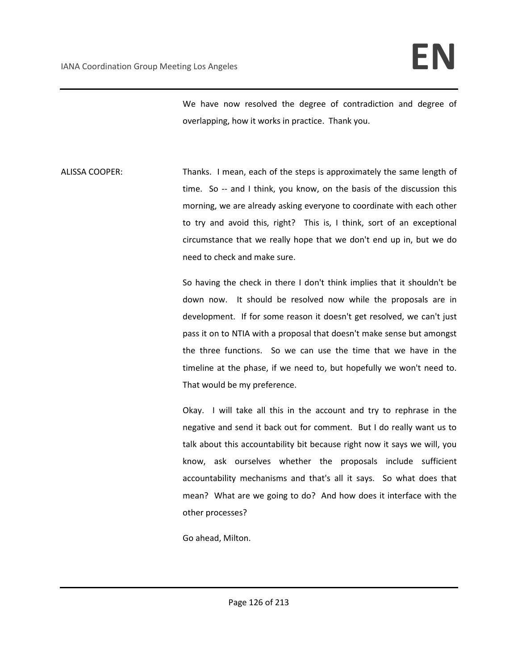We have now resolved the degree of contradiction and degree of overlapping, how it works in practice. Thank you.

ALISSA COOPER: Thanks. I mean, each of the steps is approximately the same length of time. So -- and I think, you know, on the basis of the discussion this morning, we are already asking everyone to coordinate with each other to try and avoid this, right? This is, I think, sort of an exceptional circumstance that we really hope that we don't end up in, but we do need to check and make sure.

> So having the check in there I don't think implies that it shouldn't be down now. It should be resolved now while the proposals are in development. If for some reason it doesn't get resolved, we can't just pass it on to NTIA with a proposal that doesn't make sense but amongst the three functions. So we can use the time that we have in the timeline at the phase, if we need to, but hopefully we won't need to. That would be my preference.

> Okay. I will take all this in the account and try to rephrase in the negative and send it back out for comment. But I do really want us to talk about this accountability bit because right now it says we will, you know, ask ourselves whether the proposals include sufficient accountability mechanisms and that's all it says. So what does that mean? What are we going to do? And how does it interface with the other processes?

Go ahead, Milton.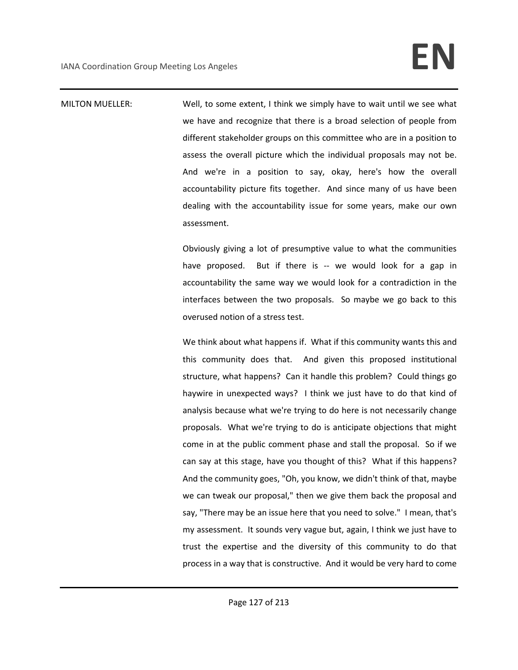MILTON MUELLER: Well, to some extent, I think we simply have to wait until we see what we have and recognize that there is a broad selection of people from different stakeholder groups on this committee who are in a position to assess the overall picture which the individual proposals may not be. And we're in a position to say, okay, here's how the overall accountability picture fits together. And since many of us have been dealing with the accountability issue for some years, make our own assessment.

> Obviously giving a lot of presumptive value to what the communities have proposed. But if there is -- we would look for a gap in accountability the same way we would look for a contradiction in the interfaces between the two proposals. So maybe we go back to this overused notion of a stress test.

> We think about what happens if. What if this community wants this and this community does that. And given this proposed institutional structure, what happens? Can it handle this problem? Could things go haywire in unexpected ways? I think we just have to do that kind of analysis because what we're trying to do here is not necessarily change proposals. What we're trying to do is anticipate objections that might come in at the public comment phase and stall the proposal. So if we can say at this stage, have you thought of this? What if this happens? And the community goes, "Oh, you know, we didn't think of that, maybe we can tweak our proposal," then we give them back the proposal and say, "There may be an issue here that you need to solve." I mean, that's my assessment. It sounds very vague but, again, I think we just have to trust the expertise and the diversity of this community to do that process in a way that is constructive. And it would be very hard to come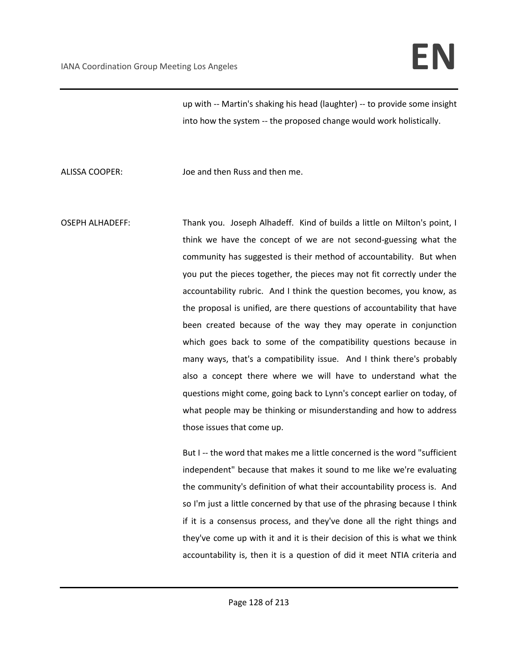up with -- Martin's shaking his head (laughter) -- to provide some insight into how the system -- the proposed change would work holistically.

ALISSA COOPER: Joe and then Russ and then me.

OSEPH ALHADEFF: Thank you. Joseph Alhadeff. Kind of builds a little on Milton's point, I think we have the concept of we are not second-guessing what the community has suggested is their method of accountability. But when you put the pieces together, the pieces may not fit correctly under the accountability rubric. And I think the question becomes, you know, as the proposal is unified, are there questions of accountability that have been created because of the way they may operate in conjunction which goes back to some of the compatibility questions because in many ways, that's a compatibility issue. And I think there's probably also a concept there where we will have to understand what the questions might come, going back to Lynn's concept earlier on today, of what people may be thinking or misunderstanding and how to address those issues that come up.

But I -- the word that makes me a little concerned is the word "sufficient independent" because that makes it sound to me like we're evaluating the community's definition of what their accountability process is. And so I'm just a little concerned by that use of the phrasing because I think if it is a consensus process, and they've done all the right things and they've come up with it and it is their decision of this is what we think accountability is, then it is a question of did it meet NTIA criteria and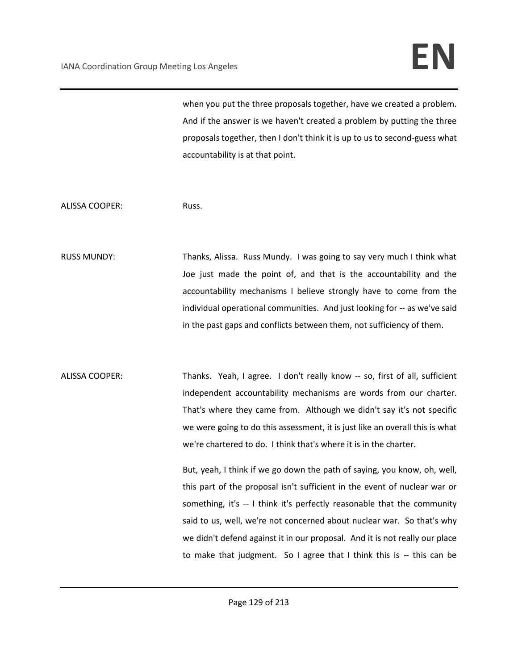## IANA Coordination Group Meeting Los Angeles **EN**

when you put the three proposals together, have we created a problem. And if the answer is we haven't created a problem by putting the three proposals together, then I don't think it is up to us to second-guess what accountability is at that point.

ALISSA COOPER: Russ.

RUSS MUNDY: Thanks, Alissa. Russ Mundy. I was going to say very much I think what Joe just made the point of, and that is the accountability and the accountability mechanisms I believe strongly have to come from the individual operational communities. And just looking for -- as we've said in the past gaps and conflicts between them, not sufficiency of them.

ALISSA COOPER: Thanks. Yeah, I agree. I don't really know -- so, first of all, sufficient independent accountability mechanisms are words from our charter. That's where they came from. Although we didn't say it's not specific we were going to do this assessment, it is just like an overall this is what we're chartered to do. I think that's where it is in the charter.

> But, yeah, I think if we go down the path of saying, you know, oh, well, this part of the proposal isn't sufficient in the event of nuclear war or something, it's -- I think it's perfectly reasonable that the community said to us, well, we're not concerned about nuclear war. So that's why we didn't defend against it in our proposal. And it is not really our place to make that judgment. So I agree that I think this is -- this can be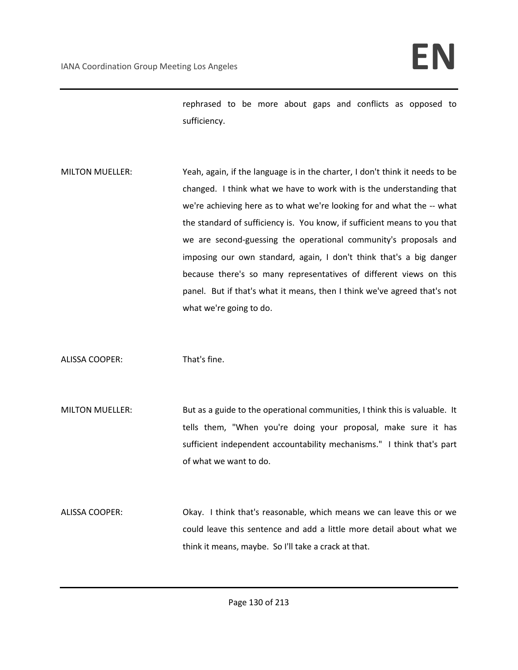rephrased to be more about gaps and conflicts as opposed to sufficiency.

MILTON MUELLER: Yeah, again, if the language is in the charter, I don't think it needs to be changed. I think what we have to work with is the understanding that we're achieving here as to what we're looking for and what the -- what the standard of sufficiency is. You know, if sufficient means to you that we are second-guessing the operational community's proposals and imposing our own standard, again, I don't think that's a big danger because there's so many representatives of different views on this panel. But if that's what it means, then I think we've agreed that's not what we're going to do.

ALISSA COOPER: That's fine.

- MILTON MUELLER: But as a guide to the operational communities, I think this is valuable. It tells them, "When you're doing your proposal, make sure it has sufficient independent accountability mechanisms." I think that's part of what we want to do.
- ALISSA COOPER: Okay. I think that's reasonable, which means we can leave this or we could leave this sentence and add a little more detail about what we think it means, maybe. So I'll take a crack at that.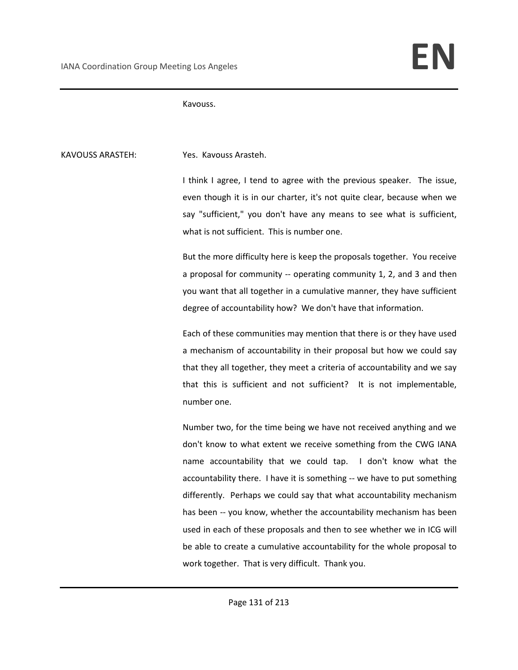Kavouss.

KAVOUSS ARASTEH: Yes. Kavouss Arasteh.

I think I agree, I tend to agree with the previous speaker. The issue, even though it is in our charter, it's not quite clear, because when we say "sufficient," you don't have any means to see what is sufficient, what is not sufficient. This is number one.

But the more difficulty here is keep the proposals together. You receive a proposal for community -- operating community 1, 2, and 3 and then you want that all together in a cumulative manner, they have sufficient degree of accountability how? We don't have that information.

Each of these communities may mention that there is or they have used a mechanism of accountability in their proposal but how we could say that they all together, they meet a criteria of accountability and we say that this is sufficient and not sufficient? It is not implementable, number one.

Number two, for the time being we have not received anything and we don't know to what extent we receive something from the CWG IANA name accountability that we could tap. I don't know what the accountability there. I have it is something -- we have to put something differently. Perhaps we could say that what accountability mechanism has been -- you know, whether the accountability mechanism has been used in each of these proposals and then to see whether we in ICG will be able to create a cumulative accountability for the whole proposal to work together. That is very difficult. Thank you.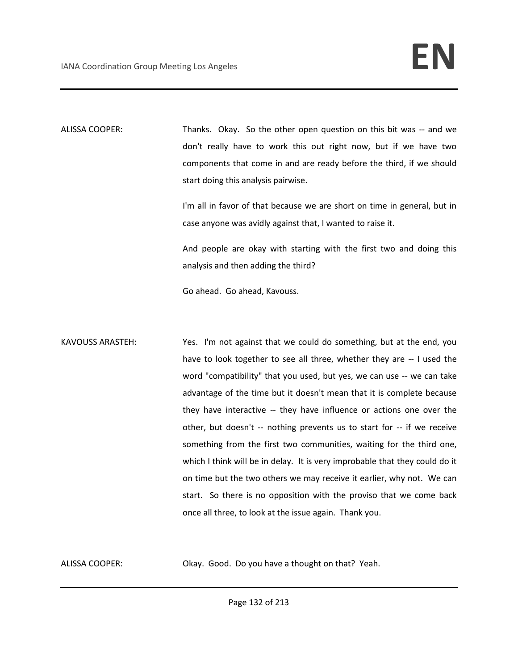ALISSA COOPER: Thanks. Okay. So the other open question on this bit was -- and we don't really have to work this out right now, but if we have two components that come in and are ready before the third, if we should start doing this analysis pairwise.

> I'm all in favor of that because we are short on time in general, but in case anyone was avidly against that, I wanted to raise it.

> And people are okay with starting with the first two and doing this analysis and then adding the third?

Go ahead. Go ahead, Kavouss.

KAVOUSS ARASTEH: Yes. I'm not against that we could do something, but at the end, you have to look together to see all three, whether they are -- I used the word "compatibility" that you used, but yes, we can use -- we can take advantage of the time but it doesn't mean that it is complete because they have interactive -- they have influence or actions one over the other, but doesn't -- nothing prevents us to start for -- if we receive something from the first two communities, waiting for the third one, which I think will be in delay. It is very improbable that they could do it on time but the two others we may receive it earlier, why not. We can start. So there is no opposition with the proviso that we come back once all three, to look at the issue again. Thank you.

ALISSA COOPER: Okay. Good. Do you have a thought on that? Yeah.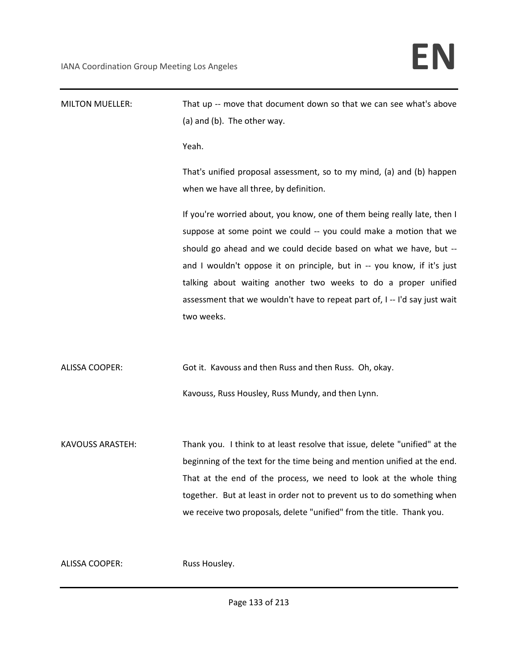| <b>MILTON MUELLER:</b>  | That up -- move that document down so that we can see what's above<br>(a) and (b). The other way.                                                                                                                                                                                                                                                                                                                                                           |
|-------------------------|-------------------------------------------------------------------------------------------------------------------------------------------------------------------------------------------------------------------------------------------------------------------------------------------------------------------------------------------------------------------------------------------------------------------------------------------------------------|
|                         | Yeah.                                                                                                                                                                                                                                                                                                                                                                                                                                                       |
|                         | That's unified proposal assessment, so to my mind, (a) and (b) happen<br>when we have all three, by definition.                                                                                                                                                                                                                                                                                                                                             |
|                         | If you're worried about, you know, one of them being really late, then I<br>suppose at some point we could -- you could make a motion that we<br>should go ahead and we could decide based on what we have, but --<br>and I wouldn't oppose it on principle, but in -- you know, if it's just<br>talking about waiting another two weeks to do a proper unified<br>assessment that we wouldn't have to repeat part of, I -- I'd say just wait<br>two weeks. |
| ALISSA COOPER:          | Got it. Kavouss and then Russ and then Russ. Oh, okay.<br>Kavouss, Russ Housley, Russ Mundy, and then Lynn.                                                                                                                                                                                                                                                                                                                                                 |
| <b>KAVOUSS ARASTEH:</b> | Thank you. I think to at least resolve that issue, delete "unified" at the<br>beginning of the text for the time being and mention unified at the end.<br>That at the end of the process, we need to look at the whole thing<br>together. But at least in order not to prevent us to do something when<br>we receive two proposals, delete "unified" from the title. Thank you.                                                                             |
| <b>ALISSA COOPER:</b>   | Russ Housley.                                                                                                                                                                                                                                                                                                                                                                                                                                               |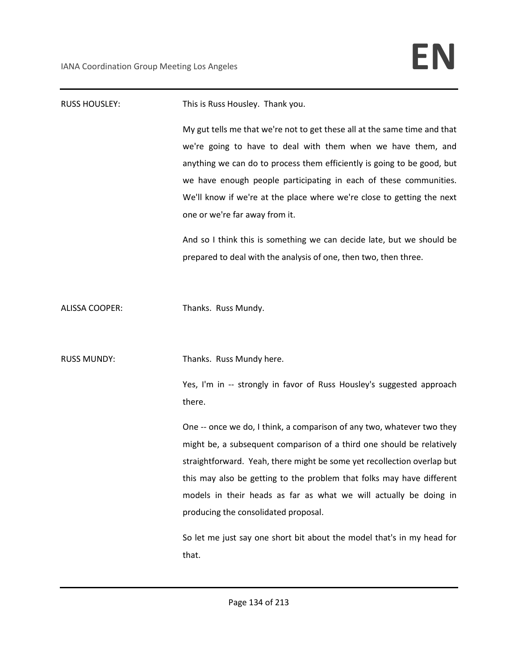| <b>RUSS HOUSLEY:</b>  | This is Russ Housley. Thank you.                                                                                                                                                                                                                                                                                                                                                                      |
|-----------------------|-------------------------------------------------------------------------------------------------------------------------------------------------------------------------------------------------------------------------------------------------------------------------------------------------------------------------------------------------------------------------------------------------------|
|                       | My gut tells me that we're not to get these all at the same time and that<br>we're going to have to deal with them when we have them, and<br>anything we can do to process them efficiently is going to be good, but<br>we have enough people participating in each of these communities.<br>We'll know if we're at the place where we're close to getting the next<br>one or we're far away from it. |
|                       | And so I think this is something we can decide late, but we should be                                                                                                                                                                                                                                                                                                                                 |
|                       | prepared to deal with the analysis of one, then two, then three.                                                                                                                                                                                                                                                                                                                                      |
| <b>ALISSA COOPER:</b> | Thanks. Russ Mundy.                                                                                                                                                                                                                                                                                                                                                                                   |
| <b>RUSS MUNDY:</b>    | Thanks. Russ Mundy here.                                                                                                                                                                                                                                                                                                                                                                              |
|                       | Yes, I'm in -- strongly in favor of Russ Housley's suggested approach<br>there.                                                                                                                                                                                                                                                                                                                       |
|                       | One -- once we do, I think, a comparison of any two, whatever two they                                                                                                                                                                                                                                                                                                                                |
|                       | might be, a subsequent comparison of a third one should be relatively                                                                                                                                                                                                                                                                                                                                 |
|                       | straightforward. Yeah, there might be some yet recollection overlap but                                                                                                                                                                                                                                                                                                                               |
|                       | this may also be getting to the problem that folks may have different<br>models in their heads as far as what we will actually be doing in                                                                                                                                                                                                                                                            |
|                       | producing the consolidated proposal.                                                                                                                                                                                                                                                                                                                                                                  |
|                       |                                                                                                                                                                                                                                                                                                                                                                                                       |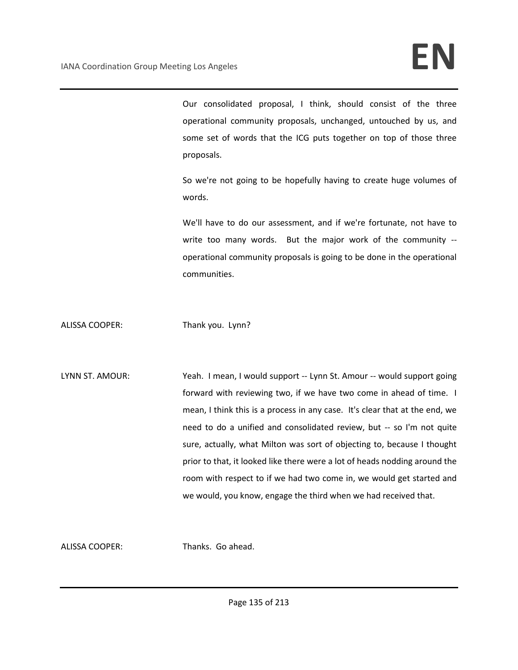Our consolidated proposal, I think, should consist of the three operational community proposals, unchanged, untouched by us, and some set of words that the ICG puts together on top of those three proposals.

So we're not going to be hopefully having to create huge volumes of words.

We'll have to do our assessment, and if we're fortunate, not have to write too many words. But the major work of the community - operational community proposals is going to be done in the operational communities.

ALISSA COOPER: Thank you. Lynn?

LYNN ST. AMOUR: Yeah. I mean, I would support -- Lynn St. Amour -- would support going forward with reviewing two, if we have two come in ahead of time. I mean, I think this is a process in any case. It's clear that at the end, we need to do a unified and consolidated review, but -- so I'm not quite sure, actually, what Milton was sort of objecting to, because I thought prior to that, it looked like there were a lot of heads nodding around the room with respect to if we had two come in, we would get started and we would, you know, engage the third when we had received that.

ALISSA COOPER: Thanks. Go ahead.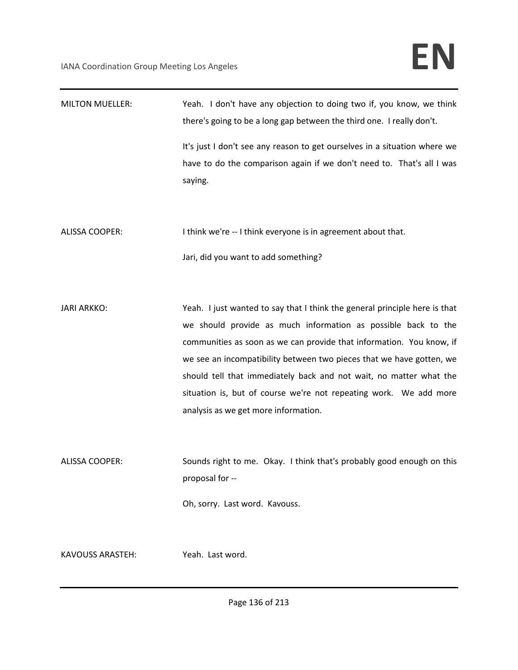| <b>MILTON MUELLER:</b>  | Yeah. I don't have any objection to doing two if, you know, we think<br>there's going to be a long gap between the third one. I really don't. |
|-------------------------|-----------------------------------------------------------------------------------------------------------------------------------------------|
|                         | It's just I don't see any reason to get ourselves in a situation where we                                                                     |
|                         | have to do the comparison again if we don't need to. That's all I was                                                                         |
|                         | saying.                                                                                                                                       |
|                         |                                                                                                                                               |
| <b>ALISSA COOPER:</b>   | I think we're -- I think everyone is in agreement about that.                                                                                 |
|                         | Jari, did you want to add something?                                                                                                          |
|                         |                                                                                                                                               |
| <b>JARI ARKKO:</b>      | Yeah. I just wanted to say that I think the general principle here is that                                                                    |
|                         | we should provide as much information as possible back to the                                                                                 |
|                         | communities as soon as we can provide that information. You know, if                                                                          |
|                         | we see an incompatibility between two pieces that we have gotten, we                                                                          |
|                         | should tell that immediately back and not wait, no matter what the                                                                            |
|                         | situation is, but of course we're not repeating work. We add more                                                                             |
|                         | analysis as we get more information.                                                                                                          |
|                         |                                                                                                                                               |
| <b>ALISSA COOPER:</b>   | Sounds right to me. Okay. I think that's probably good enough on this                                                                         |
|                         | proposal for --                                                                                                                               |
|                         | Oh, sorry. Last word. Kavouss.                                                                                                                |
| <b>KAVOUSS ARASTEH:</b> | Yeah. Last word.                                                                                                                              |
|                         |                                                                                                                                               |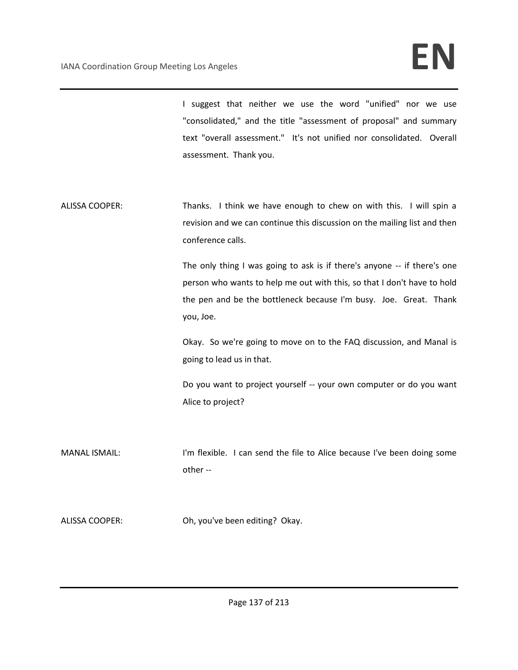I suggest that neither we use the word "unified" nor we use "consolidated," and the title "assessment of proposal" and summary text "overall assessment." It's not unified nor consolidated. Overall assessment. Thank you.

ALISSA COOPER: Thanks. I think we have enough to chew on with this. I will spin a revision and we can continue this discussion on the mailing list and then conference calls.

> The only thing I was going to ask is if there's anyone -- if there's one person who wants to help me out with this, so that I don't have to hold the pen and be the bottleneck because I'm busy. Joe. Great. Thank you, Joe.

> Okay. So we're going to move on to the FAQ discussion, and Manal is going to lead us in that.

> Do you want to project yourself -- your own computer or do you want Alice to project?

MANAL ISMAIL: I'm flexible. I can send the file to Alice because I've been doing some other --

ALISSA COOPER: Oh, you've been editing? Okay.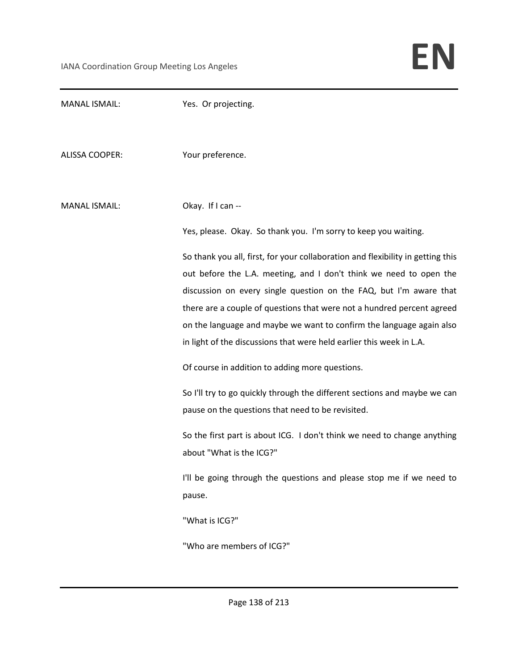| <b>MANAL ISMAIL:</b>  | Yes. Or projecting.                                                             |
|-----------------------|---------------------------------------------------------------------------------|
| <b>ALISSA COOPER:</b> | Your preference.                                                                |
| <b>MANAL ISMAIL:</b>  | Okay. If I can --                                                               |
|                       | Yes, please. Okay. So thank you. I'm sorry to keep you waiting.                 |
|                       | So thank you all, first, for your collaboration and flexibility in getting this |
|                       | out before the L.A. meeting, and I don't think we need to open the              |
|                       | discussion on every single question on the FAQ, but I'm aware that              |
|                       | there are a couple of questions that were not a hundred percent agreed          |
|                       | on the language and maybe we want to confirm the language again also            |
|                       | in light of the discussions that were held earlier this week in L.A.            |
|                       | Of course in addition to adding more questions.                                 |
|                       | So I'll try to go quickly through the different sections and maybe we can       |
|                       | pause on the questions that need to be revisited.                               |
|                       | So the first part is about ICG. I don't think we need to change anything        |
|                       | about "What is the ICG?"                                                        |
|                       | I'll be going through the questions and please stop me if we need to            |
|                       | pause.                                                                          |
|                       | "What is ICG?"                                                                  |
|                       | "Who are members of ICG?"                                                       |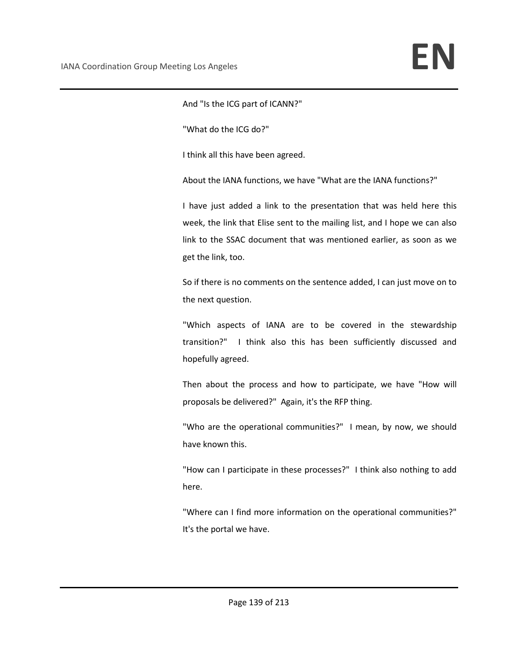And "Is the ICG part of ICANN?"

"What do the ICG do?"

I think all this have been agreed.

About the IANA functions, we have "What are the IANA functions?"

I have just added a link to the presentation that was held here this week, the link that Elise sent to the mailing list, and I hope we can also link to the SSAC document that was mentioned earlier, as soon as we get the link, too.

So if there is no comments on the sentence added, I can just move on to the next question.

"Which aspects of IANA are to be covered in the stewardship transition?" I think also this has been sufficiently discussed and hopefully agreed.

Then about the process and how to participate, we have "How will proposals be delivered?" Again, it's the RFP thing.

"Who are the operational communities?" I mean, by now, we should have known this.

"How can I participate in these processes?" I think also nothing to add here.

"Where can I find more information on the operational communities?" It's the portal we have.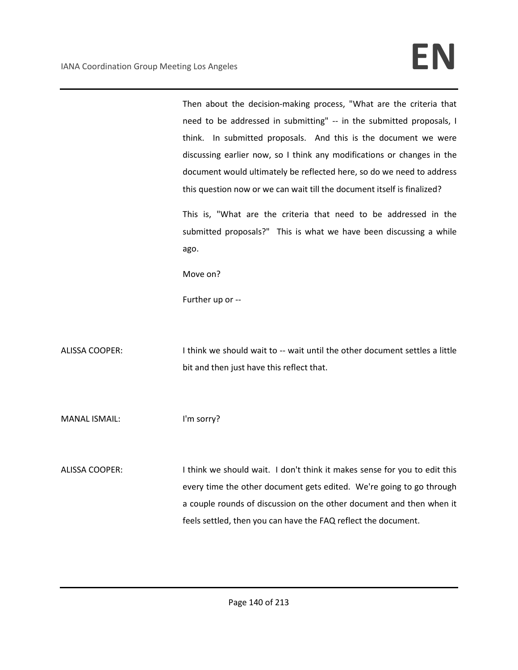Then about the decision-making process, "What are the criteria that need to be addressed in submitting" -- in the submitted proposals, I think. In submitted proposals. And this is the document we were discussing earlier now, so I think any modifications or changes in the document would ultimately be reflected here, so do we need to address this question now or we can wait till the document itself is finalized?

This is, "What are the criteria that need to be addressed in the submitted proposals?" This is what we have been discussing a while ago.

Move on?

Further up or --

ALISSA COOPER: I think we should wait to -- wait until the other document settles a little bit and then just have this reflect that.

MANAL ISMAIL: I'm sorry?

ALISSA COOPER: I think we should wait. I don't think it makes sense for you to edit this every time the other document gets edited. We're going to go through a couple rounds of discussion on the other document and then when it feels settled, then you can have the FAQ reflect the document.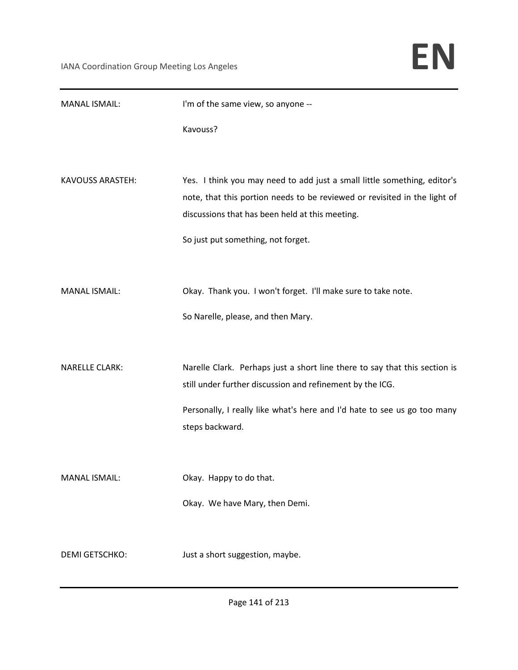| <b>MANAL ISMAIL:</b>    | I'm of the same view, so anyone --                                                                                                                                                                                                             |
|-------------------------|------------------------------------------------------------------------------------------------------------------------------------------------------------------------------------------------------------------------------------------------|
|                         | Kavouss?                                                                                                                                                                                                                                       |
| <b>KAVOUSS ARASTEH:</b> | Yes. I think you may need to add just a small little something, editor's<br>note, that this portion needs to be reviewed or revisited in the light of<br>discussions that has been held at this meeting.<br>So just put something, not forget. |
| <b>MANAL ISMAIL:</b>    | Okay. Thank you. I won't forget. I'll make sure to take note.<br>So Narelle, please, and then Mary.                                                                                                                                            |
| <b>NARELLE CLARK:</b>   | Narelle Clark. Perhaps just a short line there to say that this section is<br>still under further discussion and refinement by the ICG.<br>Personally, I really like what's here and I'd hate to see us go too many<br>steps backward.         |
| <b>MANAL ISMAIL:</b>    | Okay. Happy to do that.<br>Okay. We have Mary, then Demi.                                                                                                                                                                                      |
| <b>DEMI GETSCHKO:</b>   | Just a short suggestion, maybe.                                                                                                                                                                                                                |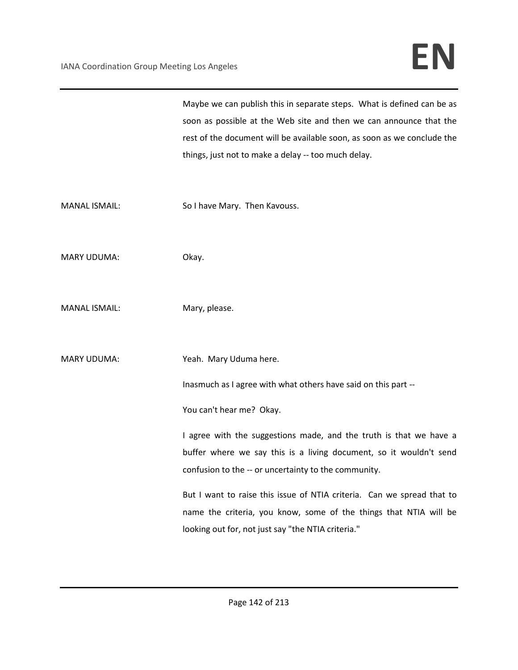Maybe we can publish this in separate steps. What is defined can be as soon as possible at the Web site and then we can announce that the rest of the document will be available soon, as soon as we conclude the things, just not to make a delay -- too much delay.

MANAL ISMAIL: So I have Mary. Then Kavouss.

MARY UDUMA: Okay.

- MANAL ISMAIL: Mary, please.
- MARY UDUMA: Yeah. Mary Uduma here.

Inasmuch as I agree with what others have said on this part --

You can't hear me? Okay.

I agree with the suggestions made, and the truth is that we have a buffer where we say this is a living document, so it wouldn't send confusion to the -- or uncertainty to the community.

But I want to raise this issue of NTIA criteria. Can we spread that to name the criteria, you know, some of the things that NTIA will be looking out for, not just say "the NTIA criteria."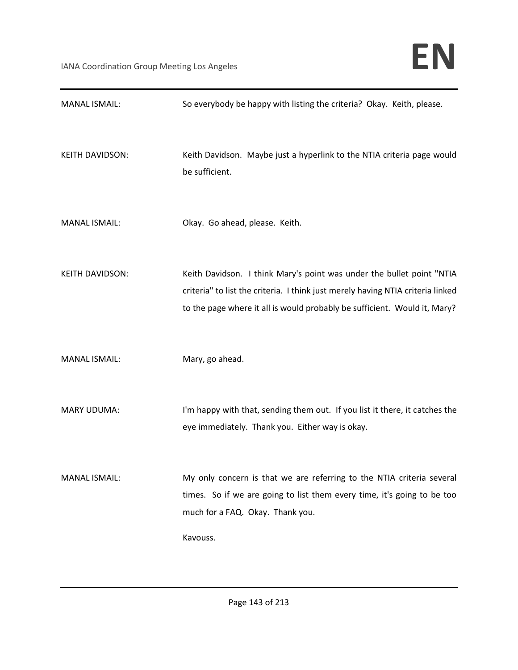| <b>MANAL ISMAIL:</b>   | So everybody be happy with listing the criteria? Okay. Keith, please.                                                                                                                                                                 |
|------------------------|---------------------------------------------------------------------------------------------------------------------------------------------------------------------------------------------------------------------------------------|
| <b>KEITH DAVIDSON:</b> | Keith Davidson. Maybe just a hyperlink to the NTIA criteria page would<br>be sufficient.                                                                                                                                              |
| <b>MANAL ISMAIL:</b>   | Okay. Go ahead, please. Keith.                                                                                                                                                                                                        |
| <b>KEITH DAVIDSON:</b> | Keith Davidson. I think Mary's point was under the bullet point "NTIA<br>criteria" to list the criteria. I think just merely having NTIA criteria linked<br>to the page where it all is would probably be sufficient. Would it, Mary? |
| <b>MANAL ISMAIL:</b>   | Mary, go ahead.                                                                                                                                                                                                                       |
| <b>MARY UDUMA:</b>     | I'm happy with that, sending them out. If you list it there, it catches the<br>eye immediately. Thank you. Either way is okay.                                                                                                        |
| <b>MANAL ISMAIL:</b>   | My only concern is that we are referring to the NTIA criteria several<br>times. So if we are going to list them every time, it's going to be too<br>much for a FAQ. Okay. Thank you.                                                  |
|                        | Kavouss.                                                                                                                                                                                                                              |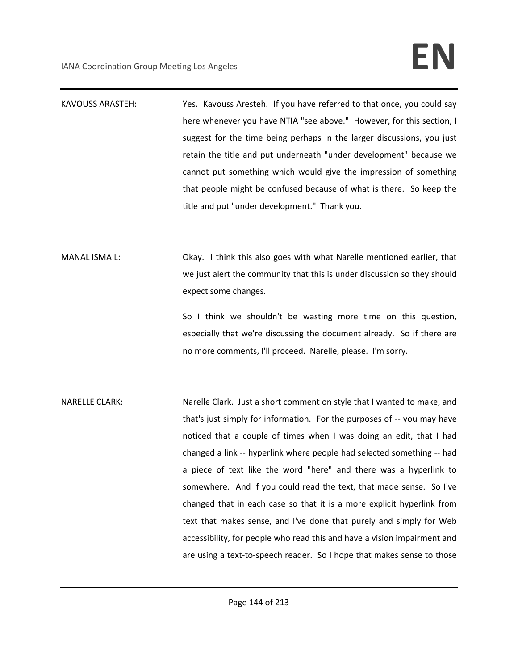- KAVOUSS ARASTEH: Yes. Kavouss Aresteh. If you have referred to that once, you could say here whenever you have NTIA "see above." However, for this section, I suggest for the time being perhaps in the larger discussions, you just retain the title and put underneath "under development" because we cannot put something which would give the impression of something that people might be confused because of what is there. So keep the title and put "under development." Thank you.
- MANAL ISMAIL: Okay. I think this also goes with what Narelle mentioned earlier, that we just alert the community that this is under discussion so they should expect some changes.

So I think we shouldn't be wasting more time on this question, especially that we're discussing the document already. So if there are no more comments, I'll proceed. Narelle, please. I'm sorry.

NARELLE CLARK: Narelle Clark. Just a short comment on style that I wanted to make, and that's just simply for information. For the purposes of -- you may have noticed that a couple of times when I was doing an edit, that I had changed a link -- hyperlink where people had selected something -- had a piece of text like the word "here" and there was a hyperlink to somewhere. And if you could read the text, that made sense. So I've changed that in each case so that it is a more explicit hyperlink from text that makes sense, and I've done that purely and simply for Web accessibility, for people who read this and have a vision impairment and are using a text-to-speech reader. So I hope that makes sense to those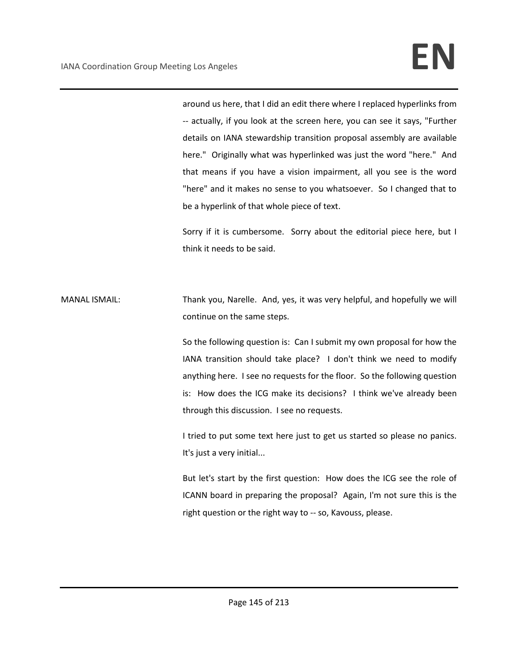around us here, that I did an edit there where I replaced hyperlinks from -- actually, if you look at the screen here, you can see it says, "Further details on IANA stewardship transition proposal assembly are available here." Originally what was hyperlinked was just the word "here." And that means if you have a vision impairment, all you see is the word "here" and it makes no sense to you whatsoever. So I changed that to be a hyperlink of that whole piece of text.

Sorry if it is cumbersome. Sorry about the editorial piece here, but I think it needs to be said.

MANAL ISMAIL: Thank you, Narelle. And, yes, it was very helpful, and hopefully we will continue on the same steps.

> So the following question is: Can I submit my own proposal for how the IANA transition should take place? I don't think we need to modify anything here. I see no requests for the floor. So the following question is: How does the ICG make its decisions? I think we've already been through this discussion. I see no requests.

> I tried to put some text here just to get us started so please no panics. It's just a very initial...

> But let's start by the first question: How does the ICG see the role of ICANN board in preparing the proposal? Again, I'm not sure this is the right question or the right way to -- so, Kavouss, please.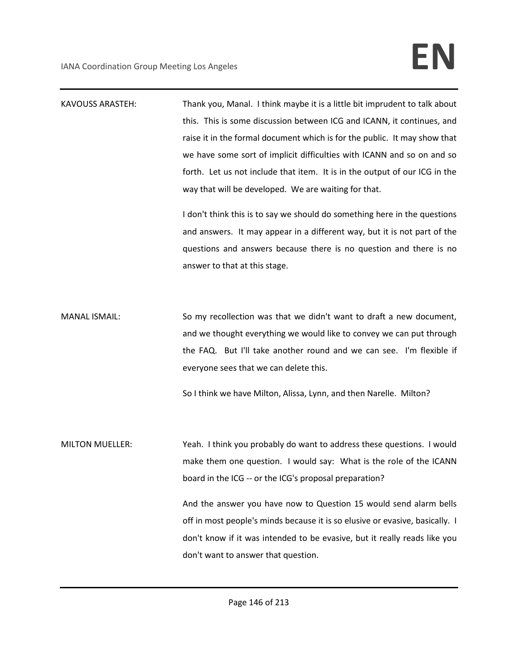| <b>KAVOUSS ARASTEH:</b> | Thank you, Manal. I think maybe it is a little bit imprudent to talk about   |
|-------------------------|------------------------------------------------------------------------------|
|                         | this. This is some discussion between ICG and ICANN, it continues, and       |
|                         | raise it in the formal document which is for the public. It may show that    |
|                         | we have some sort of implicit difficulties with ICANN and so on and so       |
|                         | forth. Let us not include that item. It is in the output of our ICG in the   |
|                         | way that will be developed. We are waiting for that.                         |
|                         | I don't think this is to say we should do something here in the questions    |
|                         | and answers. It may appear in a different way, but it is not part of the     |
|                         | questions and answers because there is no question and there is no           |
|                         | answer to that at this stage.                                                |
|                         |                                                                              |
| <b>MANAL ISMAIL:</b>    | So my recollection was that we didn't want to draft a new document,          |
|                         | and we thought everything we would like to convey we can put through         |
|                         | the FAQ. But I'll take another round and we can see. I'm flexible if         |
|                         | everyone sees that we can delete this.                                       |
|                         |                                                                              |
|                         | So I think we have Milton, Alissa, Lynn, and then Narelle. Milton?           |
|                         |                                                                              |
| <b>MILTON MUELLER:</b>  | Yeah. I think you probably do want to address these questions. I would       |
|                         | make them one question. I would say: What is the role of the ICANN           |
|                         | board in the ICG -- or the ICG's proposal preparation?                       |
|                         | And the answer you have now to Question 15 would send alarm bells            |
|                         | off in most people's minds because it is so elusive or evasive, basically. I |
|                         | don't know if it was intended to be evasive, but it really reads like you    |
|                         | don't want to answer that question.                                          |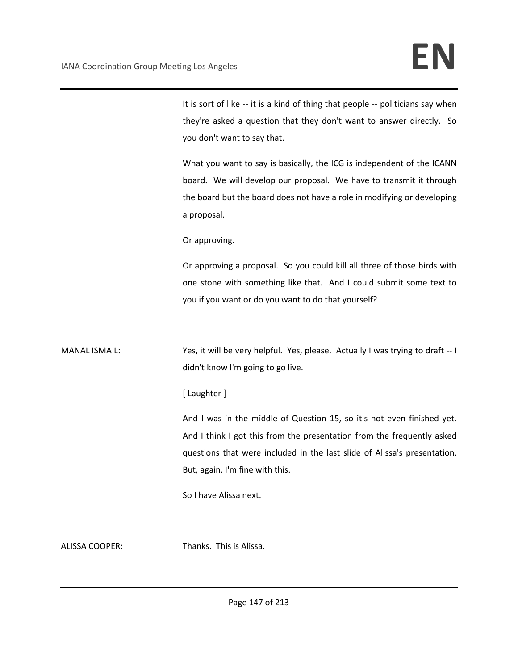It is sort of like -- it is a kind of thing that people -- politicians say when they're asked a question that they don't want to answer directly. So you don't want to say that.

What you want to say is basically, the ICG is independent of the ICANN board. We will develop our proposal. We have to transmit it through the board but the board does not have a role in modifying or developing a proposal.

Or approving.

Or approving a proposal. So you could kill all three of those birds with one stone with something like that. And I could submit some text to you if you want or do you want to do that yourself?

MANAL ISMAIL: Yes, it will be very helpful. Yes, please. Actually I was trying to draft -- I didn't know I'm going to go live.

## [ Laughter ]

And I was in the middle of Question 15, so it's not even finished yet. And I think I got this from the presentation from the frequently asked questions that were included in the last slide of Alissa's presentation. But, again, I'm fine with this.

So I have Alissa next.

ALISSA COOPER: Thanks. This is Alissa.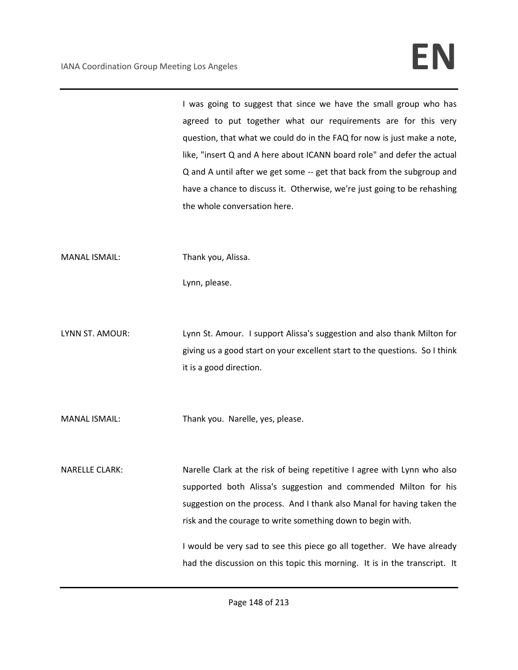I was going to suggest that since we have the small group who has agreed to put together what our requirements are for this very question, that what we could do in the FAQ for now is just make a note, like, "insert Q and A here about ICANN board role" and defer the actual Q and A until after we get some -- get that back from the subgroup and have a chance to discuss it. Otherwise, we're just going to be rehashing the whole conversation here.

MANAL ISMAIL: Thank you, Alissa.

Lynn, please.

LYNN ST. AMOUR: Lynn St. Amour. I support Alissa's suggestion and also thank Milton for giving us a good start on your excellent start to the questions. So I think it is a good direction.

MANAL ISMAIL: Thank you. Narelle, yes, please.

NARELLE CLARK: Narelle Clark at the risk of being repetitive I agree with Lynn who also supported both Alissa's suggestion and commended Milton for his suggestion on the process. And I thank also Manal for having taken the risk and the courage to write something down to begin with.

> I would be very sad to see this piece go all together. We have already had the discussion on this topic this morning. It is in the transcript. It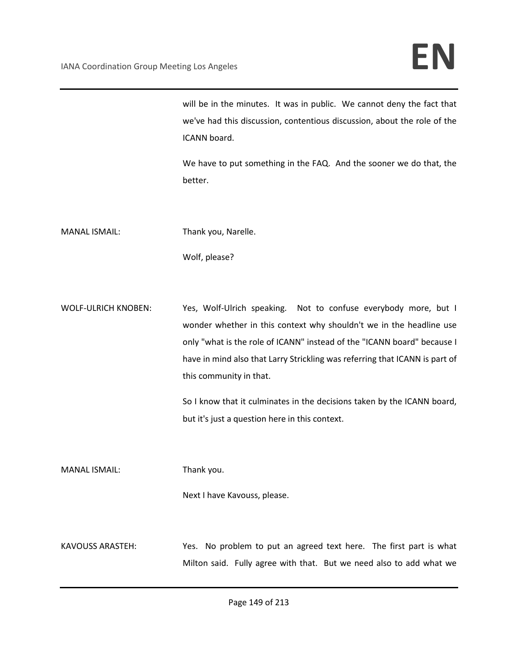will be in the minutes. It was in public. We cannot deny the fact that we've had this discussion, contentious discussion, about the role of the ICANN board.

We have to put something in the FAQ. And the sooner we do that, the better.

MANAL ISMAIL: Thank you, Narelle.

Wolf, please?

WOLF-ULRICH KNOBEN: Yes, Wolf-Ulrich speaking. Not to confuse everybody more, but I wonder whether in this context why shouldn't we in the headline use only "what is the role of ICANN" instead of the "ICANN board" because I have in mind also that Larry Strickling was referring that ICANN is part of this community in that.

> So I know that it culminates in the decisions taken by the ICANN board, but it's just a question here in this context.

MANAL ISMAIL: Thank you.

Next I have Kavouss, please.

KAVOUSS ARASTEH: Yes. No problem to put an agreed text here. The first part is what Milton said. Fully agree with that. But we need also to add what we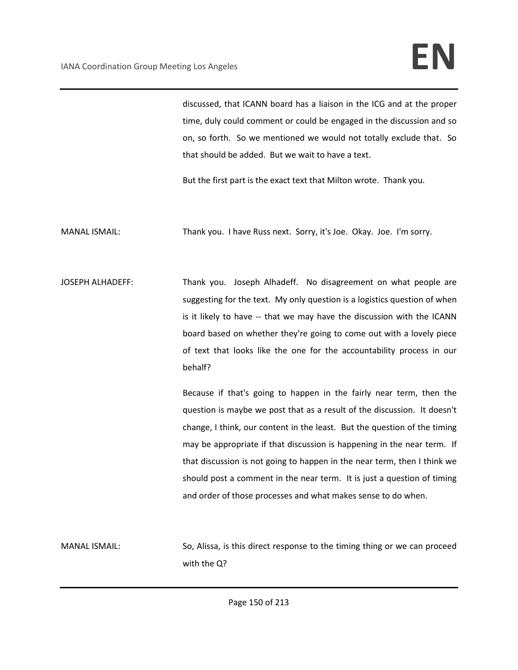discussed, that ICANN board has a liaison in the ICG and at the proper time, duly could comment or could be engaged in the discussion and so on, so forth. So we mentioned we would not totally exclude that. So that should be added. But we wait to have a text.

But the first part is the exact text that Milton wrote. Thank you.

MANAL ISMAIL: Thank you. I have Russ next. Sorry, it's Joe. Okay. Joe. I'm sorry.

JOSEPH ALHADEFF: Thank you. Joseph Alhadeff. No disagreement on what people are suggesting for the text. My only question is a logistics question of when is it likely to have -- that we may have the discussion with the ICANN board based on whether they're going to come out with a lovely piece of text that looks like the one for the accountability process in our behalf?

> Because if that's going to happen in the fairly near term, then the question is maybe we post that as a result of the discussion. It doesn't change, I think, our content in the least. But the question of the timing may be appropriate if that discussion is happening in the near term. If that discussion is not going to happen in the near term, then I think we should post a comment in the near term. It is just a question of timing and order of those processes and what makes sense to do when.

MANAL ISMAIL: So, Alissa, is this direct response to the timing thing or we can proceed with the Q?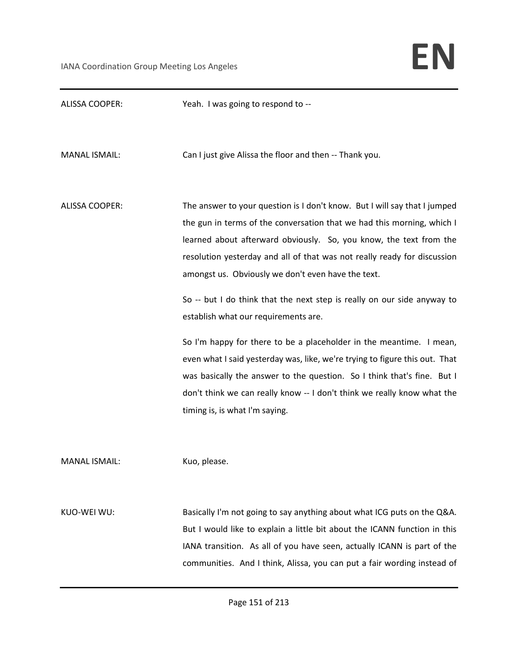| <b>ALISSA COOPER:</b> | Yeah. I was going to respond to --                                                                                                                                                                                                                                                                                                                                                                                                                                                                                                                                                                                                                                                                                                                                                                                           |
|-----------------------|------------------------------------------------------------------------------------------------------------------------------------------------------------------------------------------------------------------------------------------------------------------------------------------------------------------------------------------------------------------------------------------------------------------------------------------------------------------------------------------------------------------------------------------------------------------------------------------------------------------------------------------------------------------------------------------------------------------------------------------------------------------------------------------------------------------------------|
| <b>MANAL ISMAIL:</b>  | Can I just give Alissa the floor and then -- Thank you.                                                                                                                                                                                                                                                                                                                                                                                                                                                                                                                                                                                                                                                                                                                                                                      |
| <b>ALISSA COOPER:</b> | The answer to your question is I don't know. But I will say that I jumped<br>the gun in terms of the conversation that we had this morning, which I<br>learned about afterward obviously. So, you know, the text from the<br>resolution yesterday and all of that was not really ready for discussion<br>amongst us. Obviously we don't even have the text.<br>So -- but I do think that the next step is really on our side anyway to<br>establish what our requirements are.<br>So I'm happy for there to be a placeholder in the meantime. I mean,<br>even what I said yesterday was, like, we're trying to figure this out. That<br>was basically the answer to the question. So I think that's fine. But I<br>don't think we can really know -- I don't think we really know what the<br>timing is, is what I'm saying. |
| <b>MANAL ISMAIL:</b>  | Kuo, please.                                                                                                                                                                                                                                                                                                                                                                                                                                                                                                                                                                                                                                                                                                                                                                                                                 |
| KUO-WEI WU:           | Basically I'm not going to say anything about what ICG puts on the Q&A.<br>But I would like to explain a little bit about the ICANN function in this<br>IANA transition. As all of you have seen, actually ICANN is part of the<br>communities. And I think, Alissa, you can put a fair wording instead of                                                                                                                                                                                                                                                                                                                                                                                                                                                                                                                   |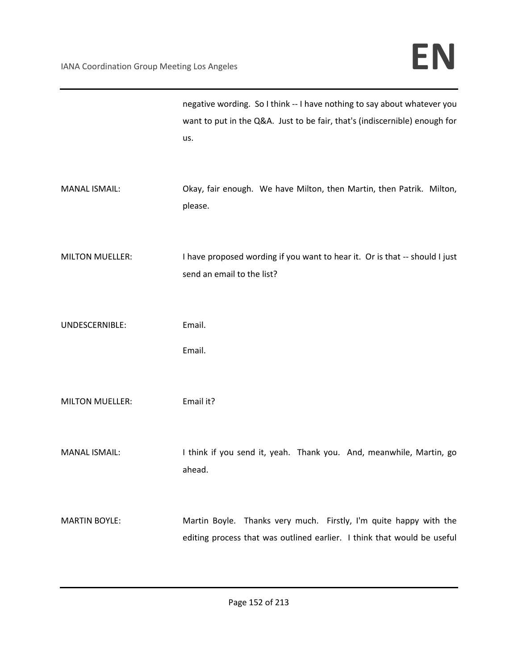|                        | negative wording. So I think -- I have nothing to say about whatever you<br>want to put in the Q&A. Just to be fair, that's (indiscernible) enough for<br>us. |
|------------------------|---------------------------------------------------------------------------------------------------------------------------------------------------------------|
| <b>MANAL ISMAIL:</b>   | Okay, fair enough. We have Milton, then Martin, then Patrik. Milton,<br>please.                                                                               |
| <b>MILTON MUELLER:</b> | I have proposed wording if you want to hear it. Or is that -- should I just<br>send an email to the list?                                                     |
| UNDESCERNIBLE:         | Email.<br>Email.                                                                                                                                              |
| <b>MILTON MUELLER:</b> | Email it?                                                                                                                                                     |
| <b>MANAL ISMAIL:</b>   | I think if you send it, yeah. Thank you. And, meanwhile, Martin, go<br>ahead.                                                                                 |
| <b>MARTIN BOYLE:</b>   | Martin Boyle. Thanks very much. Firstly, I'm quite happy with the<br>editing process that was outlined earlier. I think that would be useful                  |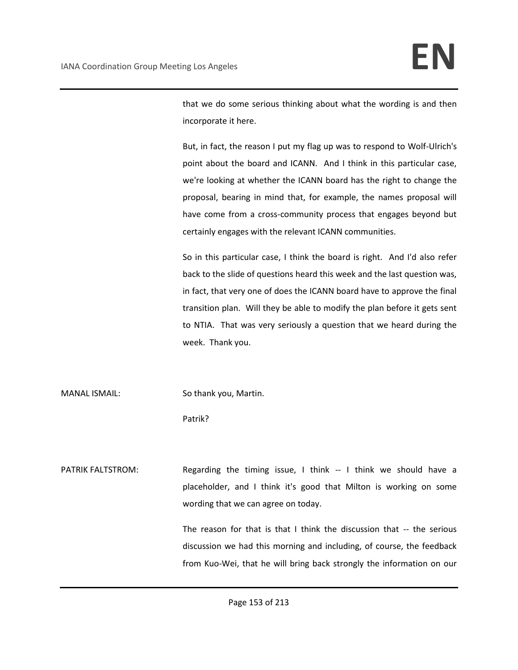that we do some serious thinking about what the wording is and then incorporate it here.

But, in fact, the reason I put my flag up was to respond to Wolf-Ulrich's point about the board and ICANN. And I think in this particular case, we're looking at whether the ICANN board has the right to change the proposal, bearing in mind that, for example, the names proposal will have come from a cross-community process that engages beyond but certainly engages with the relevant ICANN communities.

So in this particular case, I think the board is right. And I'd also refer back to the slide of questions heard this week and the last question was, in fact, that very one of does the ICANN board have to approve the final transition plan. Will they be able to modify the plan before it gets sent to NTIA. That was very seriously a question that we heard during the week. Thank you.

MANAL ISMAIL: So thank you, Martin.

Patrik?

PATRIK FALTSTROM: Regarding the timing issue, I think -- I think we should have a placeholder, and I think it's good that Milton is working on some wording that we can agree on today.

> The reason for that is that I think the discussion that -- the serious discussion we had this morning and including, of course, the feedback from Kuo-Wei, that he will bring back strongly the information on our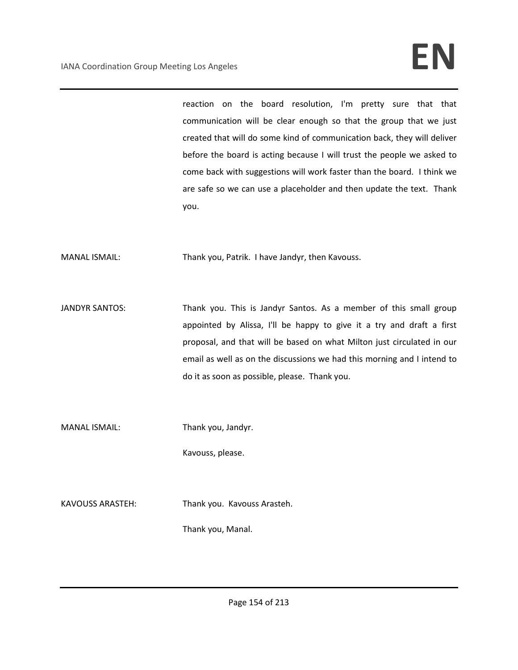reaction on the board resolution, I'm pretty sure that that communication will be clear enough so that the group that we just created that will do some kind of communication back, they will deliver before the board is acting because I will trust the people we asked to come back with suggestions will work faster than the board. I think we are safe so we can use a placeholder and then update the text. Thank you.

MANAL ISMAIL: Thank you, Patrik. I have Jandyr, then Kavouss.

JANDYR SANTOS: Thank you. This is Jandyr Santos. As a member of this small group appointed by Alissa, I'll be happy to give it a try and draft a first proposal, and that will be based on what Milton just circulated in our email as well as on the discussions we had this morning and I intend to do it as soon as possible, please. Thank you.

MANAL ISMAIL: Thank you, Jandyr.

Kavouss, please.

KAVOUSS ARASTEH: Thank you. Kavouss Arasteh.

Thank you, Manal.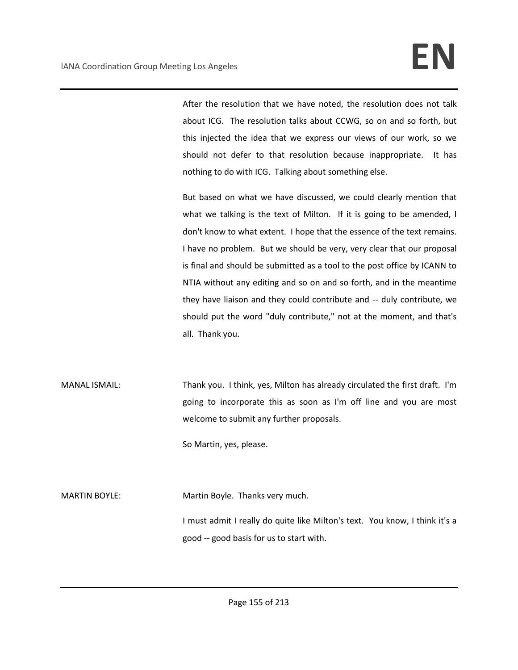After the resolution that we have noted, the resolution does not talk about ICG. The resolution talks about CCWG, so on and so forth, but this injected the idea that we express our views of our work, so we should not defer to that resolution because inappropriate. It has nothing to do with ICG. Talking about something else.

But based on what we have discussed, we could clearly mention that what we talking is the text of Milton. If it is going to be amended, I don't know to what extent. I hope that the essence of the text remains. I have no problem. But we should be very, very clear that our proposal is final and should be submitted as a tool to the post office by ICANN to NTIA without any editing and so on and so forth, and in the meantime they have liaison and they could contribute and -- duly contribute, we should put the word "duly contribute," not at the moment, and that's all. Thank you.

MANAL ISMAIL: Thank you. I think, yes, Milton has already circulated the first draft. I'm going to incorporate this as soon as I'm off line and you are most welcome to submit any further proposals.

So Martin, yes, please.

MARTIN BOYLE: Martin Boyle. Thanks very much.

I must admit I really do quite like Milton's text. You know, I think it's a good -- good basis for us to start with.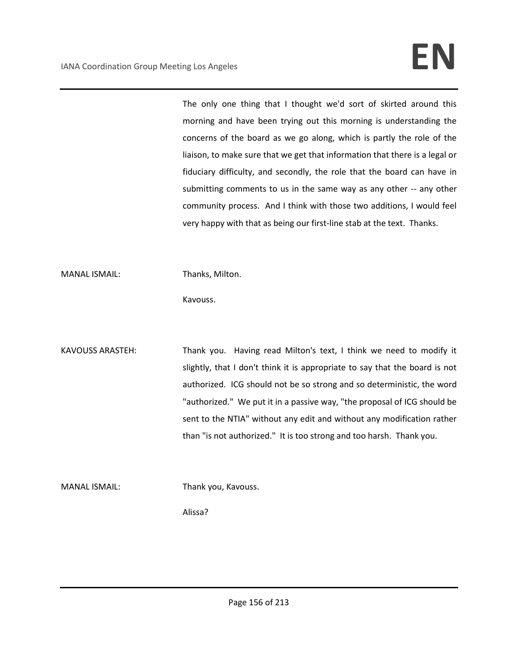The only one thing that I thought we'd sort of skirted around this morning and have been trying out this morning is understanding the concerns of the board as we go along, which is partly the role of the liaison, to make sure that we get that information that there is a legal or fiduciary difficulty, and secondly, the role that the board can have in submitting comments to us in the same way as any other -- any other community process. And I think with those two additions, I would feel very happy with that as being our first-line stab at the text. Thanks.

MANAL ISMAIL: Thanks, Milton.

Kavouss.

KAVOUSS ARASTEH: Thank you. Having read Milton's text, I think we need to modify it slightly, that I don't think it is appropriate to say that the board is not authorized. ICG should not be so strong and so deterministic, the word "authorized." We put it in a passive way, "the proposal of ICG should be sent to the NTIA" without any edit and without any modification rather than "is not authorized." It is too strong and too harsh. Thank you.

MANAL ISMAIL: Thank you, Kavouss.

Alissa?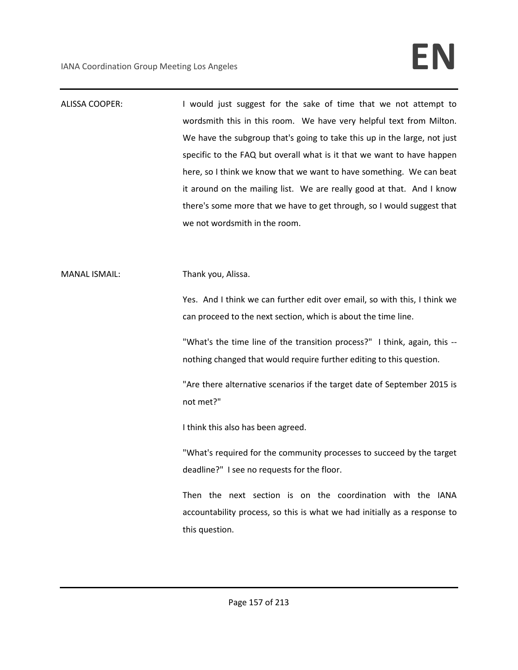ALISSA COOPER: I would just suggest for the sake of time that we not attempt to wordsmith this in this room. We have very helpful text from Milton. We have the subgroup that's going to take this up in the large, not just specific to the FAQ but overall what is it that we want to have happen here, so I think we know that we want to have something. We can beat it around on the mailing list. We are really good at that. And I know there's some more that we have to get through, so I would suggest that we not wordsmith in the room.

MANAL ISMAIL: Thank you, Alissa.

Yes. And I think we can further edit over email, so with this, I think we can proceed to the next section, which is about the time line.

"What's the time line of the transition process?" I think, again, this - nothing changed that would require further editing to this question.

"Are there alternative scenarios if the target date of September 2015 is not met?"

I think this also has been agreed.

"What's required for the community processes to succeed by the target deadline?" I see no requests for the floor.

Then the next section is on the coordination with the IANA accountability process, so this is what we had initially as a response to this question.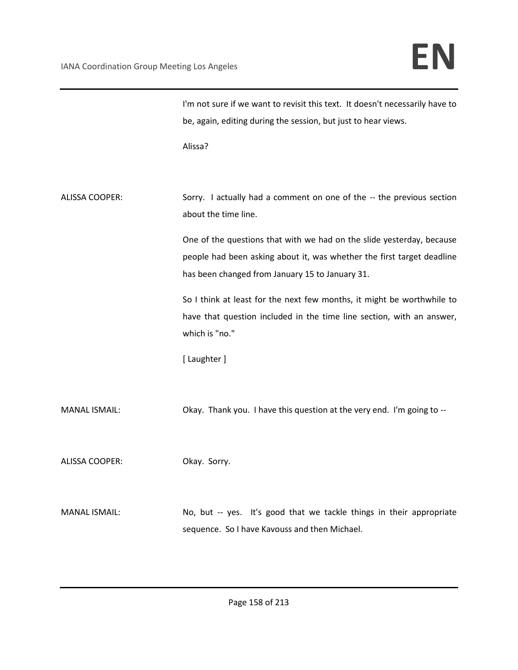|                       | I'm not sure if we want to revisit this text. It doesn't necessarily have to                                                                                                                       |
|-----------------------|----------------------------------------------------------------------------------------------------------------------------------------------------------------------------------------------------|
|                       | be, again, editing during the session, but just to hear views.                                                                                                                                     |
|                       | Alissa?                                                                                                                                                                                            |
| <b>ALISSA COOPER:</b> | Sorry. I actually had a comment on one of the -- the previous section<br>about the time line.                                                                                                      |
|                       | One of the questions that with we had on the slide yesterday, because<br>people had been asking about it, was whether the first target deadline<br>has been changed from January 15 to January 31. |
|                       | So I think at least for the next few months, it might be worthwhile to<br>have that question included in the time line section, with an answer,<br>which is "no."                                  |
|                       | [ Laughter ]                                                                                                                                                                                       |
| <b>MANAL ISMAIL:</b>  | Okay. Thank you. I have this question at the very end. I'm going to --                                                                                                                             |
| <b>ALISSA COOPER:</b> | Okay. Sorry.                                                                                                                                                                                       |
| <b>MANAL ISMAIL:</b>  | No, but -- yes. It's good that we tackle things in their appropriate<br>sequence. So I have Kavouss and then Michael.                                                                              |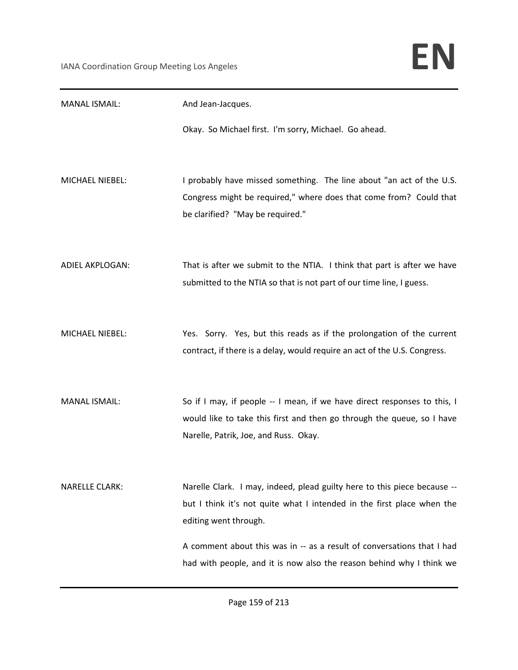| <b>MANAL ISMAIL:</b>   | And Jean-Jacques.                                                                                                                                                                           |
|------------------------|---------------------------------------------------------------------------------------------------------------------------------------------------------------------------------------------|
|                        | Okay. So Michael first. I'm sorry, Michael. Go ahead.                                                                                                                                       |
| MICHAEL NIEBEL:        | I probably have missed something. The line about "an act of the U.S.<br>Congress might be required," where does that come from? Could that<br>be clarified? "May be required."              |
| <b>ADIEL AKPLOGAN:</b> | That is after we submit to the NTIA. I think that part is after we have<br>submitted to the NTIA so that is not part of our time line, I guess.                                             |
| MICHAEL NIEBEL:        | Yes. Sorry. Yes, but this reads as if the prolongation of the current<br>contract, if there is a delay, would require an act of the U.S. Congress.                                          |
| <b>MANAL ISMAIL:</b>   | So if I may, if people -- I mean, if we have direct responses to this, I<br>would like to take this first and then go through the queue, so I have<br>Narelle, Patrik, Joe, and Russ. Okay. |
| <b>NARELLE CLARK:</b>  | Narelle Clark. I may, indeed, plead guilty here to this piece because --<br>but I think it's not quite what I intended in the first place when the<br>editing went through.                 |
|                        | A comment about this was in -- as a result of conversations that I had<br>had with people, and it is now also the reason behind why I think we                                              |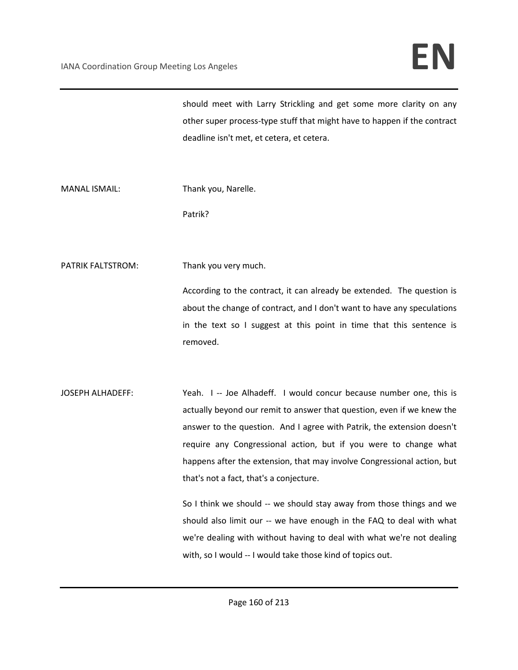should meet with Larry Strickling and get some more clarity on any other super process-type stuff that might have to happen if the contract deadline isn't met, et cetera, et cetera.

MANAL ISMAIL: Thank you, Narelle.

Patrik?

PATRIK FALTSTROM: Thank you very much.

According to the contract, it can already be extended. The question is about the change of contract, and I don't want to have any speculations in the text so I suggest at this point in time that this sentence is removed.

JOSEPH ALHADEFF: Yeah. I -- Joe Alhadeff. I would concur because number one, this is actually beyond our remit to answer that question, even if we knew the answer to the question. And I agree with Patrik, the extension doesn't require any Congressional action, but if you were to change what happens after the extension, that may involve Congressional action, but that's not a fact, that's a conjecture.

> So I think we should -- we should stay away from those things and we should also limit our -- we have enough in the FAQ to deal with what we're dealing with without having to deal with what we're not dealing with, so I would -- I would take those kind of topics out.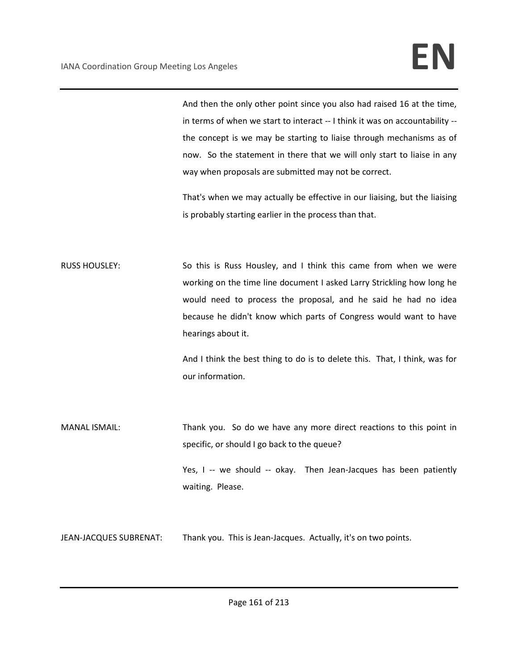And then the only other point since you also had raised 16 at the time, in terms of when we start to interact -- I think it was on accountability - the concept is we may be starting to liaise through mechanisms as of now. So the statement in there that we will only start to liaise in any way when proposals are submitted may not be correct.

That's when we may actually be effective in our liaising, but the liaising is probably starting earlier in the process than that.

RUSS HOUSLEY: So this is Russ Housley, and I think this came from when we were working on the time line document I asked Larry Strickling how long he would need to process the proposal, and he said he had no idea because he didn't know which parts of Congress would want to have hearings about it.

> And I think the best thing to do is to delete this. That, I think, was for our information.

MANAL ISMAIL: Thank you. So do we have any more direct reactions to this point in specific, or should I go back to the queue? Yes, I -- we should -- okay. Then Jean-Jacques has been patiently waiting. Please.

JEAN-JACQUES SUBRENAT: Thank you. This is Jean-Jacques. Actually, it's on two points.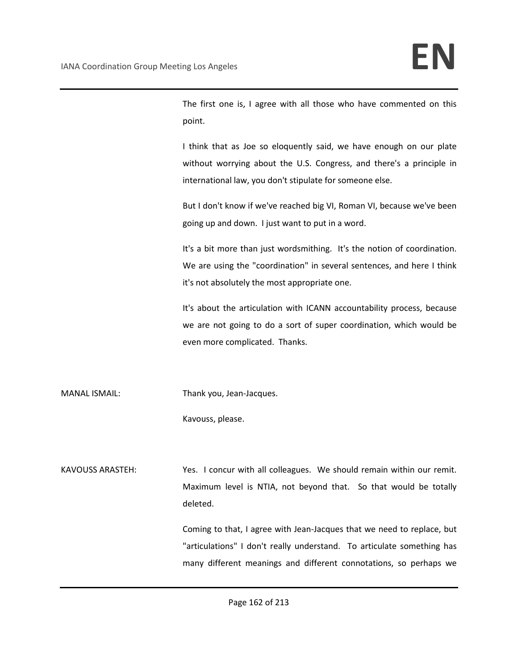The first one is, I agree with all those who have commented on this point.

I think that as Joe so eloquently said, we have enough on our plate without worrying about the U.S. Congress, and there's a principle in international law, you don't stipulate for someone else.

But I don't know if we've reached big VI, Roman VI, because we've been going up and down. I just want to put in a word.

It's a bit more than just wordsmithing. It's the notion of coordination. We are using the "coordination" in several sentences, and here I think it's not absolutely the most appropriate one.

It's about the articulation with ICANN accountability process, because we are not going to do a sort of super coordination, which would be even more complicated. Thanks.

MANAL ISMAIL: Thank you, Jean-Jacques.

Kavouss, please.

KAVOUSS ARASTEH: Yes. I concur with all colleagues. We should remain within our remit. Maximum level is NTIA, not beyond that. So that would be totally deleted.

> Coming to that, I agree with Jean-Jacques that we need to replace, but "articulations" I don't really understand. To articulate something has many different meanings and different connotations, so perhaps we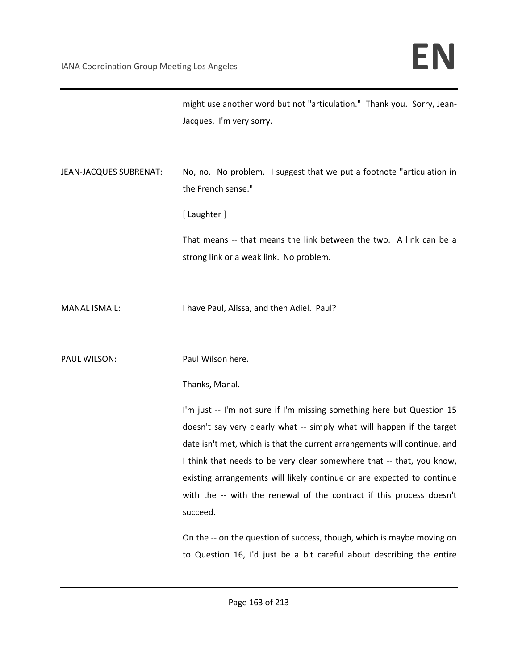|                        | might use another word but not "articulation." Thank you. Sorry, Jean-<br>Jacques. I'm very sorry.                                                                                                                                                                                                                                                                                                                                                                   |
|------------------------|----------------------------------------------------------------------------------------------------------------------------------------------------------------------------------------------------------------------------------------------------------------------------------------------------------------------------------------------------------------------------------------------------------------------------------------------------------------------|
| JEAN-JACQUES SUBRENAT: | No, no. No problem. I suggest that we put a footnote "articulation in<br>the French sense."                                                                                                                                                                                                                                                                                                                                                                          |
|                        | [Laughter]                                                                                                                                                                                                                                                                                                                                                                                                                                                           |
|                        | That means -- that means the link between the two. A link can be a<br>strong link or a weak link. No problem.                                                                                                                                                                                                                                                                                                                                                        |
| <b>MANAL ISMAIL:</b>   | I have Paul, Alissa, and then Adiel. Paul?                                                                                                                                                                                                                                                                                                                                                                                                                           |
| PAUL WILSON:           | Paul Wilson here.                                                                                                                                                                                                                                                                                                                                                                                                                                                    |
|                        | Thanks, Manal.                                                                                                                                                                                                                                                                                                                                                                                                                                                       |
|                        | I'm just -- I'm not sure if I'm missing something here but Question 15<br>doesn't say very clearly what -- simply what will happen if the target<br>date isn't met, which is that the current arrangements will continue, and<br>I think that needs to be very clear somewhere that -- that, you know,<br>existing arrangements will likely continue or are expected to continue<br>with the -- with the renewal of the contract if this process doesn't<br>succeed. |
|                        | On the -- on the question of success, though, which is maybe moving on<br>to Question 16, I'd just be a bit careful about describing the entire                                                                                                                                                                                                                                                                                                                      |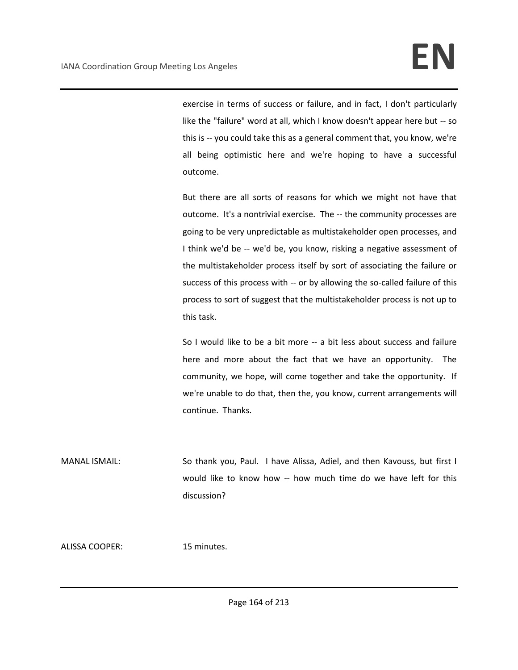exercise in terms of success or failure, and in fact, I don't particularly like the "failure" word at all, which I know doesn't appear here but -- so this is -- you could take this as a general comment that, you know, we're all being optimistic here and we're hoping to have a successful outcome.

But there are all sorts of reasons for which we might not have that outcome. It's a nontrivial exercise. The -- the community processes are going to be very unpredictable as multistakeholder open processes, and I think we'd be -- we'd be, you know, risking a negative assessment of the multistakeholder process itself by sort of associating the failure or success of this process with -- or by allowing the so-called failure of this process to sort of suggest that the multistakeholder process is not up to this task.

So I would like to be a bit more -- a bit less about success and failure here and more about the fact that we have an opportunity. The community, we hope, will come together and take the opportunity. If we're unable to do that, then the, you know, current arrangements will continue. Thanks.

MANAL ISMAIL: So thank you, Paul. I have Alissa, Adiel, and then Kavouss, but first I would like to know how -- how much time do we have left for this discussion?

ALISSA COOPER: 15 minutes.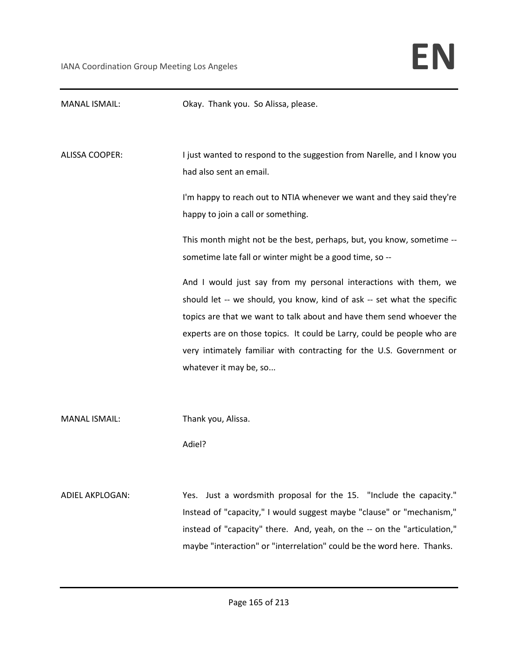| <b>MANAL ISMAIL:</b>   | Okay. Thank you. So Alissa, please.                                                                                                                                                                                                                                                                                                                                                              |
|------------------------|--------------------------------------------------------------------------------------------------------------------------------------------------------------------------------------------------------------------------------------------------------------------------------------------------------------------------------------------------------------------------------------------------|
| <b>ALISSA COOPER:</b>  | I just wanted to respond to the suggestion from Narelle, and I know you<br>had also sent an email.                                                                                                                                                                                                                                                                                               |
|                        | I'm happy to reach out to NTIA whenever we want and they said they're<br>happy to join a call or something.                                                                                                                                                                                                                                                                                      |
|                        | This month might not be the best, perhaps, but, you know, sometime --<br>sometime late fall or winter might be a good time, so --                                                                                                                                                                                                                                                                |
|                        | And I would just say from my personal interactions with them, we<br>should let -- we should, you know, kind of ask -- set what the specific<br>topics are that we want to talk about and have them send whoever the<br>experts are on those topics. It could be Larry, could be people who are<br>very intimately familiar with contracting for the U.S. Government or<br>whatever it may be, so |
| <b>MANAL ISMAIL:</b>   | Thank you, Alissa.<br>Adiel?                                                                                                                                                                                                                                                                                                                                                                     |
| <b>ADIEL AKPLOGAN:</b> | Yes. Just a wordsmith proposal for the 15. "Include the capacity."<br>Instead of "capacity," I would suggest maybe "clause" or "mechanism,"<br>instead of "capacity" there. And, yeah, on the -- on the "articulation,"<br>maybe "interaction" or "interrelation" could be the word here. Thanks.                                                                                                |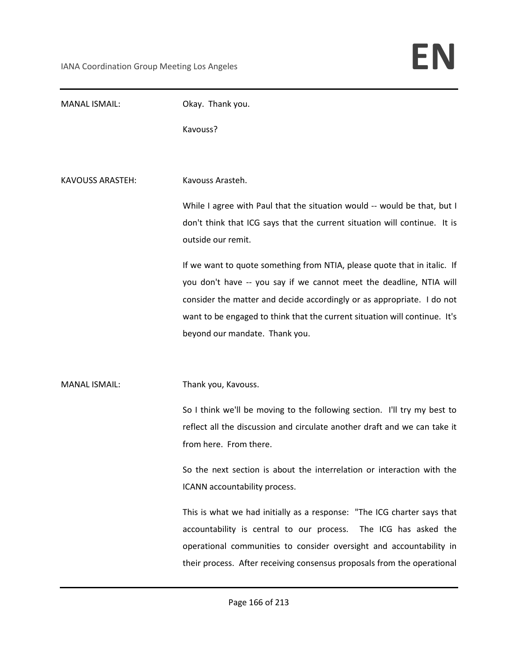| <b>MANAL ISMAIL:</b> | Okay. Thank you.                                                                                                                                                                                                                                                                                                                          |
|----------------------|-------------------------------------------------------------------------------------------------------------------------------------------------------------------------------------------------------------------------------------------------------------------------------------------------------------------------------------------|
|                      | Kavouss?                                                                                                                                                                                                                                                                                                                                  |
|                      |                                                                                                                                                                                                                                                                                                                                           |
| KAVOUSS ARASTEH:     | Kavouss Arasteh.                                                                                                                                                                                                                                                                                                                          |
|                      | While I agree with Paul that the situation would -- would be that, but I<br>don't think that ICG says that the current situation will continue. It is<br>outside our remit.                                                                                                                                                               |
|                      | If we want to quote something from NTIA, please quote that in italic. If<br>you don't have -- you say if we cannot meet the deadline, NTIA will<br>consider the matter and decide accordingly or as appropriate. I do not<br>want to be engaged to think that the current situation will continue. It's<br>beyond our mandate. Thank you. |
| <b>MANAL ISMAIL:</b> | Thank you, Kavouss.                                                                                                                                                                                                                                                                                                                       |
|                      | So I think we'll be moving to the following section. I'll try my best to<br>reflect all the discussion and circulate another draft and we can take it<br>from here. From there.                                                                                                                                                           |
|                      | So the next section is about the interrelation or interaction with the<br>ICANN accountability process.                                                                                                                                                                                                                                   |
|                      | This is what we had initially as a response: "The ICG charter says that<br>accountability is central to our process.<br>The ICG has asked the<br>operational communities to consider oversight and accountability in<br>their process. After receiving consensus proposals from the operational                                           |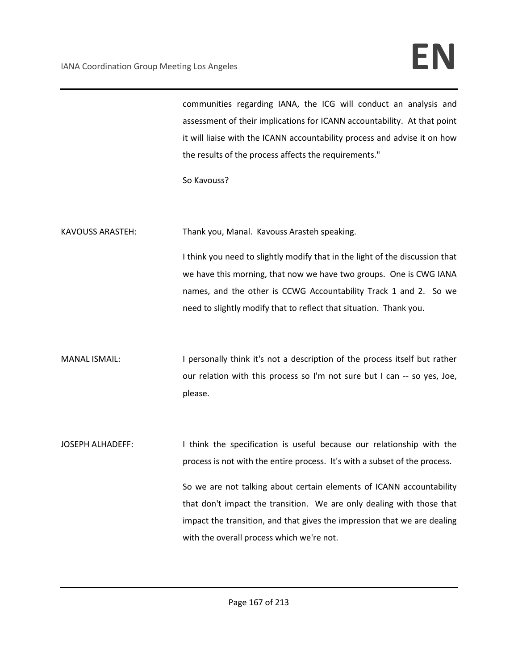## IANA Coordination Group Meeting Los Angeles **EN**

communities regarding IANA, the ICG will conduct an analysis and assessment of their implications for ICANN accountability. At that point it will liaise with the ICANN accountability process and advise it on how the results of the process affects the requirements."

So Kavouss?

KAVOUSS ARASTEH: Thank you, Manal. Kavouss Arasteh speaking.

I think you need to slightly modify that in the light of the discussion that we have this morning, that now we have two groups. One is CWG IANA names, and the other is CCWG Accountability Track 1 and 2. So we need to slightly modify that to reflect that situation. Thank you.

MANAL ISMAIL: I personally think it's not a description of the process itself but rather our relation with this process so I'm not sure but I can -- so yes, Joe, please.

JOSEPH ALHADEFF: Inink the specification is useful because our relationship with the process is not with the entire process. It's with a subset of the process.

> So we are not talking about certain elements of ICANN accountability that don't impact the transition. We are only dealing with those that impact the transition, and that gives the impression that we are dealing with the overall process which we're not.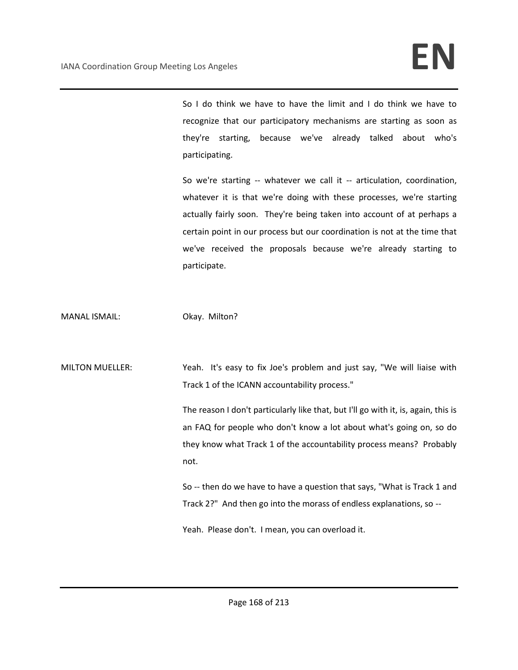So I do think we have to have the limit and I do think we have to recognize that our participatory mechanisms are starting as soon as they're starting, because we've already talked about who's participating.

So we're starting -- whatever we call it -- articulation, coordination, whatever it is that we're doing with these processes, we're starting actually fairly soon. They're being taken into account of at perhaps a certain point in our process but our coordination is not at the time that we've received the proposals because we're already starting to participate.

MANAL ISMAIL: Okay. Milton?

MILTON MUELLER: Yeah. It's easy to fix Joe's problem and just say, "We will liaise with Track 1 of the ICANN accountability process."

> The reason I don't particularly like that, but I'll go with it, is, again, this is an FAQ for people who don't know a lot about what's going on, so do they know what Track 1 of the accountability process means? Probably not.

> So -- then do we have to have a question that says, "What is Track 1 and Track 2?" And then go into the morass of endless explanations, so --

Yeah. Please don't. I mean, you can overload it.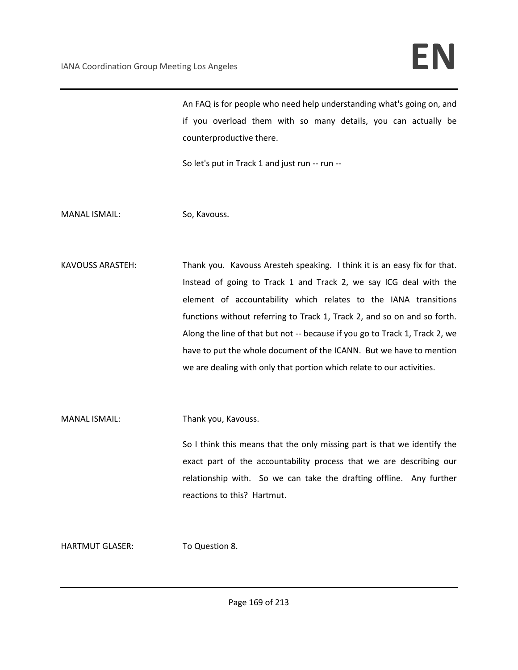An FAQ is for people who need help understanding what's going on, and if you overload them with so many details, you can actually be counterproductive there.

So let's put in Track 1 and just run -- run --

MANAL ISMAIL: So, Kavouss.

KAVOUSS ARASTEH: Thank you. Kavouss Aresteh speaking. I think it is an easy fix for that. Instead of going to Track 1 and Track 2, we say ICG deal with the element of accountability which relates to the IANA transitions functions without referring to Track 1, Track 2, and so on and so forth. Along the line of that but not -- because if you go to Track 1, Track 2, we have to put the whole document of the ICANN. But we have to mention we are dealing with only that portion which relate to our activities.

MANAL ISMAIL: Thank you, Kavouss.

So I think this means that the only missing part is that we identify the exact part of the accountability process that we are describing our relationship with. So we can take the drafting offline. Any further reactions to this? Hartmut.

HARTMUT GLASER: To Question 8.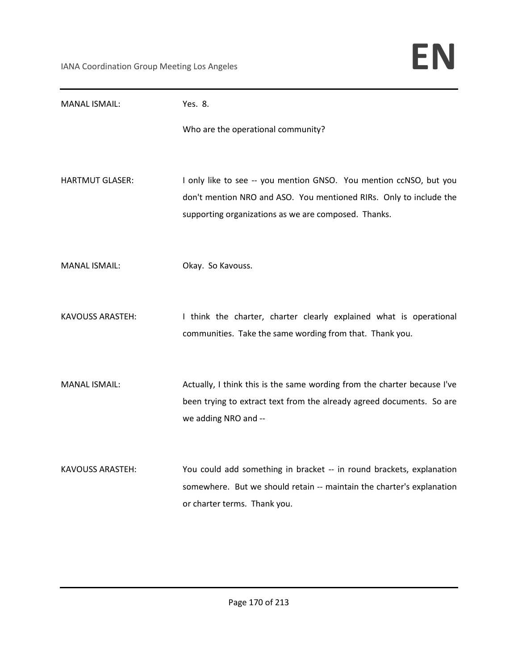| <b>MANAL ISMAIL:</b>    | Yes. 8.                                                                                                                                                                                          |
|-------------------------|--------------------------------------------------------------------------------------------------------------------------------------------------------------------------------------------------|
|                         | Who are the operational community?                                                                                                                                                               |
| HARTMUT GLASER:         | I only like to see -- you mention GNSO. You mention ccNSO, but you<br>don't mention NRO and ASO. You mentioned RIRs. Only to include the<br>supporting organizations as we are composed. Thanks. |
| <b>MANAL ISMAIL:</b>    | Okay. So Kavouss.                                                                                                                                                                                |
| <b>KAVOUSS ARASTEH:</b> | I think the charter, charter clearly explained what is operational<br>communities. Take the same wording from that. Thank you.                                                                   |
| <b>MANAL ISMAIL:</b>    | Actually, I think this is the same wording from the charter because I've<br>been trying to extract text from the already agreed documents. So are<br>we adding NRO and --                        |
| <b>KAVOUSS ARASTEH:</b> | You could add something in bracket -- in round brackets, explanation<br>somewhere. But we should retain -- maintain the charter's explanation<br>or charter terms. Thank you.                    |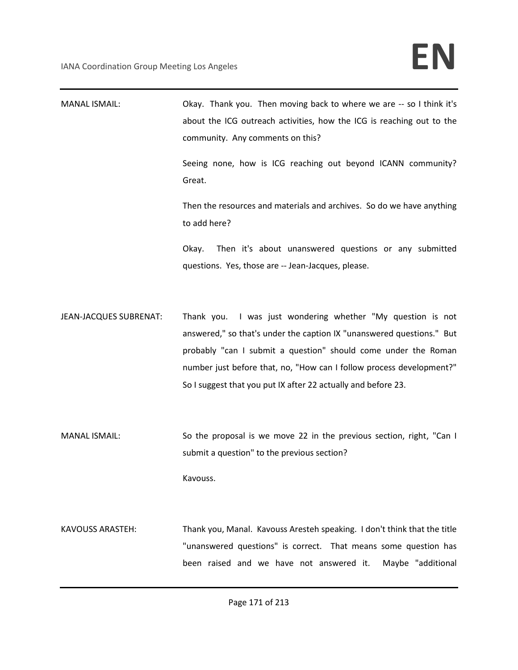| <b>MANAL ISMAIL:</b>    | Okay. Thank you. Then moving back to where we are -- so I think it's<br>about the ICG outreach activities, how the ICG is reaching out to the<br>community. Any comments on this?<br>Seeing none, how is ICG reaching out beyond ICANN community?<br>Great.<br>Then the resources and materials and archives. So do we have anything<br>to add here? |
|-------------------------|------------------------------------------------------------------------------------------------------------------------------------------------------------------------------------------------------------------------------------------------------------------------------------------------------------------------------------------------------|
|                         | Then it's about unanswered questions or any submitted<br>Okay.<br>questions. Yes, those are -- Jean-Jacques, please.                                                                                                                                                                                                                                 |
| JEAN-JACQUES SUBRENAT:  | Thank you. I was just wondering whether "My question is not<br>answered," so that's under the caption IX "unanswered questions." But<br>probably "can I submit a question" should come under the Roman<br>number just before that, no, "How can I follow process development?"<br>So I suggest that you put IX after 22 actually and before 23.      |
| <b>MANAL ISMAIL:</b>    | So the proposal is we move 22 in the previous section, right, "Can I<br>submit a question" to the previous section?<br>Kavouss.                                                                                                                                                                                                                      |
| <b>KAVOUSS ARASTEH:</b> | Thank you, Manal. Kavouss Aresteh speaking. I don't think that the title<br>"unanswered questions" is correct. That means some question has<br>been raised and we have not answered it.<br>Maybe "additional                                                                                                                                         |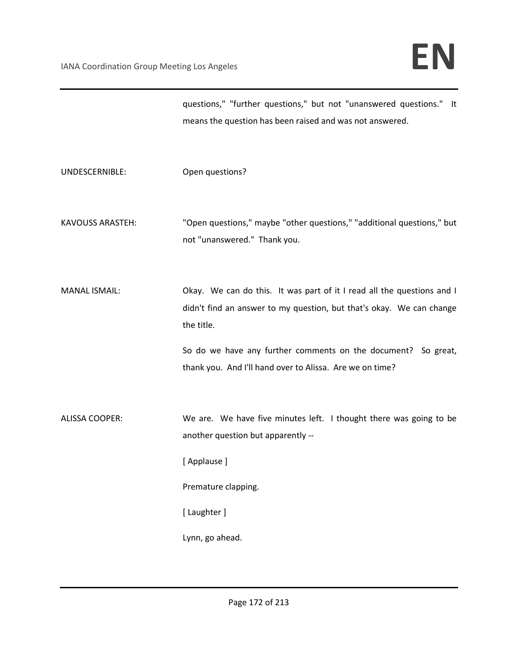|                         | questions," "further questions," but not "unanswered questions." It<br>means the question has been raised and was not answered.                              |
|-------------------------|--------------------------------------------------------------------------------------------------------------------------------------------------------------|
| UNDESCERNIBLE:          | Open questions?                                                                                                                                              |
| <b>KAVOUSS ARASTEH:</b> | "Open questions," maybe "other questions," "additional questions," but<br>not "unanswered." Thank you.                                                       |
| <b>MANAL ISMAIL:</b>    | Okay. We can do this. It was part of it I read all the questions and I<br>didn't find an answer to my question, but that's okay. We can change<br>the title. |
|                         | So do we have any further comments on the document? So great,<br>thank you. And I'll hand over to Alissa. Are we on time?                                    |
| <b>ALISSA COOPER:</b>   | We are. We have five minutes left. I thought there was going to be<br>another question but apparently --                                                     |
|                         | [Applause]                                                                                                                                                   |
|                         | Premature clapping.                                                                                                                                          |
|                         | [ Laughter ]                                                                                                                                                 |
|                         | Lynn, go ahead.                                                                                                                                              |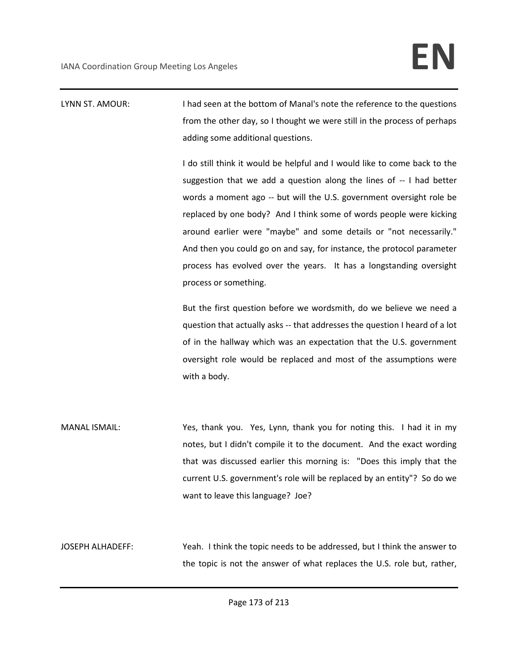LYNN ST. AMOUR: I had seen at the bottom of Manal's note the reference to the questions from the other day, so I thought we were still in the process of perhaps adding some additional questions.

> I do still think it would be helpful and I would like to come back to the suggestion that we add a question along the lines of -- I had better words a moment ago -- but will the U.S. government oversight role be replaced by one body? And I think some of words people were kicking around earlier were "maybe" and some details or "not necessarily." And then you could go on and say, for instance, the protocol parameter process has evolved over the years. It has a longstanding oversight process or something.

> But the first question before we wordsmith, do we believe we need a question that actually asks -- that addresses the question I heard of a lot of in the hallway which was an expectation that the U.S. government oversight role would be replaced and most of the assumptions were with a body.

MANAL ISMAIL: Yes, thank you. Yes, Lynn, thank you for noting this. I had it in my notes, but I didn't compile it to the document. And the exact wording that was discussed earlier this morning is: "Does this imply that the current U.S. government's role will be replaced by an entity"? So do we want to leave this language? Joe?

JOSEPH ALHADEFF: Yeah. I think the topic needs to be addressed, but I think the answer to the topic is not the answer of what replaces the U.S. role but, rather,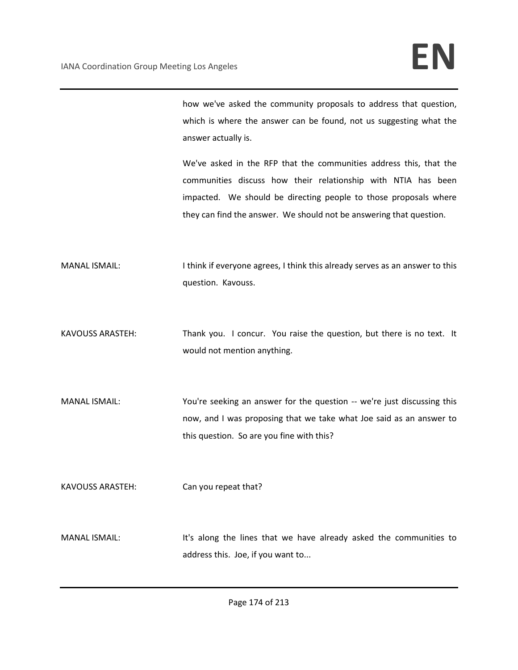how we've asked the community proposals to address that question, which is where the answer can be found, not us suggesting what the answer actually is.

We've asked in the RFP that the communities address this, that the communities discuss how their relationship with NTIA has been impacted. We should be directing people to those proposals where they can find the answer. We should not be answering that question.

- MANAL ISMAIL: Ithink if everyone agrees, I think this already serves as an answer to this question. Kavouss.
- KAVOUSS ARASTEH: Thank you. I concur. You raise the question, but there is no text. It would not mention anything.
- MANAL ISMAIL: You're seeking an answer for the question -- we're just discussing this now, and I was proposing that we take what Joe said as an answer to this question. So are you fine with this?

KAVOUSS ARASTEH: Can you repeat that?

MANAL ISMAIL: It's along the lines that we have already asked the communities to address this. Joe, if you want to...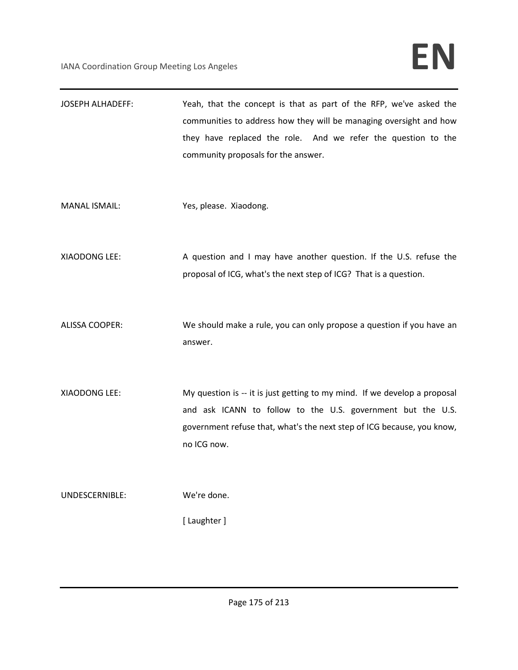| <b>JOSEPH ALHADEFF:</b> | Yeah, that the concept is that as part of the RFP, we've asked the<br>communities to address how they will be managing oversight and how<br>they have replaced the role. And we refer the question to the                         |
|-------------------------|-----------------------------------------------------------------------------------------------------------------------------------------------------------------------------------------------------------------------------------|
|                         | community proposals for the answer.                                                                                                                                                                                               |
| <b>MANAL ISMAIL:</b>    | Yes, please. Xiaodong.                                                                                                                                                                                                            |
| XIAODONG LEE:           | A question and I may have another question. If the U.S. refuse the<br>proposal of ICG, what's the next step of ICG? That is a question.                                                                                           |
| <b>ALISSA COOPER:</b>   | We should make a rule, you can only propose a question if you have an<br>answer.                                                                                                                                                  |
| XIAODONG LEE:           | My question is -- it is just getting to my mind. If we develop a proposal<br>and ask ICANN to follow to the U.S. government but the U.S.<br>government refuse that, what's the next step of ICG because, you know,<br>no ICG now. |
| UNDESCERNIBLE:          | We're done.<br>[ Laughter ]                                                                                                                                                                                                       |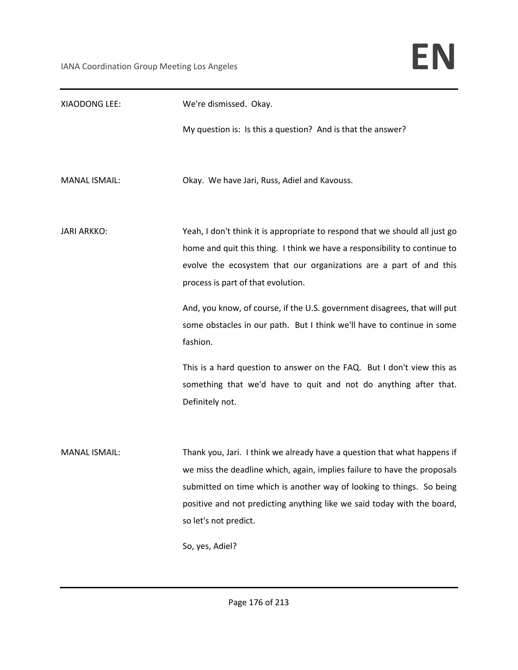| XIAODONG LEE:        | We're dismissed. Okay.                                                                                                                                                                                                                                                                                                                               |
|----------------------|------------------------------------------------------------------------------------------------------------------------------------------------------------------------------------------------------------------------------------------------------------------------------------------------------------------------------------------------------|
|                      | My question is: Is this a question? And is that the answer?                                                                                                                                                                                                                                                                                          |
| <b>MANAL ISMAIL:</b> | Okay. We have Jari, Russ, Adiel and Kavouss.                                                                                                                                                                                                                                                                                                         |
| <b>JARI ARKKO:</b>   | Yeah, I don't think it is appropriate to respond that we should all just go<br>home and quit this thing. I think we have a responsibility to continue to<br>evolve the ecosystem that our organizations are a part of and this<br>process is part of that evolution.                                                                                 |
|                      | And, you know, of course, if the U.S. government disagrees, that will put<br>some obstacles in our path. But I think we'll have to continue in some<br>fashion.                                                                                                                                                                                      |
|                      | This is a hard question to answer on the FAQ. But I don't view this as<br>something that we'd have to quit and not do anything after that.<br>Definitely not.                                                                                                                                                                                        |
| <b>MANAL ISMAIL:</b> | Thank you, Jari. I think we already have a question that what happens if<br>we miss the deadline which, again, implies failure to have the proposals<br>submitted on time which is another way of looking to things. So being<br>positive and not predicting anything like we said today with the board,<br>so let's not predict.<br>So, yes, Adiel? |
|                      |                                                                                                                                                                                                                                                                                                                                                      |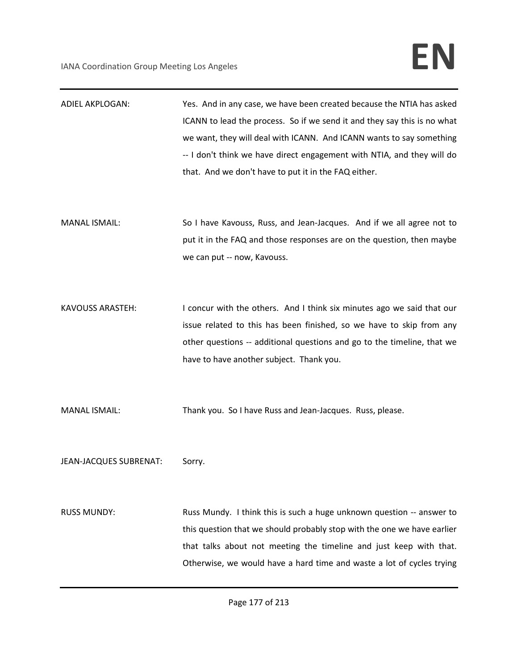| <b>ADIEL AKPLOGAN:</b> | Yes. And in any case, we have been created because the NTIA has asked    |
|------------------------|--------------------------------------------------------------------------|
|                        | ICANN to lead the process. So if we send it and they say this is no what |
|                        | we want, they will deal with ICANN. And ICANN wants to say something     |
|                        | -- I don't think we have direct engagement with NTIA, and they will do   |
|                        | that. And we don't have to put it in the FAQ either.                     |
|                        |                                                                          |
|                        |                                                                          |
| <b>MANAL ISMAIL:</b>   | So I have Kavouss, Russ, and Jean-Jacques. And if we all agree not to    |
|                        | put it in the FAQ and those responses are on the question, then maybe    |
|                        | we can put -- now, Kavouss.                                              |
|                        |                                                                          |
|                        |                                                                          |
| KAVOUSS ARASTEH:       | I concur with the others. And I think six minutes ago we said that our   |
|                        | issue related to this has been finished, so we have to skip from any     |
|                        | other questions -- additional questions and go to the timeline, that we  |
|                        | have to have another subject. Thank you.                                 |
|                        |                                                                          |
|                        |                                                                          |
| <b>MANAL ISMAIL:</b>   | Thank you. So I have Russ and Jean-Jacques. Russ, please.                |
|                        |                                                                          |
|                        |                                                                          |
| JEAN-JACQUES SUBRENAT: | Sorry.                                                                   |
|                        |                                                                          |
|                        |                                                                          |
| <b>RUSS MUNDY:</b>     | Russ Mundy. I think this is such a huge unknown question -- answer to    |
|                        | this question that we should probably stop with the one we have earlier  |
|                        | that talks about not meeting the timeline and just keep with that.       |
|                        | Otherwise, we would have a hard time and waste a lot of cycles trying    |
|                        |                                                                          |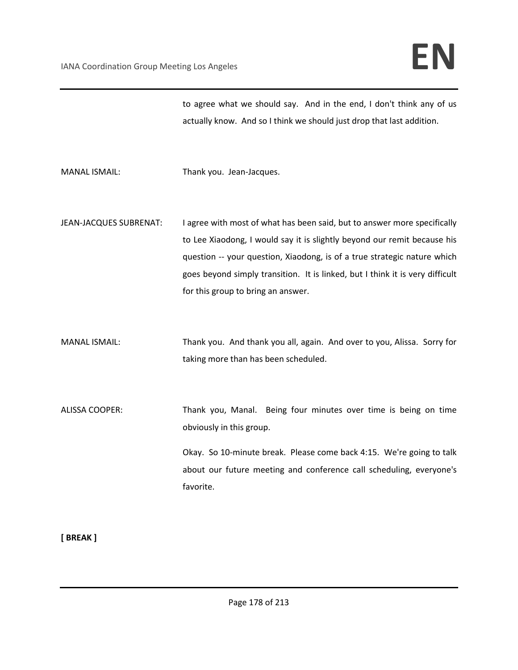to agree what we should say. And in the end, I don't think any of us actually know. And so I think we should just drop that last addition.

MANAL ISMAIL: Thank you. Jean-Jacques.

JEAN-JACQUES SUBRENAT: I agree with most of what has been said, but to answer more specifically to Lee Xiaodong, I would say it is slightly beyond our remit because his question -- your question, Xiaodong, is of a true strategic nature which goes beyond simply transition. It is linked, but I think it is very difficult for this group to bring an answer.

MANAL ISMAIL: Thank you. And thank you all, again. And over to you, Alissa. Sorry for taking more than has been scheduled.

ALISSA COOPER: Thank you, Manal. Being four minutes over time is being on time obviously in this group.

> Okay. So 10-minute break. Please come back 4:15. We're going to talk about our future meeting and conference call scheduling, everyone's favorite.

**[ BREAK ]**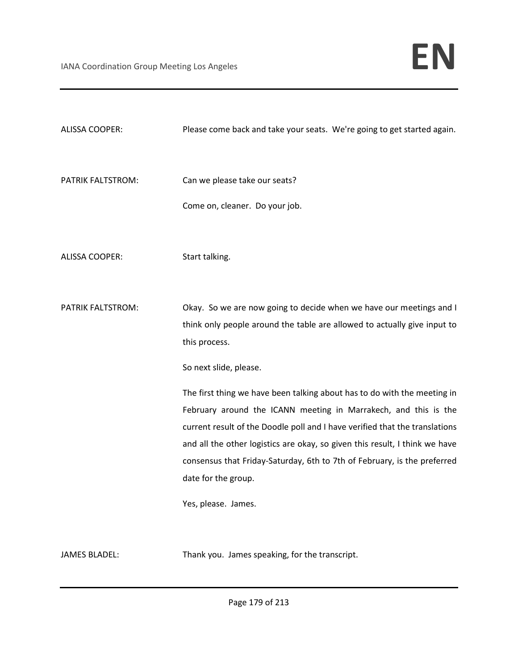| <b>ALISSA COOPER:</b> | Please come back and take your seats. We're going to get started again.                                                                                                                                                                                                                                                                                                                                      |
|-----------------------|--------------------------------------------------------------------------------------------------------------------------------------------------------------------------------------------------------------------------------------------------------------------------------------------------------------------------------------------------------------------------------------------------------------|
| PATRIK FALTSTROM:     | Can we please take our seats?<br>Come on, cleaner. Do your job.                                                                                                                                                                                                                                                                                                                                              |
| <b>ALISSA COOPER:</b> | Start talking.                                                                                                                                                                                                                                                                                                                                                                                               |
| PATRIK FALTSTROM:     | Okay. So we are now going to decide when we have our meetings and I<br>think only people around the table are allowed to actually give input to<br>this process.<br>So next slide, please.                                                                                                                                                                                                                   |
|                       | The first thing we have been talking about has to do with the meeting in<br>February around the ICANN meeting in Marrakech, and this is the<br>current result of the Doodle poll and I have verified that the translations<br>and all the other logistics are okay, so given this result, I think we have<br>consensus that Friday-Saturday, 6th to 7th of February, is the preferred<br>date for the group. |
|                       | Yes, please. James.                                                                                                                                                                                                                                                                                                                                                                                          |
| <b>JAMES BLADEL:</b>  | Thank you. James speaking, for the transcript.                                                                                                                                                                                                                                                                                                                                                               |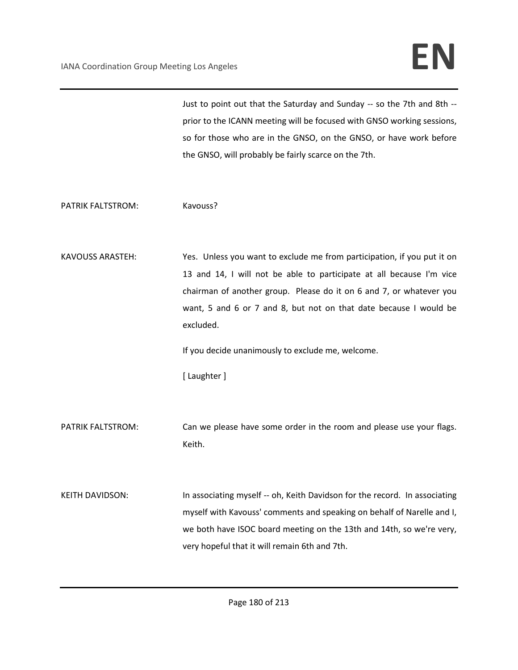Just to point out that the Saturday and Sunday -- so the 7th and 8th - prior to the ICANN meeting will be focused with GNSO working sessions, so for those who are in the GNSO, on the GNSO, or have work before the GNSO, will probably be fairly scarce on the 7th.

PATRIK FALTSTROM: Kavouss?

KAVOUSS ARASTEH: Yes. Unless you want to exclude me from participation, if you put it on 13 and 14, I will not be able to participate at all because I'm vice chairman of another group. Please do it on 6 and 7, or whatever you want, 5 and 6 or 7 and 8, but not on that date because I would be excluded.

If you decide unanimously to exclude me, welcome.

[ Laughter ]

PATRIK FALTSTROM: Can we please have some order in the room and please use your flags. Keith.

KEITH DAVIDSON: In associating myself -- oh, Keith Davidson for the record. In associating myself with Kavouss' comments and speaking on behalf of Narelle and I, we both have ISOC board meeting on the 13th and 14th, so we're very, very hopeful that it will remain 6th and 7th.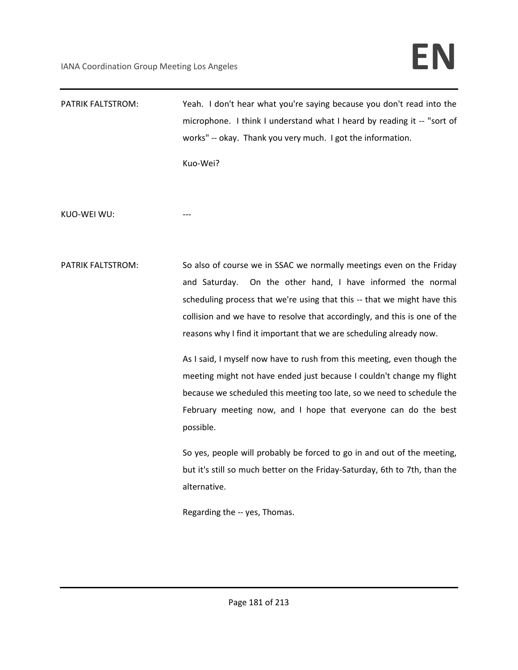# IANA Coordination Group Meeting Los Angeles **EN**

PATRIK FALTSTROM: Yeah. I don't hear what you're saying because you don't read into the microphone. I think I understand what I heard by reading it -- "sort of works" -- okay. Thank you very much. I got the information.

Kuo-Wei?

KUO-WEI WU:

PATRIK FALTSTROM: So also of course we in SSAC we normally meetings even on the Friday and Saturday. On the other hand, I have informed the normal scheduling process that we're using that this -- that we might have this collision and we have to resolve that accordingly, and this is one of the reasons why I find it important that we are scheduling already now.

> As I said, I myself now have to rush from this meeting, even though the meeting might not have ended just because I couldn't change my flight because we scheduled this meeting too late, so we need to schedule the February meeting now, and I hope that everyone can do the best possible.

> So yes, people will probably be forced to go in and out of the meeting, but it's still so much better on the Friday-Saturday, 6th to 7th, than the alternative.

Regarding the -- yes, Thomas.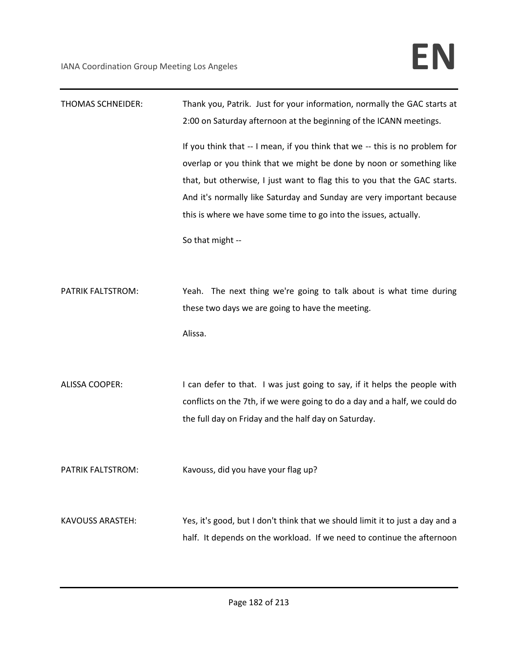| <b>THOMAS SCHNEIDER:</b> | Thank you, Patrik. Just for your information, normally the GAC starts at<br>2:00 on Saturday afternoon at the beginning of the ICANN meetings.                                                                                                                                                                                                                                                    |
|--------------------------|---------------------------------------------------------------------------------------------------------------------------------------------------------------------------------------------------------------------------------------------------------------------------------------------------------------------------------------------------------------------------------------------------|
|                          | If you think that -- I mean, if you think that we -- this is no problem for<br>overlap or you think that we might be done by noon or something like<br>that, but otherwise, I just want to flag this to you that the GAC starts.<br>And it's normally like Saturday and Sunday are very important because<br>this is where we have some time to go into the issues, actually.<br>So that might -- |
| PATRIK FALTSTROM:        | Yeah. The next thing we're going to talk about is what time during<br>these two days we are going to have the meeting.<br>Alissa.                                                                                                                                                                                                                                                                 |
| <b>ALISSA COOPER:</b>    | I can defer to that. I was just going to say, if it helps the people with<br>conflicts on the 7th, if we were going to do a day and a half, we could do<br>the full day on Friday and the half day on Saturday.                                                                                                                                                                                   |
| PATRIK FALTSTROM:        | Kavouss, did you have your flag up?                                                                                                                                                                                                                                                                                                                                                               |
| <b>KAVOUSS ARASTEH:</b>  | Yes, it's good, but I don't think that we should limit it to just a day and a<br>half. It depends on the workload. If we need to continue the afternoon                                                                                                                                                                                                                                           |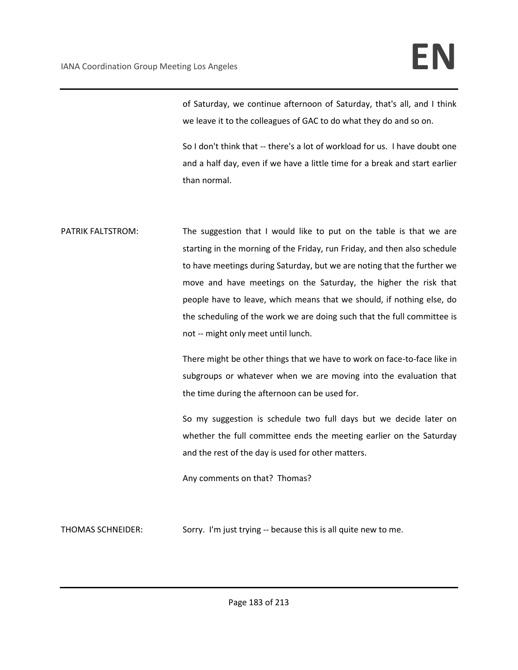of Saturday, we continue afternoon of Saturday, that's all, and I think we leave it to the colleagues of GAC to do what they do and so on.

So I don't think that -- there's a lot of workload for us. I have doubt one and a half day, even if we have a little time for a break and start earlier than normal.

PATRIK FALTSTROM: The suggestion that I would like to put on the table is that we are starting in the morning of the Friday, run Friday, and then also schedule to have meetings during Saturday, but we are noting that the further we move and have meetings on the Saturday, the higher the risk that people have to leave, which means that we should, if nothing else, do the scheduling of the work we are doing such that the full committee is not -- might only meet until lunch.

> There might be other things that we have to work on face-to-face like in subgroups or whatever when we are moving into the evaluation that the time during the afternoon can be used for.

> So my suggestion is schedule two full days but we decide later on whether the full committee ends the meeting earlier on the Saturday and the rest of the day is used for other matters.

Any comments on that? Thomas?

THOMAS SCHNEIDER: Sorry. I'm just trying -- because this is all quite new to me.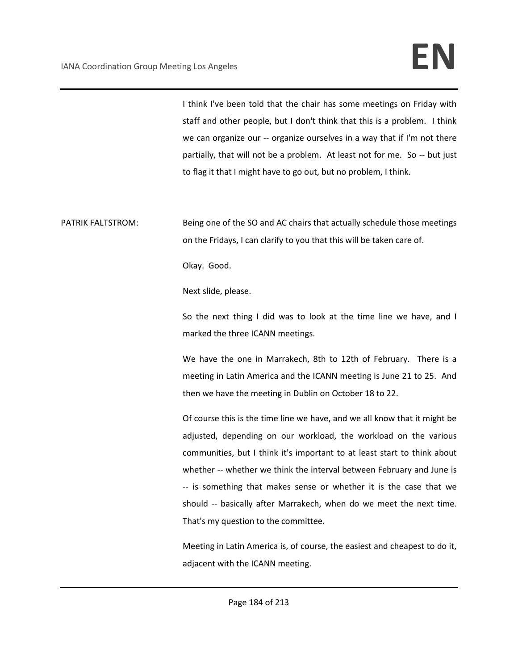I think I've been told that the chair has some meetings on Friday with staff and other people, but I don't think that this is a problem. I think we can organize our -- organize ourselves in a way that if I'm not there partially, that will not be a problem. At least not for me. So -- but just to flag it that I might have to go out, but no problem, I think.

PATRIK FALTSTROM: Being one of the SO and AC chairs that actually schedule those meetings on the Fridays, I can clarify to you that this will be taken care of.

Okay. Good.

Next slide, please.

So the next thing I did was to look at the time line we have, and I marked the three ICANN meetings.

We have the one in Marrakech, 8th to 12th of February. There is a meeting in Latin America and the ICANN meeting is June 21 to 25. And then we have the meeting in Dublin on October 18 to 22.

Of course this is the time line we have, and we all know that it might be adjusted, depending on our workload, the workload on the various communities, but I think it's important to at least start to think about whether -- whether we think the interval between February and June is -- is something that makes sense or whether it is the case that we should -- basically after Marrakech, when do we meet the next time. That's my question to the committee.

Meeting in Latin America is, of course, the easiest and cheapest to do it, adjacent with the ICANN meeting.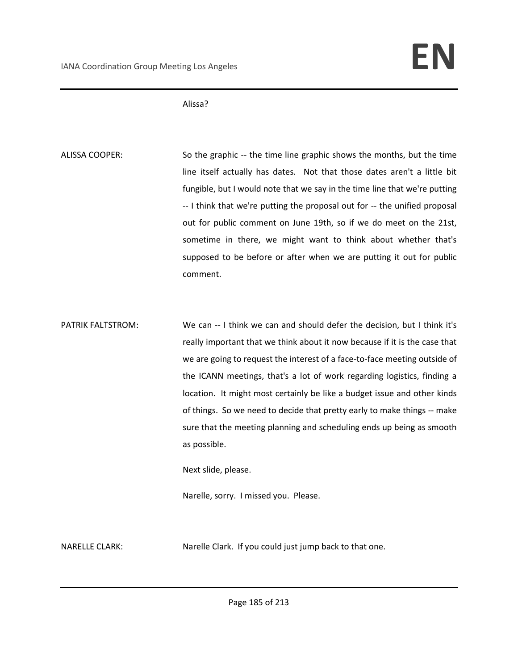### Alissa?

ALISSA COOPER: So the graphic -- the time line graphic shows the months, but the time line itself actually has dates. Not that those dates aren't a little bit fungible, but I would note that we say in the time line that we're putting -- I think that we're putting the proposal out for -- the unified proposal out for public comment on June 19th, so if we do meet on the 21st, sometime in there, we might want to think about whether that's supposed to be before or after when we are putting it out for public comment.

PATRIK FALTSTROM: We can -- I think we can and should defer the decision, but I think it's really important that we think about it now because if it is the case that we are going to request the interest of a face-to-face meeting outside of the ICANN meetings, that's a lot of work regarding logistics, finding a location. It might most certainly be like a budget issue and other kinds of things. So we need to decide that pretty early to make things -- make sure that the meeting planning and scheduling ends up being as smooth as possible.

Next slide, please.

Narelle, sorry. I missed you. Please.

NARELLE CLARK: Narelle Clark. If you could just jump back to that one.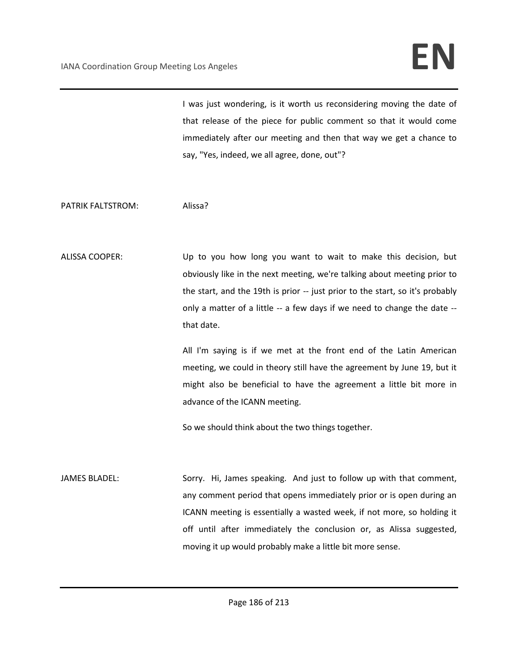## IANA Coordination Group Meeting Los Angeles **EN**

I was just wondering, is it worth us reconsidering moving the date of that release of the piece for public comment so that it would come immediately after our meeting and then that way we get a chance to say, "Yes, indeed, we all agree, done, out"?

PATRIK FALTSTROM: Alissa?

ALISSA COOPER: Up to you how long you want to wait to make this decision, but obviously like in the next meeting, we're talking about meeting prior to the start, and the 19th is prior -- just prior to the start, so it's probably only a matter of a little -- a few days if we need to change the date - that date.

> All I'm saying is if we met at the front end of the Latin American meeting, we could in theory still have the agreement by June 19, but it might also be beneficial to have the agreement a little bit more in advance of the ICANN meeting.

So we should think about the two things together.

JAMES BLADEL: Sorry. Hi, James speaking. And just to follow up with that comment, any comment period that opens immediately prior or is open during an ICANN meeting is essentially a wasted week, if not more, so holding it off until after immediately the conclusion or, as Alissa suggested, moving it up would probably make a little bit more sense.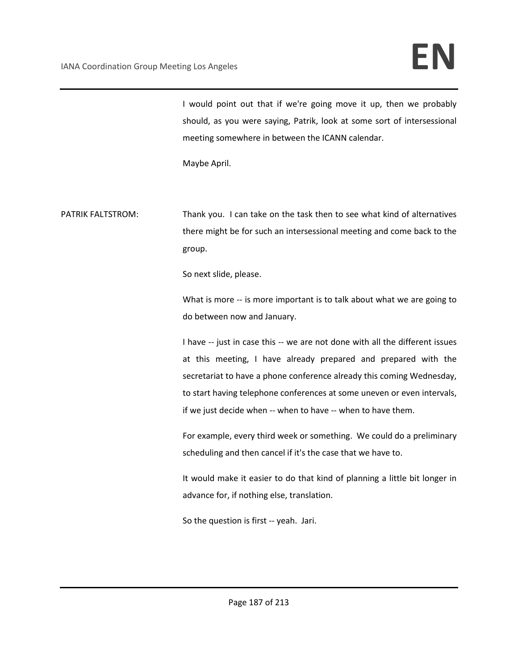# IANA Coordination Group Meeting Los Angeles **EN**

I would point out that if we're going move it up, then we probably should, as you were saying, Patrik, look at some sort of intersessional meeting somewhere in between the ICANN calendar.

Maybe April.

PATRIK FALTSTROM: Thank you. I can take on the task then to see what kind of alternatives there might be for such an intersessional meeting and come back to the group.

So next slide, please.

What is more -- is more important is to talk about what we are going to do between now and January.

I have -- just in case this -- we are not done with all the different issues at this meeting, I have already prepared and prepared with the secretariat to have a phone conference already this coming Wednesday, to start having telephone conferences at some uneven or even intervals, if we just decide when -- when to have -- when to have them.

For example, every third week or something. We could do a preliminary scheduling and then cancel if it's the case that we have to.

It would make it easier to do that kind of planning a little bit longer in advance for, if nothing else, translation.

So the question is first -- yeah. Jari.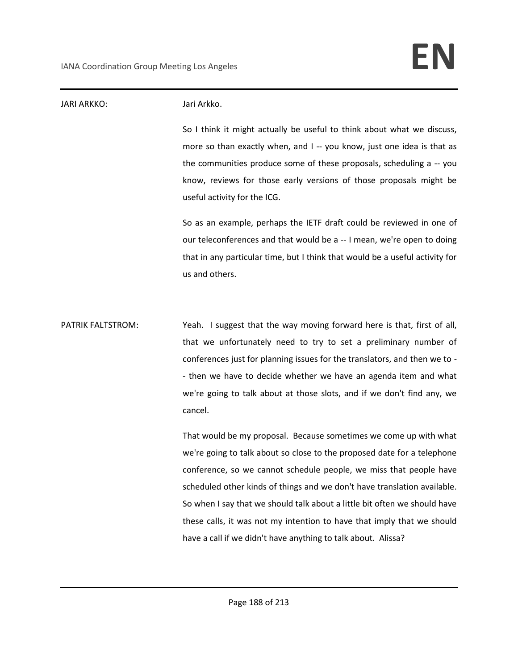### JARI ARKKO: Jari Arkko. So I think it might actually be useful to think about what we discuss, more so than exactly when, and I -- you know, just one idea is that as the communities produce some of these proposals, scheduling a -- you know, reviews for those early versions of those proposals might be useful activity for the ICG. So as an example, perhaps the IETF draft could be reviewed in one of our teleconferences and that would be a -- I mean, we're open to doing that in any particular time, but I think that would be a useful activity for us and others. PATRIK FALTSTROM: Yeah. I suggest that the way moving forward here is that, first of all, that we unfortunately need to try to set a preliminary number of conferences just for planning issues for the translators, and then we to - - then we have to decide whether we have an agenda item and what we're going to talk about at those slots, and if we don't find any, we cancel. That would be my proposal. Because sometimes we come up with what we're going to talk about so close to the proposed date for a telephone conference, so we cannot schedule people, we miss that people have scheduled other kinds of things and we don't have translation available. So when I say that we should talk about a little bit often we should have these calls, it was not my intention to have that imply that we should have a call if we didn't have anything to talk about. Alissa?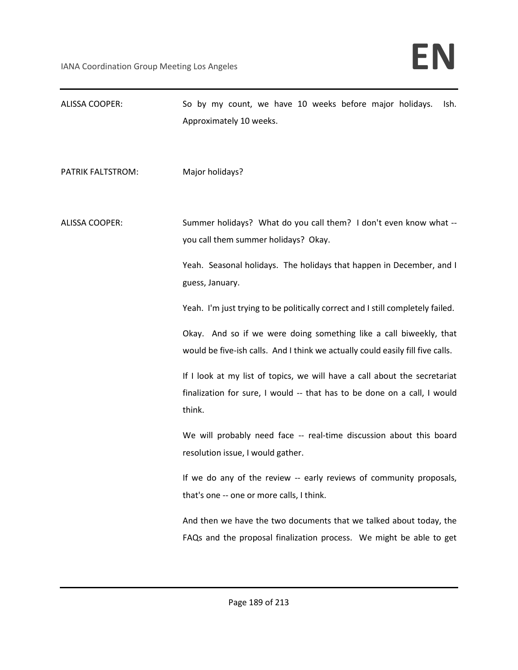| ALISSA COOPER:        | So by my count, we have 10 weeks before major holidays.<br>Ish.<br>Approximately 10 weeks.                                                                                        |
|-----------------------|-----------------------------------------------------------------------------------------------------------------------------------------------------------------------------------|
| PATRIK FALTSTROM:     | Major holidays?                                                                                                                                                                   |
| <b>ALISSA COOPER:</b> | Summer holidays? What do you call them? I don't even know what --<br>you call them summer holidays? Okay.<br>Yeah. Seasonal holidays. The holidays that happen in December, and I |
|                       | guess, January.                                                                                                                                                                   |
|                       | Yeah. I'm just trying to be politically correct and I still completely failed.                                                                                                    |
|                       | Okay. And so if we were doing something like a call biweekly, that<br>would be five-ish calls. And I think we actually could easily fill five calls.                              |
|                       | If I look at my list of topics, we will have a call about the secretariat<br>finalization for sure, I would -- that has to be done on a call, I would<br>think.                   |
|                       | We will probably need face -- real-time discussion about this board<br>resolution issue, I would gather.                                                                          |
|                       | If we do any of the review -- early reviews of community proposals,<br>that's one -- one or more calls, I think.                                                                  |
|                       | And then we have the two documents that we talked about today, the<br>FAQs and the proposal finalization process. We might be able to get                                         |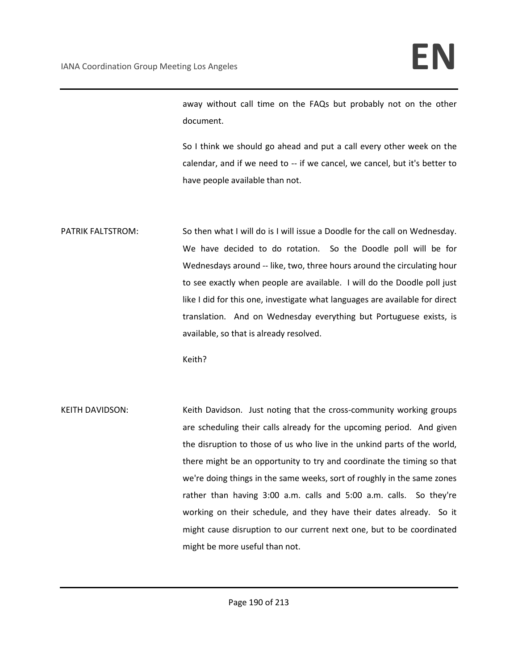away without call time on the FAQs but probably not on the other document.

So I think we should go ahead and put a call every other week on the calendar, and if we need to -- if we cancel, we cancel, but it's better to have people available than not.

PATRIK FALTSTROM: So then what I will do is I will issue a Doodle for the call on Wednesday. We have decided to do rotation. So the Doodle poll will be for Wednesdays around -- like, two, three hours around the circulating hour to see exactly when people are available. I will do the Doodle poll just like I did for this one, investigate what languages are available for direct translation. And on Wednesday everything but Portuguese exists, is available, so that is already resolved.

Keith?

KEITH DAVIDSON: Keith Davidson. Just noting that the cross-community working groups are scheduling their calls already for the upcoming period. And given the disruption to those of us who live in the unkind parts of the world, there might be an opportunity to try and coordinate the timing so that we're doing things in the same weeks, sort of roughly in the same zones rather than having 3:00 a.m. calls and 5:00 a.m. calls. So they're working on their schedule, and they have their dates already. So it might cause disruption to our current next one, but to be coordinated might be more useful than not.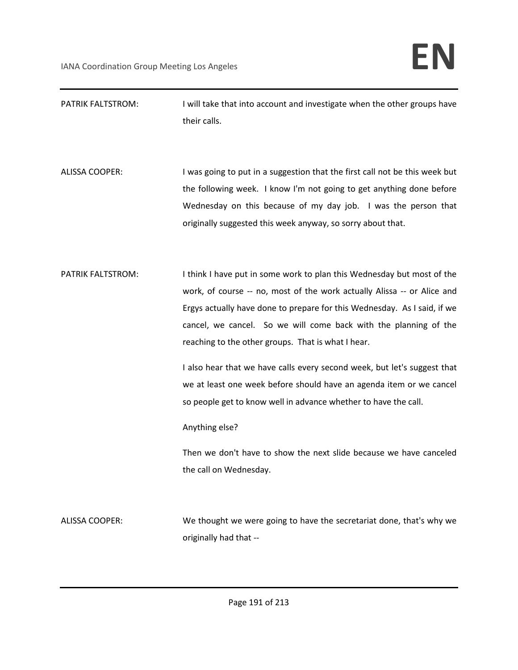| PATRIK FALTSTROM:     | I will take that into account and investigate when the other groups have<br>their calls.                                                                                                                                                                                                                                                                |
|-----------------------|---------------------------------------------------------------------------------------------------------------------------------------------------------------------------------------------------------------------------------------------------------------------------------------------------------------------------------------------------------|
| <b>ALISSA COOPER:</b> | I was going to put in a suggestion that the first call not be this week but<br>the following week. I know I'm not going to get anything done before<br>Wednesday on this because of my day job. I was the person that<br>originally suggested this week anyway, so sorry about that.                                                                    |
| PATRIK FALTSTROM:     | I think I have put in some work to plan this Wednesday but most of the<br>work, of course -- no, most of the work actually Alissa -- or Alice and<br>Ergys actually have done to prepare for this Wednesday. As I said, if we<br>cancel, we cancel. So we will come back with the planning of the<br>reaching to the other groups. That is what I hear. |
|                       | I also hear that we have calls every second week, but let's suggest that<br>we at least one week before should have an agenda item or we cancel<br>so people get to know well in advance whether to have the call.<br>Anything else?                                                                                                                    |
|                       | Then we don't have to show the next slide because we have canceled<br>the call on Wednesday.                                                                                                                                                                                                                                                            |
| <b>ALISSA COOPER:</b> | We thought we were going to have the secretariat done, that's why we<br>originally had that --                                                                                                                                                                                                                                                          |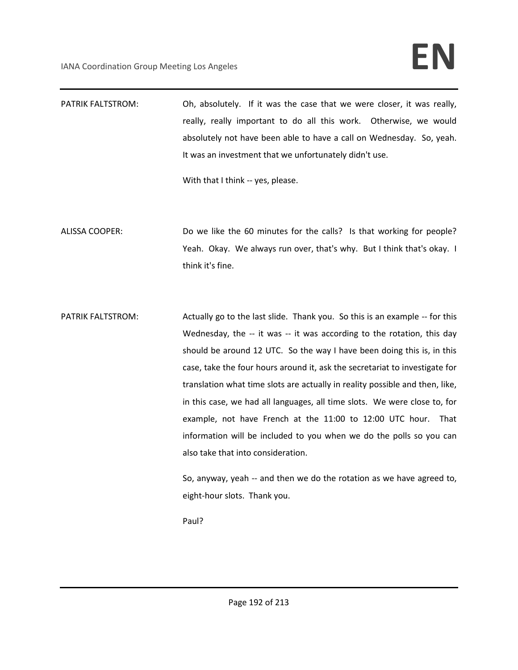PATRIK FALTSTROM: Oh, absolutely. If it was the case that we were closer, it was really, really, really important to do all this work. Otherwise, we would absolutely not have been able to have a call on Wednesday. So, yeah. It was an investment that we unfortunately didn't use.

With that I think -- yes, please.

- ALISSA COOPER: Do we like the 60 minutes for the calls? Is that working for people? Yeah. Okay. We always run over, that's why. But I think that's okay. I think it's fine.
- PATRIK FALTSTROM: Actually go to the last slide. Thank you. So this is an example -- for this Wednesday, the -- it was -- it was according to the rotation, this day should be around 12 UTC. So the way I have been doing this is, in this case, take the four hours around it, ask the secretariat to investigate for translation what time slots are actually in reality possible and then, like, in this case, we had all languages, all time slots. We were close to, for example, not have French at the 11:00 to 12:00 UTC hour. That information will be included to you when we do the polls so you can also take that into consideration.

So, anyway, yeah -- and then we do the rotation as we have agreed to, eight-hour slots. Thank you.

Paul?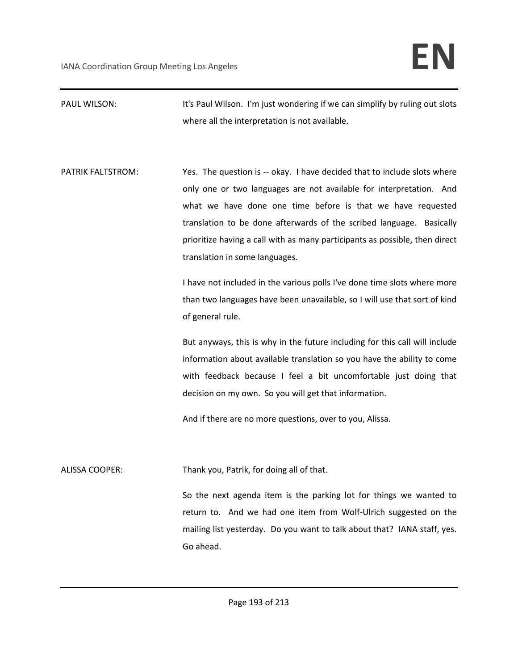PAUL WILSON: It's Paul Wilson. I'm just wondering if we can simplify by ruling out slots where all the interpretation is not available.

PATRIK FALTSTROM: Yes. The question is -- okay. I have decided that to include slots where only one or two languages are not available for interpretation. And what we have done one time before is that we have requested translation to be done afterwards of the scribed language. Basically prioritize having a call with as many participants as possible, then direct translation in some languages.

> I have not included in the various polls I've done time slots where more than two languages have been unavailable, so I will use that sort of kind of general rule.

> But anyways, this is why in the future including for this call will include information about available translation so you have the ability to come with feedback because I feel a bit uncomfortable just doing that decision on my own. So you will get that information.

And if there are no more questions, over to you, Alissa.

ALISSA COOPER: Thank you, Patrik, for doing all of that.

So the next agenda item is the parking lot for things we wanted to return to. And we had one item from Wolf-Ulrich suggested on the mailing list yesterday. Do you want to talk about that? IANA staff, yes. Go ahead.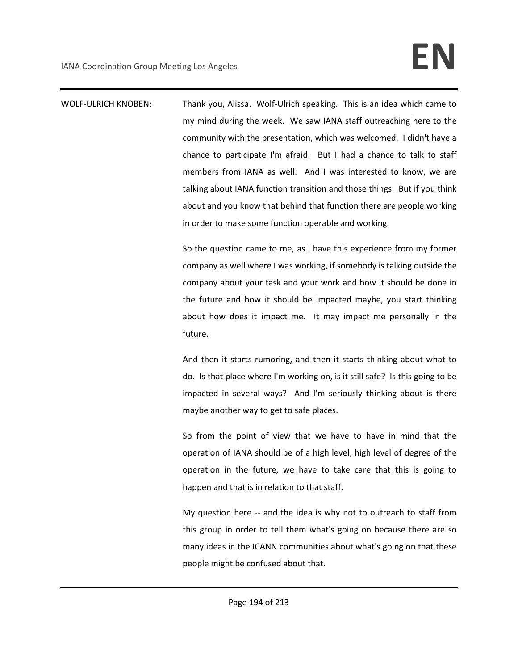WOLF-ULRICH KNOBEN: Thank you, Alissa. Wolf-Ulrich speaking. This is an idea which came to my mind during the week. We saw IANA staff outreaching here to the community with the presentation, which was welcomed. I didn't have a chance to participate I'm afraid. But I had a chance to talk to staff members from IANA as well. And I was interested to know, we are talking about IANA function transition and those things. But if you think about and you know that behind that function there are people working in order to make some function operable and working.

> So the question came to me, as I have this experience from my former company as well where I was working, if somebody is talking outside the company about your task and your work and how it should be done in the future and how it should be impacted maybe, you start thinking about how does it impact me. It may impact me personally in the future.

> And then it starts rumoring, and then it starts thinking about what to do. Is that place where I'm working on, is it still safe? Is this going to be impacted in several ways? And I'm seriously thinking about is there maybe another way to get to safe places.

> So from the point of view that we have to have in mind that the operation of IANA should be of a high level, high level of degree of the operation in the future, we have to take care that this is going to happen and that is in relation to that staff.

> My question here -- and the idea is why not to outreach to staff from this group in order to tell them what's going on because there are so many ideas in the ICANN communities about what's going on that these people might be confused about that.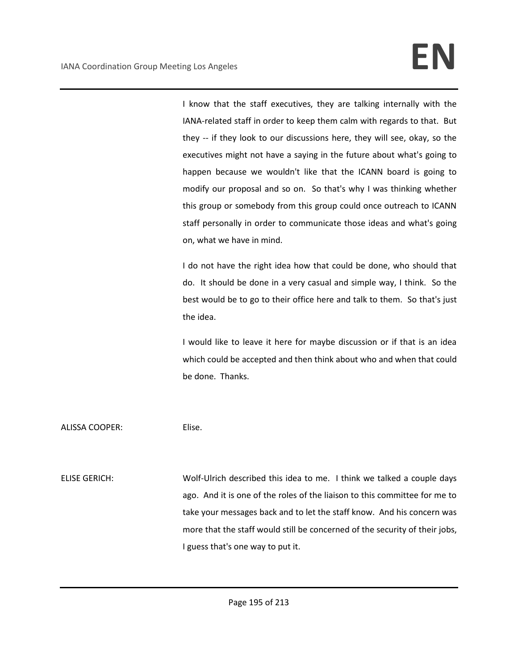I know that the staff executives, they are talking internally with the IANA-related staff in order to keep them calm with regards to that. But they -- if they look to our discussions here, they will see, okay, so the executives might not have a saying in the future about what's going to happen because we wouldn't like that the ICANN board is going to modify our proposal and so on. So that's why I was thinking whether this group or somebody from this group could once outreach to ICANN staff personally in order to communicate those ideas and what's going on, what we have in mind.

I do not have the right idea how that could be done, who should that do. It should be done in a very casual and simple way, I think. So the best would be to go to their office here and talk to them. So that's just the idea.

I would like to leave it here for maybe discussion or if that is an idea which could be accepted and then think about who and when that could be done. Thanks.

ALISSA COOPER: Elise.

ELISE GERICH: Wolf-Ulrich described this idea to me. I think we talked a couple days ago. And it is one of the roles of the liaison to this committee for me to take your messages back and to let the staff know. And his concern was more that the staff would still be concerned of the security of their jobs, I guess that's one way to put it.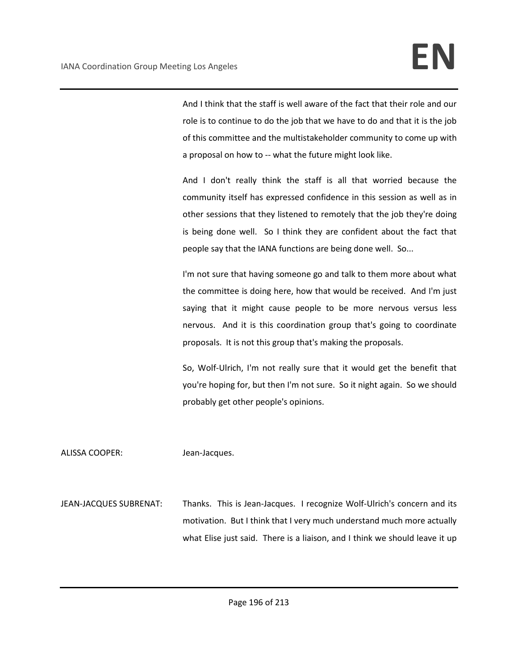And I think that the staff is well aware of the fact that their role and our role is to continue to do the job that we have to do and that it is the job of this committee and the multistakeholder community to come up with a proposal on how to -- what the future might look like.

And I don't really think the staff is all that worried because the community itself has expressed confidence in this session as well as in other sessions that they listened to remotely that the job they're doing is being done well. So I think they are confident about the fact that people say that the IANA functions are being done well. So...

I'm not sure that having someone go and talk to them more about what the committee is doing here, how that would be received. And I'm just saying that it might cause people to be more nervous versus less nervous. And it is this coordination group that's going to coordinate proposals. It is not this group that's making the proposals.

So, Wolf-Ulrich, I'm not really sure that it would get the benefit that you're hoping for, but then I'm not sure. So it night again. So we should probably get other people's opinions.

ALISSA COOPER: Jean-Jacques.

JEAN-JACQUES SUBRENAT: Thanks. This is Jean-Jacques. I recognize Wolf-Ulrich's concern and its motivation. But I think that I very much understand much more actually what Elise just said. There is a liaison, and I think we should leave it up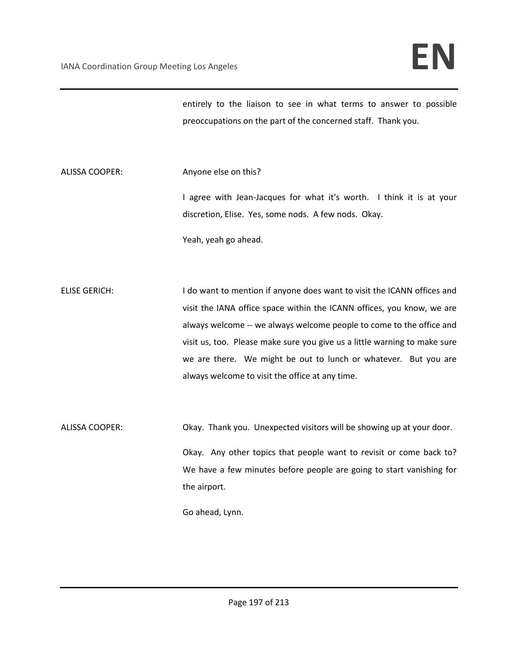entirely to the liaison to see in what terms to answer to possible preoccupations on the part of the concerned staff. Thank you.

ALISSA COOPER: Anyone else on this?

I agree with Jean-Jacques for what it's worth. I think it is at your discretion, Elise. Yes, some nods. A few nods. Okay.

Yeah, yeah go ahead.

ELISE GERICH: I do want to mention if anyone does want to visit the ICANN offices and visit the IANA office space within the ICANN offices, you know, we are always welcome -- we always welcome people to come to the office and visit us, too. Please make sure you give us a little warning to make sure we are there. We might be out to lunch or whatever. But you are always welcome to visit the office at any time.

ALISSA COOPER: Okay. Thank you. Unexpected visitors will be showing up at your door. Okay. Any other topics that people want to revisit or come back to? We have a few minutes before people are going to start vanishing for the airport.

Go ahead, Lynn.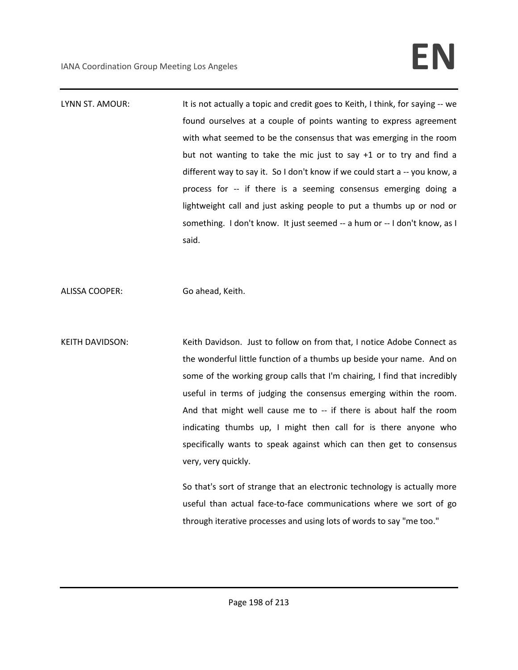LYNN ST. AMOUR: It is not actually a topic and credit goes to Keith, I think, for saying -- we found ourselves at a couple of points wanting to express agreement with what seemed to be the consensus that was emerging in the room but not wanting to take the mic just to say +1 or to try and find a different way to say it. So I don't know if we could start a -- you know, a process for -- if there is a seeming consensus emerging doing a lightweight call and just asking people to put a thumbs up or nod or something. I don't know. It just seemed -- a hum or -- I don't know, as I said.

ALISSA COOPER: Go ahead, Keith.

KEITH DAVIDSON: Keith Davidson. Just to follow on from that, I notice Adobe Connect as the wonderful little function of a thumbs up beside your name. And on some of the working group calls that I'm chairing, I find that incredibly useful in terms of judging the consensus emerging within the room. And that might well cause me to -- if there is about half the room indicating thumbs up, I might then call for is there anyone who specifically wants to speak against which can then get to consensus very, very quickly.

> So that's sort of strange that an electronic technology is actually more useful than actual face-to-face communications where we sort of go through iterative processes and using lots of words to say "me too."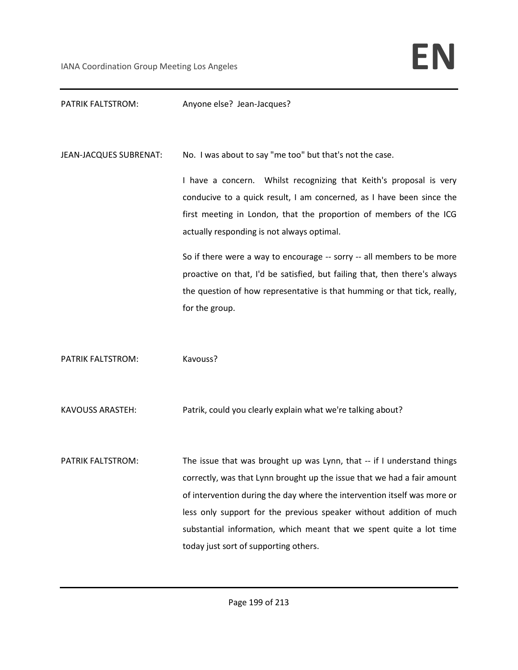### PATRIK FALTSTROM: Anyone else? Jean-Jacques?

JEAN-JACQUES SUBRENAT: No. I was about to say "me too" but that's not the case.

I have a concern. Whilst recognizing that Keith's proposal is very conducive to a quick result, I am concerned, as I have been since the first meeting in London, that the proportion of members of the ICG actually responding is not always optimal.

So if there were a way to encourage -- sorry -- all members to be more proactive on that, I'd be satisfied, but failing that, then there's always the question of how representative is that humming or that tick, really, for the group.

PATRIK FALTSTROM: Kavouss?

KAVOUSS ARASTEH: Patrik, could you clearly explain what we're talking about?

PATRIK FALTSTROM: The issue that was brought up was Lynn, that -- if I understand things correctly, was that Lynn brought up the issue that we had a fair amount of intervention during the day where the intervention itself was more or less only support for the previous speaker without addition of much substantial information, which meant that we spent quite a lot time today just sort of supporting others.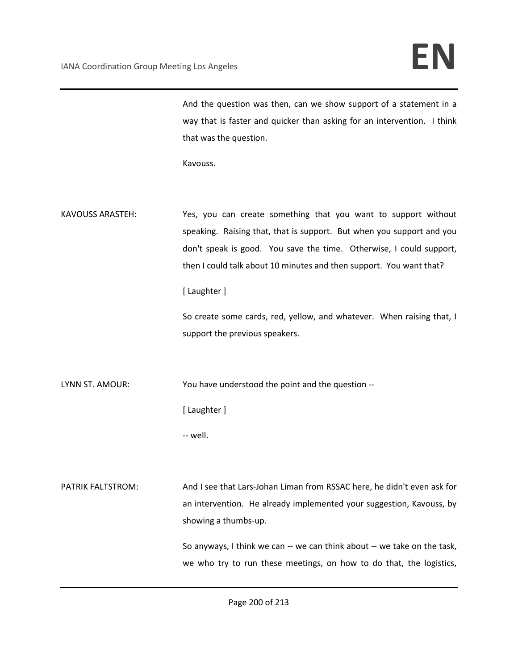And the question was then, can we show support of a statement in a way that is faster and quicker than asking for an intervention. I think that was the question.

Kavouss.

KAVOUSS ARASTEH: Yes, you can create something that you want to support without speaking. Raising that, that is support. But when you support and you don't speak is good. You save the time. Otherwise, I could support, then I could talk about 10 minutes and then support. You want that?

### [ Laughter ]

So create some cards, red, yellow, and whatever. When raising that, I support the previous speakers.

LYNN ST. AMOUR: You have understood the point and the question --

[ Laughter ]

-- well.

PATRIK FALTSTROM: And I see that Lars-Johan Liman from RSSAC here, he didn't even ask for an intervention. He already implemented your suggestion, Kavouss, by showing a thumbs-up.

> So anyways, I think we can -- we can think about -- we take on the task, we who try to run these meetings, on how to do that, the logistics,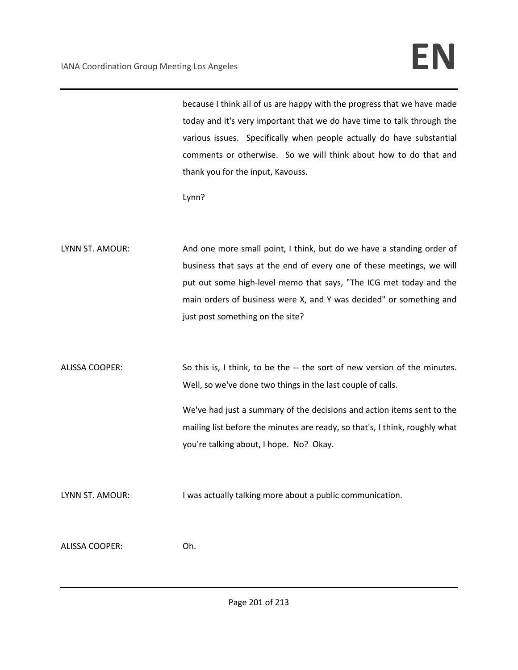because I think all of us are happy with the progress that we have made today and it's very important that we do have time to talk through the various issues. Specifically when people actually do have substantial comments or otherwise. So we will think about how to do that and thank you for the input, Kavouss.

Lynn?

LYNN ST. AMOUR: And one more small point, I think, but do we have a standing order of business that says at the end of every one of these meetings, we will put out some high-level memo that says, "The ICG met today and the main orders of business were X, and Y was decided" or something and just post something on the site?

ALISSA COOPER: So this is, I think, to be the -- the sort of new version of the minutes. Well, so we've done two things in the last couple of calls. We've had just a summary of the decisions and action items sent to the mailing list before the minutes are ready, so that's, I think, roughly what you're talking about, I hope. No? Okay.

LYNN ST. AMOUR: I was actually talking more about a public communication.

ALISSA COOPER: Oh.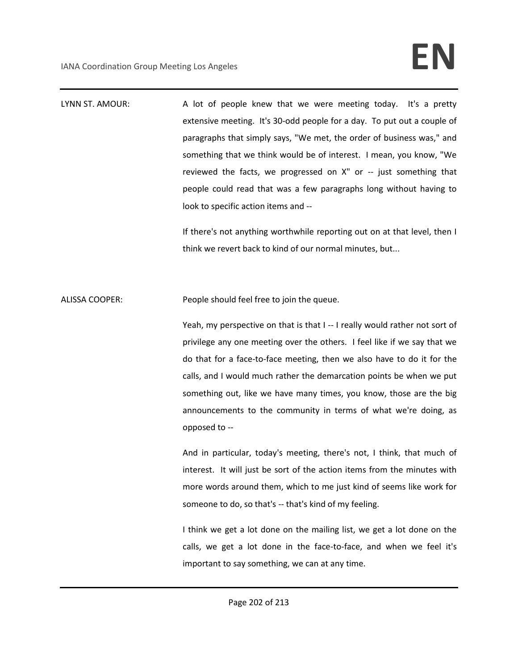LYNN ST. AMOUR: A lot of people knew that we were meeting today. It's a pretty extensive meeting. It's 30-odd people for a day. To put out a couple of paragraphs that simply says, "We met, the order of business was," and something that we think would be of interest. I mean, you know, "We reviewed the facts, we progressed on X" or -- just something that people could read that was a few paragraphs long without having to look to specific action items and -- If there's not anything worthwhile reporting out on at that level, then I think we revert back to kind of our normal minutes, but... ALISSA COOPER: People should feel free to join the queue. Yeah, my perspective on that is that I -- I really would rather not sort of privilege any one meeting over the others. I feel like if we say that we do that for a face-to-face meeting, then we also have to do it for the calls, and I would much rather the demarcation points be when we put something out, like we have many times, you know, those are the big announcements to the community in terms of what we're doing, as opposed to -- And in particular, today's meeting, there's not, I think, that much of interest. It will just be sort of the action items from the minutes with more words around them, which to me just kind of seems like work for someone to do, so that's -- that's kind of my feeling.

> I think we get a lot done on the mailing list, we get a lot done on the calls, we get a lot done in the face-to-face, and when we feel it's important to say something, we can at any time.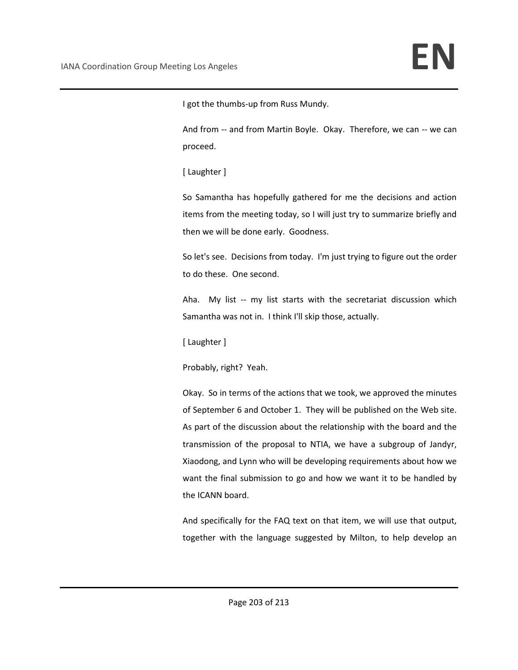I got the thumbs-up from Russ Mundy.

And from -- and from Martin Boyle. Okay. Therefore, we can -- we can proceed.

[ Laughter ]

So Samantha has hopefully gathered for me the decisions and action items from the meeting today, so I will just try to summarize briefly and then we will be done early. Goodness.

So let's see. Decisions from today. I'm just trying to figure out the order to do these. One second.

Aha. My list -- my list starts with the secretariat discussion which Samantha was not in. I think I'll skip those, actually.

[ Laughter ]

Probably, right? Yeah.

Okay. So in terms of the actions that we took, we approved the minutes of September 6 and October 1. They will be published on the Web site. As part of the discussion about the relationship with the board and the transmission of the proposal to NTIA, we have a subgroup of Jandyr, Xiaodong, and Lynn who will be developing requirements about how we want the final submission to go and how we want it to be handled by the ICANN board.

And specifically for the FAQ text on that item, we will use that output, together with the language suggested by Milton, to help develop an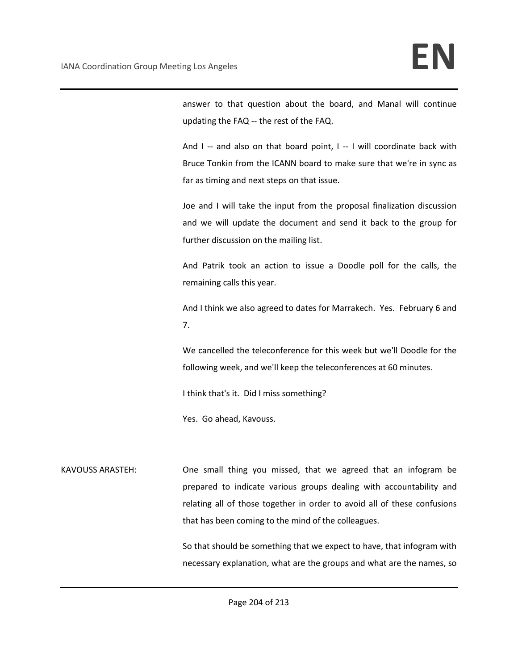answer to that question about the board, and Manal will continue updating the FAQ -- the rest of the FAQ.

And I -- and also on that board point, I -- I will coordinate back with Bruce Tonkin from the ICANN board to make sure that we're in sync as far as timing and next steps on that issue.

Joe and I will take the input from the proposal finalization discussion and we will update the document and send it back to the group for further discussion on the mailing list.

And Patrik took an action to issue a Doodle poll for the calls, the remaining calls this year.

And I think we also agreed to dates for Marrakech. Yes. February 6 and 7.

We cancelled the teleconference for this week but we'll Doodle for the following week, and we'll keep the teleconferences at 60 minutes.

I think that's it. Did I miss something?

Yes. Go ahead, Kavouss.

KAVOUSS ARASTEH: One small thing you missed, that we agreed that an infogram be prepared to indicate various groups dealing with accountability and relating all of those together in order to avoid all of these confusions that has been coming to the mind of the colleagues.

> So that should be something that we expect to have, that infogram with necessary explanation, what are the groups and what are the names, so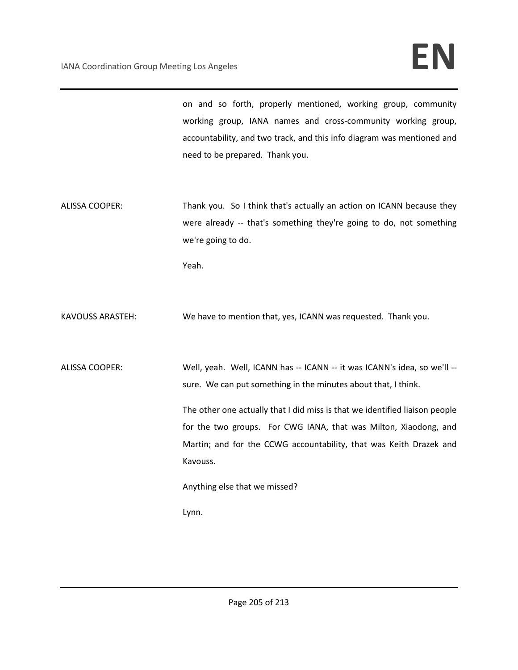on and so forth, properly mentioned, working group, community working group, IANA names and cross-community working group, accountability, and two track, and this info diagram was mentioned and need to be prepared. Thank you.

ALISSA COOPER: Thank you. So I think that's actually an action on ICANN because they were already -- that's something they're going to do, not something we're going to do.

Yeah.

KAVOUSS ARASTEH: We have to mention that, yes, ICANN was requested. Thank you.

ALISSA COOPER: Well, yeah. Well, ICANN has -- ICANN -- it was ICANN's idea, so we'll -sure. We can put something in the minutes about that, I think.

> The other one actually that I did miss is that we identified liaison people for the two groups. For CWG IANA, that was Milton, Xiaodong, and Martin; and for the CCWG accountability, that was Keith Drazek and Kavouss.

Anything else that we missed?

Lynn.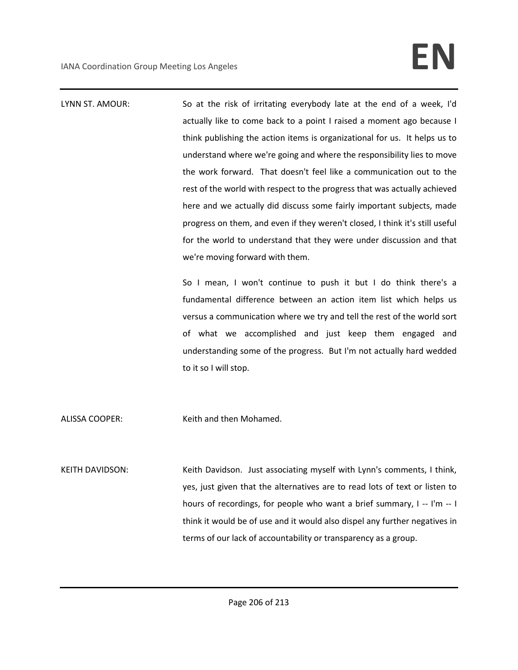LYNN ST. AMOUR: So at the risk of irritating everybody late at the end of a week, I'd actually like to come back to a point I raised a moment ago because I think publishing the action items is organizational for us. It helps us to understand where we're going and where the responsibility lies to move the work forward. That doesn't feel like a communication out to the rest of the world with respect to the progress that was actually achieved here and we actually did discuss some fairly important subjects, made progress on them, and even if they weren't closed, I think it's still useful for the world to understand that they were under discussion and that we're moving forward with them. So I mean, I won't continue to push it but I do think there's a fundamental difference between an action item list which helps us versus a communication where we try and tell the rest of the world sort of what we accomplished and just keep them engaged and understanding some of the progress. But I'm not actually hard wedded to it so I will stop.

ALISSA COOPER: Keith and then Mohamed.

KEITH DAVIDSON: Keith Davidson. Just associating myself with Lynn's comments, I think, yes, just given that the alternatives are to read lots of text or listen to hours of recordings, for people who want a brief summary, I -- I'm -- I think it would be of use and it would also dispel any further negatives in terms of our lack of accountability or transparency as a group.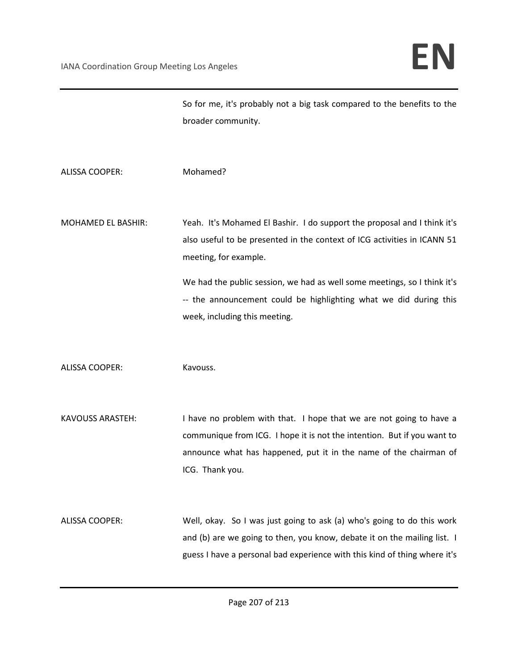So for me, it's probably not a big task compared to the benefits to the broader community.

- ALISSA COOPER: Mohamed?
- MOHAMED EL BASHIR: Yeah. It's Mohamed El Bashir. I do support the proposal and I think it's also useful to be presented in the context of ICG activities in ICANN 51 meeting, for example.

We had the public session, we had as well some meetings, so I think it's -- the announcement could be highlighting what we did during this week, including this meeting.

ALISSA COOPER: Kavouss.

KAVOUSS ARASTEH: I have no problem with that. I hope that we are not going to have a communique from ICG. I hope it is not the intention. But if you want to announce what has happened, put it in the name of the chairman of ICG. Thank you.

ALISSA COOPER: Well, okay. So I was just going to ask (a) who's going to do this work and (b) are we going to then, you know, debate it on the mailing list. I guess I have a personal bad experience with this kind of thing where it's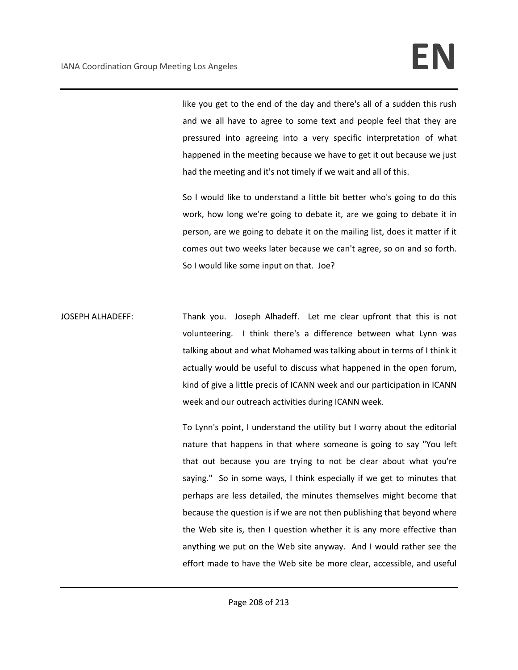like you get to the end of the day and there's all of a sudden this rush and we all have to agree to some text and people feel that they are pressured into agreeing into a very specific interpretation of what happened in the meeting because we have to get it out because we just had the meeting and it's not timely if we wait and all of this.

So I would like to understand a little bit better who's going to do this work, how long we're going to debate it, are we going to debate it in person, are we going to debate it on the mailing list, does it matter if it comes out two weeks later because we can't agree, so on and so forth. So I would like some input on that. Joe?

JOSEPH ALHADEFF: Thank you. Joseph Alhadeff. Let me clear upfront that this is not volunteering. I think there's a difference between what Lynn was talking about and what Mohamed was talking about in terms of I think it actually would be useful to discuss what happened in the open forum, kind of give a little precis of ICANN week and our participation in ICANN week and our outreach activities during ICANN week.

> To Lynn's point, I understand the utility but I worry about the editorial nature that happens in that where someone is going to say "You left that out because you are trying to not be clear about what you're saying." So in some ways, I think especially if we get to minutes that perhaps are less detailed, the minutes themselves might become that because the question is if we are not then publishing that beyond where the Web site is, then I question whether it is any more effective than anything we put on the Web site anyway. And I would rather see the effort made to have the Web site be more clear, accessible, and useful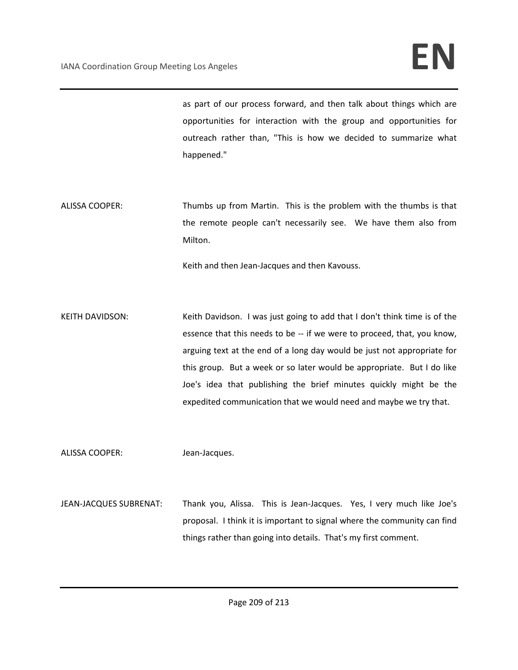as part of our process forward, and then talk about things which are opportunities for interaction with the group and opportunities for outreach rather than, "This is how we decided to summarize what happened."

ALISSA COOPER: Thumbs up from Martin. This is the problem with the thumbs is that the remote people can't necessarily see. We have them also from Milton.

Keith and then Jean-Jacques and then Kavouss.

KEITH DAVIDSON: Keith Davidson. I was just going to add that I don't think time is of the essence that this needs to be -- if we were to proceed, that, you know, arguing text at the end of a long day would be just not appropriate for this group. But a week or so later would be appropriate. But I do like Joe's idea that publishing the brief minutes quickly might be the expedited communication that we would need and maybe we try that.

ALISSA COOPER: Jean-Jacques.

JEAN-JACQUES SUBRENAT: Thank you, Alissa. This is Jean-Jacques. Yes, I very much like Joe's proposal. I think it is important to signal where the community can find things rather than going into details. That's my first comment.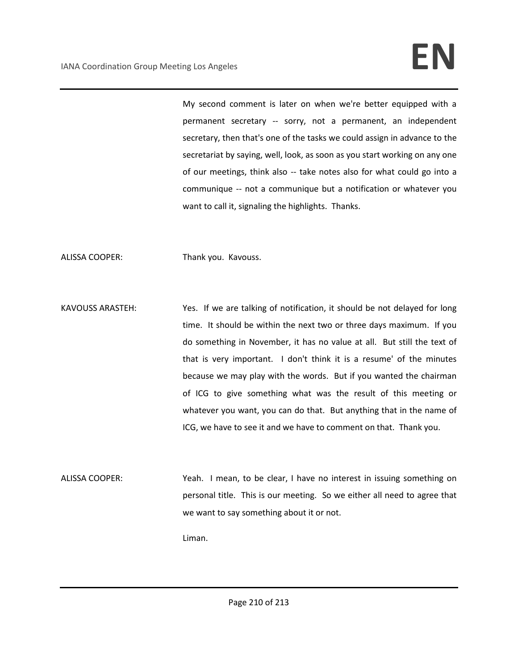My second comment is later on when we're better equipped with a permanent secretary -- sorry, not a permanent, an independent secretary, then that's one of the tasks we could assign in advance to the secretariat by saying, well, look, as soon as you start working on any one of our meetings, think also -- take notes also for what could go into a communique -- not a communique but a notification or whatever you want to call it, signaling the highlights. Thanks.

ALISSA COOPER: Thank you. Kavouss.

KAVOUSS ARASTEH: Yes. If we are talking of notification, it should be not delayed for long time. It should be within the next two or three days maximum. If you do something in November, it has no value at all. But still the text of that is very important. I don't think it is a resume' of the minutes because we may play with the words. But if you wanted the chairman of ICG to give something what was the result of this meeting or whatever you want, you can do that. But anything that in the name of ICG, we have to see it and we have to comment on that. Thank you.

ALISSA COOPER: Yeah. I mean, to be clear, I have no interest in issuing something on personal title. This is our meeting. So we either all need to agree that we want to say something about it or not.

Liman.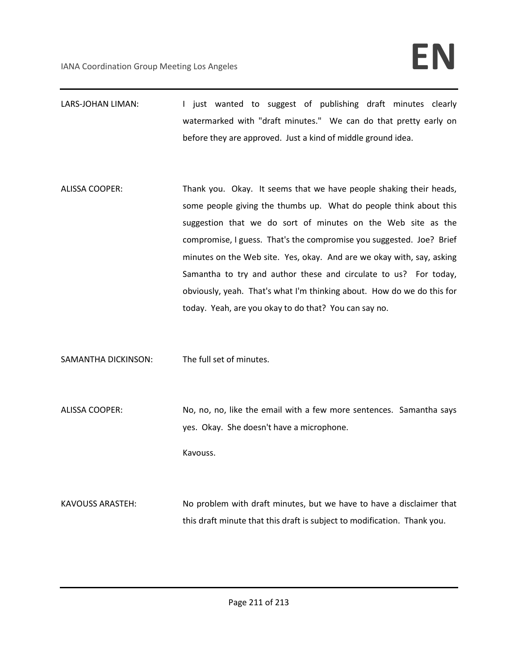- LARS-JOHAN LIMAN: I just wanted to suggest of publishing draft minutes clearly watermarked with "draft minutes." We can do that pretty early on before they are approved. Just a kind of middle ground idea.
- ALISSA COOPER: Thank you. Okay. It seems that we have people shaking their heads, some people giving the thumbs up. What do people think about this suggestion that we do sort of minutes on the Web site as the compromise, I guess. That's the compromise you suggested. Joe? Brief minutes on the Web site. Yes, okay. And are we okay with, say, asking Samantha to try and author these and circulate to us? For today, obviously, yeah. That's what I'm thinking about. How do we do this for today. Yeah, are you okay to do that? You can say no.
- SAMANTHA DICKINSON: The full set of minutes.
- ALISSA COOPER: No, no, no, like the email with a few more sentences. Samantha says yes. Okay. She doesn't have a microphone. Kavouss.
- KAVOUSS ARASTEH: No problem with draft minutes, but we have to have a disclaimer that this draft minute that this draft is subject to modification. Thank you.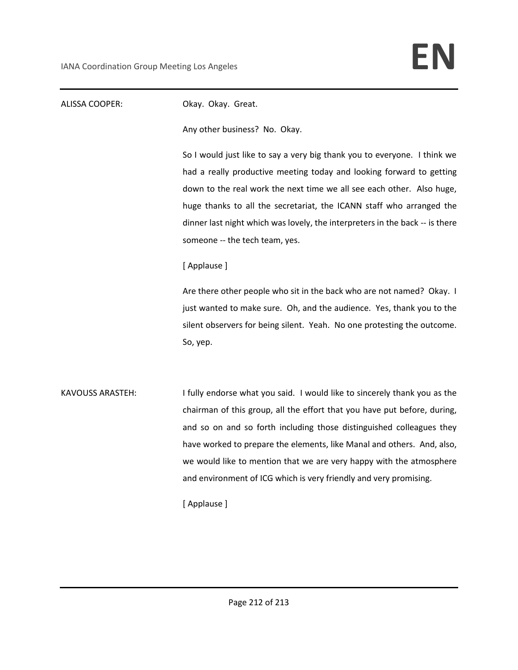## ALISSA COOPER: Okay. Okay. Great. Any other business? No. Okay. So I would just like to say a very big thank you to everyone. I think we had a really productive meeting today and looking forward to getting down to the real work the next time we all see each other. Also huge, huge thanks to all the secretariat, the ICANN staff who arranged the dinner last night which was lovely, the interpreters in the back -- is there someone -- the tech team, yes. [ Applause ] Are there other people who sit in the back who are not named? Okay. I just wanted to make sure. Oh, and the audience. Yes, thank you to the silent observers for being silent. Yeah. No one protesting the outcome. So, yep. KAVOUSS ARASTEH: I fully endorse what you said. I would like to sincerely thank you as the chairman of this group, all the effort that you have put before, during, and so on and so forth including those distinguished colleagues they have worked to prepare the elements, like Manal and others. And, also, we would like to mention that we are very happy with the atmosphere and environment of ICG which is very friendly and very promising. [ Applause ]